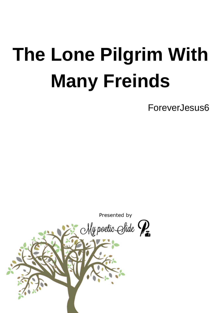# **The Lone Pilgrim With Many Freinds**

ForeverJesus6

Presented by

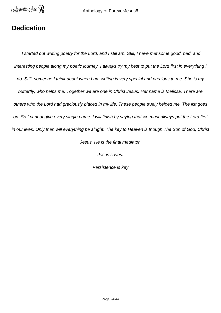# **Dedication**

 I started out writing poetry for the Lord, and I still am. Still, I have met some good, bad, and interesting people along my poetic journey. I always try my best to put the Lord first in everything I do. Still, someone I think about when I am writing is very special and precious to me. She is my butterfly, who helps me. Together we are one in Christ Jesus. Her name is Melissa. There are others who the Lord had graciously placed in my life. These people truely helped me. The list goes on. So I cannot give every single name. I will finish by saying that we must always put the Lord first in our lives. Only then will everything be alright. The key to Heaven is though The Son of God, Christ Jesus. He is the final mediator.

Jesus saves.

Persistence is key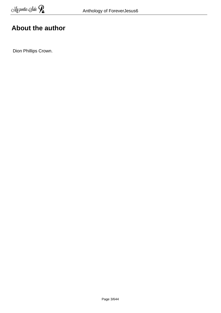# **About the author**

Dion Phillips Crown.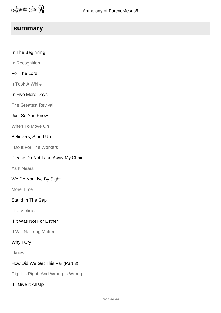# **summary**

| In The Beginning                 |
|----------------------------------|
| In Recognition                   |
| For The Lord                     |
| It Took A While                  |
| In Five More Days                |
| <b>The Greatest Revival</b>      |
| <b>Just So You Know</b>          |
| When To Move On                  |
| Believers, Stand Up              |
| I Do It For The Workers          |
| Please Do Not Take Away My Chair |
| As It Nears                      |
| We Do Not Live By Sight          |
| More Time                        |
| Stand In The Gap                 |
| The Violinist                    |
| If It Was Not For Esther         |
| It Will No Long Matter           |
| Why I Cry                        |
| I know                           |
| How Did We Get This Far (Part 3) |
|                                  |

Right Is Right, And Wrong Is Wrong

If I Give It All Up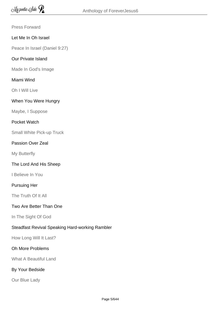# Press Forward

# Let Me In Oh Israel

Peace In Israel (Daniel 9:27)

# Our Private Island

Made In God's Image

# Miami Wind

Oh I Will Live

# When You Were Hungry

Maybe, I Suppose

# Pocket Watch

Small White Pick-up Truck

# Passion Over Zeal

My Butterfly

# The Lord And His Sheep

I Believe In You

# Pursuing Her

The Truth Of It All

# Two Are Better Than One

In The Sight Of God

# Steadfast Revival Speaking Hard-working Rambler

How Long Will It Last?

# Oh More Problems

What A Beautiful Land

#### By Your Bedside

Our Blue Lady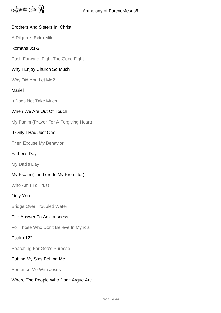# Brothers And Sisters In Christ

A Pilgrim's Extra Mile

# Romans 8:1-2

Push Forward. Fight The Good Fight.

# Why I Enjoy Church So Much

Why Did You Let Me?

# Mariel

It Does Not Take Much

# When We Are Out Of Touch

My Psalm (Prayer For A Forgiving Heart)

# If Only I Had Just One

Then Excuse My Behavior

#### Father's Day

My Dad's Day

# My Psalm (The Lord Is My Protector)

Who Am I To Trust

# Only You

Bridge Over Troubled Water

#### The Answer To Anxiousness

For Those Who Don't Believe In Myricls

#### Psalm 122

Searching For God's Purpose

# Putting My Sins Behind Me

Sentence Me With Jesus

# Where The People Who Don't Argue Are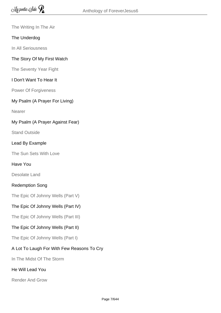The Writing In The Air

# The Underdog

In All Seriousness

# The Story Of My First Watch

The Seventy Year Fight

# I Don't Want To Hear It

Power Of Forgiveness

# My Psalm (A Prayer For Living)

Nearer

# My Psalm (A Prayer Against Fear)

Stand Outside

# Lead By Example

The Sun Sets With Love

# Have You

Desolate Land

# Redemption Song

The Epic Of Johnny Wells (Part V)

# The Epic Of Johnny Wells (Part IV)

The Epic Of Johnny Wells (Part III)

# The Epic Of Johnny Wells (Part II)

The Epic Of Johnny Wells (Part I)

# A Lot To Laugh For With Few Reasons To Cry

In The Midst Of The Storm

# He Will Lead You

Render And Grow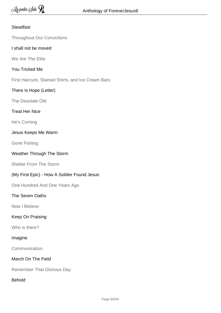# **Steadfast**

Throughout Our Convictions

#### I shall not be moved

We Are The Elite

# You Tricked Me

First Haircuts, Stained Shirts, and Ice Cream Bars

# There Is Hope (Letter)

The Desolate Old

#### Treat Her Nice

He's Coming

#### Jesus Keeps Me Warm

Gone Fishing

#### Weather Through The Storm

Shelter From The Storm

# (My First Epic) - How A Soldier Found Jesus

One Hundred And One Years Ago

#### The Seven Oaths

Now I Believe

#### Keep On Praising

Who is there?

# Imagine

**Communication** 

#### March On The Field

Remember That Glorious Day

#### Behold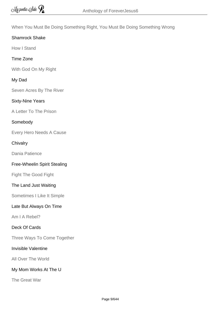When You Must Be Doing Something Right, You Must Be Doing Something Wrong

# Shamrock Shake

How I Stand

# Time Zone

With God On My Right

# My Dad

Seven Acres By The River

# Sixty-Nine Years

A Letter To The Prison

# Somebody

Every Hero Needs A Cause

# **Chivalry**

Dania Patience

# Free-Wheelin Spirit Stealing

Fight The Good Fight

# The Land Just Waiting

Sometimes I Like It Simple

# Late But Always On Time

Am I A Rebel?

# Deck Of Cards

Three Ways To Come Together

# Invisible Valentine

All Over The World

# My Mom Works At The U

The Great War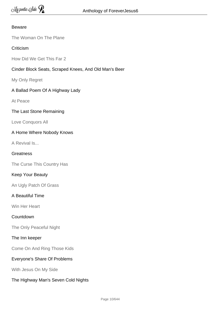# Beware

The Woman On The Plane

# **Criticism**

How Did We Get This Far 2

# Cinder Block Seats, Scraped Knees, And Old Man's Beer

My Only Regret

# A Ballad Poem Of A Highway Lady

At Peace

# The Last Stone Remaining

Love Conquors All

# A Home Where Nobody Knows

A Revival Is...

#### **Greatness**

The Curse This Country Has

#### Keep Your Beauty

An Ugly Patch Of Grass

#### A Beautiful Time

Win Her Heart

#### **Countdown**

The Only Peaceful Night

#### The Inn keeper

Come On And Ring Those Kids

# Everyone's Share Of Problems

With Jesus On My Side

# The Highway Man's Seven Cold Nights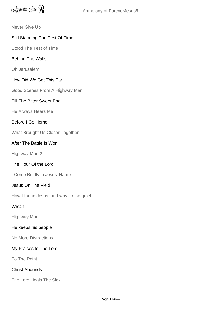Never Give Up

# Still Standing The Test Of Time

Stood The Test of Time

#### Behind The Walls

Oh Jerusalem

# How Did We Get This Far

Good Scenes From A Highway Man

#### Till The Bitter Sweet End

He Always Hears Me

#### Before I Go Home

What Brought Us Closer Together

# After The Battle Is Won

Highway Man 2

#### The Hour Of the Lord

I Come Boldly in Jesus' Name

#### Jesus On The Field

How I found Jesus, and why I'm so quiet

#### **Watch**

Highway Man

#### He keeps his people

No More Distractions

#### My Praises to The Lord

To The Point

# Christ Abounds

The Lord Heals The Sick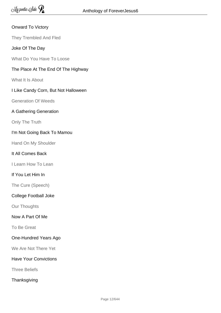# Onward To Victory

They Trembled And Fled

# Joke Of The Day

What Do You Have To Loose

# The Place At The End Of The Highway

What It Is About

# I Like Candy Corn, But Not Halloween

Generation Of Weeds

# A Gathering Generation

Only The Truth

# I'm Not Going Back To Mamou

Hand On My Shoulder

#### It All Comes Back

I Learn How To Lean

#### If You Let Him In

The Cure (Speech)

# College Football Joke

Our Thoughts

#### Now A Part Of Me

To Be Great

# One-Hundred Years Ago

We Are Not There Yet

#### Have Your Convictions

Three Beliefs

#### **Thanksgiving**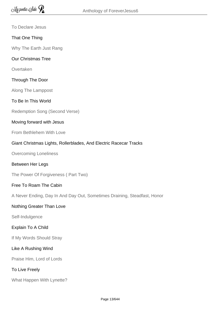To Declare Jesus

# That One Thing

Why The Earth Just Rang

# Our Christmas Tree

Overtaken

# Through The Door

Along The Lamppost

# To Be In This World

Redemption Song (Second Verse)

# Moving forward with Jesus

From Bethlehem With Love

# Giant Christmas Lights, Rollerblades, And Electric Racecar Tracks

Overcoming Loneliness

# Between Her Legs

The Power Of Forgiveness ( Part Two)

# Free To Roam The Cabin

A Never Ending, Day In And Day Out, Sometimes Draining, Steadfast, Honor

# Nothing Greater Than Love

Self-Indulgence

# Explain To A Child

If My Words Should Stray

# Like A Rushing Wind

Praise Him, Lord of Lords

# To Live Freely

What Happen With Lynette?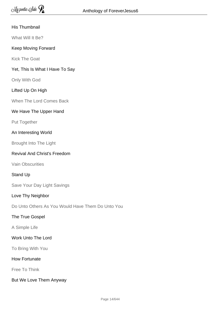# His Thumbnail

What Will It Be?

# Keep Moving Forward

Kick The Goat

# Yet, This Is What I Have To Say

Only With God

# Lifted Up On High

When The Lord Comes Back

# We Have The Upper Hand

Put Together

#### An Interesting World

Brought Into The Light

# Revival And Christ's Freedom

Vain Obscurities

Stand Up

Save Your Day Light Savings

#### Love Thy Neighbor

Do Unto Others As You Would Have Them Do Unto You

#### The True Gospel

A Simple Life

#### Work Unto The Lord

To Bring With You

#### How Fortunate

Free To Think

#### But We Love Them Anyway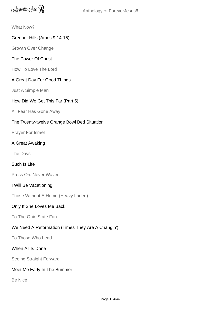# What Now?

# Greener Hills (Amos 9:14-15)

Growth Over Change

# The Power Of Christ

How To Love The Lord

# A Great Day For Good Things

Just A Simple Man

# How Did We Get This Far (Part 5)

All Fear Has Gone Away

# The Twenty-twelve Orange Bowl Bed Situation

Prayer For Israel

# A Great Awaking

The Days

# Such Is Life

Press On. Never Waver.

#### I Will Be Vacationing

Those Without A Home (Heavy Laden)

#### Only If She Loves Me Back

To The Ohio State Fan

# We Need A Reformation (Times They Are A Changin')

To Those Who Lead

# When All Is Done

Seeing Straight Forward

# Meet Me Early In The Summer

Be Nice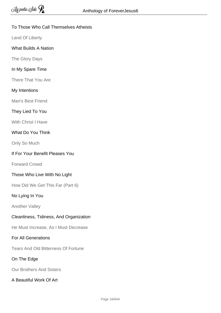# To Those Who Call Themselves Atheists

Land Of Liberty

# What Builds A Nation

The Glory Days

# In My Spare Time

There That You Are

#### My Intentions

Man's Best Friend

# They Lied To You

With Christ I Have

# What Do You Think

Only So Much

#### If For Your Benefit Pleases You

Forward Crowd

#### Those Who Live With No Light

How Did We Get This Far (Part 6)

#### No Lying In You

Another Valley

# Cleanliness, Tidiness, And Organization

He Must Increase, As I Must Decrease

#### For All Generations

Tears And Old Bitterness Of Fortune

#### On The Edge

Our Brothers And Sisters

#### A Beautiful Work Of Art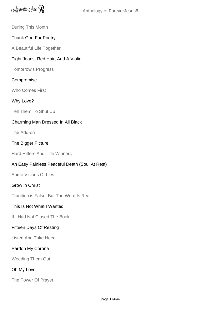# During This Month

# Thank God For Poetry

A Beautiful Life Together

# Tight Jeans, Red Hair, And A Violin

Tomorrow's Progress

# Compromise

Who Comes First

#### Why Love?

Tell Them To Shut Up

# Charming Man Dressed In All Black

The Add-on

# The Bigger Picture

Hard Hitters And Title Winners

# An Easy Painless Peaceful Death (Soul At Rest)

Some Visions Of Lies

#### Grow in Christ

Tradition is False, But The Word Is Real

#### This Is Not What I Wanted

If I Had Not Closed The Book

#### Fifteen Days Of Resting

Listen And Take Heed

# Pardon My Corona

Weeding Them Out

#### Oh My Love

The Power Of Prayer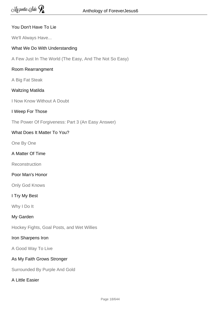# You Don't Have To Lie

We'll Always Have...

# What We Do With Understanding

A Few Just In The World (The Easy, And The Not So Easy)

#### Room Rearrangment

A Big Fat Steak

# Waltzing Matilda

I Now Know Without A Doubt

#### I Weep For Those

The Power Of Forgiveness: Part 3 (An Easy Answer)

#### What Does It Matter To You?

One By One

#### A Matter Of Time

**Reconstruction** 

#### Poor Man's Honor

Only God Knows

#### I Try My Best

Why I Do It

#### My Garden

Hockey Fights, Goal Posts, and Wet Willies

#### Iron Sharpens Iron

A Good Way To Live

# As My Faith Grows Stronger

Surrounded By Purple And Gold

#### A Little Easier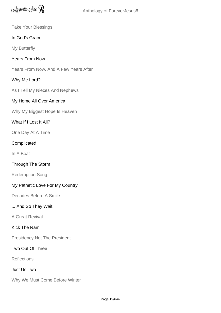Take Your Blessings

# In God's Grace

My Butterfly

# Years From Now

Years From Now, And A Few Years After

# Why Me Lord?

As I Tell My Nieces And Nephews

# My Home All Over America

Why My Biggest Hope Is Heaven

# What If I Lost It All?

One Day At A Time

# **Complicated**

In A Boat

# Through The Storm

Redemption Song

# My Pathetic Love For My Country

Decades Before A Smile

# ... And So They Wait

A Great Revival

# Kick The Ram

Presidency Not The President

# Two Out Of Three

**Reflections** 

# Just Us Two

Why We Must Come Before Winter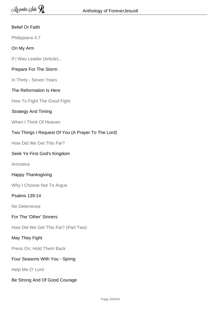# Belief Or Faith

Philippians 4:7

# On My Arm

If I Was Leader (Article)...

# Prepare For The Storm

In Thirty - Seven Years

# The Reformation Is Here

How To Fight The Good Fight

# Strategy And Timing

When I Think Of Heaven

# Two Things I Request Of You (A Prayer To The Lord)

How Did We Get This Far?

# Seek Ye First God's Kingdom

Armistice

# Happy Thanksgiving

Why I Choose Not To Argue

#### Psalms 139:14

No Deterrence

# For The 'Other' Sinners

How Did We Get This Far? (Part Two)

# May They Fight

Press On; Hold Them Back

# Four Seasons With You - Spring

Help Me O' Lord

# Be Strong And Of Good Courage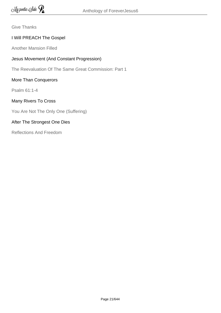Give Thanks

# I Will PREACH The Gospel

Another Mansion Filled

# Jesus Movement (And Constant Progression)

The Reevaluation Of The Same Great Commission: Part 1

# More Than Conquerors

Psalm 61:1-4

# Many Rivers To Cross

You Are Not The Only One (Suffering)

# After The Strongest One Dies

Reflections And Freedom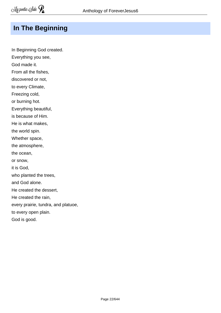# **In The Beginning**

In Beginning God created. Everything you see, God made it. From all the fishes, discovered or not, to every Climate, Freezing cold, or burning hot. Everything beautiful, is because of Him. He is what makes, the world spin. Whether space, the atmosphere, the ocean, or snow, it is God, who planted the trees, and God alone. He created the dessert, He created the rain, every prairie, tundra, and platuoe, to every open plain. God is good.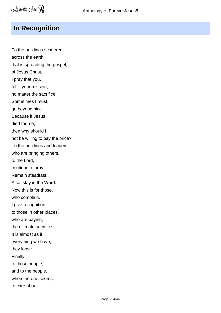# **In Recognition**

To the buildings scattered, across the earth, that is spreading the gospel, of Jesus Christ, I pray that you, fulfill your mission, no matter the sacrifice. Sometimes I must, go beyond nice. Because if Jesus, died for me, then why should I, not be willing to pay the price? To the buildings and leaders, who are bringing others, to the Lord, continue to pray. Remain steadfast. Also, stay in the Word. Now this is for those, who complain. I give recognition, to those in other places, who are paying, the ultimate sacrifice. It is almost as if, everything we have, they loose. Finally, to those people, and to the people, whom no one seems, to care about: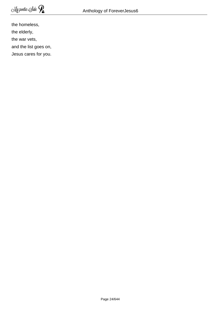the homeless, the elderly, the war vets,

and the list goes on,

Jesus cares for you.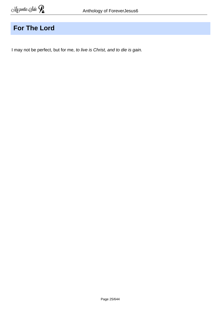# **For The Lord**

I may not be perfect, but for me, to live is Christ, and to die is gain.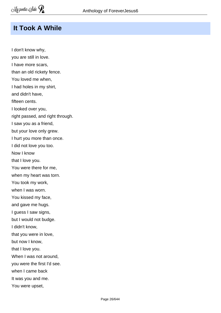# **It Took A While**

I don't know why, you are still in love. I have more scars, than an old rickety fence. You loved me when, I had holes in my shirt, and didn't have, fifteen cents. I looked over you, right passed, and right through. I saw you as a friend, but your love only grew. I hurt you more than once. I did not love you too. Now I know that I love you. You were there for me, when my heart was torn. You took my work, when I was worn. You kissed my face, and gave me hugs. I guess I saw signs, but I would not budge. I didn't know, that you were in love, but now I know, that I love you. When I was not around, you were the first I'd see. when I came back It was you and me. You were upset,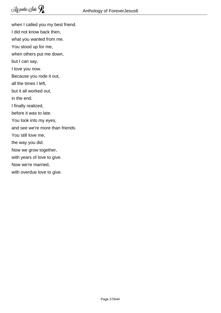when I called you my best friend. I did not know back then, what you wanted from me. You stood up for me, when others put me down, but I can say, I love you now. Because you rode it out, all the times I left, but it all worked out, in the end. I finally realized, before it was to late. You look into my eyes, and see we're more than friends. You still love me, the way you did. Now we grow together, with years of love to give. Now we're married, with overdue love to give.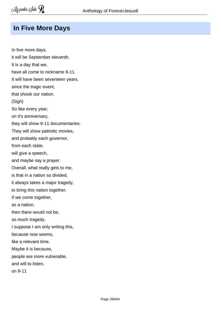# **In Five More Days**

In five more days, it will be September eleventh. It is a day that we, have all come to nickname 9-11. It will have been seventeen years, since the tragic event, that shook our nation. (Sigh) So like every year, on it's anniversary, they will show 9-11 documentaries. They will show patriotic movies, and probably each governor, from each state, will give a speech, and maybe say a prayer. Overall, what really gets to me, is that in a nation so divided, it always takes a major tragedy, to bring this nation together. If we come together, as a nation, then there would not be, so much tragedy. I suppose I am only writing this, because now seems, like a relevant time. Maybe it is because, people are more vulnerable, and will to listen, on 9-11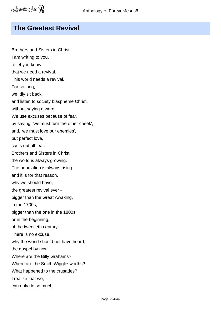# **The Greatest Revival**

Brothers and Sisters in Christ - I am writing to you, to let you know, that we need a revival. This world needs a revival. For so long, we idly sit back, and listen to society blaspheme Christ, without saying a word. We use excuses because of fear, by saying, 'we must turn the other cheek', and, 'we must love our enemies', but perfect love, casts out all fear. Brothers and Sisters in Christ, the world is always growing. The population is always rising, and it is for that reason, why we should have, the greatest revival ever bigger than the Great Awaking, in the 1700s, bigger than the one in the 1800s, or in the beginning, of the twentieth century. There is no excuse, why the world should not have heard, the gospel by now. Where are the Billy Grahams? Where are the Smith Wigglesworths? What happened to the crusades? I realize that we, can only do so much,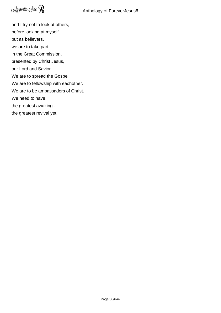and I try not to look at others, before looking at myself. but as believers, we are to take part, in the Great Commission, presented by Christ Jesus, our Lord and Savior. We are to spread the Gospel. We are to fellowship with eachother. We are to be ambassadors of Christ. We need to have, the greatest awaking the greatest revival yet.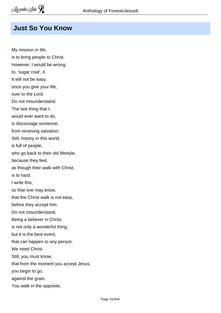# **Just So You Know**

My mission in life, is to bring people to Christ. However, I would be wrong, to, 'sugar coat', it. It will not be easy, once you give your life, over to the Lord. Do not misunderstand. The last thing that I, would ever want to do, is discourage someone, from receiving salvation. Still, history in this world, is full of people, who go back to their old lifestyle, because they feel, as though their walk with Christ, is to hard. I write this, so that one may know, that the Christ walk is not easy, before they accept him. Do not misunderstand. Being a believer in Christ, is not only a wonderful thing, but it is the best event, that can happen to any person. We need Christ. Still, you must know, that from the moment you accept Jesus, you begin to go, against the grain. You walk in the opposite,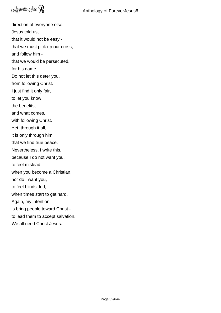direction of everyone else. Jesus told us, that it would not be easy that we must pick up our cross, and follow him that we would be persecuted, for his name. Do not let this deter you, from following Christ. I just find it only fair, to let you know, the benefits, and what comes, with following Christ. Yet, through it all, it is only through him, that we find true peace. Nevertheless, I write this, because I do not want you, to feel mislead, when you become a Christian, nor do I want you, to feel blindsided, when times start to get hard. Again, my intention, is bring people toward Christ to lead them to accept salvation. We all need Christ Jesus.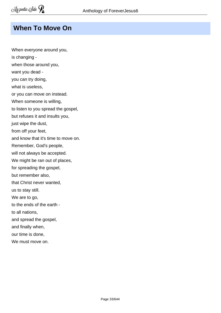# **When To Move On**

When everyone around you, is changing when those around you, want you dead you can try doing, what is useless, or you can move on instead. When someone is willing, to listen to you spread the gospel, but refuses it and insults you, just wipe the dust, from off your feet, and know that it's time to move on. Remember, God's people, will not always be accepted. We might be ran out of places, for spreading the gospel, but remember also, that Christ never wanted, us to stay still. We are to go, to the ends of the earth to all nations, and spread the gospel, and finally when, our time is done, We must move on.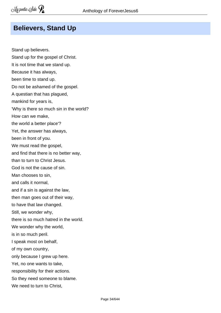# **Believers, Stand Up**

Stand up believers. Stand up for the gospel of Christ. It is not time that we stand up. Because it has always, been time to stand up. Do not be ashamed of the gospel. A questian that has plagued, mankind for years is, 'Why is there so much sin in the world? How can we make, the world a better place'? Yet, the answer has always, been in front of you. We must read the gospel, and find that there is no better way, than to turn to Christ Jesus. God is not the cause of sin. Man chooses to sin, and calls it normal, and if a sin is against the law, then man goes out of their way, to have that law changed. Still, we wonder why, there is so much hatred in the world. We wonder why the world, is in so much peril. I speak most on behalf, of my own country, only because I grew up here. Yet, no one wants to take, responsibility for their actions. So they need someone to blame. We need to turn to Christ.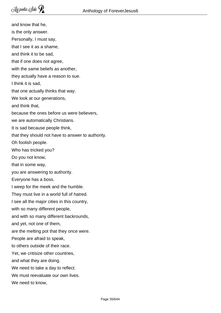and know that he, is the only answer. Personally, I must say, that I see it as a shame, and think it to be sad, that if one does not agree, with the same beliefs as another, they actually have a reason to sue. I think it is sad, that one actually thinks that way. We look at our generations, and think that, because the ones before us were believers, we are automatically Christians. It is sad because people think, that they should not have to answer to authority. Oh foolish people. Who has tricked you? Do you not know, that in some way, you are answering to authority. Everyone has a boss. I weep for the meek and the humble. They must live in a world full of hatred. I see all the major cities in this country, with so many different people, and with so many different backrounds, and yet, not one of them, are the melting pot that they once were. People are afraid to speak, to others outside of their race. Yet, we critisize other countries, and what they are doing. We need to take a day to reflect. We must reevaluate our own lives. We need to know.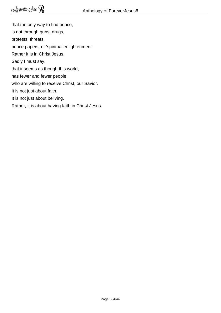that the only way to find peace,

is not through guns, drugs,

protests, threats,

peace papers, or 'spiritual enlightenment'.

Rather it is in Christ Jesus.

Sadly I must say,

that it seems as though this world,

has fewer and fewer people,

who are willing to receive Christ, our Savior.

It is not just about faith.

It is not just about beliving.

Rather, it is about having faith in Christ Jesus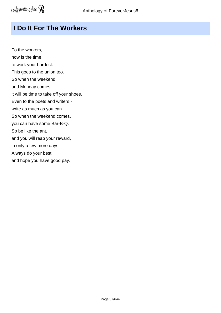# **I Do It For The Workers**

To the workers, now is the time, to work your hardest. This goes to the union too. So when the weekend, and Monday comes, it will be time to take off your shoes. Even to the poets and writers write as much as you can. So when the weekend comes, you can have some Bar-B-Q. So be like the ant, and you will reap your reward, in only a few more days. Always do your best, and hope you have good pay.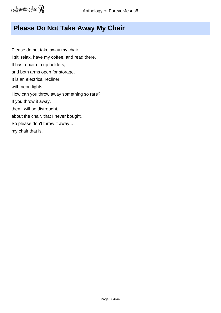## **Please Do Not Take Away My Chair**

Please do not take away my chair. I sit, relax, have my coffee, and read there. It has a pair of cup holders, and both arms open for storage. It is an electrical recliner, with neon lights. How can you throw away something so rare? If you throw it away, then I will be distrought, about the chair, that I never bought. So please don't throw it away... my chair that is.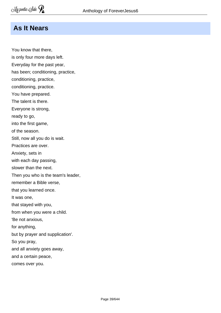#### **As It Nears**

You know that there, is only four more days left. Everyday for the past year, has been; conditioning, practice, conditioning, practice, conditioning, practice. You have prepared. The talent is there. Everyone is strong, ready to go, into the first game, of the season. Still, now all you do is wait. Practices are over. Anxiety, sets in with each day passing, slower than the next. Then you who is the team's leader, remember a Bible verse, that you learned once. It was one, that stayed with you, from when you were a child. 'Be not anxious, for anything, but by prayer and supplication'. So you pray, and all anxiety goes away, and a certain peace, comes over you.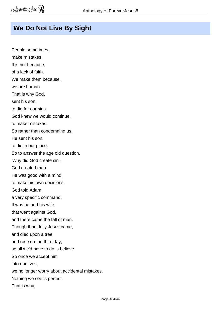## **We Do Not Live By Sight**

People sometimes, make mistakes. It is not because, of a lack of faith. We make them because, we are human. That is why God, sent his son, to die for our sins. God knew we would continue, to make mistakes. So rather than condemning us, He sent his son, to die in our place. So to answer the age old question, 'Why did God create sin', God created man. He was good with a mind, to make his own decisions. God told Adam, a very specific command. It was he and his wife, that went against God, and there came the fall of man. Though thankfully Jesus came, and died upon a tree, and rose on the third day, so all we'd have to do is believe. So once we accept him into our lives, we no longer worry about accidental mistakes. Nothing we see is perfect. That is why,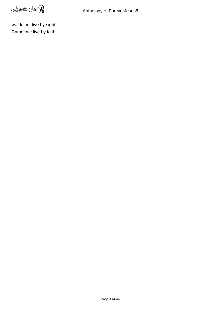we do not live by sight. Rather we live by faith.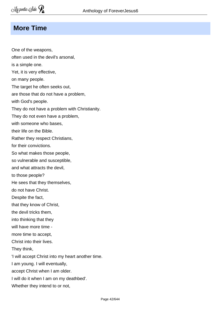#### **More Time**

One of the weapons, often used in the devil's arsonal, is a simple one. Yet, it is very effective, on many people. The target he often seeks out, are those that do not have a problem, with God's people. They do not have a problem with Christianity. They do not even have a problem, with someone who bases, their life on the Bible. Rather they respect Christians, for their convictions. So what makes those people, so vulnerable and susceptible, and what attracts the devil, to those people? He sees that they themselves, do not have Christ. Despite the fact, that they know of Christ, the devil tricks them, into thinking that they will have more time more time to accept, Christ into their lives. They think, 'I will accept Christ into my heart another time. I am young. I will eventually, accept Christ when I am older. I will do it when I am on my deathbed'. Whether they intend to or not,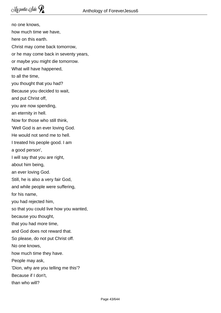no one knows, how much time we have, here on this earth. Christ may come back tomorrow, or he may come back in seventy years, or maybe you might die tomorrow. What will have happened, to all the time, you thought that you had? Because you decided to wait, and put Christ off, you are now spending, an eternity in hell. Now for those who still think, 'Well God is an ever loving God. He would not send me to hell. I treated his people good. I am a good person', I will say that you are right, about him being, an ever loving God. Still, he is also a very fair God, and while people were suffering, for his name, you had rejected him, so that you could live how you wanted, because you thought, that you had more time, and God does not reward that. So please, do not put Christ off. No one knows, how much time they have. People may ask, 'Dion, why are you telling me this'? Because if I don't, than who will?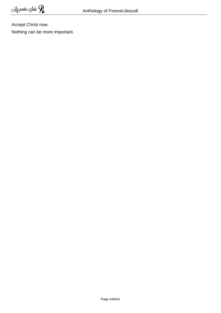Accept Christ now.

Nothing can be more important.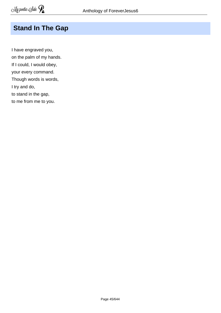# **Stand In The Gap**

I have engraved you, on the palm of my hands. If I could, I would obey, your every command. Though words is words, I try and do, to stand in the gap, to me from me to you.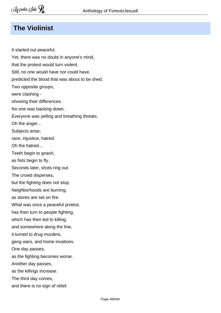#### **The Violinist**

It started out peaceful. Yet, there was no doubt in anyone's mind, that the protest would turn violent. Still, no one would have nor could have, predicted the blood that was about to be shed. Two opposite groups, were clashing showing their differences. No one was backing down. Everyone was yelling and breathing threats. Oh the anger... Subjects arise; race, injustice, hatred. Oh the hatred... Teeth begin to gnash, as fists begin to fly. Seconds later, shots ring out. The crowd disperses, but the fighting does not stop. Neighborhoods are burning, as stores are set on fire. What was once a peaceful protest, has then turn to people fighting, which has then led to killing, and somewhere along the line, it turned to drug murders, gang wars, and home invations. One day passes, as the fighting becomes worse. Another day passes, as the killings increase. The third day comes, and there is no sign of relief.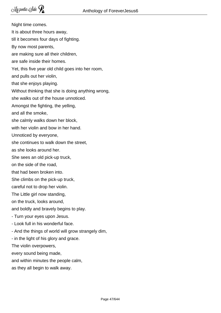Night time comes. It is about three hours away, till it becomes four days of fighting. By now most parents, are making sure all their children, are safe inside their homes. Yet, this five year old child goes into her room, and pulls out her violin, that she enjoys playing. Without thinking that she is doing anything wrong, she walks out of the house unnoticed. Amongst the fighting, the yelling, and all the smoke, she calmly walks down her block, with her violin and bow in her hand. Unnoticed by everyone, she continues to walk down the street, as she looks around her. She sees an old pick-up truck, on the side of the road, that had been broken into. She climbs on the pick-up truck, careful not to drop her violin. The Little girl now standing, on the truck, looks around, and boldly and bravely begins to play. - Turn your eyes upon Jesus. - Look full in his wonderful face. - And the things of world will grow strangely dim, - in the light of his glory and grace. The violin overpowers, every sound being made, and within minutes the people calm, as they all begin to walk away.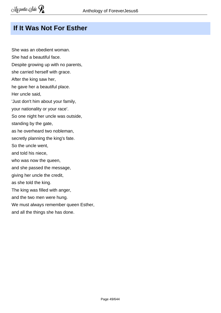## **If It Was Not For Esther**

She was an obedient woman. She had a beautiful face. Despite growing up with no parents, she carried herself with grace. After the king saw her, he gave her a beautiful place. Her uncle said, 'Just don't him about your family, your nationality or your race'. So one night her uncle was outside, standing by the gate, as he overheard two nobleman, secretly planning the king's fate. So the uncle went, and told his niece, who was now the queen, and she passed the message, giving her uncle the credit, as she told the king. The king was filled with anger, and the two men were hung. We must always remember queen Esther, and all the things she has done.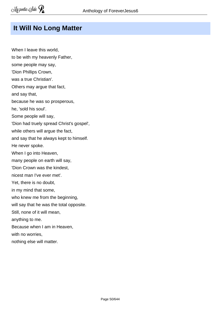## **It Will No Long Matter**

When I leave this world. to be with my heavenly Father, some people may say, 'Dion Phillips Crown, was a true Christian'. Others may argue that fact, and say that, because he was so prosperous, he, 'sold his soul'. Some people will say, 'Dion had truely spread Christ's gospel', while others will argue the fact, and say that he always kept to himself. He never spoke. When I go into Heaven, many people on earth will say, 'Dion Crown was the kindest, nicest man I've ever met'. Yet, there is no doubt, in my mind that some, who knew me from the beginning, will say that he was the total opposite. Still, none of it will mean, anything to me. Because when I am in Heaven, with no worries, nothing else will matter.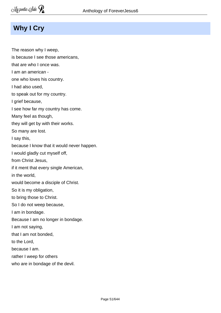# **Why I Cry**

The reason why I weep, is because I see those americans, that are who I once was. I am an american one who loves his country. I had also used, to speak out for my country. I grief because, I see how far my country has come. Many feel as though, they will get by with their works. So many are lost. I say this, because I know that it would never happen. I would gladly cut myself off, from Christ Jesus, if it ment that every single American, in the world, would become a disciple of Christ. So it is my obligation, to bring those to Christ. So I do not weep because, I am in bondage. Because I am no longer in bondage. I am not saying, that I am not bonded, to the Lord, because I am. rather I weep for others who are in bondage of the devil.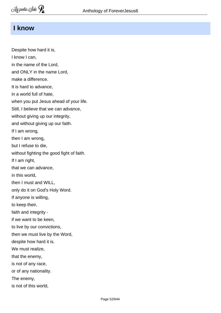#### **I know**

Despite how hard it is, I know I can, in the name of the Lord, and ONLY in the name Lord, make a difference. It is hard to advance, in a world full of hate, when you put Jesus ahead of your life. Still, I believe that we can advance, without giving up our integrity, and without giving up our faith. If I am wrong, then I am wrong, but I refuse to die, without fighting the good fight of faith. If I am right, that we can advance, in this world, then I must and WILL, only do it on God's Holy Word. If anyone is willing, to keep their, faith and integrity if we want to be keen, to live by our convictions, then we must live by the Word, despite how hard it is. We must realize, that the enemy, is not of any race, or of any nationality. The enemy, is not of this world,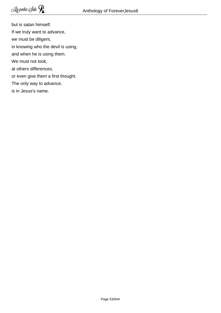but is satan himself. If we truly want to advance, we must be diligent, in knowing who the devil is using, and when he is using them. We must not look, at others differences, or even give them a first thought. The only way to advance, is in Jesus's name.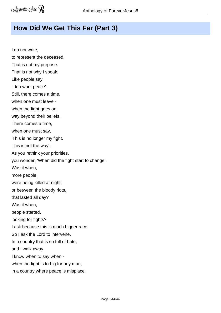# **How Did We Get This Far (Part 3)**

I do not write, to represent the deceased, That is not my purpose. That is not why I speak. Like people say, 'I too want peace'. Still, there comes a time, when one must leave when the fight goes on, way beyond their beliefs. There comes a time, when one must say, 'This is no longer my fight. This is not the way'. As you rethink your priorities, you wonder, 'When did the fight start to change'. Was it when, more people, were being killed at night, or between the bloody riots, that lasted all day? Was it when, people started, looking for fights? I ask because this is much bigger race. So I ask the Lord to intervene, In a country that is so full of hate, and I walk away. I know when to say when when the fight is to big for any man, in a country where peace is misplace.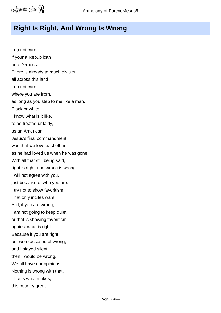# **Right Is Right, And Wrong Is Wrong**

I do not care, if your a Republican or a Democrat. There is already to much division, all across this land. I do not care, where you are from, as long as you step to me like a man. Black or white, I know what is it like, to be treated unfairly, as an American. Jesus's final commandment, was that we love eachother, as he had loved us when he was gone. With all that still being said, right is right, and wrong is wrong. I will not agree with you, just because of who you are. I try not to show favoritism. That only incites wars. Still, if you are wrong, I am not going to keep quiet, or that is showing favoritism, against what is right. Because if you are right, but were accused of wrong, and I stayed silent, then I would be wrong. We all have our opinions. Nothing is wrong with that. That is what makes, this country great.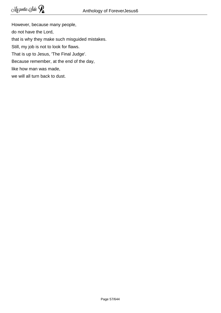However, because many people,

do not have the Lord,

that is why they make such misguided mistakes.

Still, my job is not to look for flaws.

That is up to Jesus, 'The Final Judge'.

Because remember, at the end of the day,

like how man was made,

we will all turn back to dust.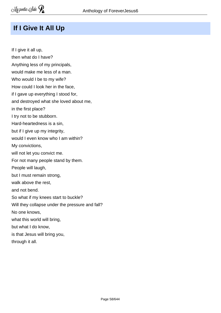# **If I Give It All Up**

If I give it all up, then what do I have? Anything less of my principals, would make me less of a man. Who would I be to my wife? How could I look her in the face, if I gave up everything I stood for, and destroyed what she loved about me, in the first place? I try not to be stubborn. Hard-heartedness is a sin, but if I give up my integrity, would I even know who I am within? My convictions, will not let you convict me. For not many people stand by them. People will laugh, but I must remain strong, walk above the rest, and not bend. So what if my knees start to buckle? Will they collapse under the pressure and fall? No one knows, what this world will bring, but what I do know, is that Jesus will bring you, through it all.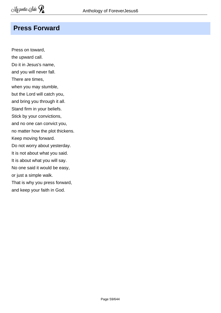#### **Press Forward**

Press on toward, the upward call. Do it in Jesus's name, and you will never fall. There are times, when you may stumble, but the Lord will catch you, and bring you through it all. Stand firm in your beliefs. Stick by your convictions, and no one can convict you, no matter how the plot thickens. Keep moving forward. Do not worry about yesterday. It is not about what you said. It is about what you will say. No one said it would be easy, or just a simple walk. That is why you press forward, and keep your faith in God.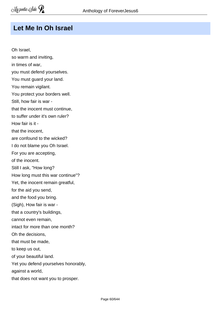## **Let Me In Oh Israel**

Oh Israel, so warm and inviting, in times of war, you must defend yourselves. You must guard your land. You remain vigilant. You protect your borders well. Still, how fair is war that the inocent must continue, to suffer under it's own ruler? How fair is it that the inocent, are confound to the wicked? I do not blame you Oh Israel. For you are accepting, of the inocent. Still I ask, "How long? How long must this war continue"? Yet, the inocent remain greatful, for the aid you send, and the food you bring. (Sigh), How fair is war that a country's buildings, cannot even remain, intact for more than one month? Oh the decisions, that must be made, to keep us out, of your beautiful land. Yet you defend yourselves honorably, against a world, that does not want you to prosper.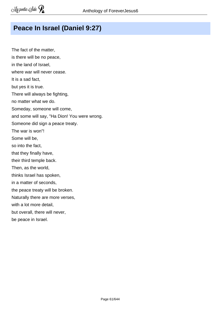# **Peace In Israel (Daniel 9:27)**

The fact of the matter, is there will be no peace, in the land of Israel, where war will never cease. It is a sad fact, but yes it is true. There will always be fighting, no matter what we do. Someday, someone will come, and some will say, "Ha Dion! You were wrong. Someone did sign a peace treaty. The war is won"! Some will be, so into the fact, that they finally have, their third temple back. Then, as the world, thinks Israel has spoken, in a matter of seconds, the peace treaty will be broken. Naturally there are more verses, with a lot more detail, but overall, there will never, be peace in Israel.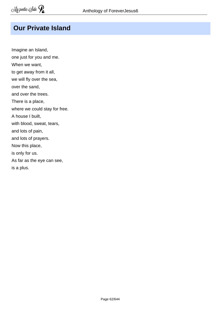# **Our Private Island**

Imagine an Island, one just for you and me. When we want, to get away from it all, we will fly over the sea, over the sand, and over the trees. There is a place, where we could stay for free. A house I built, with blood, sweat, tears, and lots of pain, and lots of prayers. Now this place, is only for us. As far as the eye can see, is a plus.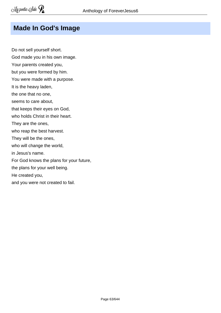## **Made In God's Image**

Do not sell yourself short. God made you in his own image. Your parents created you, but you were formed by him. You were made with a purpose. It is the heavy laden, the one that no one, seems to care about, that keeps their eyes on God, who holds Christ in their heart. They are the ones, who reap the best harvest. They will be the ones, who will change the world, in Jesus's name. For God knows the plans for your future, the plans for your well being. He created you, and you were not created to fail.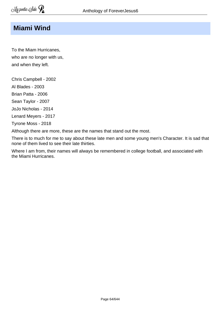# **Miami Wind**

To the Miam Hurricanes, who are no longer with us, and when they left.

Chris Campbell - 2002 Al Blades - 2003 Brian Patta - 2006 Sean Taylor - 2007 JoJo Nicholas - 2014 Lenard Meyers - 2017 Tyrone Moss - 2018

Although there are more, these are the names that stand out the most.

There is to much for me to say about these late men and some young men's Character. It is sad that none of them lived to see their late thirties.

Where I am from, their names will always be remembered in college football, and associated with the Miami Hurricanes.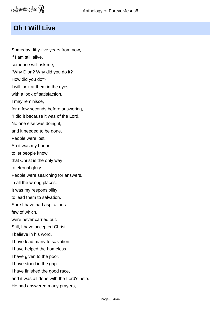## **Oh I Will Live**

Someday, fifty-five years from now, if I am still alive, someone will ask me, "Why Dion? Why did you do it? How did you do"? I will look at them in the eyes, with a look of satisfaction. I may reminisce, for a few seconds before answering, "I did it because it was of the Lord. No one else was doing it, and it needed to be done. People were lost. So it was my honor, to let people know, that Christ is the only way, to eternal glory. People were searching for answers, in all the wrong places. It was my responsibility, to lead them to salvation. Sure I have had aspirations few of which, were never carried out. Still, I have accepted Christ. I believe in his word. I have lead many to salvation. I have helped the homeless. I have given to the poor. I have stood in the gap. I have finished the good race, and it was all done with the Lord's help. He had answered many prayers,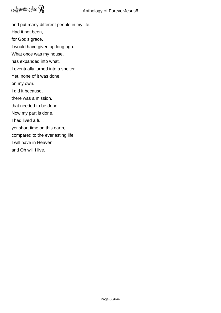and put many different people in my life.

Had it not been,

for God's grace,

I would have given up long ago.

What once was my house,

has expanded into what,

I eventually turned into a shelter.

Yet, none of it was done,

on my own.

I did it because,

there was a mission,

that needed to be done.

Now my part is done.

I had lived a full,

yet short time on this earth,

compared to the everlasting life,

I will have in Heaven,

and Oh will I live.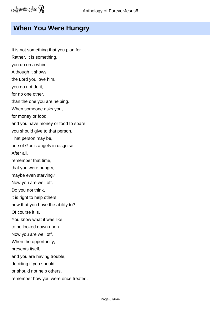# **When You Were Hungry**

It is not something that you plan for. Rather, It is something, you do on a whim. Although it shows, the Lord you love him, you do not do it, for no one other, than the one you are helping. When someone asks you, for money or food, and you have money or food to spare, you should give to that person. That person may be, one of God's angels in disguise. After all, remember that time, that you were hungry, maybe even starving? Now you are well off. Do you not think, it is right to help others, now that you have the ability to? Of course it is. You know what it was like, to be looked down upon. Now you are well off. When the opportunity, presents itself, and you are having trouble, deciding if you should, or should not help others, remember how you were once treated.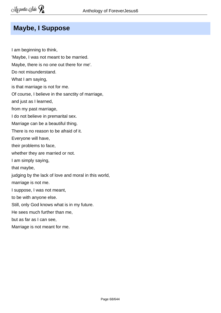## **Maybe, I Suppose**

I am beginning to think, 'Maybe, I was not meant to be married. Maybe, there is no one out there for me'. Do not misunderstand. What I am saying, is that marriage is not for me. Of course, I believe in the sanctity of marriage, and just as I learned, from my past marriage, I do not believe in premarital sex. Marriage can be a beautiful thing. There is no reason to be afraid of it. Everyone will have, their problems to face, whether they are married or not. I am simply saying, that maybe, judging by the lack of love and moral in this world, marriage is not me. I suppose, I was not meant, to be with anyone else. Still, only God knows what is in my future. He sees much further than me, but as far as I can see, Marriage is not meant for me.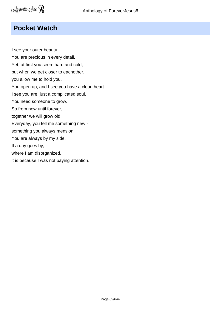### **Pocket Watch**

I see your outer beauty. You are precious in every detail. Yet, at first you seem hard and cold, but when we get closer to eachother, you allow me to hold you. You open up, and I see you have a clean heart. I see you are, just a complicated soul. You need someone to grow. So from now until forever, together we will grow old. Everyday, you tell me something new something you always mension. You are always by my side. If a day goes by, where I am disorganized,

it is because I was not paying attention.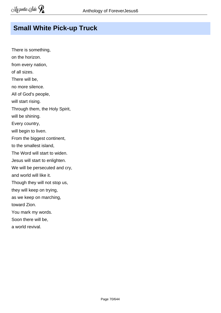## **Small White Pick-up Truck**

There is something, on the horizon. from every nation, of all sizes. There will be, no more silence. All of God's people, will start rising. Through them, the Holy Spirit, will be shining. Every country, will begin to liven. From the biggest continent, to the smallest island, The Word will start to widen. Jesus will start to enlighten. We will be persecuted and cry, and world will like it. Though they will not stop us, they will keep on trying, as we keep on marching, toward Zion. You mark my words. Soon there will be, a world revival.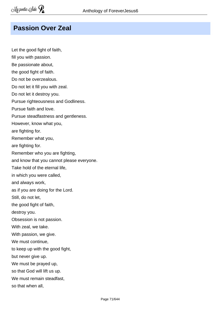#### **Passion Over Zeal**

Let the good fight of faith, fill you with passion. Be passionate about, the good fight of faith. Do not be overzealous. Do not let it fill you with zeal. Do not let it destroy you. Pursue righteousness and Godliness. Pursue faith and love. Pursue steadfastness and gentleness. However, know what you, are fighting for. Remember what you, are fighting for. Remember who you are fighting, and know that you cannot please everyone. Take hold of the eternal life, in which you were called, and always work, as if you are doing for the Lord. Still, do not let, the good fight of faith, destroy you. Obsession is not passion. With zeal, we take. With passion, we give. We must continue, to keep up with the good fight, but never give up. We must be prayed up, so that God will lift us up. We must remain steadfast, so that when all,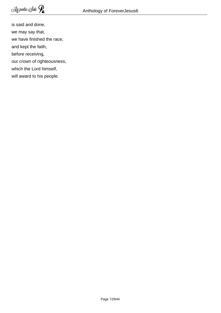is said and done, we may say that,

we have finished the race,

and kept the faith,

before receiving,

our crown of righteousness,

which the Lord himself,

will award to his people.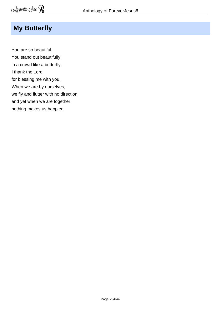## **My Butterfly**

You are so beautiful. You stand out beautifully, in a crowd like a butterfly. I thank the Lord, for blessing me with you. When we are by ourselves, we fly and flutter with no direction, and yet when we are together, nothing makes us happier.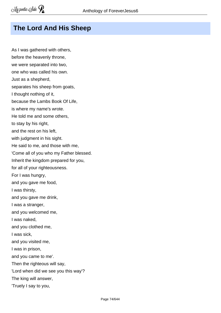#### **The Lord And His Sheep**

As I was gathered with others, before the heavenly throne, we were separated into two, one who was called his own. Just as a shepherd, separates his sheep from goats, I thought nothing of it, because the Lambs Book Of Life, is where my name's wrote. He told me and some others, to stay by his right, and the rest on his left, with judgment in his sight. He said to me, and those with me, 'Come all of you who my Father blessed. Inherit the kingdom prepared for you, for all of your righteousness. For I was hungry, and you gave me food, I was thirsty, and you gave me drink, I was a stranger, and you welcomed me, I was naked, and you clothed me, I was sick, and you visited me, I was in prison, and you came to me'. Then the righteous will say, 'Lord when did we see you this way'? The king will answer, 'Truely I say to you,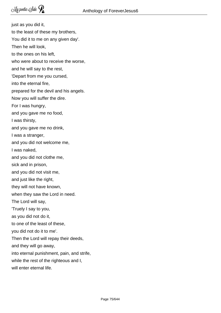just as you did it, to the least of these my brothers, You did it to me on any given day'. Then he will look, to the ones on his left, who were about to receive the worse, and he will say to the rest, 'Depart from me you cursed, into the eternal fire, prepared for the devil and his angels. Now you will suffer the dire. For I was hungry, and you gave me no food, I was thirsty, and you gave me no drink, I was a stranger, and you did not welcome me, I was naked, and you did not clothe me, sick and in prison, and you did not visit me, and just like the right, they will not have known, when they saw the Lord in need. The Lord will say, 'Truely I say to you, as you did not do it, to one of the least of these, you did not do it to me'. Then the Lord will repay their deeds, and they will go away, into eternal punishment, pain, and strife, while the rest of the righteous and I, will enter eternal life.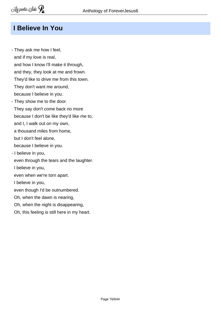## **I Believe In You**

- They ask me how I feel, and if my love is real, and how I know I'll make it through, and they, they look at me and frown. They'd like to drive me from this town. They don't want me around, because I believe in you. - They show me to the door. They say don't come back no more because I don't be like they'd like me to, and I, I walk out on my own, a thousand miles from home, but I don't feel alone, because I believe in you. - I believe in you, even through the tears and the laughter. I believe in you, even when we're torn apart. I believe in you, even though I'd be outnumbered. Oh, when the dawn is nearing, Oh, when the night is disappearing,
	- Oh, this feeling is still here in my heart.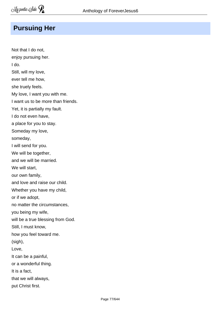### **Pursuing Her**

Not that I do not, enjoy pursuing her. I do. Still, will my love, ever tell me how, she truely feels. My love, I want you with me. I want us to be more than friends. Yet, it is partially my fault. I do not even have, a place for you to stay. Someday my love, someday, I will send for you. We will be together, and we will be married. We will start. our own family, and love and raise our child. Whether you have my child, or if we adopt, no matter the circumstances, you being my wife, will be a true blessing from God. Still, I must know, how you feel toward me. (sigh), Love, It can be a painful, or a wonderful thing. It is a fact, that we will always, put Christ first.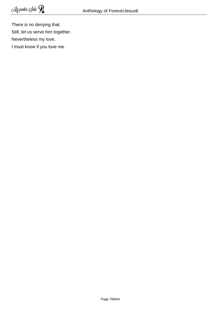There is no denying that. Still, let us serve him together. Nevertheless my love, I must know if you love me.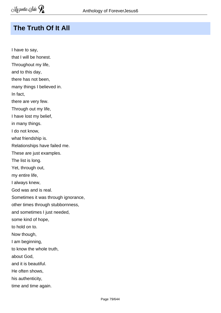#### **The Truth Of It All**

I have to say, that I will be honest. Throughout my life, and to this day, there has not been, many things I believed in. In fact, there are very few. Through out my life, I have lost my belief, in many things. I do not know, what friendship is. Relationships have failed me. These are just examples. The list is long. Yet, through out, my entire life, I always knew, God was and is real. Sometimes it was through ignorance, other times through stubbornness, and sometimes I just needed, some kind of hope, to hold on to. Now though, I am beginning, to know the whole truth, about God, and it is beautiful. He often shows, his authenticity, time and time again.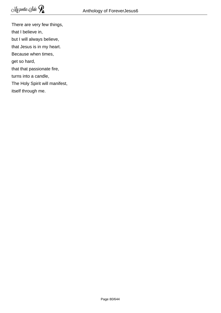There are very few things, that I believe in, but I will always believe, that Jesus is in my heart. Because when times, get so hard, that that passionate fire, turns into a candle, The Holy Spirit will manifest, itself through me.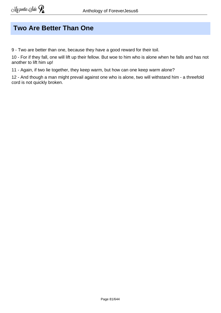## **Two Are Better Than One**

9 - Two are better than one, because they have a good reward for their toil.

10 - For if they fall, one will lift up their fellow. But woe to him who is alone when he falls and has not another to lift him up!

11 - Again, if two lie together, they keep warm, but how can one keep warm alone?

12 - And though a man might prevail against one who is alone, two will withstand him - a threefold cord is not quickly broken.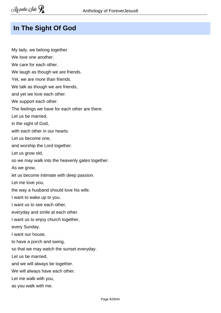## **In The Sight Of God**

My lady, we belong together. We love one another. We care for each other. We laugh as though we are friends. Yet, we are more than friends. We talk as though we are friends, and yet we love each other. We support each other. The feelings we have for each other are there. Let us be married, in the sight of God, with each other in our hearts. Let us become one, and worship the Lord together. Let us grow old, so we may walk into the heavenly gates together. As we grow, let us become intimate with deep passion. Let me love you, the way a husband should love his wife. I want to wake up to you. I want us to see each other, everyday and smile at each other. I want us to enjoy church together, every Sunday. I want our house, to have a porch and swing, so that we may watch the sunset everyday. Let us be married, and we will always be together. We will always have each other. Let me walk with you, as you walk with me.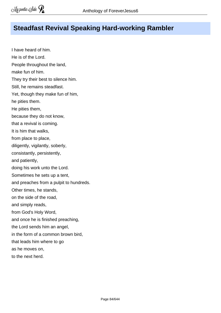## **Steadfast Revival Speaking Hard-working Rambler**

I have heard of him. He is of the Lord. People throughout the land, make fun of him. They try their best to silence him. Still, he remains steadfast. Yet, though they make fun of him, he pities them. He pities them, because they do not know, that a revival is coming. It is him that walks, from place to place, diligently, vigilantly, soberly, consistantly, persistently, and patiently, doing his work unto the Lord. Sometimes he sets up a tent, and preaches from a pulpit to hundreds. Other times, he stands, on the side of the road, and simply reads, from God's Holy Word, and once he is finished preaching, the Lord sends him an angel, in the form of a common brown bird, that leads him where to go as he moves on, to the next herd.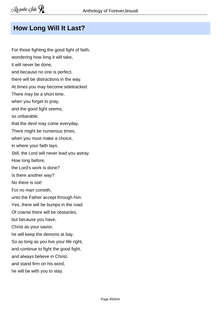#### **How Long Will It Last?**

For those fighting the good fight of faith, wondering how long it will take, it will never be done, and because no one is perfect, there will be distractions in the way. At times you may become sidetracked. There may be a short time, when you forget to pray, and the good fight seems, so unbarable, that the devil may come everyday. There might be numerous times, when you must make a choice, in where your faith lays. Still, the Lord will never lead you astray. How long before, the Lord's work is done? Is there another way? No there is not! For no man cometh, unto the Father accept through him. Yes, there will be bumps in the road. Of coarse there will be obstacles, but because you have, Christ as your savior, he will keep the demons at bay. So as long as you live your life right, and continue to fight the good fight, and always believe in Christ, and stand firm on his word, he will be with you to stay.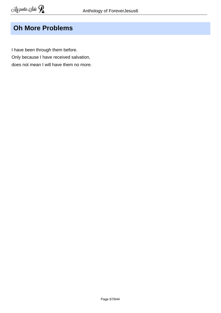# **Oh More Problems**

I have been through them before. Only because I have received salvation, does not mean I will have them no more.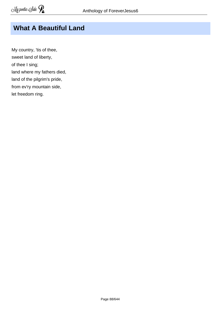# **What A Beautiful Land**

My country, 'tis of thee, sweet land of liberty, of thee I sing; land where my fathers died, land of the pilgrim's pride, from ev'ry mountain side, let freedom ring.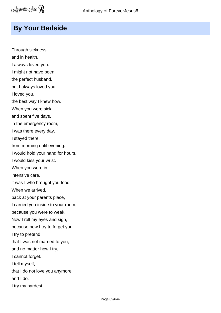### **By Your Bedside**

Through sickness, and in health, I always loved you. I might not have been, the perfect husband, but I always loved you. I loved you, the best way I knew how. When you were sick, and spent five days, in the emergency room, I was there every day. I stayed there, from morning until evening. I would hold your hand for hours. I would kiss your wrist. When you were in, intensive care, it was I who brought you food. When we arrived, back at your parents place, I carried you inside to your room, because you were to weak. Now I roll my eyes and sigh, because now I try to forget you. I try to pretend, that I was not married to you, and no matter how I try, I cannot forget. I tell myself, that I do not love you anymore, and I do. I try my hardest,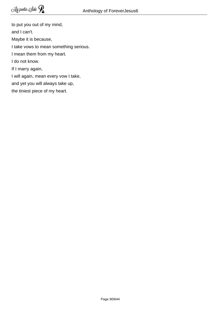to put you out of my mind, and I can't. Maybe it is because, I take vows to mean something serious. I mean them from my heart. I do not know. If I marry again, I will again, mean every vow I take, and yet you will always take up,

the tiniest piece of my heart.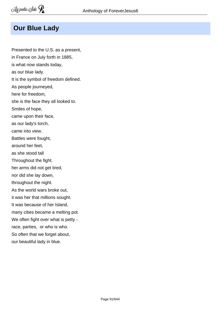### **Our Blue Lady**

Presented to the U.S. as a present, in France on July forth in 1885, is what now stands today, as our blue lady. It is the symbol of freedom defined. As people journeyed, here for freedom, she is the face they all looked to. Smiles of hope, came upon their face, as our lady's torch, came into view. Battles were fought, around her feet, as she stood tall Throughout the fight. her arms did not get tired, nor did she lay down, throughout the night. As the world wars broke out, it was her that millions sought. It was because of her Island, many cities became a melting pot. We often fight over what is petty race, parties, or who is who. So often that we forget about, our beautiful lady in blue.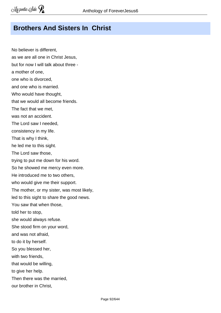## **Brothers And Sisters In Christ**

No believer is different, as we are all one in Christ Jesus, but for now I will talk about three a mother of one, one who is divorced, and one who is married. Who would have thought, that we would all become friends. The fact that we met, was not an accident. The Lord saw I needed, consistency in my life. That is why I think, he led me to this sight. The Lord saw those, trying to put me down for his word. So he showed me mercy even more. He introduced me to two others, who would give me their support. The mother, or my sister, was most likely, led to this sight to share the good news. You saw that when those, told her to stop, she would always refuse. She stood firm on your word, and was not afraid, to do it by herself. So you blessed her, with two friends, that would be willing, to give her help. Then there was the married, our brother in Christ,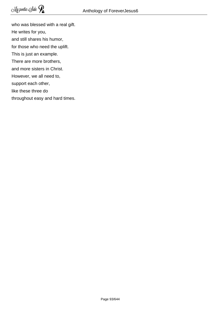who was blessed with a real gift.

He writes for you,

and still shares his humor,

for those who need the uplift.

This is just an example.

There are more brothers,

and more sisters in Christ.

However, we all need to,

support each other,

like these three do

throughout easy and hard times.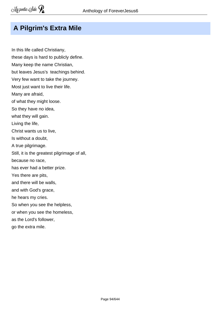## **A Pilgrim's Extra Mile**

In this life called Christiany, these days is hard to publicly define. Many keep the name Christian, but leaves Jesus's teachings behind. Very few want to take the journey. Most just want to live their life. Many are afraid, of what they might loose. So they have no idea, what they will gain. Living the life, Christ wants us to live, Is without a doubt, A true pilgrimage. Still, it is the greatest pilgrimage of all, because no race, has ever had a better prize. Yes there are pits, and there will be walls, and with God's grace, he hears my cries. So when you see the helpless, or when you see the homeless, as the Lord's follower, go the extra mile.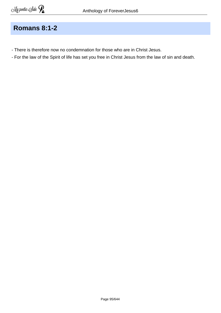# **Romans 8:1-2**

- There is therefore now no condemnation for those who are in Christ Jesus.
- For the law of the Spirit of life has set you free in Christ Jesus from the law of sin and death.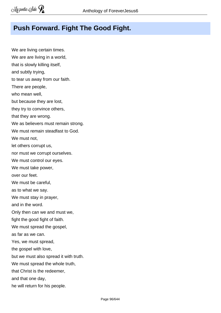## **Push Forward. Fight The Good Fight.**

We are living certain times. We are are living in a world, that is slowly killing itself, and subtly trying, to tear us away from our faith. There are people, who mean well, but because they are lost, they try to convince others, that they are wrong. We as believers must remain strong. We must remain steadfast to God. We must not. let others corrupt us, nor must we corrupt ourselves. We must control our eyes. We must take power, over our feet. We must be careful. as to what we say. We must stay in prayer, and in the word. Only then can we and must we, fight the good fight of faith. We must spread the gospel, as far as we can. Yes, we must spread, the gospel with love, but we must also spread it with truth. We must spread the whole truth, that Christ is the redeemer, and that one day, he will return for his people.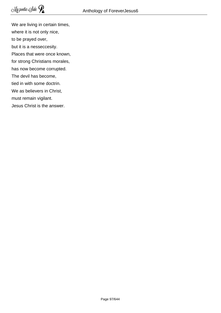We are living in certain times, where it is not only nice, to be prayed over, but it is a nesseccesity. Places that were once known, for strong Christians morales, has now become corrupted. The devil has become, tied in with some doctrin. We as believers in Christ, must remain vigilant. Jesus Christ is the answer.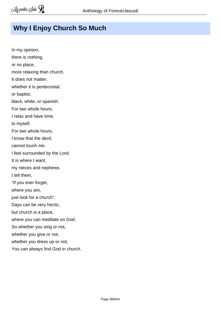# **Why I Enjoy Church So Much**

In my opinion, there is nothing, or no place, more relaxing than church. It does not matter, whether it is pentecostal, or baptist, black, white, or spanish. For two whole hours, I relax and have time, to myself. For two whole hours, I know that the devil, cannot touch me. I feel surrounded by the Lord. It is where I want, my nieces and nephews. I tell them, "If you ever forget, where you are, just look for a church". Days can be very hectic, but church is a place, where you can meditate on God. So whether you sing or not, whether you give or not, whether you dress up or not, You can always find God in church.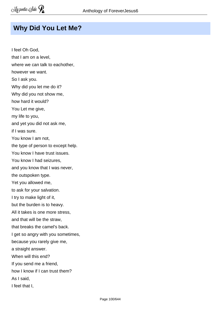### **Why Did You Let Me?**

I feel Oh God, that I am on a level, where we can talk to eachother, however we want. So I ask you. Why did you let me do it? Why did you not show me, how hard it would? You Let me give, my life to you, and yet you did not ask me, if I was sure. You know I am not, the type of person to except help. You know I have trust issues. You know I had seizures, and you know that I was never, the outspoken type. Yet you allowed me, to ask for your salvation. I try to make light of it, but the burden is to heavy. All it takes is one more stress, and that will be the straw, that breaks the camel's back. I get so angry with you sometimes, because you rarely give me, a straight answer. When will this end? If you send me a friend, how I know if I can trust them? As I said, I feel that I,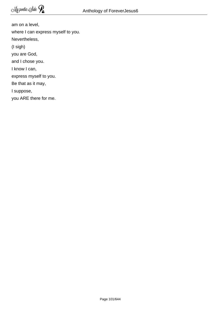am on a level, where I can express myself to you. Nevertheless, (I sigh) you are God, and I chose you. I know I can, express myself to you. Be that as it may, I suppose, you ARE there for me.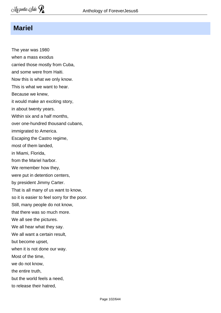#### **Mariel**

The year was 1980 when a mass exodus carried those mostly from Cuba, and some were from Haiti. Now this is what we only know. This is what we want to hear. Because we knew, it would make an exciting story, in about twenty years. Within six and a half months, over one-hundred thousand cubans, immigrated to America. Escaping the Castro regime, most of them landed, in Miami, Florida, from the Mariel harbor. We remember how they, were put in detention centers, by president Jimmy Carter. That is all many of us want to know, so it is easier to feel sorry for the poor. Still, many people do not know, that there was so much more. We all see the pictures. We all hear what they say. We all want a certain result, but become upset, when it is not done our way. Most of the time, we do not know, the entire truth, but the world feels a need, to release their hatred,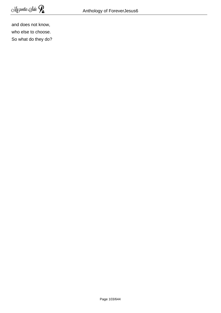and does not know, who else to choose. So what do they do?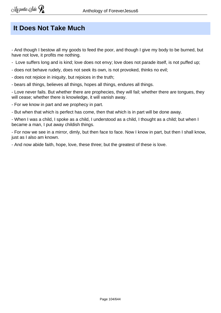#### **It Does Not Take Much**

- And though I bestow all my goods to feed the poor, and though I give my body to be burned, but have not love, it profits me nothing.

- Love suffers long and is kind; love does not envy; love does not parade itself, is not puffed up;
- does not behave rudely, does not seek its own, is not provoked, thinks no evil;
- does not rejoice in iniquity, but rejoices in the truth;
- bears all things, believes all things, hopes all things, endures all things.

- Love never fails. But whether there are prophecies, they will fail; whether there are tongues, they will cease; whether there is knowledge, it will vanish away.

- For we know in part and we prophecy in part.
- But when that which is perfect has come, then that which is in part will be done away.

- When I was a child, I spoke as a child, I understood as a child, I thought as a child; but when I became a man, I put away childish things.

- For now we see in a mirror, dimly, but then face to face. Now I know in part, but then I shall know, just as I also am known.

- And now abide faith, hope, love, these three; but the greatest of these is love.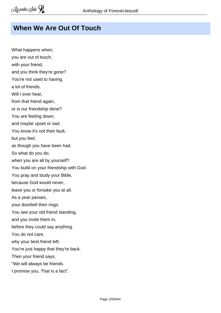### **When We Are Out Of Touch**

What happens when, you are out of touch, with your friend, and you think they're gone? You're not used to having, a lot of friends. Will I ever hear. from that friend again, or is our friendship done? You are feeling down, and maybe upset or sad. You know it's not their fault, but you feel, as though you have been had. So what do you do, when you are all by yourself? You build on your friendship with God. You pray and study your Bible, because God would never, leave you or forsake you at all. As a year passes, your doorbell then rings. You see your old friend standing, and you invite them in, before they could say anything. You do not care, why your best friend left. You're just happy that they're back. Then your friend says, "We will always be friends. I promise you. That is a fact".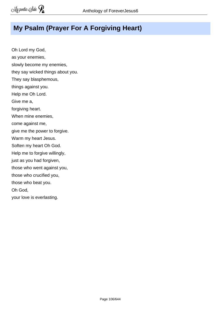# **My Psalm (Prayer For A Forgiving Heart)**

Oh Lord my God, as your enemies, slowly become my enemies, they say wicked things about you. They say blasphemous, things against you. Help me Oh Lord. Give me a, forgiving heart. When mine enemies, come against me, give me the power to forgive. Warm my heart Jesus. Soften my heart Oh God. Help me to forgive willingly, just as you had forgiven, those who went against you, those who crucified you, those who beat you. Oh God, your love is everlasting.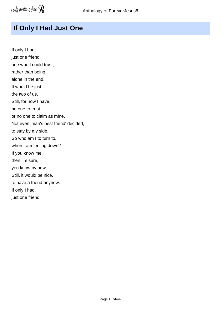# **If Only I Had Just One**

If only I had, just one friend, one who I could trust, rather than being, alone in the end. It would be just, the two of us. Still, for now I have, no one to trust, or no one to claim as mine. Not even 'man's best friend' decided, to stay by my side. So who am I to turn to, when I am feeling down? If you know me, then I'm sure, you know by now. Still, it would be nice, to have a friend anyhow. If only I had, just one friend.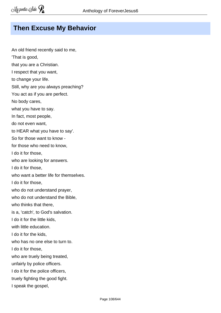### **Then Excuse My Behavior**

An old friend recently said to me, 'That is good, that you are a Christian. I respect that you want, to change your life. Still, why are you always preaching? You act as if you are perfect. No body cares, what you have to say. In fact, most people, do not even want, to HEAR what you have to say'. So for those want to know for those who need to know, I do it for those. who are looking for answers. I do it for those, who want a better life for themselves. I do it for those. who do not understand prayer, who do not understand the Bible, who thinks that there, is a, 'catch', to God's salvation. I do it for the little kids, with little education. I do it for the kids, who has no one else to turn to. I do it for those, who are truely being treated, unfairly by police officers. I do it for the police officers, truely fighting the good fight. I speak the gospel,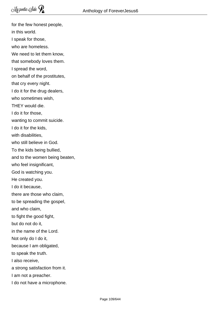for the few honest people, in this world. I speak for those, who are homeless. We need to let them know, that somebody loves them. I spread the word, on behalf of the prostitutes, that cry every night. I do it for the drug dealers, who sometimes wish, THEY would die. I do it for those. wanting to commit suicide. I do it for the kids, with disabilities, who still believe in God. To the kids being bullied, and to the women being beaten, who feel insignificant, God is watching you. He created you. I do it because, there are those who claim, to be spreading the gospel, and who claim, to fight the good fight, but do not do it, in the name of the Lord. Not only do I do it, because I am obligated, to speak the truth. I also receive, a strong satisfaction from it. I am not a preacher. I do not have a microphone.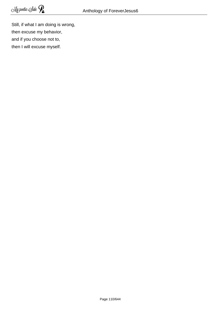Still, if what I am doing is wrong, then excuse my behavior, and if you choose not to, then I will excuse myself.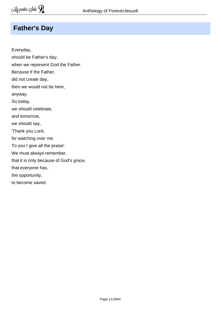## **Father's Day**

Everyday, should be Father's day, when we represent God the Father. Because if the Father, did not create day, then we would not be here, anyway. So today, we should celebrate, and tomorrow, we should say, 'Thank you Lord, for watching over me. To you I give all the praise'. We must always remember, that it is only because of God's grace, that everyone has, the opportunity, to become saved.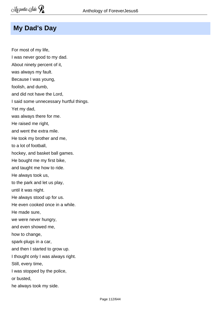#### **My Dad's Day**

For most of my life, I was never good to my dad. About ninety percent of it, was always my fault. Because I was young, foolish, and dumb, and did not have the Lord, I said some unnecessary hurtful things. Yet my dad, was always there for me. He raised me right, and went the extra mile. He took my brother and me, to a lot of football, hockey, and basket ball games. He bought me my first bike, and taught me how to ride. He always took us, to the park and let us play, until it was night. He always stood up for us. He even cooked once in a while. He made sure, we were never hungry, and even showed me, how to change, spark-plugs in a car, and then I started to grow up. I thought only I was always right. Still, every time, I was stopped by the police, or busted, he always took my side.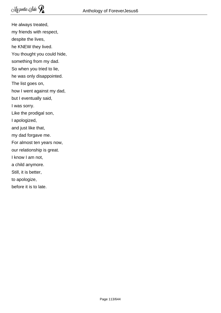He always treated, my friends with respect, despite the lives, he KNEW they lived. You thought you could hide, something from my dad. So when you tried to lie, he was only disappointed. The list goes on, how I went against my dad, but I eventually said, I was sorry. Like the prodigal son, I apologized, and just like that, my dad forgave me. For almost ten years now, our relationship is great. I know I am not, a child anymore. Still, it is better, to apologize, before it is to late.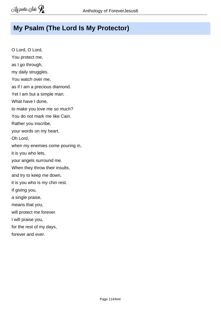# **My Psalm (The Lord Is My Protector)**

O Lord, O Lord, You protect me, as I go through, my daily struggles. You watch over me, as if I am a precious diamond. Yet I am but a simple man. What have I done, to make you love me so much? You do not mark me like Cain. Rather you inscribe, your words on my heart. Oh Lord, when my enemies come pouring in, it is you who lets, your angels surround me. When they throw their insults, and try to keep me down, it is you who is my chin rest. If giving you, a single praise, means that you, will protect me forever. I will praise you, for the rest of my days, forever and ever.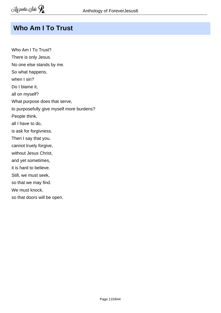# **Who Am I To Trust**

Who Am I To Trust? There is only Jesus. No one else stands by me. So what happens, when I sin? Do I blame it, all on myself? What purpose does that serve, to purposefully give myself more burdens? People think, all I have to do, is ask for forgivness. Then I say that you, cannot truely forgive, without Jesus Christ, and yet sometimes, it is hard to believe. Still, we must seek, so that we may find. We must knock, so that doors will be open.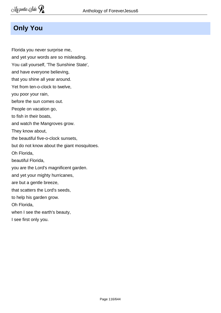#### **Only You**

Florida you never surprise me, and yet your words are so misleading. You call yourself, 'The Sunshine State', and have everyone believing, that you shine all year around. Yet from ten-o-clock to twelve, you poor your rain, before the sun comes out. People on vacation go, to fish in their boats, and watch the Mangroves grow. They know about, the beautiful five-o-clock sunsets, but do not know about the giant mosquitoes. Oh Florida, beautiful Florida, you are the Lord's magnificent garden. and yet your mighty hurricanes, are but a gentle breeze, that scatters the Lord's seeds, to help his garden grow. Oh Florida, when I see the earth's beauty, I see first only you.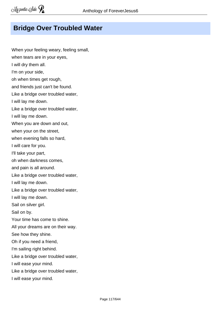## **Bridge Over Troubled Water**

When your feeling weary, feeling small, when tears are in your eyes, I will dry them all. I'm on your side, oh when times get rough, and friends just can't be found. Like a bridge over troubled water, I will lay me down. Like a bridge over troubled water, I will lay me down. When you are down and out, when your on the street, when evening falls so hard, I will care for you. I'll take your part, oh when darkness comes, and pain is all around. Like a bridge over troubled water, I will lay me down. Like a bridge over troubled water, I will lay me down. Sail on silver girl. Sail on by. Your time has come to shine. All your dreams are on their way. See how they shine. Oh if you need a friend, I'm sailing right behind. Like a bridge over troubled water, I will ease your mind. Like a bridge over troubled water, I will ease your mind.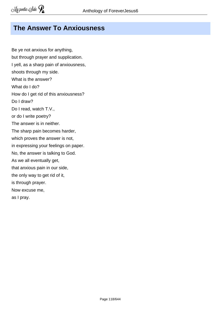### **The Answer To Anxiousness**

Be ye not anxious for anything, but through prayer and supplication. I yell, as a sharp pain of anxiousness, shoots through my side. What is the answer? What do I do? How do I get rid of this anxiousness? Do I draw? Do I read, watch T.V., or do I write poetry? The answer is in neither. The sharp pain becomes harder, which proves the answer is not, in expressing your feelings on paper. No, the answer is talking to God. As we all eventually get, that anxious pain in our side, the only way to get rid of it, is through prayer. Now excuse me, as I pray.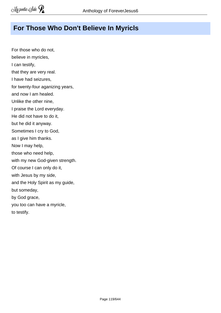## **For Those Who Don't Believe In Myricls**

For those who do not, believe in myricles, I can testify, that they are very real. I have had seizures, for twenty-four aganizing years, and now I am healed. Unlike the other nine, I praise the Lord everyday. He did not have to do it, but he did it anyway. Sometimes I cry to God, as I give him thanks. Now I may help, those who need help, with my new God-given strength. Of course I can only do it, with Jesus by my side, and the Holy Spirit as my guide, but someday, by God grace, you too can have a myricle, to testify.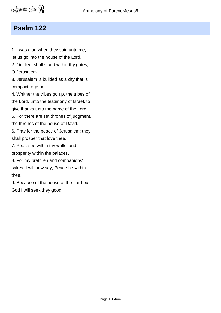#### **Psalm 122**

1. I was glad when they said unto me, let us go into the house of the Lord. 2. Our feet shall stand within thy gates, O Jerusalem. 3. Jerusalem is builded as a city that is compact together: 4. Whither the tribes go up, the tribes of the Lord, unto the testimony of Israel, to give thanks unto the name of the Lord. 5. For there are set thrones of judgment, the thrones of the house of David. 6. Pray for the peace of Jerusalem: they shall prosper that love thee. 7. Peace be within thy walls, and prosperity within the palaces. 8. For my brethren and companions' sakes, I will now say, Peace be within thee.

9. Because of the house of the Lord our God I will seek they good.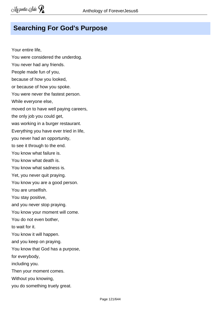## **Searching For God's Purpose**

Your entire life, You were considered the underdog. You never had any friends. People made fun of you, because of how you looked, or because of how you spoke. You were never the fastest person. While everyone else, moved on to have well paying careers, the only job you could get, was working in a burger restaurant. Everything you have ever tried in life, you never had an opportunity, to see it through to the end. You know what failure is. You know what death is. You know what sadness is. Yet, you never quit praying. You know you are a good person. You are unselfish. You stay positive, and you never stop praying. You know your moment will come. You do not even bother, to wait for it. You know it will happen. and you keep on praying. You know that God has a purpose, for everybody, including you. Then your moment comes. Without you knowing, you do something truely great.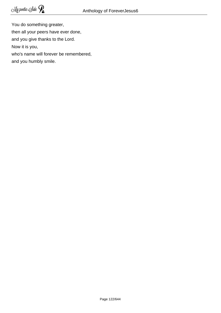You do something greater, then all your peers have ever done, and you give thanks to the Lord. Now it is you, who's name will forever be remembered, and you humbly smile.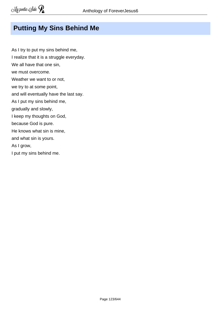# **Putting My Sins Behind Me**

As I try to put my sins behind me, I realize that it is a struggle everyday. We all have that one sin. we must overcome. Weather we want to or not, we try to at some point, and will eventually have the last say. As I put my sins behind me, gradually and slowly, I keep my thoughts on God, because God is pure. He knows what sin is mine, and what sin is yours. As I grow, I put my sins behind me.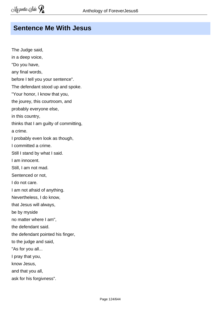### **Sentence Me With Jesus**

The Judge said, in a deep voice, "Do you have, any final words, before I tell you your sentence". The defendant stood up and spoke. "Your honor, I know that you, the jourey, this courtroom, and probably everyone else, in this country, thinks that I am guilty of committing, a crime. I probably even look as though, I committed a crime. Still I stand by what I said. I am innocent. Still, I am not mad. Sentenced or not, I do not care. I am not afraid of anything. Nevertheless, I do know, that Jesus will always, be by myside no matter where I am", the defendant said. the defendant pointed his finger, to the judge and said, "As for you all... I pray that you, know Jesus, and that you all, ask for his forgivness".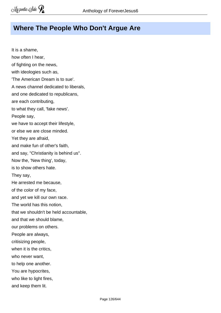# **Where The People Who Don't Argue Are**

It is a shame, how often I hear, of fighting on the news, with ideologies such as, 'The American Dream is to sue'. A news channel dedicated to liberals, and one dedicated to republicans, are each contributing, to what they call, 'fake news'. People say, we have to accept their lifestyle, or else we are close minded. Yet they are afraid, and make fun of other's faith, and say, "Christianity is behind us". Now the, 'New thing', today, is to show others hate. They say, He arrested me because, of the color of my face, and yet we kill our own race. The world has this notion, that we shouldn't be held accountable, and that we should blame, our problems on others. People are always, critisizing people, when it is the critics, who never want, to help one another. You are hypocrites, who like to light fires, and keep them lit.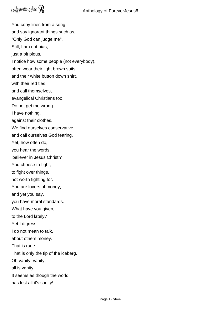You copy lines from a song, and say ignorant things such as, "Only God can judge me". Still, I am not bias, just a bit pious. I notice how some people (not everybody), often wear their light brown suits, and their white button down shirt, with their red ties, and call themselves, evangelical Christians too. Do not get me wrong. I have nothing, against their clothes. We find ourselves conservative, and call ourselves God fearing. Yet, how often do, you hear the words, 'believer in Jesus Christ'? You choose to fight, to fight over things, not worth fighting for. You are lovers of money, and yet you say, you have moral standards. What have you given, to the Lord lately? Yet I digress. I do not mean to talk, about others money. That is rude. That is only the tip of the iceberg. Oh vanity, vanity, all is vanity! It seems as though the world, has lost all it's sanity!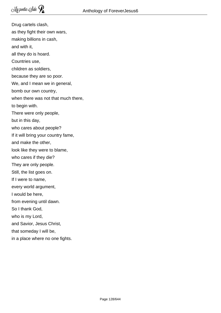Drug cartels clash, as they fight their own wars, making billions in cash, and with it, all they do is hoard. Countries use, children as soldiers, because they are so poor. We, and I mean we in general, bomb our own country, when there was not that much there, to begin with. There were only people, but in this day, who cares about people? If it will bring your country fame, and make the other, look like they were to blame, who cares if they die? They are only people. Still, the list goes on. If I were to name, every world argument, I would be here, from evening until dawn. So I thank God, who is my Lord, and Savior, Jesus Christ, that someday I will be, in a place where no one fights.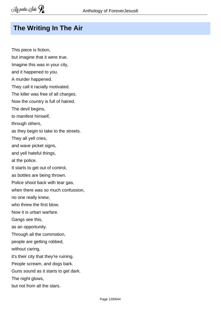## **The Writing In The Air**

This piece is fiction, but imagine that it were true. Imagine this was in your city, and it happened to you. A murder happened. They call it racially motivated. The killer was free of all charges. Now the country is full of hatred. The devil begins, to manifest himself, through others, as they begin to take to the streets. They all yell cries, and wave picket signs, and yell hateful things, at the police. It starts to get out of control, as bottles are being thrown. Police shoot back with tear gas, when there was so much confussion, no one really knew, who threw the first blow. Now it is urban warfare. Gangs see this, as an opportunity. Through all the commotion, people are getting robbed, without caring, it's their city that they're ruining. People scream, and dogs bark. Guns sound as it starts to get dark. The night glows, but not from all the stars.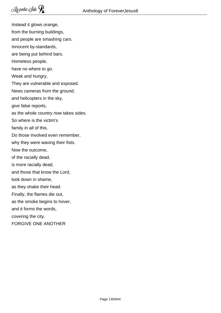Instead it glows orange, from the burning buildings, and people are smashing cars. Innocent by-standards, are being put behind bars. Homeless people, have no where to go. Weak and hungry, They are vulnerable and exposed. News cameras from the ground, and helicopters in the sky, give false reports, as the whole country now takes sides. So where is the victim's family in all of this. Do those involved even remember, why they were waving their fists. Now the outcome, of the racially dead, is more racially dead, and those that know the Lord, look down in shame, as they shake their head. Finally, the flames die out, as the smoke begins to hover, and it forms the words, covering the city, FORGIVE ONE ANOTHER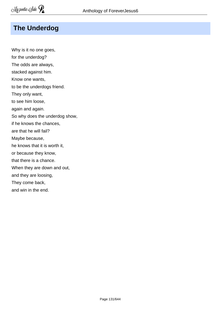### **The Underdog**

Why is it no one goes, for the underdog? The odds are always, stacked against him. Know one wants, to be the underdogs friend. They only want, to see him loose, again and again. So why does the underdog show, if he knows the chances, are that he will fail? Maybe because, he knows that it is worth it, or because they know, that there is a chance. When they are down and out, and they are loosing, They come back, and win in the end.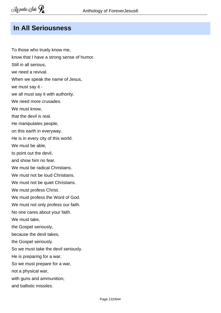#### **In All Seriousness**

To those who truely know me, know that I have a strong sense of humor. Still in all serious, we need a revival. When we speak the name of Jesus, we must say it we all must say it with authority. We need more crusades. We must know. that the devil is real. He manipulates people, on this earth in everyway. He is in every city of this world. We must be able, to point out the devil, and show him no fear. We must be radical Christians. We must not be loud Christians. We must not be quiet Christians. We must profess Christ. We must profess the Word of God. We must not only profess our faith. No one cares about your faith. We must take, the Gospel seriously, because the devil takes, the Gospel seriously. So we must take the devil seriously. He is preparing for a war. So we must prepare for a war, not a physical war, with guns and ammunition, and ballistic missiles.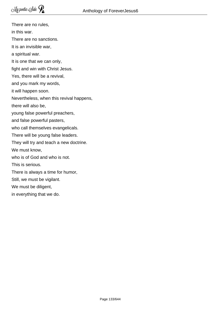There are no rules, in this war. There are no sanctions. It is an invisible war, a spiritual war. It is one that we can only, fight and win with Christ Jesus. Yes, there will be a revival, and you mark my words, it will happen soon. Nevertheless, when this revival happens, there will also be, young false powerful preachers, and false powerful pasters, who call themselves evangelicals. There will be young false leaders. They will try and teach a new doctrine. We must know, who is of God and who is not. This is serious. There is always a time for humor, Still, we must be vigilant. We must be diligent, in everything that we do.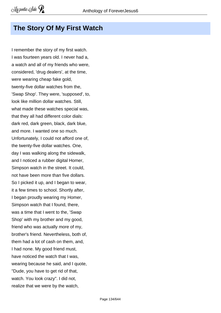### **The Story Of My First Watch**

I remember the story of my first watch. I was fourteen years old. I never had a, a watch and all of my friends who were, considered, 'drug dealers', at the time, were wearing cheap fake gold, twenty-five dollar watches from the, 'Swap Shop'. They were, 'supposed', to, look like million dollar watches. Still, what made these watches special was, that they all had different color dials: dark red, dark green, black, dark blue, and more. I wanted one so much. Unfortunately, I could not afford one of, the twenty-five dollar watches. One, day I was walking along the sidewalk, and I noticed a rubber digital Homer, Simpson watch in the street. It could, not have been more than five dollars. So I picked it up, and I began to wear, it a few times to school. Shortly after, I began proudly wearing my Homer, Simpson watch that I found, there, was a time that I went to the, 'Swap Shop' with my brother and my good, friend who was actually more of my, brother's friend. Nevertheless, both of, them had a lot of cash on them, and, I had none. My good friend must, have noticed the watch that I was, wearing because he said, and I quote, "Dude, you have to get rid of that, watch. You look crazy". I did not, realize that we were by the watch,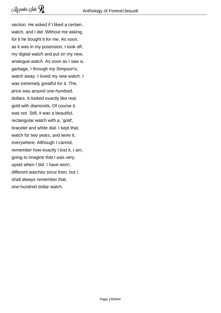# $\alpha$  My poetic Side  $\mathcal{P}$

section. He asked if I liked a certain, watch, and I did. Without me asking, for it he bought it for me. As soon, as it was in my posession, I took off, my digital watch and put on my new, analogue watch. As soon as I saw a, garbage, I through my Simpson's, watch away. I loved my new watch. I was extremely greatful for it. The, price was around one-hundred, dollars. It looked exactly like real, gold with diamonds. Of course it, was not. Still, it was a beautiful, rectangular watch with a, 'gold', bracelet and white dial. I kept that, watch for two years, and wore it, everywhere. Although I cannot, remember how exactly I lost it, I am, going to imagine that I was very, upset when I did. I have worn, different watches since then, but I, shall always remember that, one-hundred dollar watch.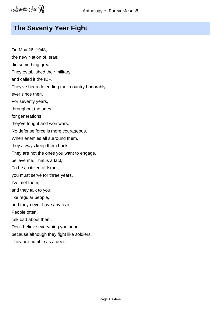## **The Seventy Year Fight**

On May 26, 1948, the new Nation of Israel, did something great. They established their military, and called it the IDF. They've been defending their country honorably, ever since then. For seventy years, throughout the ages, for generations, they've fought and won wars. No defense force is more courageous. When enemies all surround them, they always keep them back. They are not the ones you want to engage, believe me. That is a fact, To be a citizen of Israel, you must serve for three years, I've met them, and they talk to you, like regular people, and they never have any fear. People often, talk bad about them. Don't believe everything you hear, because although they fight like soldiers, They are humble as a deer.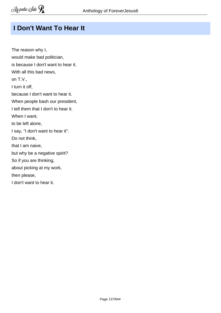# **I Don't Want To Hear It**

The reason why I, would make bad politician, is because I don't want to hear it. With all this bad news, on T.V., I turn it off, because I don't want to hear it. When people bash our president, I tell them that I don't to hear it. When I want, to be left alone, I say, "I don't want to hear it". Do not think, that I am naive, but why be a negative spirit? So if you are thinking, about picking at my work, then please,

I don't want to hear it.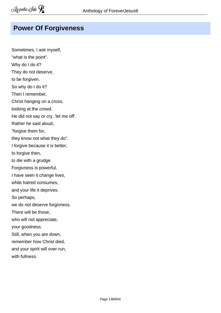## **Power Of Forgiveness**

Sometimes, I ask myself, "what is the point". Why do I do it? They do not deserve, to be forgiven. So why do I do it? Then I remember, Christ hanging on a cross, looking at the crowd. He did not say or cry, 'let me off'. Rather he said aloud, "forgive them for, they know not what they do". I forgive because it is better, to forgive then, to die with a grudge. Forgivness is powerful. I have seen it change lives, while hatred consumes, and your life it deprives. So perhaps, we do not deserve forgivness. There will be those, who will not appreciate, your goodness. Still, when you are down, remember how Christ died, and your spirit will over-run, with fullness.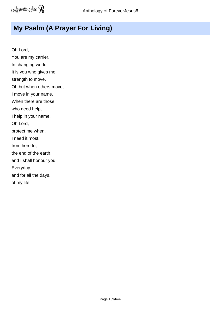# **My Psalm (A Prayer For Living)**

Oh Lord, You are my carrier. In changing world, It is you who gives me, strength to move. Oh but when others move, I move in your name. When there are those, who need help, I help in your name. Oh Lord, protect me when, I need it most, from here to, the end of the earth, and I shall honour you, Everyday, and for all the days, of my life.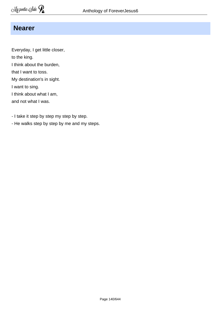#### **Nearer**

Everyday, I get little closer, to the king. I think about the burden, that I want to toss. My destination's in sight. I want to sing. I think about what I am, and not what I was.

- I take it step by step my step by step.

- He walks step by step by me and my steps.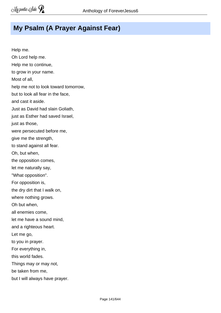## **My Psalm (A Prayer Against Fear)**

Help me. Oh Lord help me. Help me to continue, to grow in your name. Most of all, help me not to look toward tomorrow, but to look all fear in the face, and cast it aside. Just as David had slain Goliath, just as Esther had saved Israel, just as those, were persecuted before me, give me the strength, to stand against all fear. Oh, but when, the opposition comes, let me naturally say, "What opposition". For opposition is, the dry dirt that I walk on, where nothing grows. Oh but when, all enemies come, let me have a sound mind, and a righteous heart. Let me go, to you in prayer. For everything in, this world fades. Things may or may not, be taken from me, but I will always have prayer.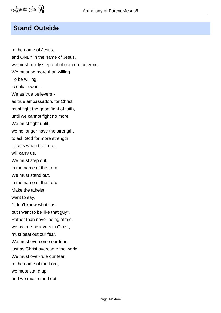### **Stand Outside**

In the name of Jesus, and ONLY in the name of Jesus, we must boldly step out of our comfort zone. We must be more than willing. To be willing, is only to want. We as true believers as true ambassadors for Christ, must fight the good fight of faith, until we cannot fight no more. We must fight until, we no longer have the strength, to ask God for more strength. That is when the Lord, will carry us. We must step out, in the name of the Lord. We must stand out, in the name of the Lord. Make the atheist, want to say, "I don't know what it is, but I want to be like that guy". Rather than never being afraid, we as true believers in Christ, must beat out our fear. We must overcome our fear, just as Christ overcame the world. We must over-rule our fear. In the name of the Lord, we must stand up, and we must stand out.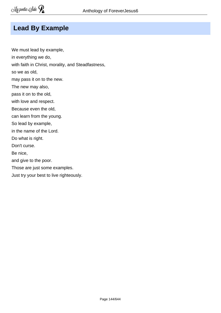### **Lead By Example**

We must lead by example, in everything we do, with faith in Christ, morality, and Steadfastness, so we as old, may pass it on to the new. The new may also, pass it on to the old, with love and respect. Because even the old, can learn from the young. So lead by example, in the name of the Lord. Do what is right. Don't curse. Be nice, and give to the poor. Those are just some examples. Just try your best to live righteously.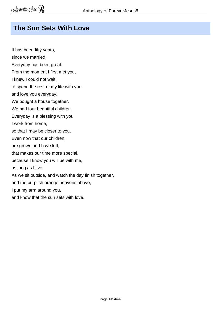#### **The Sun Sets With Love**

It has been fifty years, since we married. Everyday has been great. From the moment I first met you, I knew I could not wait, to spend the rest of my life with you, and love you everyday. We bought a house together. We had four beautiful children. Everyday is a blessing with you. I work from home, so that I may be closer to you. Even now that our children, are grown and have left, that makes our time more special, because I know you will be with me, as long as I live. As we sit outside, and watch the day finish together, and the purplish orange heavens above, I put my arm around you, and know that the sun sets with love.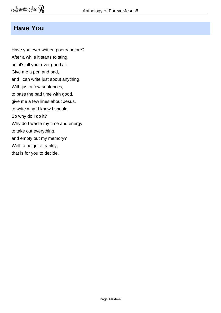### **Have You**

Have you ever written poetry before? After a while it starts to sting, but it's all your ever good at. Give me a pen and pad, and I can write just about anything. With just a few sentences, to pass the bad time with good, give me a few lines about Jesus, to write what I know I should. So why do I do it? Why do I waste my time and energy, to take out everything, and empty out my memory? Well to be quite frankly, that is for you to decide.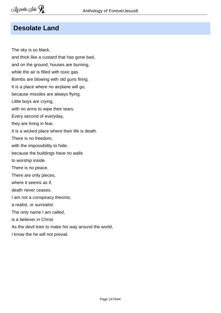#### **Desolate Land**

The sky is so black, and thick like a custard that has gone bad, and on the ground, houses are burning, while the air is filled with toxic gas. Bombs are blowing with old guns firing. It is a place where no airplane will go, because missiles are always flying. Little boys are crying, with no arms to wipe their tears. Every second of everyday, they are living in fear. It is a wicked place where their life is death. There is no freedom, with the impossibility to hide, because the buildings have no walls to worship inside. There is no peace. There are only pieces, where it seems as if, death never ceases. I am not a conspiracy theorist, a realist, or surrealist. The only name I am called, is a believer in Christ. As the devil tries to make his way around the world, I know the he will not prevail.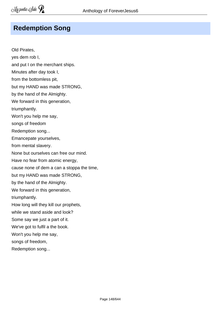### **Redemption Song**

Old Pirates, yes dem rob I, and put I on the merchant ships. Minutes after day took I, from the bottomless pit, but my HAND was made STRONG, by the hand of the Almighty. We forward in this generation, triumphantly. Won't you help me say, songs of freedom Redemption song... Emancepate yourselves, from mental slavery. None but ourselves can free our mind. Have no fear from atomic energy, cause none of dem a can a stoppa the time, but my HAND was made STRONG, by the hand of the Almighty. We forward in this generation, triumphantly. How long will they kill our prophets, while we stand aside and look? Some say we just a part of it. We've got to fulfil a the book. Won't you help me say, songs of freedom, Redemption song...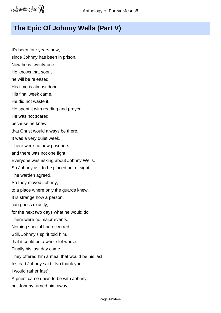## **The Epic Of Johnny Wells (Part V)**

It's been four years now, since Johnny has been in prison. Now he is twenty-one. He knows that soon, he will be released. His time is almost done. His final week came. He did not waste it. He spent it with reading and prayer. He was not scared, because he knew, that Christ would always be there. It was a very quiet week. There were no new prisoners, and there was not one fight. Everyone was asking about Johnny Wells. So Johnny ask to be placed out of sight. The warden agreed. So they moved Johnny, to a place where only the guards knew. It is strange how a person, can guess exactly, for the next two days what he would do. There were no major events. Nothing special had occurred. Still, Johnny's spirit told him, that it could be a whole lot worse. Finally his last day came. They offered him a meal that would be his last. Instead Johnny said, "No thank you. I would rather fast". A priest came down to be with Johnny, but Johnny turned him away.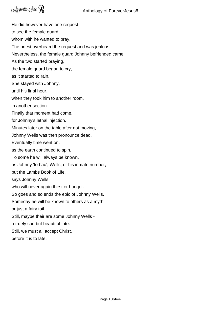He did however have one request to see the female guard, whom with he wanted to pray. The priest overheard the request and was jealous. Nevertheless, the female guard Johnny befriended came. As the two started praying, the female guard began to cry, as it started to rain. She stayed with Johnny, until his final hour, when they took him to another room, in another section. Finally that moment had come, for Johnny's lethal injection. Minutes later on the table after not moving, Johnny Wells was then pronounce dead. Eventually time went on, as the earth continued to spin. To some he will always be known, as Johnny 'to bad', Wells, or his inmate number, but the Lambs Book of Life, says Johnny Wells, who will never again thirst or hunger. So goes and so ends the epic of Johnny Wells. Someday he will be known to others as a myth, or just a fairy tail. Still, maybe their are some Johnny Wells a truely sad but beautiful fate. Still, we must all accept Christ, before it is to late.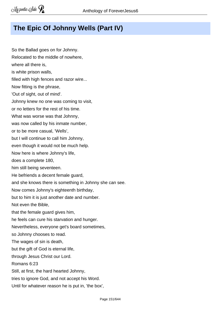## **The Epic Of Johnny Wells (Part IV)**

So the Ballad goes on for Johnny. Relocated to the middle of nowhere, where all there is, is white prison walls, filled with high fences and razor wire... Now fitting is the phrase, 'Out of sight, out of mind'. Johnny knew no one was coming to visit, or no letters for the rest of his time. What was worse was that Johnny, was now called by his inmate number, or to be more casual, 'Wells', but I will continue to call him Johnny, even though it would not be much help. Now here is where Johnny's life, does a complete 180, him still being seventeen. He befriends a decent female guard, and she knows there is something in Johnny she can see. Now comes Johnny's eighteenth birthday, but to him it is just another date and number. Not even the Bible, that the female guard gives him, he feels can cure his starvation and hunger. Nevertheless, everyone get's board sometimes, so Johnny chooses to read. The wages of sin is death, but the gift of God is eternal life, through Jesus Christ our Lord. Romans 6:23 Still, at first, the hard hearted Johnny, tries to ignore God, and not accept his Word. Until for whatever reason he is put in, 'the box',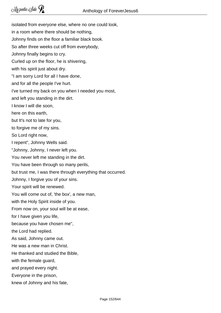isolated from everyone else, where no one could look, in a room where there should be nothing, Johnny finds on the floor a familiar black book. So after three weeks cut off from everybody, Johnny finally begins to cry. Curled up on the floor, he is shivering, with his spirit just about dry. "I am sorry Lord for all I have done, and for all the people I've hurt. I've turned my back on you when I needed you most, and left you standing in the dirt. I know I will die soon, here on this earth, but It's not to late for you, to forgive me of my sins. So Lord right now, I repent", Johnny Wells said. "Johnny, Johnny, I never left you. You never left me standing in the dirt. You have been through so many perils, but trust me, I was there through everything that occurred. Johnny, I forgive you of your sins. Your spirit will be renewed. You will come out of, 'the box', a new man, with the Holy Spirit inside of you. From now on, your soul will be at ease, for I have given you life, because you have chosen me", the Lord had replied. As said, Johnny came out. He was a new man in Christ. He thanked and studied the Bible, with the female guard, and prayed every night. Everyone in the prison, knew of Johnny and his fate,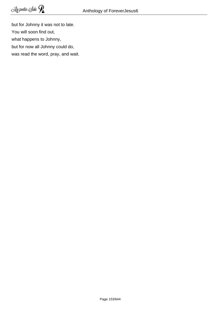but for Johnny it was not to late. You will soon find out, what happens to Johnny, but for now all Johnny could do, was read the word, pray, and wait.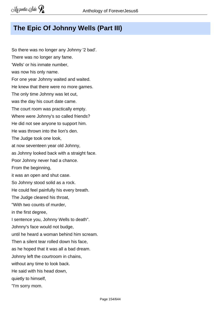#### **The Epic Of Johnny Wells (Part III)**

So there was no longer any Johnny '2 bad'. There was no longer any fame. 'Wells' or his inmate number, was now his only name. For one year Johnny waited and waited. He knew that there were no more games. The only time Johnny was let out, was the day his court date came. The court room was practically empty. Where were Johnny's so called friends? He did not see anyone to support him. He was thrown into the lion's den. The Judge took one look, at now seventeen year old Johnny, as Johnny looked back with a straight face. Poor Johnny never had a chance. From the beginning, it was an open and shut case. So Johnny stood solid as a rock. He could feel painfully his every breath. The Judge cleared his throat, "With two counts of murder, in the first degree, I sentence you, Johnny Wells to death". Johnny's face would not budge, until he heard a woman behind him scream. Then a silent tear rolled down his face, as he hoped that it was all a bad dream. Johnny left the courtroom in chains, without any time to look back. He said with his head down, quietly to himself, "I'm sorry mom.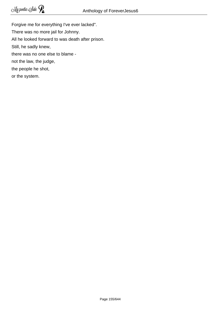Forgive me for everything I've ever lacked". There was no more jail for Johnny. All he looked forward to was death after prison. Still, he sadly knew, there was no one else to blame not the law, the judge, the people he shot, or the system.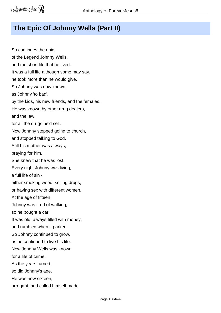## **The Epic Of Johnny Wells (Part II)**

So continues the epic, of the Legend Johnny Wells, and the short life that he lived. It was a full life although some may say, he took more than he would give. So Johnny was now known, as Johnny 'to bad', by the kids, his new friends, and the females. He was known by other drug dealers, and the law, for all the drugs he'd sell. Now Johnny stopped going to church, and stopped talking to God. Still his mother was always, praying for him. She knew that he was lost. Every night Johnny was living, a full life of sin either smoking weed, selling drugs, or having sex with different women. At the age of fifteen, Johnny was tired of walking, so he bought a car. It was old, always filled with money, and rumbled when it parked. So Johnny continued to grow, as he continued to live his life. Now Johnny Wells was known for a life of crime. As the years turned, so did Johnny's age. He was now sixteen, arrogant, and called himself made.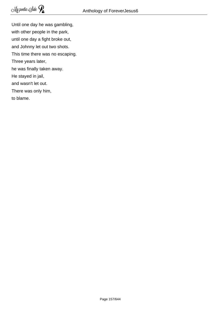Until one day he was gambling, with other people in the park, until one day a fight broke out, and Johnny let out two shots. This time there was no escaping. Three years later, he was finally taken away. He stayed in jail, and wasn't let out. There was only him, to blame.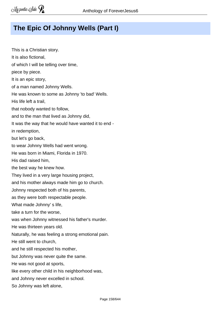## **The Epic Of Johnny Wells (Part I)**

This is a Christian story. It is also fictional, of which I will be telling over time, piece by piece. It is an epic story, of a man named Johnny Wells. He was known to some as Johnny 'to bad' Wells. His life left a trail, that nobody wanted to follow, and to the man that lived as Johnny did, It was the way that he would have wanted it to end in redemption, but let's go back, to wear Johnny Wells had went wrong. He was born in Miami, Florida in 1970. His dad raised him, the best way he knew how. They lived in a very large housing project, and his mother always made him go to church. Johnny respected both of his parents, as they were both respectable people. What made Johnny' s life, take a turn for the worse, was when Johnny witnessed his father's murder. He was thirteen years old. Naturally, he was feeling a strong emotional pain. He still went to church, and he still respected his mother, but Johnny was never quite the same. He was not good at sports, like every other child in his neighborhood was, and Johnny never excelled in school. So Johnny was left alone,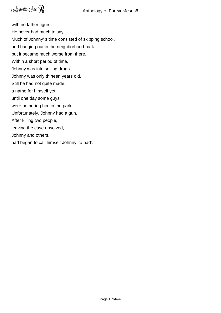with no father figure. He never had much to say. Much of Johnny' s time consisted of skipping school, and hanging out in the neighborhood park. but it became much worse from there. Within a short period of time, Johnny was into selling drugs. Johnny was only thirteen years old. Still he had not quite made, a name for himself yet, until one day some guys, were bothering him in the park. Unfortunately, Johnny had a gun. After killing two people, leaving the case unsolved, Johnny and others, had began to call himself Johnny 'to bad'.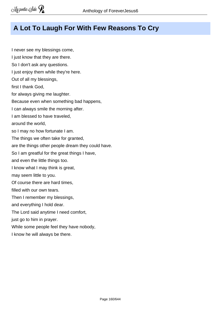## **A Lot To Laugh For With Few Reasons To Cry**

I never see my blessings come, I just know that they are there. So I don't ask any questions. I just enjoy them while they're here. Out of all my blessings, first I thank God, for always giving me laughter. Because even when something bad happens, I can always smile the morning after. I am blessed to have traveled, around the world, so I may no how fortunate I am. The things we often take for granted, are the things other people dream they could have. So I am greatful for the great things I have, and even the little things too. I know what I may think is great, may seem little to you. Of course there are hard times, filled with our own tears. Then I remember my blessings, and everything I hold dear. The Lord said anytime I need comfort, just go to him in prayer. While some people feel they have nobody, I know he will always be there.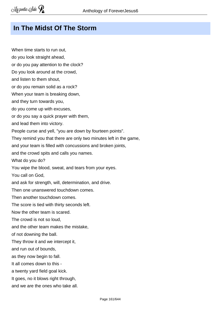## **In The Midst Of The Storm**

When time starts to run out, do you look straight ahead, or do you pay attention to the clock? Do you look around at the crowd, and listen to them shout, or do you remain solid as a rock? When your team is breaking down, and they turn towards you, do you come up with excuses, or do you say a quick prayer with them, and lead them into victory. People curse and yell, "you are down by fourteen points". They remind you that there are only two minutes left in the game, and your team is filled with concussions and broken joints, and the crowd spits and calls you names. What do you do? You wipe the blood, sweat, and tears from your eyes. You call on God, and ask for strength, will, determination, and drive. Then one unanswered touchdown comes. Then another touchdown comes. The score is tied with thirty seconds left. Now the other team is scared. The crowd is not so loud, and the other team makes the mistake, of not downing the ball. They throw it and we intercept it, and run out of bounds, as they now begin to fall. It all comes down to this a twenty yard field goal kick. It goes, no it blows right through, and we are the ones who take all.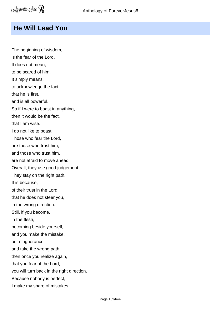#### **He Will Lead You**

The beginning of wisdom, is the fear of the Lord. It does not mean, to be scared of him. It simply means, to acknowledge the fact, that he is first, and is all powerful. So if I were to boast in anything, then it would be the fact, that I am wise. I do not like to boast. Those who fear the Lord, are those who trust him, and those who trust him, are not afraid to move ahead. Overall, they use good judgement. They stay on the right path. It is because, of their trust in the Lord, that he does not steer you, in the wrong direction. Still, if you become, in the flesh, becoming beside yourself, and you make the mistake, out of ignorance, and take the wrong path, then once you realize again, that you fear of the Lord, you will turn back in the right direction. Because nobody is perfect, I make my share of mistakes.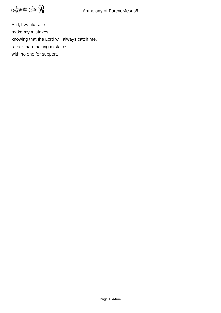Still, I would rather, make my mistakes, knowing that the Lord will always catch me, rather than making mistakes, with no one for support.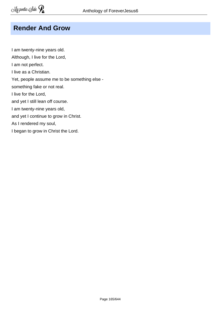## **Render And Grow**

I am twenty-nine years old. Although, I live for the Lord, I am not perfect. I live as a Christian. Yet, people assume me to be something else something fake or not real. I live for the Lord, and yet I still lean off course. I am twenty-nine years old, and yet I continue to grow in Christ. As I rendered my soul, I began to grow in Christ the Lord.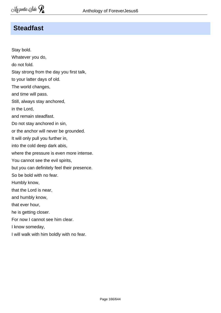#### **Steadfast**

Stay bold. Whatever you do, do not fold. Stay strong from the day you first talk, to your latter days of old. The world changes, and time will pass. Still, always stay anchored, in the Lord, and remain steadfast. Do not stay anchored in sin, or the anchor will never be grounded. It will only pull you further in, into the cold deep dark abis, where the pressure is even more intense. You cannot see the evil spirits, but you can definitely feel their presence. So be bold with no fear. Humbly know, that the Lord is near, and humbly know, that ever hour, he is getting closer. For now I cannot see him clear. I know someday, I will walk with him boldly with no fear.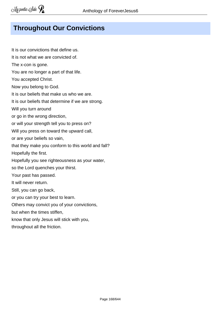## **Throughout Our Convictions**

It is our convictions that define us. It is not what we are convicted of. The x-con is gone. You are no longer a part of that life. You accepted Christ. Now you belong to God. It is our beliefs that make us who we are. It is our beliefs that determine if we are strong. Will you turn around or go in the wrong direction, or will your strength tell you to press on? Will you press on toward the upward call, or are your beliefs so vain, that they make you conform to this world and fall? Hopefully the first. Hopefully you see righteousness as your water, so the Lord quenches your thirst. Your past has passed. It will never return. Still, you can go back, or you can try your best to learn. Others may convict you of your convictions, but when the times stiffen, know that only Jesus will stick with you, throughout all the friction.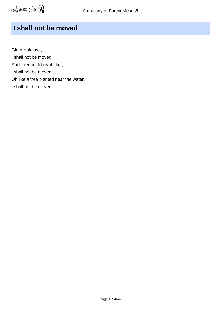## **I shall not be moved**

Glory Halaluya, I shall not be moved. Anchored in Jehovah Jira, I shall not be moved. Oh like a tree planted near the water, I shall not be moved.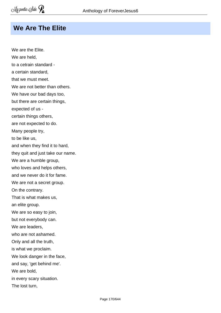#### **We Are The Elite**

We are the Elite. We are held. to a cetrain standard a certain standard, that we must meet. We are not better than others. We have our bad days too, but there are certain things, expected of us certain things others, are not expected to do. Many people try, to be like us, and when they find it to hard, they quit and just take our name. We are a humble group, who loves and helps others, and we never do it for fame. We are not a secret group. On the contrary. That is what makes us, an elite group. We are so easy to join, but not everybody can. We are leaders, who are not ashamed. Only and all the truth, is what we proclaim. We look danger in the face, and say, 'get behind me'. We are bold, in every scary situation. The lost turn,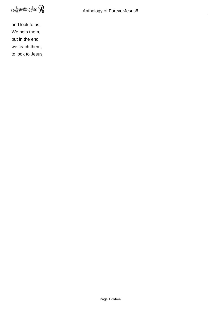and look to us. We help them, but in the end, we teach them,

to look to Jesus.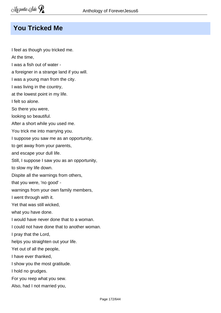# **You Tricked Me**

| I feel as though you tricked me.              |
|-----------------------------------------------|
| At the time,                                  |
| I was a fish out of water -                   |
| a foreigner in a strange land if you will.    |
| I was a young man from the city.              |
| I was living in the country,                  |
| at the lowest point in my life.               |
| I felt so alone.                              |
| So there you were,                            |
| looking so beautiful.                         |
| After a short while you used me.              |
| You trick me into marrying you.               |
| I suppose you saw me as an opportunity,       |
| to get away from your parents,                |
| and escape your dull life.                    |
| Still, I suppose I saw you as an opportunity, |
| to slow my life down.                         |
| Dispite all the warnings from others,         |
| that you were, 'no good' -                    |
| warnings from your own family members,        |
| I went through with it.                       |
| Yet that was still wicked,                    |
| what you have done.                           |
| I would have never done that to a woman.      |
| I could not have done that to another woman.  |
| I pray that the Lord,                         |
| helps you straighten out your life.           |
| Yet out of all the people,                    |
| I have ever thanked,                          |
| I show you the most gratitude.                |
| I hold no grudges.                            |
| For you reep what you sew.                    |
| Also, had I not married you,                  |
|                                               |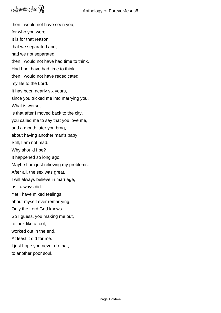then I would not have seen you, for who you were. It is for that reason, that we separated and, had we not separated, then I would not have had time to think. Had I not have had time to think, then I would not have rededicated, my life to the Lord. It has been nearly six years, since you tricked me into marrying you. What is worse, is that after I moved back to the city, you called me to say that you love me, and a month later you brag, about having another man's baby. Still, I am not mad. Why should I be? It happened so long ago. Maybe I am just relieving my problems. After all, the sex was great. I will always believe in marriage, as I always did. Yet I have mixed feelings, about myself ever remarrying. Only the Lord God knows. So I guess, you making me out, to look like a fool, worked out in the end. At least it did for me. I just hope you never do that, to another poor soul.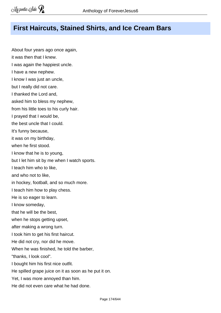### **First Haircuts, Stained Shirts, and Ice Cream Bars**

About four years ago once again, it was then that I knew. I was again the happiest uncle. I have a new nephew. I know I was just an uncle. but I really did not care. I thanked the Lord and, asked him to bless my nephew, from his little toes to his curly hair. I prayed that I would be, the best uncle that I could. It's funny because, it was on my birthday, when he first stood. I know that he is to young, but I let him sit by me when I watch sports. I teach him who to like, and who not to like, in hockey, football, and so much more. I teach him how to play chess. He is so eager to learn. I know someday, that he will be the best, when he stops getting upset, after making a wrong turn. I took him to get his first haircut. He did not cry, nor did he move. When he was finished, he told the barber, "thanks, I look cool". I bought him his first nice outfit. He spilled grape juice on it as soon as he put it on. Yet, I was more annoyed than him. He did not even care what he had done.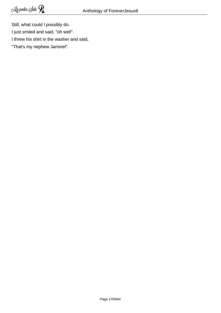Still, what could I possibly do.

I just smiled and said, "oh well".

I threw his shirt in the washer and said,

"That's my nephew Jaminel".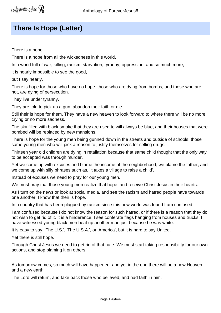## **There Is Hope (Letter)**

There is a hope.

There is a hope from all the wickedness in this world.

In a world full of war, killing, racism, starvation, tyranny, oppression, and so much more,

it is nearly impossible to see the good,

but I say nearly.

There is hope for those who have no hope: those who are dying from bombs, and those who are not, are dying of persecution.

They live under tyranny.

They are told to pick up a gun, abandon their faith or die.

Still their is hope for them. They have a new heaven to look forward to where there will be no more crying or no more sadness.

The sky filled with black smoke that they are used to will always be blue, and their houses that were bombed will be replaced by new mansions.

There is hope for the young men being gunned down in the streets and outside of schools: those same young men who will pick a reason to justify themselves for selling drugs.

Thirteen year old children are dying in retaliation because that same child thought that the only way to be accepted was through murder.

Yet we come up with excuses and blame the income of the neighborhood, we blame the father, and we come up with silly phrases such as, 'it takes a village to raise a child'.

Instead of excuses we need to pray for our young men.

We must pray that those young men realize that hope, and receive Christ Jesus in their hearts.

As I turn on the news or look at social media, and see the racism and hatred people have towards one another, I know that their is hope.

In a country that has been plagued by racism since this new world was found I am confused.

I am confused because I do not know the reason for such hatred, or if there is a reason that they do not wish to get rid of it. It is a hinderence. I see conferate flags hanging from houses and trucks. I have witnessed young black men beat up another man just because he was white.

It is easy to say, 'The U.S.', 'The U.S.A.', or 'America', but it is hard to say United.

Yet there is still hope.

Through Christ Jesus we need to get rid of that hate. We must start taking responsibility for our own actions, and stop blaming it on others.

As tomorrow comes, so much will have happened, and yet in the end there will be a new Heaven and a new earth.

The Lord will return, and take back those who believed, and had faith in him.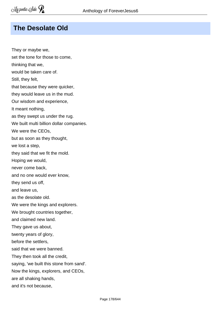#### **The Desolate Old**

They or maybe we, set the tone for those to come, thinking that we, would be taken care of. Still, they felt, that because they were quicker, they would leave us in the mud. Our wisdom and experience, It meant nothing, as they swept us under the rug. We built multi billion dollar companies. We were the CEOs, but as soon as they thought, we lost a step, they said that we fit the mold. Hoping we would, never come back, and no one would ever know, they send us off, and leave us, as the desolate old. We were the kings and explorers. We brought countries together, and claimed new land. They gave us about, twenty years of glory, before the settlers, said that we were banned. They then took all the credit, saying, 'we built this stone from sand'. Now the kings, explorers, and CEOs, are all shaking hands, and it's not because,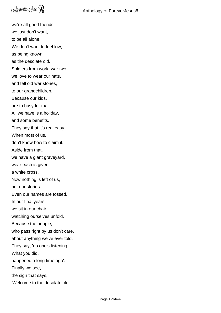we're all good friends. we just don't want, to be all alone. We don't want to feel low, as being known, as the desolate old. Soldiers from world war two, we love to wear our hats, and tell old war stories, to our grandchildren. Because our kids, are to busy for that. All we have is a holiday, and some benefits. They say that it's real easy. When most of us, don't know how to claim it. Aside from that, we have a giant graveyard, wear each is given, a white cross. Now nothing is left of us, not our stories. Even our names are tossed. In our final years, we sit in our chair, watching ourselves unfold. Because the people, who pass right by us don't care, about anything we've ever told. They say, 'no one's listening. What you did, happened a long time ago'. Finally we see, the sign that says, 'Welcome to the desolate old'.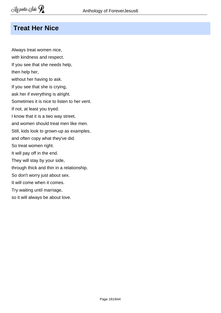#### **Treat Her Nice**

Always treat women nice, with kindness and respect. If you see that she needs help, then help her, without her having to ask. If you see that she is crying, ask her if everything is alright. Sometimes it is nice to listen to her vent. If not, at least you tryed. I know that it is a two way street, and women should treat men like men. Still, kids look to grown-up as examples, and often copy what they've did. So treat women right. It will pay off in the end. They will stay by your side, through thick and thin in a relationship. So don't worry just about sex. It will come when it comes. Try waiting until marriage, so it will always be about love.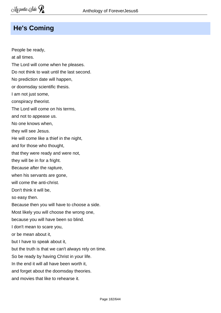## **He's Coming**

People be ready, at all times. The Lord will come when he pleases. Do not think to wait until the last second. No prediction date will happen, or doomsday scientific thesis. I am not just some, conspiracy theorist. The Lord will come on his terms, and not to appease us. No one knows when, they will see Jesus. He will come like a thief in the night, and for those who thought, that they were ready and were not, they will be in for a fright. Because after the rapture, when his servants are gone, will come the anti-christ. Don't think it will be, so easy then. Because then you will have to choose a side. Most likely you will choose the wrong one, because you will have been so blind. I don't mean to scare you, or be mean about it, but I have to speak about it, but the truth is that we can't always rely on time. So be ready by having Christ in your life. In the end it will all have been worth it, and forget about the doomsday theories. and movies that like to rehearse it.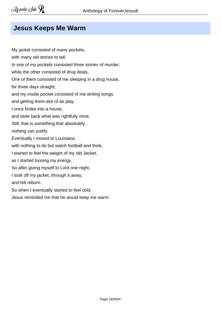### **Jesus Keeps Me Warm**

My jacket consisted of many pockets, with many old stories to tell. In one of my pockets consisted three stories of murder, while the other consisted of drug deals, One of them consisted of me sleeping in a drug house, for three days straight, and my inside pocket consisted of me writing songs, and getting them alot of air play. I once broke into a house, and stole back what was rightfully mine. Still, that is something that absolutely, nothing can justify. Eventually I moved to Louisiana, with nothing to do but watch football and think. I started to feel the weight of my old Jacket, as I started loosing my energy. So after giving myself to Lord one night, I took off my jacket, through it away, and felt reborn. So when I eventually started to feel cold, Jesus reminded me that he would keep me warm.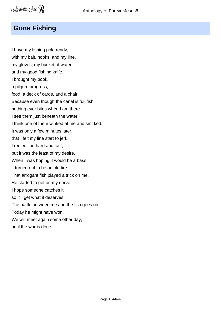### **Gone Fishing**

I have my fishing pole ready, with my bait, hooks, and my line, my gloves, my bucket of water, and my good fishing knife. I brought my book, a pilgrim progress, food, a deck of cards, and a chair. Because even though the canal is full fish, nothing ever bites when I am there. I see them just beneath the water. I think one of them winked at me and smirked. It was only a few minutes later, that I felt my line start to jerk. I reeled it in hard and fast, but it was the least of my desire. When I was hoping it would be a bass, it turned out to be an old tire. That arrogant fish played a trick on me. He started to get on my nerve. I hope someone catches it, so it'll get what it deserves. The battle between me and the fish goes on. Today he might have won. We will meet again some other day, until the war is done.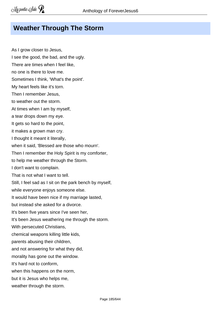### **Weather Through The Storm**

As I grow closer to Jesus, I see the good, the bad, and the ugly. There are times when I feel like, no one is there to love me. Sometimes I think, 'What's the point'. My heart feels like it's torn. Then I remember Jesus, to weather out the storm. At times when I am by myself, a tear drops down my eye. It gets so hard to the point, it makes a grown man cry. I thought it meant it literally, when it said, 'Blessed are those who mourn'. Then I remember the Holy Spirit is my comforter, to help me weather through the Storm. I don't want to complain. That is not what I want to tell. Still, I feel sad as I sit on the park bench by myself, while everyone enjoys someone else. It would have been nice if my marriage lasted, but instead she asked for a divorce. It's been five years since I've seen her, It's been Jesus weathering me through the storm. With persecuted Christians, chemical weapons killing little kids, parents abusing their children, and not answering for what they did, morality has gone out the window. It's hard not to conform, when this happens on the norm, but it is Jesus who helps me, weather through the storm.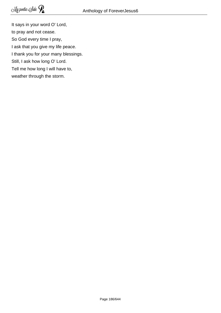It says in your word O' Lord, to pray and not cease. So God every time I pray, I ask that you give my life peace. I thank you for your many blessings. Still, I ask how long O' Lord. Tell me how long I will have to,

weather through the storm.

Page 186/644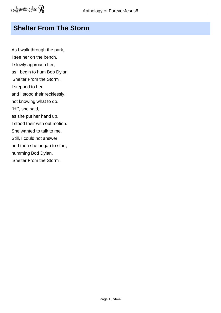# **Shelter From The Storm**

As I walk through the park, I see her on the bench. I slowly approach her, as I begin to hum Bob Dylan, 'Shelter From the Storm'. I stepped to her, and I stood their recklessly, not knowing what to do. "Hi", she said, as she put her hand up. I stood their with out motion. She wanted to talk to me. Still, I could not answer, and then she began to start, humming Bod Dylan, 'Shelter From the Storm'.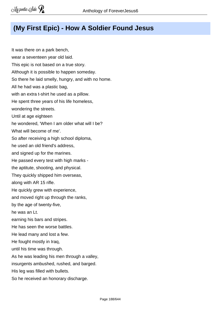## **(My First Epic) - How A Soldier Found Jesus**

It was there on a park bench, wear a seventeen year old laid. This epic is not based on a true story. Although it is possible to happen someday. So there he laid smelly, hungry, and with no home. All he had was a plastic bag, with an extra t-shirt he used as a pillow. He spent three years of his life homeless, wondering the streets. Until at age eighteen he wondered, 'When I am older what will I be? What will become of me'. So after receiving a high school diploma, he used an old friend's address, and signed up for the marines. He passed every test with high marks the aptitute, shooting, and physical. They quickly shipped him overseas, along with AR 15 rifle. He quickly grew with experience, and moved right up through the ranks, by the age of twenty-five, he was an Lt. earning his bars and stripes. He has seen the worse battles. He lead many and lost a few. He fought mostly in Iraq, until his time was through. As he was leading his men through a valley, insurgents ambushed, rushed, and barged. His leg was filled with bullets. So he received an honorary discharge.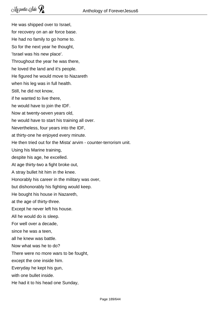He was shipped over to Israel, for recovery on an air force base. He had no family to go home to. So for the next year he thought, 'Israel was his new place'. Throughout the year he was there, he loved the land and it's people. He figured he would move to Nazareth when his leg was in full health. Still, he did not know, if he wanted to live there, he would have to join the IDF. Now at twenty-seven years old, he would have to start his training all over. Nevertheless, four years into the IDF, at thirty-one he enjoyed every minute. He then tried out for the Mista' arvim - counter-terrorism unit. Using his Marine training, despite his age, he excelled. At age thirty-two a fight broke out, A stray bullet hit him in the knee. Honorably his career in the military was over, but dishonorably his fighting would keep. He bought his house in Nazareth, at the age of thirty-three. Except he never left his house. All he would do is sleep. For well over a decade, since he was a teen, all he knew was battle. Now what was he to do? There were no more wars to be fought, except the one inside him. Everyday he kept his gun, with one bullet inside. He had it to his head one Sunday,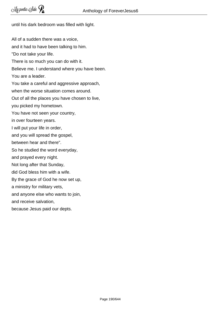until his dark bedroom was filled with light. All of a sudden there was a voice, and it had to have been talking to him. "Do not take your life. There is so much you can do with it. Believe me. I understand where you have been. You are a leader. You take a careful and aggressive approach, when the worse situation comes around. Out of all the places you have chosen to live, you picked my hometown. You have not seen your country, in over fourteen years. I will put your life in order, and you will spread the gospel, between hear and there". So he studied the word everyday, and prayed every night. Not long after that Sunday, did God bless him with a wife. By the grace of God he now set up, a ministry for military vets, and anyone else who wants to join, and receive salvation, because Jesus paid our depts.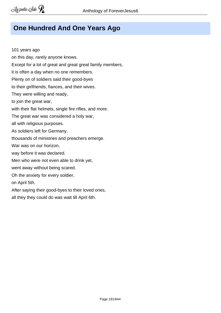# **One Hundred And One Years Ago**

101 years ago on this day, rarely anyone knows. Except for a lot of great and great great family members, it is often a day when no one remembers. Plenty on of soldiers said their good-byes to their girlfriends, fiances, and their wives. They were willing and ready, to join the great war, with their flat helmets, single fire rifles, and more. The great war was considered a holy war, all with religious purposes. As soldiers left for Germany, thousands of ministries and preachers emerge. War was on our horizon, way before it was declared. Men who were not even able to drink yet, went away without being scared. Oh the anxiety for every soldier, on April 5th. After saying their good-byes to their loved ones, all they they could do was wait till April 6th.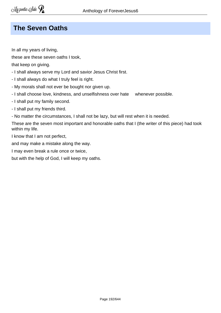### **The Seven Oaths**

In all my years of living,

these are these seven oaths I took,

that keep on giving.

- I shall always serve my Lord and savior Jesus Christ first.
- I shall always do what I truly feel is right.
- My morals shall not ever be bought nor given up.
- I shall choose love, kindness, and unselfishness over hate whenever possible.
- I shall put my family second.
- I shall put my friends third.
- No matter the circumstances, I shall not be lazy, but will rest when it is needed.

These are the seven most important and honorable oaths that I (the writer of this piece) had took within my life.

I know that I am not perfect,

and may make a mistake along the way.

I may even break a rule once or twice,

but with the help of God, I will keep my oaths.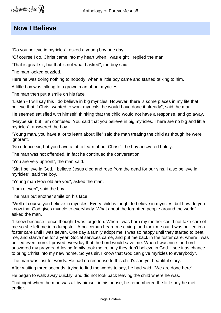#### **Now I Believe**

"Do you believe in myricles", asked a young boy one day.

"Of course I do. Christ came into my heart when I was eight", replied the man.

"That is great sir, but that is not what I asked", the boy said.

The man looked puzzled.

Here he was doing nothing to nobody, when a little boy came and started talking to him.

A little boy was talking to a grown man about myricles.

The man then put a smile on his face.

"Listen - I will say this I do believe in big myricles. However, there is some places in my life that I believe that if Christ wanted to work myricals, he would have done it already", said the man.

He seemed satisfied with himself, thinking that the child would not have a response, and go away.

"Maybe sir, but I am confused. You said that you believe in big myricles. There are no big and little myricles", answered the boy.

"Young man, you have a lot to learn about life" said the man treating the child as though he were ignorant.

"No offence sir, but you have a lot to learn about Christ", the boy answered boldly.

The man was not offended. In fact he continued the conversation.

"You are very upfront", the man said.

"Sir, I believe in God. I believe Jesus died and rose from the dead for our sins. I also believe in myricles", said the boy.

"Young man How old are you", asked the man.

"I am eleven", said the boy.

The man put another smile on his face.

"Well of course you believe in myricles. Every child is taught to believe in myricles, but how do you know that God gives myricle to everybody. What about the forgotten people around the world", asked the man.

"I know because I once thought I was forgotten. When I was born my mother could not take care of me so she left me in a dumpster. A policeman heard me crying, and took me out. I was bullied in a foster care until I was seven. One day a family adopt me. I was so happy until they started to beat me, and starve me for a year. Social services came, and put me back in the foster care, where I was bullied even more. I prayed everyday that the Lord would save me. When I was nine the Lord answered my prayers. A loving family took me in, only they don't believe in God. I see it as chance to bring Christ into my new home. So yes sir, I know that God can give myricles to everybody".

The man was lost for words. He had no response to this child's sad yet beautiful story.

After waiting three seconds, trying to find the words to say, he had said, "We are done here".

He began to walk away quickly, and did not look back leaving the child where he was.

That night when the man was all by himself in his house, he remembered the little boy he met earlier.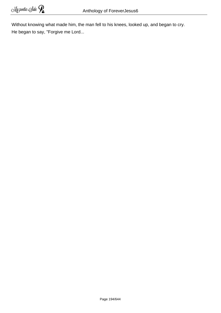Without knowing what made him, the man fell to his knees, looked up, and began to cry. He began to say, "Forgive me Lord...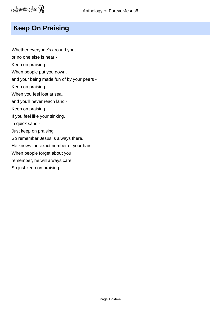## **Keep On Praising**

Whether everyone's around you, or no one else is near - Keep on praising When people put you down, and your being made fun of by your peers - Keep on praising When you feel lost at sea, and you'll never reach land - Keep on praising If you feel like your sinking, in quick sand - Just keep on praising So remember Jesus is always there. He knows the exact number of your hair. When people forget about you, remember, he will always care. So just keep on praising.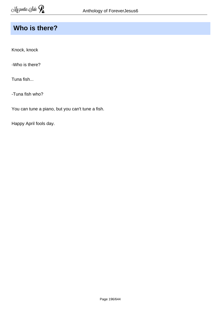# **Who is there?**

Knock, knock

-Who is there?

Tuna fish...

-Tuna fish who?

You can tune a piano, but you can't tune a fish.

Happy April fools day.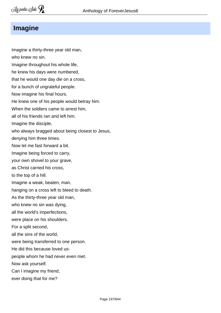### **Imagine**

Imagine a thirty-three year old man, who knew no sin. Imagine throughout his whole life, he knew his days were numbered, that he would one day die on a cross, for a bunch of ungrateful people. Now imagine his final hours. He knew one of his people would betray him. When the soldiers came to arrest him, all of his friends ran and left him. Imagine the disciple, who always bragged about being closest to Jesus, denying him three times. Now let me fast forward a bit. Imagine being forced to carry, your own shovel to your grave, as Christ carried his cross, to the top of a hill. Imagine a weak, beaten, man, hanging on a cross left to bleed to death. As the thirty-three year old man, who knew no sin was dying, all the world's imperfections, were place on his shoulders. For a split second, all the sins of the world, were being transferred to one person. He did this because loved uspeople whom he had never even met. Now ask yourself. Can I imagine my friend, ever doing that for me?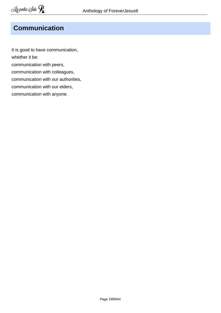# **Communication**

It is good to have communication, whether it be: communication with peers, communication with colleagues, communication with our authorities, communication with our elders, communication with anyone.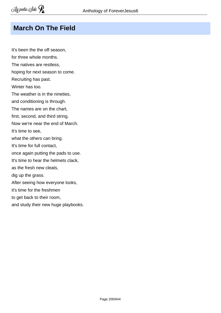## **March On The Field**

It's been the the off season. for three whole months. The natives are restless, hoping for next season to come. Recruiting has past. Winter has too. The weather is in the nineties, and conditioning is through. The names are on the chart, first, second, and third string. Now we're near the end of March. It's time to see, what the others can bring. It's time for full contact, once again putting the pads to use. It's time to hear the helmets clack, as the fresh new cleats, dig up the grass. After seeing how everyone looks, it's time for the freshmen to get back to their room, and study their new huge playbooks.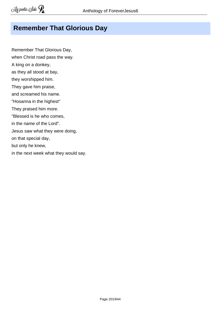# **Remember That Glorious Day**

Remember That Glorious Day, when Christ road pass the way. A king on a donkey, as they all stood at bay, they worshipped him. They gave him praise, and screamed his name. "Hosanna in the highest" They praised him more. "Blessed is he who comes, in the name of the Lord". Jesus saw what they were doing, on that special day, but only he knew, in the next week what they would say.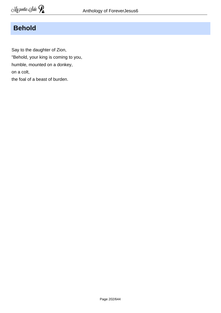# **Behold**

Say to the daughter of Zion, "Behold, your king is coming to you, humble, mounted on a donkey, on a colt, the foal of a beast of burden.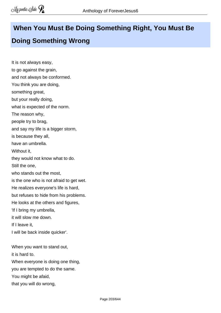## **When You Must Be Doing Something Right, You Must Be**

#### **Doing Something Wrong**

It is not always easy, to go against the grain, and not always be conformed. You think you are doing, something great, but your really doing, what is expected of the norm. The reason why, people try to brag, and say my life is a bigger storm, is because they all, have an umbrella. Without it, they would not know what to do. Still the one, who stands out the most. is the one who is not afraid to get wet. He realizes everyone's life is hard, but refuses to hide from his problems. He looks at the others and figures, 'If I bring my umbrella, it will slow me down. If I leave it, I will be back inside quicker'. When you want to stand out, it is hard to. When everyone is doing one thing, you are tempted to do the same. You might be afaid, that you will do wrong,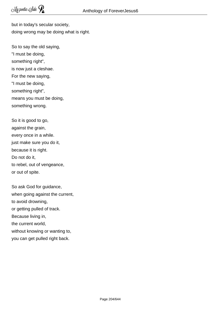but in today's secular society, doing wrong may be doing what is right.

So to say the old saying, "I must be doing, something right", is now just a cleshae. For the new saying, "I must be doing, something right", means you must be doing, something wrong.

So it is good to go, against the grain, every once in a while. just make sure you do it, because it is right. Do not do it, to rebel, out of vengeance, or out of spite.

So ask God for guidance, when going against the current, to avoid drowning, or getting pulled of track. Because living in, the current world, without knowing or wanting to, you can get pulled right back.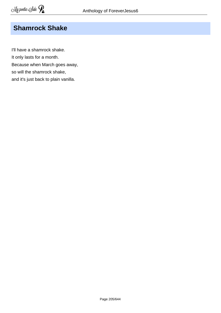# **Shamrock Shake**

I'll have a shamrock shake. It only lasts for a month. Because when March goes away, so will the shamrock shake, and it's just back to plain vanilla.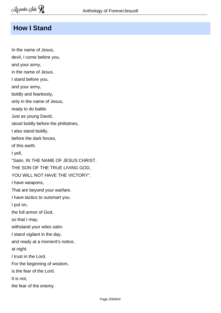#### **How I Stand**

In the name of Jesus, devil, I come before you, and your army, in the name of Jesus. I stand before you, and your army, boldly and fearlessly, only in the name of Jesus, ready to do battle. Just as young David, stood boldly before the philistines, I also stand boldly, before the dark forces, of this earth. I yell, "Satin, IN THE NAME OF JESUS CHRIST, THE SON OF THE TRUE LIVING GOD, YOU WILL NOT HAVE THE VICTORY". I have weapons, That are beyond your warfare. I have tactics to outsmart you. I put on, the full armor of God, so that I may, withstand your wiles satin. I stand vigilant in the day, and ready at a moment's notice, at night. I trust in the Lord. For the beginning of wisdom, is the fear of the Lord. It is not, the fear of the enemy.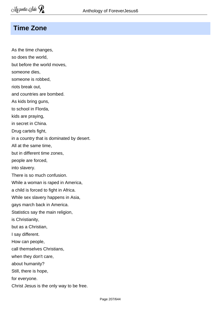#### **Time Zone**

As the time changes, so does the world, but before the world moves, someone dies, someone is robbed, riots break out, and countries are bombed. As kids bring guns, to school in Florda, kids are praying, in secret in China. Drug cartels fight, in a country that is dominated by desert. All at the same time, but in different time zones, people are forced, into slavery. There is so much confusion. While a woman is raped in America, a child is forced to fight in Africa. While sex slavery happens in Asia, gays march back in America. Statistics say the main religion, is Christianity, but as a Christian, I say different. How can people, call themselves Christians, when they don't care, about humanity? Still, there is hope, for everyone. Christ Jesus is the only way to be free.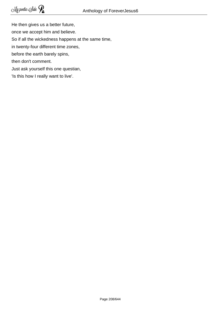He then gives us a better future,

once we accept him and believe.

So if all the wickedness happens at the same time,

in twenty-four different time zones,

before the earth barely spins,

then don't comment.

Just ask yourself this one questian,

'Is this how I really want to live'.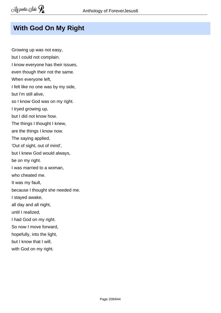## **With God On My Right**

Growing up was not easy, but I could not complain. I know everyone has their issues, even though their not the same. When everyone left, I felt like no one was by my side, but I'm still alive, so I know God was on my right. I tryed growing up, but I did not know how. The things I thought I knew, are the things I know now. The saying applied, 'Out of sight, out of mind', but I knew God would always, be on my right. I was married to a woman, who cheated me. It was my fault, because I thought she needed me. I stayed awake, all day and all night, until I realized, I had God on my right. So now I move forward, hopefully, into the light, but I know that I will, with God on my right.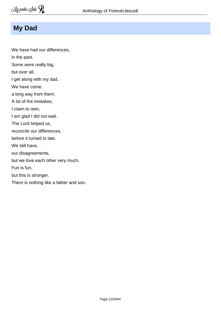## **My Dad**

We have had our differences, in the past. Some were really big, but over all, I get along with my dad. We have come, a long way from them. A lot of the mistakes, I claim to own, I am glad I did not wait. The Lord helped us, reconcile our differences, before it turned to late. We still have. our disagreements, but we love each other very much. Fun is fun, but this is stronger. There is nothing like a father and son.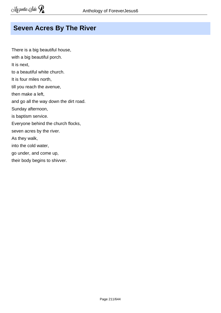## **Seven Acres By The River**

There is a big beautiful house, with a big beautiful porch. It is next, to a beautiful white church. It is four miles north, till you reach the avenue, then make a left, and go all the way down the dirt road. Sunday afternoon, is baptism service. Everyone behind the church flocks, seven acres by the river. As they walk, into the cold water, go under, and come up, their body begins to shivver.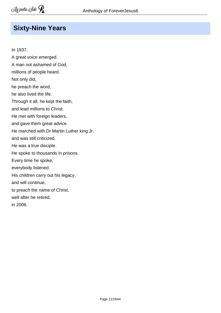## **Sixty-Nine Years**

In 1937, A great voice emerged. A man not ashamed of God, millions of people heard. Not only did, he preach the word, he also lived the life. Through it all, he kept the faith, and lead millions to Christ. He met with foreign leaders, and gave them great advice. He marched with Dr Martin Luther king Jr. and was still criticized. He was a true disciple. He spoke to thousands in prisons. Every time he spoke, everybody listened. His children carry out his legacy, and will continue, to preach the name of Christ, well after he retired, in 2006.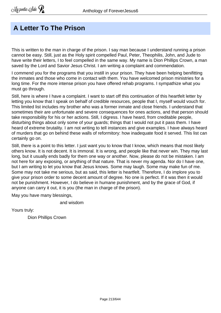## **A Letter To The Prison**

This is written to the man in charge of the prison. I say man because I understand running a prison cannot be easy. Still, just as the Holy spirit compelled Paul, Peter, Theophilis, John, and Jude to have write their letters, I to feel compelled in the same way. My name is Dion Phillips Crown, a man saved by the Lord and Savior Jesus Christ. I am writing a complaint and commendation.

I commend you for the programs that you instill in your prison. They have been helping benifitting the inmates and those who come in contact with them. You have welcomed prison ministries for a long time. For the more intense prison you have offered rehab programs. I sympathize what you must go through.

Still, here is where I have a complaint. I want to start off this continuation of this heartfelt letter by letting you know that I speak on behalf of credible resources, people that I, myself would vouch for. This limited list includes my brother who was a former inmate and close friends. I understand that sometimes their are unfortunate and severe consequences for ones actions, and that person should take responsibility for his or her actions. Still, I digress. I have heard, from creditable people, disturbing things about only some of your guards; things that I would not put it pass them. I have heard of extreme brutality. I am not writing to tell instances and give examples. I have always heard of murders that go on behind these walls of reformitory: how inadequate food it served. This list can certainly go on.

Still, there is a point to this letter. I just want you to know that I know, which means that most likely others know. It is not decent. It is immoral. It is wrong, and people like that never win. They may last long, but it usually ends badly for them one way or another. Now, please do not be mistaken. I am not here for any exposing, or anything of that nature. That is never my agenda. Nor do I have one, but I am writing to let you know that Jesus knows. Some may laugh. Some may make fun of me. Some may not take me serious, but as said, this letter is heartfelt. Therefore, I do implore you to give your prison order to some decent amount of degree. No one is perfect. If it was then it would not be punishment. However, I do believe in humane punishment, and by the grace of God, if anyone can carry it out, it is you (the man in charge of the prison).

May you have many blessings,

and wisdom

Yours truly:

Dion Phillips Crown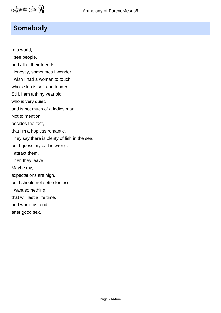## **Somebody**

In a world, I see people, and all of their friends. Honestly, sometimes I wonder. I wish I had a woman to touch. who's skin is soft and tender. Still, I am a thirty year old, who is very quiet, and is not much of a ladies man. Not to mention, besides the fact, that I'm a hopless romantic. They say there is plenty of fish in the sea, but I guess my bait is wrong. I attract them. Then they leave. Maybe my, expectations are high, but I should not settle for less. I want something, that will last a life time, and won't just end, after good sex.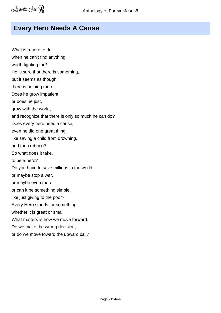### **Every Hero Needs A Cause**

What is a hero to do, when he can't find anything, worth fighting for? He is sure that there is something, but it seems as though, there is nothing more. Does he grow impatient, or does he just, grow with the world, and recognize that there is only so much he can do? Does every hero need a cause, even he did one great thing, like saving a child from drowning, and then retiring? So what does it take, to be a hero? Do you have to save millions in the world, or maybe stop a war, or maybe even more, or can it be something simple, like just giving to the poor? Every Hero stands for something, whether it is great or small. What matters is how we move forward. Do we make the wrong decision, or do we move toward the upward call?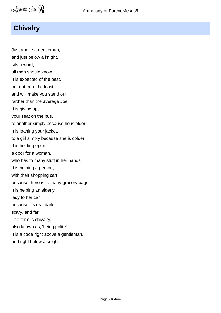# **Chivalry**

Just above a gentleman, and just below a knight, sits a word, all men should know. It is expected of the best, but not from the least, and will make you stand out, farther than the average Joe. It is giving up, your seat on the bus, to another simply because he is older. It is loaning your jacket, to a girl simply because she is colder. It is holding open, a door for a woman, who has to many stuff in her hands. It is helping a person, with their shopping cart, because there is to many grocery bags. It is helping an elderly lady to her car because it's real dark, scary, and far. The term is chivalry, also known as, 'being polite'. It is a code right above a gentleman, and right below a knight.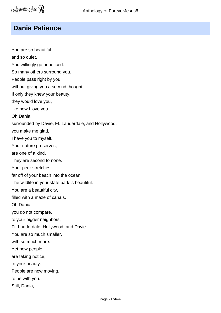#### **Dania Patience**

You are so beautiful, and so quiet. You willingly go unnoticed. So many others surround you. People pass right by you, without giving you a second thought. If only they knew your beauty, they would love you, like how I love you. Oh Dania, surrounded by Davie, Ft. Lauderdale, and Hollywood, you make me glad, I have you to myself. Your nature preserves, are one of a kind. They are second to none. Your peer stretches, far off of your beach into the ocean. The wildlife in your state park is beautiful. You are a beautiful city, filled with a maze of canals. Oh Dania, you do not compare, to your bigger neighbors, Ft. Lauderdale, Hollywood, and Davie. You are so much smaller, with so much more. Yet now people, are taking notice, to your beauty. People are now moving, to be with you. Still, Dania,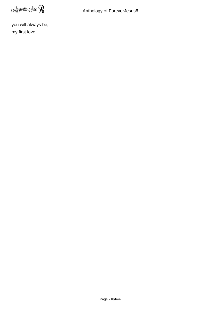you will always be, my first love.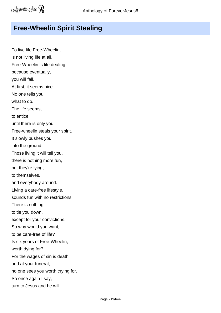# **Free-Wheelin Spirit Stealing**

To live life Free-Wheelin, is not living life at all. Free-Wheelin is life dealing, because eventually, you will fall. At first, it seems nice. No one tells you, what to do. The life seems, to entice, until there is only you. Free-wheelin steals your spirit. It slowly pushes you, into the ground. Those living it will tell you, there is nothing more fun, but they're lying, to themselves, and everybody around. Living a care-free lifestyle, sounds fun with no restrictions. There is nothing, to tie you down, except for your convictions. So why would you want, to be care-free of life? Is six years of Free-Wheelin, worth dying for? For the wages of sin is death, and at your funeral, no one sees you worth crying for. So once again I say, turn to Jesus and he will,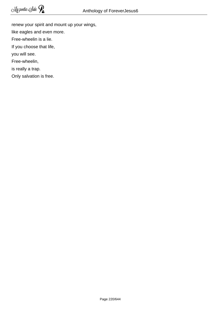renew your spirit and mount up your wings,

like eagles and even more.

Free-wheelin is a lie.

If you choose that life,

you will see.

Free-wheelin,

is really a trap.

Only salvation is free.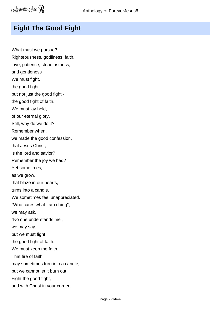### **Fight The Good Fight**

What must we pursue? Righteousness, godliness, faith, love, patience, steadfastness, and gentleness We must fight. the good fight, but not just the good fight the good fight of faith. We must lay hold, of our eternal glory. Still, why do we do it? Remember when, we made the good confession, that Jesus Christ, is the lord and savior? Remember the joy we had? Yet sometimes, as we grow, that blaze in our hearts, turns into a candle. We sometimes feel unappreciated. "Who cares what I am doing", we may ask. "No one understands me", we may say, but we must fight, the good fight of faith. We must keep the faith. That fire of faith, may sometimes turn into a candle, but we cannot let it burn out. Fight the good fight, and with Christ in your corner,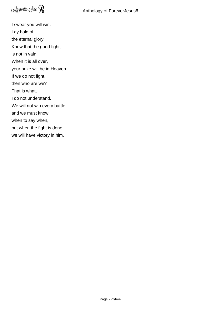I swear you will win. Lay hold of, the eternal glory. Know that the good fight, is not in vain. When it is all over, your prize will be in Heaven. If we do not fight, then who are we? That is what, I do not understand. We will not win every battle, and we must know, when to say when, but when the fight is done, we will have victory in him.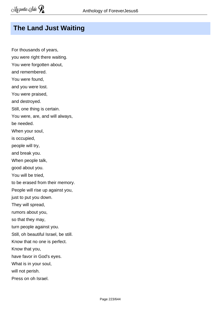# **The Land Just Waiting**

For thousands of years, you were right there waiting. You were forgotten about, and remembered. You were found, and you were lost. You were praised, and destroyed. Still, one thing is certain. You were, are, and will always, be needed. When your soul, is occupied, people will try, and break you. When people talk, good about you. You will be tried, to be erased from their memory. People will rise up against you, just to put you down. They will spread, rumors about you, so that they may, turn people against you. Still, oh beautiful Israel, be still. Know that no one is perfect. Know that you, have favor in God's eyes. What is in your soul, will not perish. Press on oh Israel.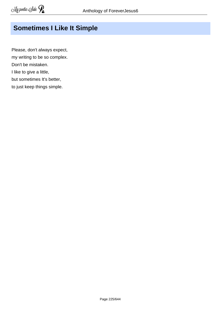# **Sometimes I Like It Simple**

Please, don't always expect, my writing to be so complex. Don't be mistaken. I like to give a little, but sometimes It's better, to just keep things simple.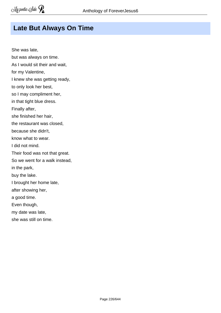# **Late But Always On Time**

She was late, but was always on time. As I would sit their and wait, for my Valentine, I knew she was getting ready, to only look her best, so I may compliment her, in that tight blue dress. Finally after, she finished her hair, the restaurant was closed, because she didn't, know what to wear. I did not mind. Their food was not that great. So we went for a walk instead, in the park, buy the lake. I brought her home late, after showing her, a good time. Even though, my date was late, she was still on time.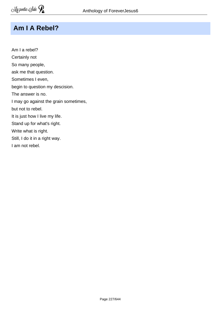# **Am I A Rebel?**

Am I a rebel? Certainly not So many people, ask me that question. Sometimes I even, begin to question my descision. The answer is no. I may go against the grain sometimes, but not to rebel. It is just how I live my life. Stand up for what's right. Write what is right. Still, I do it in a right way. I am not rebel.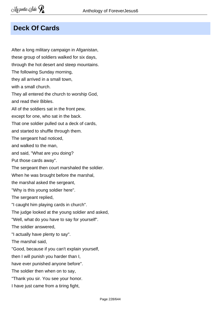#### **Deck Of Cards**

After a long military campaign in Afganistan, these group of soldiers walked for six days, through the hot desert and steep mountains. The following Sunday morning, they all arrived in a small town, with a small church. They all entered the church to worship God, and read their Bibles. All of the soldiers sat in the front pew, except for one, who sat in the back. That one soldier pulled out a deck of cards, and started to shuffle through them. The sergeant had noticed, and walked to the man, and said, "What are you doing? Put those cards away". The sergeant then court marshaled the soldier. When he was brought before the marshal, the marshal asked the sergeant, "Why is this young soldier here". The sergeant replied, "I caught him playing cards in church". The judge looked at the young soldier and asked, "Well, what do you have to say for yourself". The soldier answered, "I actually have plenty to say". The marshal said, "Good, because if you can't explain yourself, then I will punish you harder than I, have ever punished anyone before". The soldier then when on to say, "Thank you sir. You see your honor. I have just came from a tiring fight,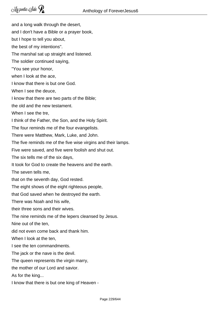and a long walk through the desert, and I don't have a Bible or a prayer book, but I hope to tell you about, the best of my intentions". The marshal sat up straight and listened. The soldier continued saying, "You see your honor, when I look at the ace, I know that there is but one God. When I see the deuce, I know that there are two parts of the Bible; the old and the new testament. When I see the tre. I think of the Father, the Son, and the Holy Spirit. The four reminds me of the four evangelists. There were Matthew, Mark, Luke, and John. The five reminds me of the five wise virgins and their lamps. Five were saved, and five were foolish and shut out. The six tells me of the six days, It took for God to create the heavens and the earth. The seven tells me, that on the seventh day, God rested. The eight shows of the eight righteous people, that God saved when he destroyed the earth. There was Noah and his wife, their three sons and their wives. The nine reminds me of the lepers cleansed by Jesus. Nine out of the ten, did not even come back and thank him. When I look at the ten. I see the ten commandments. The jack or the nave is the devil. The queen represents the virgin marry, the mother of our Lord and savior. As for the king... I know that there is but one king of Heaven -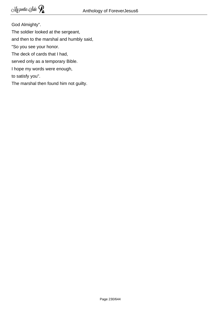God Almighty". The soldier looked at the sergeant, and then to the marshal and humbly said, "So you see your honor. The deck of cards that I had, served only as a temporary Bible. I hope my words were enough, to satisfy you". The marshal then found him not guilty.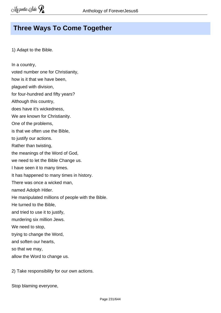### **Three Ways To Come Together**

1) Adapt to the Bible.

In a country, voted number one for Christianity, how is it that we have been, plagued with division, for four-hundred and fifty years? Although this country, does have it's wickedness, We are known for Christianity. One of the problems, is that we often use the Bible, to justify our actions. Rather than twisting, the meanings of the Word of God, we need to let the Bible Change us. I have seen it to many times. It has happened to many times in history. There was once a wicked man, named Adolph Hitler. He manipulated millions of people with the Bible. He turned to the Bible, and tried to use it to justify, murdering six million Jews. We need to stop, trying to change the Word, and soften our hearts, so that we may, allow the Word to change us.

2) Take responsibility for our own actions.

Stop blaming everyone,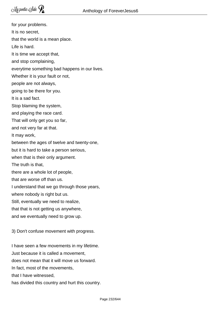for your problems. It is no secret, that the world is a mean place. Life is hard. It is time we accept that, and stop complaining, everytime something bad happens in our lives. Whether it is your fault or not, people are not always, going to be there for you. It is a sad fact. Stop blaming the system, and playing the race card. That will only get you so far, and not very far at that. It may work, between the ages of twelve and twenty-one, but it is hard to take a person serious, when that is their only argument. The truth is that, there are a whole lot of people, that are worse off than us. I understand that we go through those years, where nobody is right but us. Still, eventually we need to realize, that that is not getting us anywhere, and we eventually need to grow up. 3) Don't confuse movement with progress.

I have seen a few movements in my lifetime. Just because it is called a movement, does not mean that it will move us forward. In fact, most of the movements, that I have witnessed, has divided this country and hurt this country.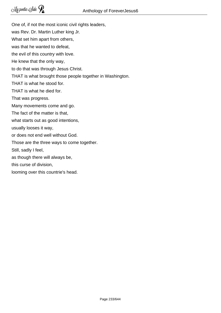One of, if not the most iconic civil rights leaders,

was Rev. Dr. Martin Luther king Jr.

What set him apart from others,

was that he wanted to defeat,

the evil of this country with love.

He knew that the only way,

to do that was through Jesus Christ.

THAT is what brought those people together in Washington.

THAT is what he stood for.

THAT is what he died for.

That was progress.

Many movements come and go.

The fact of the matter is that,

what starts out as good intentions,

usually looses it way,

or does not end well without God.

Those are the three ways to come together.

Still, sadly I feel,

as though there will always be,

this curse of division,

looming over this countrie's head.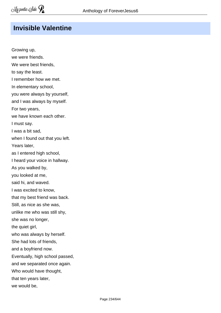# **Invisible Valentine**

Growing up, we were friends. We were best friends. to say the least. I remember how we met. In elementary school, you were always by yourself, and I was always by myself. For two years, we have known each other. I must say. I was a bit sad, when I found out that you left. Years later, as I entered high school, I heard your voice in hallway. As you walked by, you looked at me, said hi, and waved. I was excited to know, that my best friend was back. Still, as nice as she was, unlike me who was still shy, she was no longer, the quiet girl, who was always by herself. She had lots of friends, and a boyfriend now. Eventually, high school passed, and we separated once again. Who would have thought, that ten years later, we would be,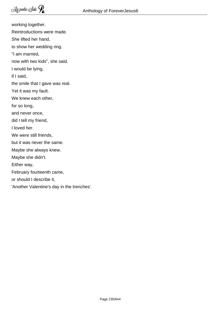working together. Reintroductions were made. She lifted her hand, to show her wedding ring. "I am married, now with two kids", she said. I would be lying, if I said, the smile that I gave was real. Yet it was my fault. We knew each other, for so long, and never once, did I tell my friend, I loved her. We were still friends, but it was never the same. Maybe she always knew. Maybe she didn't. Either way, February fourteenth came, or should I describe it, 'Another Valentine's day in the trenches'.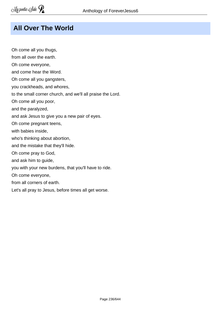#### **All Over The World**

Oh come all you thugs, from all over the earth. Oh come everyone, and come hear the Word. Oh come all you gangsters, you crackheads, and whores, to the small corner church, and we'll all praise the Lord. Oh come all you poor, and the paralyzed, and ask Jesus to give you a new pair of eyes. Oh come pregnant teens, with babies inside, who's thinking about abortion, and the mistake that they'll hide. Oh come pray to God, and ask him to guide, you with your new burdens, that you'll have to ride. Oh come everyone, from all corners of earth. Let's all pray to Jesus, before times all get worse.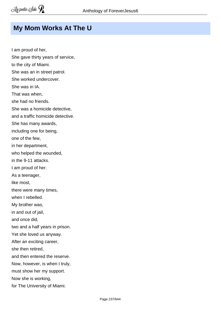#### **My Mom Works At The U**

I am proud of her, She gave thirty years of service, to the city of Miami. She was an in street patrol. She worked undercover. She was in IA. That was when, she had no friends. She was a homicide detective, and a traffic homicide detective. She has many awards, including one for being, one of the few, in her department, who helped the wounded, in the 9-11 attacks. I am proud of her. As a teenager, like most, there were many times, when I rebelled. My brother was, in and out of jail, and once did, two and a half years in prison. Yet she loved us anyway. After an exciting career, she then retired, and then entered the reserve. Now, however, is when I truly, must show her my support. Now she is working, for The University of Miami.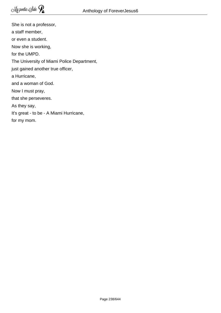She is not a professor, a staff member, or even a student. Now she is working, for the UMPD. The University of Miami Police Department, just gained another true officer, a Hurricane, and a woman of God. Now I must pray, that she perseveres. As they say, It's great - to be - A Miami Hurricane, for my mom.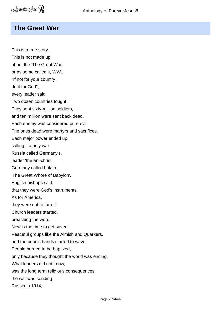#### **The Great War**

This is a true story. This is not made up. about the 'The Great War', or as some called it, WW1. "If not for your country, do it for God", every leader said. Two dozen countries fought. They sent sixty-million soldiers, and ten million were sent back dead. Each enemy was considered pure evil. The ones dead were martyrs and sacrifices. Each major power ended up, calling it a holy war. Russia called Germany's, leader 'the ani-christ'. Germany called britain, 'The Great Whore of Babylon'. English bishops said, that they were God's instruments. As for America, they were not to far off. Church leaders started, preaching the word. Now is the time to get saved! Peaceful groups like the Almish and Quarkers, and the pope's hands started to wave. People hurried to be baptized, only because they thought the world was ending. What leaders did not know, was the long term religious consequences, the war was sending. Russia in 1914,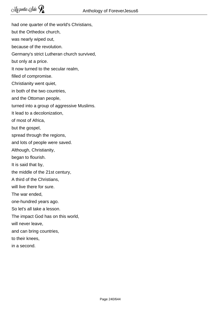had one quarter of the world's Christians, but the Orthedox church, was nearly wiped out, because of the revolution. Germany's strict Lutheran church survived, but only at a price. It now turned to the secular realm, filled of compromise. Christianity went quiet, in both of the two countries, and the Ottoman people, turned into a group of aggressive Muslims. It lead to a decolonization, of most of Africa, but the gospel, spread through the regions, and lots of people were saved. Although, Christianity, began to flourish. It is said that by, the middle of the 21st century, A third of the Christians, will live there for sure. The war ended, one-hundred years ago. So let's all take a lesson. The impact God has on this world, will never leave, and can bring countries, to their knees, in a second.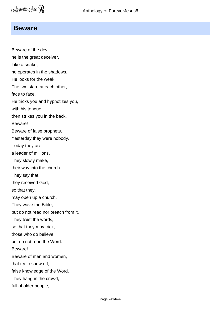#### **Beware**

Beware of the devil, he is the great deceiver. Like a snake, he operates in the shadows. He looks for the weak. The two stare at each other, face to face. He tricks you and hypnotizes you, with his tongue, then strikes you in the back. Beware! Beware of false prophets. Yesterday they were nobody. Today they are, a leader of millions. They slowly make, their way into the church. They say that, they received God, so that they, may open up a church. They wave the Bible, but do not read nor preach from it. They twist the words, so that they may trick, those who do believe, but do not read the Word. Beware! Beware of men and women, that try to show off, false knowledge of the Word. They hang in the crowd, full of older people,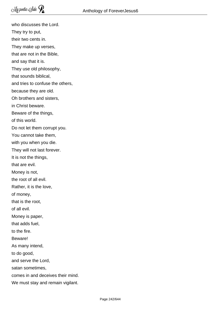who discusses the Lord. They try to put, their two cents in. They make up verses, that are not in the Bible, and say that it is. They use old philosophy, that sounds biblical, and tries to confuse the others, because they are old. Oh brothers and sisters, in Christ beware. Beware of the things, of this world. Do not let them corrupt you. You cannot take them, with you when you die. They will not last forever. It is not the things, that are evil. Money is not, the root of all evil. Rather, it is the love, of money, that is the root, of all evil. Money is paper, that adds fuel, to the fire. Beware! As many intend, to do good, and serve the Lord, satan sometimes, comes in and deceives their mind. We must stay and remain vigilant.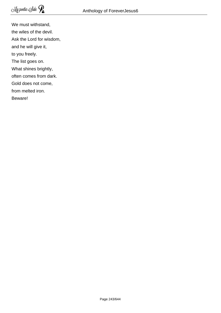We must withstand, the wiles of the devil. Ask the Lord for wisdom, and he will give it, to you freely. The list goes on. What shines brightly, often comes from dark. Gold does not come, from melted iron. Beware!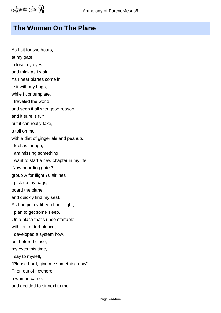#### **The Woman On The Plane**

As I sit for two hours, at my gate, I close my eyes, and think as I wait. As I hear planes come in, I sit with my bags, while I contemplate. I traveled the world, and seen it all with good reason, and it sure is fun, but it can really take, a toll on me, with a diet of ginger ale and peanuts. I feel as though, I am missing something. I want to start a new chapter in my life. 'Now boarding gate 7, group A for flight 70 airlines'. I pick up my bags, board the plane, and quickly find my seat. As I begin my fifteen hour flight, I plan to get some sleep. On a place that's uncomfortable, with lots of turbulence, I developed a system how, but before I close, my eyes this time, I say to myself, "Please Lord, give me something now". Then out of nowhere, a woman came, and decided to sit next to me.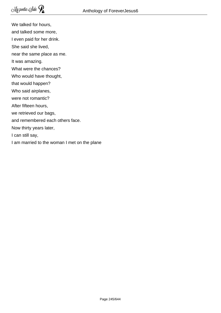We talked for hours,

and talked some more,

I even paid for her drink.

She said she lived,

near the same place as me.

It was amazing.

What were the chances?

Who would have thought,

that would happen?

Who said airplanes,

were not romantic?

After fifteen hours,

we retrieved our bags,

and remembered each others face.

Now thirty years later,

I can still say,

I am married to the woman I met on the plane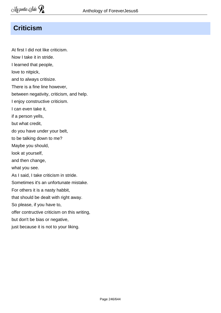### **Criticism**

At first I did not like criticism. Now I take it in stride. I learned that people, love to nitpick, and to always critisize. There is a fine line however, between negativity, criticism, and help. I enjoy constructive criticism. I can even take it, if a person yells, but what credit, do you have under your belt, to be talking down to me? Maybe you should, look at yourself, and then change, what you see. As I said, I take criticism in stride. Sometimes it's an unfortunate mistake. For others it is a nasty habbit, that should be dealt with right away. So please, if you have to, offer contructive criticism on this writing, but don't be bias or negative, just because it is not to your liking.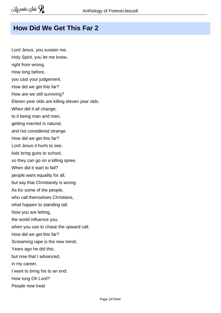# **How Did We Get This Far 2**

Lord Jesus, you sustain me. Holy Spirit, you let me know, right from wrong. How long before, you cast your judgement. How did we get this far? How are we still surviving? Eleven year olds are killing eleven year olds. When did it all change, to it being man and man, getting married is natural, and not considered strange. How did we get this far? Lord Jesus it hurts to see, kids bring guns to school, so they can go on a killing spree, When did it start to fall? people want equality for all, but say that Christianity is wrong. As for some of the people, who call themselves Christians, what happen to standing tall. Now you are letting, the world influence you, when you use to chase the upward call. How did we get this far? Screaming rape is the new trend, Years ago he did this, but now that I advanced, in my career, I want to bring his to an end. How long Oh Lord? People now treat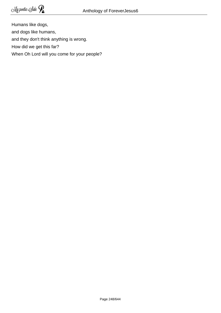Humans like dogs, and dogs like humans, and they don't think anything is wrong. How did we get this far? When Oh Lord will you come for your people?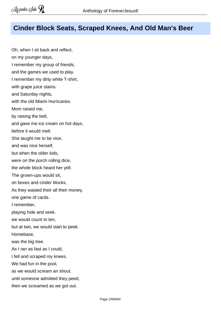### **Cinder Block Seats, Scraped Knees, And Old Man's Beer**

Oh, when I sit back and reflect, on my younger days, I remember my group of friends, and the games we used to play. I remember my dirty white T-shirt, with grape juice stains. and Saturday nights, with the old Miami Hurricanes. Mom raised me, by raising the belt, and gave me ice cream on hot days, before it would melt. She taught me to be nice, and was nice herself, but when the older kids, were on the porch rolling dice, the whole block heard her yell. The grown-ups would sit, on boxes and cinder blocks, As they wasted their all their money, one game of cards. I remember, playing hide and seek. we would count to ten, but at two, we would start to peek. Homebase, was the big tree. As I ran as fast as I could, I fell and scraped my knees. We had fun in the pool, as we would scream an shout. until someone admitted they peed, then we screamed as we got out.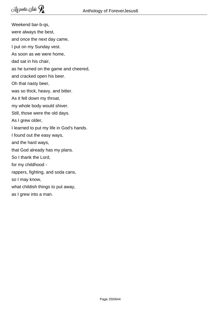Weekend bar-b-qs, were always the best, and once the next day came, I put on my Sunday vest. As soon as we were home, dad sat in his chair, as he turned on the game and cheered, and cracked open his beer. Oh that nasty beer, was so thick, heavy, and bitter. As it fell down my throat, my whole body would shiver. Still, those were the old days. As I grew older, I learned to put my life in God's hands. I found out the easy ways, and the hard ways, that God already has my plans. So I thank the Lord, for my childhood rappers, fighting, and soda cans, so I may know, what childish things to put away, as I grew into a man.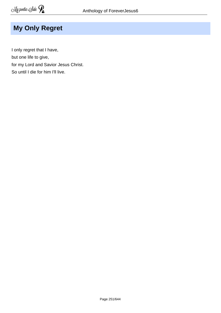# **My Only Regret**

I only regret that I have, but one life to give, for my Lord and Savior Jesus Christ. So until I die for him I'll live.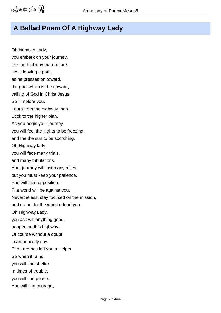# **A Ballad Poem Of A Highway Lady**

Oh highway Lady, you embark on your journey, like the highway man before. He is leaving a path, as he presses on toward, the goal which is the upward, calling of God in Christ Jesus. So I implore you. Learn from the highway man. Stick to the higher plan. As you begin your journey, you will feel the nights to be freezing, and the the sun to be scorching. Oh Highway lady, you will face many trials, and many tribulations. Your journey will last many miles, but you must keep your patience. You will face opposition. The world will be against you. Nevertheless, stay focused on the mission, and do not let the world offend you. Oh Highway Lady, you ask will anything good, happen on this highway. Of course without a doubt, I can honestly say. The Lord has left you a Helper. So when it rains, you will find shelter. In times of trouble, you will find peace. You will find courage,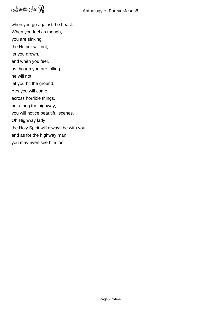when you go against the beast.

When you feel as though,

you are sinking,

the Helper will not,

let you drown,

and when you feel,

as though you are falling,

he will not,

let you hit the ground.

Yes you will come,

across horrible things,

but along the highway,

you will notice beautiful scenes.

Oh Highway lady,

the Holy Spirit will always be with you,

and as for the highway man,

you may even see him too.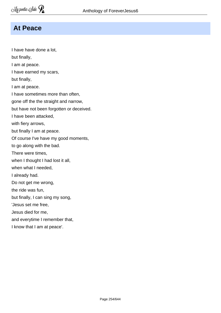## **At Peace**

I have have done a lot, but finally, I am at peace. I have earned my scars, but finally, I am at peace. I have sometimes more than often, gone off the the straight and narrow, but have not been forgotten or deceived. I have been attacked, with fiery arrows, but finally I am at peace. Of course I've have my good moments, to go along with the bad. There were times, when I thought I had lost it all, when what I needed, I already had. Do not get me wrong, the ride was fun, but finally, I can sing my song, 'Jesus set me free, Jesus died for me, and everytime I remember that, I know that I am at peace'.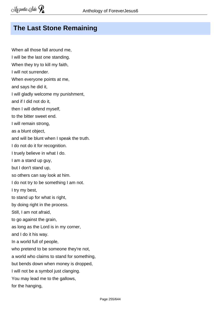## **The Last Stone Remaining**

When all those fall around me, I will be the last one standing. When they try to kill my faith, I will not surrender. When everyone points at me, and says he did it, I will gladly welcome my punishment, and if I did not do it, then I will defend myself, to the bitter sweet end. I will remain strong, as a blunt object, and will be blunt when I speak the truth. I do not do it for recognition. I truely believe in what I do. I am a stand up guy, but I don't stand up, so others can say look at him. I do not try to be something I am not. I try my best, to stand up for what is right, by doing right in the process. Still, I am not afraid, to go against the grain, as long as the Lord is in my corner, and I do it his way. In a world full of people, who pretend to be someone they're not, a world who claims to stand for something, but bends down when money is dropped, I will not be a symbol just clanging. You may lead me to the gallows, for the hanging,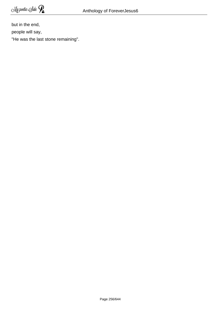but in the end, people will say, "He was the last stone remaining".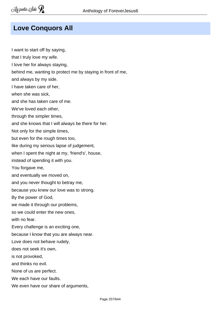# **Love Conquors All**

| I want to start off by saying,                              |
|-------------------------------------------------------------|
| that I truly love my wife.                                  |
| I love her for always staying,                              |
| behind me, wanting to protect me by staying in front of me, |
| and always by my side.                                      |
| I have taken care of her,                                   |
| when she was sick,                                          |
| and she has taken care of me.                               |
| We've loved each other,                                     |
| through the simpler times,                                  |
| and she knows that I will always be there for her.          |
| Not only for the simple times,                              |
| but even for the rough times too,                           |
| like during my serious lapse of judgement,                  |
| when I spent the night at my, 'friend's', house,            |
| instead of spending it with you.                            |
| You forgave me,                                             |
| and eventually we moved on,                                 |
| and you never thought to betray me,                         |
| because you knew our love was to strong.                    |
| By the power of God,                                        |
| we made it through our problems,                            |
| so we could enter the new ones,                             |
| with no fear.                                               |
| Every challenge is an exciting one,                         |
| because I know that you are always near.                    |
| Love does not behave rudely,                                |
| does not seek it's own,                                     |
| is not provoked,                                            |
| and thinks no evil.                                         |
| None of us are perfect.                                     |
| We each have our faults.                                    |
| We even have our share of arguments,                        |
|                                                             |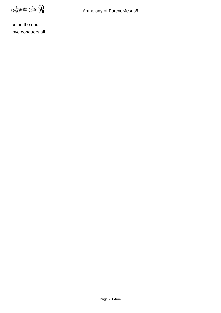but in the end, love conquors all.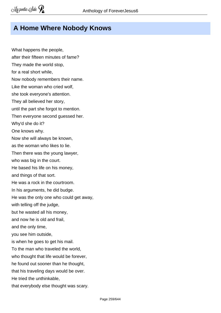## **A Home Where Nobody Knows**

What happens the people, after their fifteen minutes of fame? They made the world stop, for a real short while, Now nobody remembers their name. Like the woman who cried wolf, she took everyone's attention. They all believed her story, until the part she forgot to mention. Then everyone second guessed her. Why'd she do it? One knows why. Now she will always be known, as the woman who likes to lie. Then there was the young lawyer, who was big in the court. He based his life on his money, and things of that sort. He was a rock in the courtroom. In his arguments, he did budge. He was the only one who could get away, with telling off the judge, but he wasted all his money, and now he is old and frail, and the only time, you see him outside, is when he goes to get his mail. To the man who traveled the world, who thought that life would be forever, he found out sooner than he thought, that his traveling days would be over. He tried the unthinkable, that everybody else thought was scary.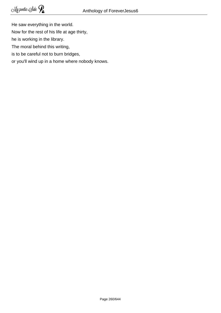He saw everything in the world.

Now for the rest of his life at age thirty,

he is working in the library.

The moral behind this writing,

is to be careful not to burn bridges,

or you'll wind up in a home where nobody knows.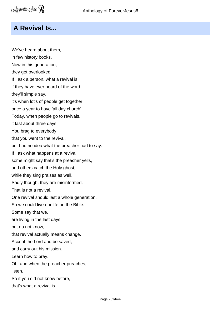### **A Revival Is...**

We've heard about them, in few history books. Now in this generation, they get overlooked. If I ask a person, what a revival is, if they have ever heard of the word, they'll simple say, it's when lot's of people get together, once a year to have 'all day church'. Today, when people go to revivals, it last about three days. You brag to everybody, that you went to the revival, but had no idea what the preacher had to say. If I ask what happens at a revival, some might say that's the preacher yells, and others catch the Holy ghost, while they sing praises as well. Sadly though, they are misinformed. That is not a revival. One revival should last a whole generation. So we could live our life on the Bible. Some say that we, are living in the last days, but do not know, that revival actually means change. Accept the Lord and be saved, and carry out his mission. Learn how to pray. Oh, and when the preacher preaches, listen. So if you did not know before, that's what a revival is.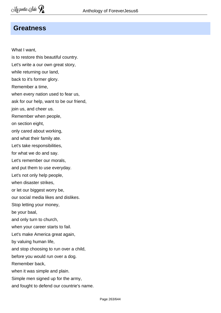#### **Greatness**

What I want, is to restore this beautiful country. Let's write a our own great story, while returning our land, back to it's former glory. Remember a time, when every nation used to fear us, ask for our help, want to be our friend, join us, and cheer us. Remember when people, on section eight, only cared about working, and what their family ate. Let's take responsibilities, for what we do and say. Let's remember our morals, and put them to use everyday. Let's not only help people, when disaster strikes, or let our biggest worry be, our social media likes and dislikes. Stop letting your money, be your baal, and only turn to church, when your career starts to fail. Let's make America great again, by valuing human life, and stop choosing to run over a child, before you would run over a dog. Remember back, when it was simple and plain. Simple men signed up for the army, and fought to defend our countrie's name.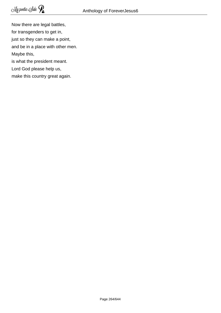Now there are legal battles,

for transgenders to get in,

just so they can make a point,

and be in a place with other men.

Maybe this,

is what the president meant.

Lord God please help us,

make this country great again.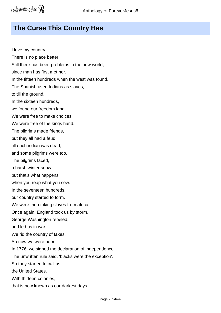## **The Curse This Country Has**

I love my country. There is no place better. Still there has been problems in the new world, since man has first met her. In the fifteen hundreds when the west was found. The Spanish used Indians as slaves, to till the ground. In the sixteen hundreds, we found our freedom land. We were free to make choices. We were free of the kings hand. The pilgrims made friends, but they all had a feud, till each indian was dead, and some pilgrims were too. The pilgrims faced, a harsh winter snow, but that's what happens, when you reap what you sew. In the seventeen hundreds, our country started to form. We were then taking slaves from africa. Once again, England took us by storm. George Washington rebeled, and led us in war. We rid the country of taxes. So now we were poor. In 1776, we signed the declaration of independence, The unwritten rule said, 'blacks were the exception'. So they started to call us, the United States. With thirteen colonies, that is now known as our darkest days.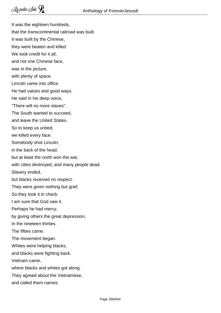It was the eighteen hundreds,

- that the transcontinental railroad was built.
- It was built by the Chinese,
- they were beaten and killed.
- We took credit for it all.
- and not one Chinese face,
- was in the picture,
- with plenty of space.
- Lincoln came into office.
- He had values and good ways.
- He said in his deep voice,
- "There will no more slaves".
- The South wanted to succeed,
- and leave the United States.
- So to keep us united,
- we killed every face.
- Somebody shot Lincoln,
- in the back of the head,
- but at least the north won the war,
- with cities destroyed, and many people dead.
- Slavery ended,
- but blacks received no respect.
- They were given nothing but grief.
- So they took it in check.
- I am sure that God saw it.
- Perhaps he had mercy,
- by giving others the great depression,
- In the nineteen thirties.
- The fifties came.
- The movement began.
- Whites were helping blacks,
- and blacks were fighting back.
- Vietnam came,
- where blacks and whites got along.
- They agreed about the Vietnamese,
- and called them names.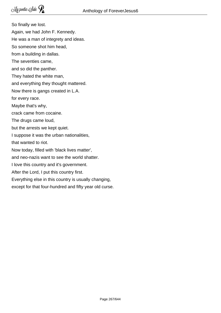So finally we lost. Again, we had John F. Kennedy. He was a man of integrety and ideas. So someone shot him head, from a building in dallas. The seventies came, and so did the panther. They hated the white man, and everything they thought mattered. Now there is gangs created in L.A. for every race. Maybe that's why, crack came from cocaine. The drugs came loud, but the arrests we kept quiet. I suppose it was the urban nationalities, that wanted to riot. Now today, filled with 'black lives matter', and neo-nazis want to see the world shatter. I love this country and it's government. After the Lord, I put this country first. Everything else in this country is usually changing, except for that four-hundred and fifty year old curse.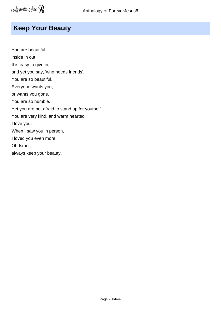## **Keep Your Beauty**

You are beautiful, inside in out. It is easy to give in, and yet you say, 'who needs friends'. You are so beautiful. Everyone wants you, or wants you gone. You are so humble. Yet you are not afraid to stand up for yourself. You are very kind, and warm hearted. I love you. When I saw you in person, I loved you even more. Oh Israel, always keep your beauty.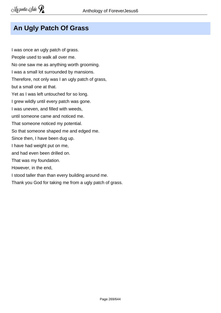## **An Ugly Patch Of Grass**

I was once an ugly patch of grass. People used to walk all over me. No one saw me as anything worth grooming. I was a small lot surrounded by mansions. Therefore, not only was I an ugly patch of grass, but a small one at that. Yet as I was left untouched for so long. I grew wildly until every patch was gone. I was uneven, and filled with weeds, until someone came and noticed me. That someone noticed my potential. So that someone shaped me and edged me. Since then, I have been dug up. I have had weight put on me, and had even been drilled on. That was my foundation. However, in the end, I stood taller than than every building around me. Thank you God for taking me from a ugly patch of grass.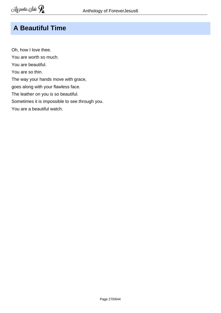## **A Beautiful Time**

Oh, how I love thee. You are worth so much. You are beautiful. You are so thin. The way your hands move with grace, goes along with your flawless face. The leather on you is so beautiful. Sometimes it is impossible to see through you. You are a beautiful watch.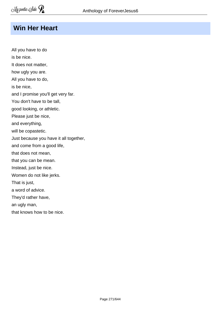## **Win Her Heart**

All you have to do is be nice. It does not matter, how ugly you are. All you have to do, is be nice, and I promise you'll get very far. You don't have to be tall, good looking, or athletic. Please just be nice, and everything, will be copastetic. Just because you have it all together, and come from a good life, that does not mean, that you can be mean. Instead, just be nice. Women do not like jerks. That is just, a word of advice. They'd rather have, an ugly man, that knows how to be nice.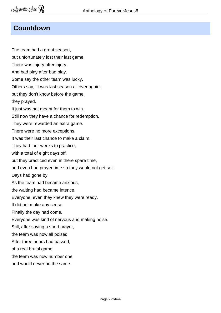#### **Countdown**

The team had a great season, but unfortunately lost their last game. There was injury after injury, And bad play after bad play. Some say the other team was lucky. Others say, 'It was last season all over again', but they don't know before the game, they prayed. It just was not meant for them to win. Still now they have a chance for redemption. They were rewarded an extra game. There were no more exceptions, It was their last chance to make a claim. They had four weeks to practice, with a total of eight days off, but they practiced even in there spare time, and even had prayer time so they would not get soft. Days had gone by. As the team had became anxious, the waiting had became intence. Everyone, even they knew they were ready. It did not make any sense. Finally the day had come. Everyone was kind of nervous and making noise. Still, after saying a short prayer, the team was now all poised. After three hours had passed, of a real brutal game, the team was now number one, and would never be the same.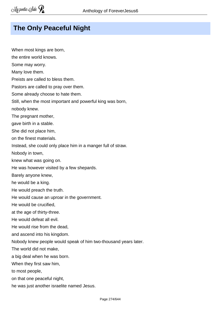# **The Only Peaceful Night**

| When most kings are born,                                       |
|-----------------------------------------------------------------|
| the entire world knows.                                         |
| Some may worry.                                                 |
| Many love them.                                                 |
| Preists are called to bless them.                               |
| Pastors are called to pray over them.                           |
| Some already choose to hate them.                               |
| Still, when the most important and powerful king was born,      |
| nobody knew.                                                    |
| The pregnant mother,                                            |
| gave birth in a stable.                                         |
| She did not place him,                                          |
| on the finest materials.                                        |
| Instead, she could only place him in a manger full of straw.    |
| Nobody in town,                                                 |
| knew what was going on.                                         |
| He was however visited by a few shepards.                       |
| Barely anyone knew,                                             |
| he would be a king.                                             |
| He would preach the truth.                                      |
| He would cause an uproar in the government.                     |
| He would be crucified,                                          |
| at the age of thirty-three.                                     |
| He would defeat all evil.                                       |
| He would rise from the dead,                                    |
| and ascend into his kingdom.                                    |
| Nobody knew people would speak of him two-thousand years later. |
| The world did not make,                                         |
| a big deal when he was born.                                    |
| When they first saw him,                                        |
| to most people,                                                 |
| on that one peaceful night,                                     |
| he was just another israelite named Jesus.                      |
|                                                                 |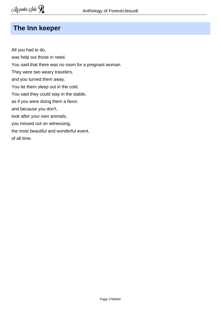## **The Inn keeper**

All you had to do, was help out those in need. You said that there was no room for a pregnant woman. They were two weary travelers, and you turned them away. You let them sleep out in the cold. You said they could stay in the stable, as if you were doing them a favor, and because you don't, look after your own animals, you missed out on witnessing, the most beautiful and wonderful event, of all time.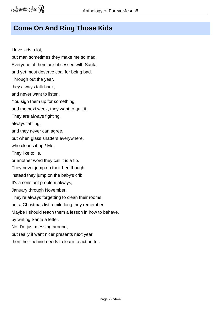## **Come On And Ring Those Kids**

I love kids a lot, but man sometimes they make me so mad. Everyone of them are obsessed with Santa, and yet most deserve coal for being bad. Through out the year, they always talk back, and never want to listen. You sign them up for something, and the next week, they want to quit it. They are always fighting, always tattling, and they never can agree, but when glass shatters everywhere, who cleans it up? Me. They like to lie, or another word they call it is a fib. They never jump on their bed though, instead they jump on the baby's crib. It's a constant problem always, January through November. They're always forgetting to clean their rooms, but a Christmas list a mile long they remember. Maybe I should teach them a lesson in how to behave, by writing Santa a letter. No, I'm just messing around, but really if want nicer presents next year, then their behind needs to learn to act better.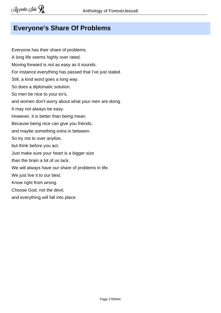## **Everyone's Share Of Problems**

Everyone has their share of problems. A long life seems highly over rated. Moving forward is not as easy as it sounds. For instance everything has passed that I've just stated. Still, a kind word goes a long way. So does a diplomatic solution. So men be nice to your ex's, and women don't worry about what your men are doing. It may not always be easy. However, it is better than being mean. Because being nice can give you friends, and maybe something extra in between. So try not to over anylize, but think before you act. Just make sure your heart is a bigger size than the brain a lot of us lack. We will always have our share of problems in life. We just live it to our best. Know right from wrong. Choose God, not the devil, and everything will fall into place.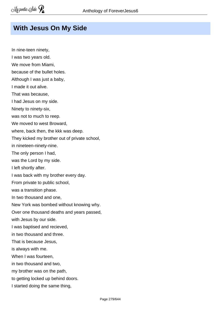## **With Jesus On My Side**

In nine-teen ninety, I was two years old. We move from Miami. because of the bullet holes. Although I was just a baby. I made it out alive. That was because, I had Jesus on my side. Ninety to ninety-six, was not to much to reep. We moved to west Broward, where, back then, the kkk was deep. They kicked my brother out of private school, in nineteen-ninety-nine. The only person I had, was the Lord by my side. I left shortly after. I was back with my brother every day. From private to public school, was a transition phase. In two thousand and one, New York was bombed without knowing why. Over one thousand deaths and years passed, with Jesus by our side. I was baptised and recieved, in two thousand and three. That is because Jesus, is always with me. When I was fourteen, in two thousand and two, my brother was on the path, to getting locked up behind doors. I started doing the same thing,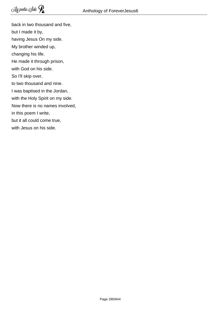back in two thousand and five, but I made it by, having Jesus On my side. My brother winded up, changing his life. He made it through prison, with God on his side. So I'll skip over, to two thousand and nine. I was baptised in the Jordan, with the Holy Spirit on my side. Now there is no names involved, in this poem I write, but it all could come true, with Jesus on his side.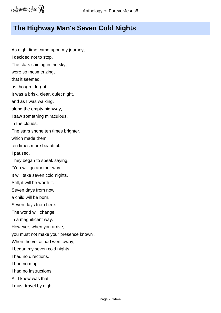## **The Highway Man's Seven Cold Nights**

As night time came upon my journey, I decided not to stop. The stars shining in the sky, were so mesmerizing, that it seemed, as though I forgot. It was a brisk, clear, quiet night, and as I was walking, along the empty highway, I saw something miraculous, in the clouds. The stars shone ten times brighter, which made them, ten times more beautiful. I paused. They began to speak saying, "You will go another way. It will take seven cold nights. Still, it will be worth it. Seven days from now, a child will be born. Seven days from here. The world will change, in a magnificent way. However, when you arrive, you must not make your presence known". When the voice had went away, I began my seven cold nights. I had no directions. I had no map. I had no instructions. All I knew was that, I must travel by night.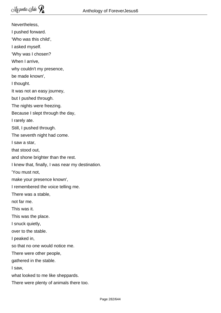Nevertheless, I pushed forward. 'Who was this child', I asked myself. 'Why was I chosen? When I arrive, why couldn't my presence, be made known', I thought. It was not an easy journey, but I pushed through. The nights were freezing. Because I slept through the day, I rarely ate. Still, I pushed through. The seventh night had come. I saw a star, that stood out, and shone brighter than the rest. I knew that, finally, I was near my destination. 'You must not, make your presence known', I remembered the voice telling me. There was a stable, not far me. This was it. This was the place. I snuck quietly, over to the stable. I peaked in, so that no one would notice me. There were other people, gathered in the stable. I saw, what looked to me like sheppards. There were plenty of animals there too.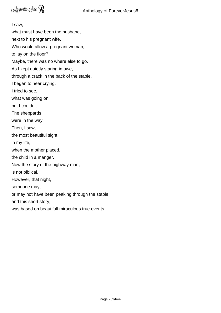I saw, what must have been the husband, next to his pregnant wife. Who would allow a pregnant woman, to lay on the floor? Maybe, there was no where else to go. As I kept quietly staring in awe, through a crack in the back of the stable. I began to hear crying. I tried to see, what was going on, but I couldn't. The sheppards, were in the way. Then, I saw, the most beautiful sight, in my life, when the mother placed, the child in a manger. Now the story of the highway man, is not biblical. However, that night, someone may, or may not have been peaking through the stable, and this short story, was based on beautifull miraculous true events.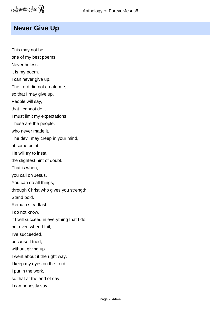### **Never Give Up**

This may not be one of my best poems. Nevertheless, it is my poem. I can never give up. The Lord did not create me, so that I may give up. People will say, that I cannot do it. I must limit my expectations. Those are the people, who never made it. The devil may creep in your mind, at some point. He will try to install, the slightest hint of doubt. That is when, you call on Jesus. You can do all things, through Christ who gives you strength. Stand bold. Remain steadfast. I do not know, if I will succeed in everything that I do, but even when I fail, I've succeeded, because I tried, without giving up. I went about it the right way. I keep my eyes on the Lord. I put in the work, so that at the end of day, I can honestly say,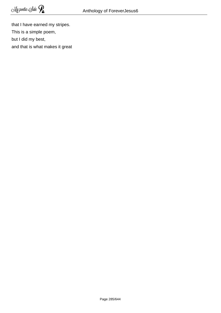that I have earned my stripes. This is a simple poem, but I did my best, and that is what makes it great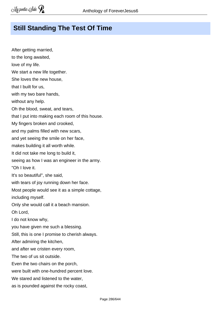## **Still Standing The Test Of Time**

After getting married, to the long awaited, love of my life. We start a new life together. She loves the new house, that I built for us, with my two bare hands, without any help. Oh the blood, sweat, and tears, that I put into making each room of this house. My fingers broken and crooked, and my palms filled with new scars, and yet seeing the smile on her face, makes building it all worth while. It did not take me long to build it, seeing as how I was an engineer in the army. "Oh I love it. It's so beautiful", she said, with tears of joy running down her face. Most people would see it as a simple cottage, including myself. Only she would call it a beach mansion. Oh Lord, I do not know why, you have given me such a blessing. Still, this is one I promise to cherish always. After admiring the kitchen, and after we cristen every room, The two of us sit outside. Even the two chairs on the porch, were built with one-hundred percent love. We stared and listened to the water, as is pounded against the rocky coast,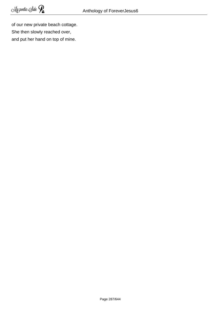of our new private beach cottage. She then slowly reached over, and put her hand on top of mine.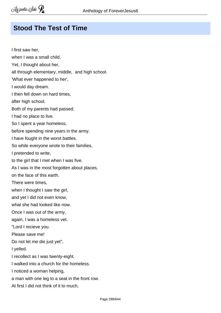## **Stood The Test of Time**

I first saw her, when I was a small child. Yet, I thought about her, all through elementary, middle, and high school. 'What ever happened to her', I would day dream. I then fell down on hard times, after high school. Both of my parents had passed. I had no place to live. So I spent a year homeless, before spending nine years in the army. I have fought in the worst battles. So while everyone wrote to their families, I pretended to write, to the girl that I met when I was five. As I was in the most forgotten about places, on the face of this earth. There were times, when I thought I saw the girl, and yet I did not even know, what she had looked like now. Once I was out of the army, again, I was a homeless vet. "Lord I recieve you. Please save me! Do not let me die just yet", I yelled. I recollect as I was twenty-eight. I walked into a church for the homeless. I noticed a woman helping, a man with one leg to a seat in the front row. At first I did not think of it to much,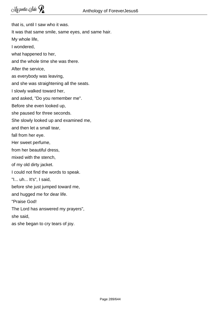that is, until I saw who it was. It was that same smile, same eyes, and same hair. My whole life, I wondered, what happened to her, and the whole time she was there. After the service, as everybody was leaving, and she was straightening all the seats. I slowly walked toward her, and asked, "Do you remember me". Before she even looked up, she paused for three seconds. She slowly looked up and examined me, and then let a small tear, fall from her eye. Her sweet perfume, from her beautiful dress, mixed with the stench, of my old dirty jacket. I could not find the words to speak. "I... uh... It's", I said, before she just jumped toward me, and hugged me for dear life. "Praise God! The Lord has answered my prayers", she said, as she began to cry tears of joy.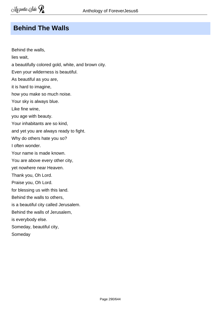### **Behind The Walls**

Behind the walls, lies wait, a beautifully colored gold, white, and brown city. Even your wilderness is beautiful. As beautiful as you are, it is hard to imagine, how you make so much noise. Your sky is always blue. Like fine wine, you age with beauty. Your inhabitants are so kind, and yet you are always ready to fight. Why do others hate you so? I often wonder. Your name is made known. You are above every other city, yet nowhere near Heaven. Thank you, Oh Lord. Praise you, Oh Lord. for blessing us with this land. Behind the walls to others, is a beautiful city called Jerusalem. Behind the walls of Jerusalem, is everybody else. Someday, beautiful city, Someday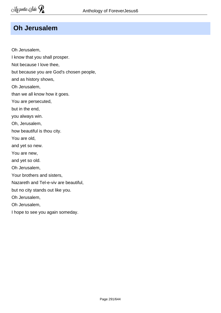### **Oh Jerusalem**

Oh Jerusalem, I know that you shall prosper. Not because I love thee, but because you are God's chosen people, and as history shows, Oh Jerusalem, than we all know how it goes. You are persecuted, but in the end, you always win. Oh, Jerusalem, how beautiful is thou city. You are old, and yet so new. You are new, and yet so old. Oh Jerusalem, Your brothers and sisters, Nazareth and Tel-e-viv are beautiful, but no city stands out like you. Oh Jerusalem, Oh Jerusalem, I hope to see you again someday.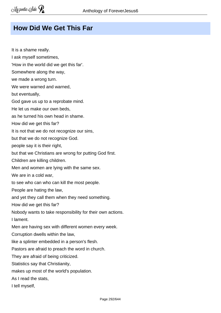#### **How Did We Get This Far**

It is a shame really. I ask myself sometimes, 'How in the world did we get this far'. Somewhere along the way, we made a wrong turn. We were warned and warned, but eventually, God gave us up to a reprobate mind. He let us make our own beds, as he turned his own head in shame. How did we get this far? It is not that we do not recognize our sins, but that we do not recognize God. people say it is their right, but that we Christians are wrong for putting God first. Children are killing children. Men and women are lying with the same sex. We are in a cold war. to see who can who can kill the most people. People are hating the law, and yet they call them when they need something. How did we get this far? Nobody wants to take responsibility for their own actions. I lament. Men are having sex with different women every week. Corruption dwells within the law, like a splinter embedded in a person's flesh. Pastors are afraid to preach the word in church. They are afraid of being criticized. Statistics say that Christianity, makes up most of the world's population. As I read the stats, I tell myself,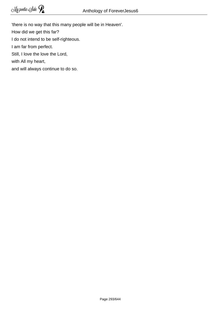'there is no way that this many people will be in Heaven'.

How did we get this far?

I do not intend to be self-righteous.

I am far from perfect.

Still, I love the love the Lord,

with All my heart,

and will always continue to do so.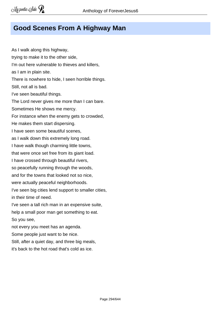### **Good Scenes From A Highway Man**

As I walk along this highway, trying to make it to the other side, I'm out here vulnerable to thieves and killers, as I am in plain site. There is nowhere to hide, I seen horrible things. Still, not all is bad. I've seen beautiful things. The Lord never gives me more than I can bare. Sometimes He shows me mercy. For instance when the enemy gets to crowded, He makes them start dispersing. I have seen some beautiful scenes, as I walk down this extremely long road. I have walk though charming little towns, that were once set free from its giant load. I have crossed through beautiful rivers, so peacefully running through the woods, and for the towns that looked not so nice, were actually peaceful neighborhoods. I've seen big cities lend support to smaller cities, in their time of need. I've seen a tall rich man in an expensive suite, help a small poor man get something to eat. So you see, not every you meet has an agenda. Some people just want to be nice. Still, after a quiet day, and three big meals, it's back to the hot road that's cold as ice.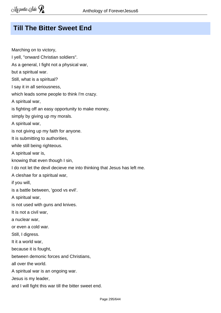#### **Till The Bitter Sweet End**

Marching on to victory, I yell, "onward Christian soldiers". As a general, I fight not a physical war, but a spiritual war. Still, what is a spiritual? I say it in all seriousness, which leads some people to think I'm crazy. A spiritual war, is fighting off an easy opportunity to make money, simply by giving up my morals. A spiritual war, is not giving up my faith for anyone. It is submitting to authorities, while still being righteous. A spiritual war is, knowing that even though I sin, I do not let the devil decieve me into thinking that Jesus has left me. A cleshae for a spiritual war, if you will, is a battle between, 'good vs evil'. A spiritual war, is not used with guns and knives. It is not a civil war, a nuclear war, or even a cold war. Still, I digress. It it a world war, because it is fought, between demonic forces and Christians, all over the world. A spiritual war is an ongoing war. Jesus is my leader, and I will fight this war till the bitter sweet end.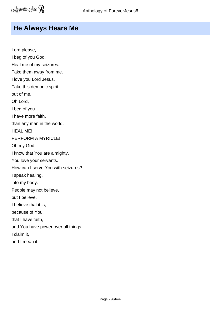# **He Always Hears Me**

Lord please, I beg of you God. Heal me of my seizures. Take them away from me. I love you Lord Jesus. Take this demonic spirit, out of me. Oh Lord, I beg of you. I have more faith, than any man in the world. HEAL ME! PERFORM A MYRICLE! Oh my God, I know that You are almighty. You love your servants. How can I serve You with seizures? I speak healing, into my body. People may not believe, but I believe. I believe that it is, because of You, that I have faith, and You have power over all things. I claim it, and I mean it.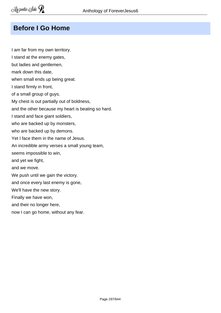#### **Before I Go Home**

I am far from my own territory. I stand at the enemy gates, but ladies and gentlemen, mark down this date, when small ends up being great. I stand firmly in front, of a small group of guys. My chest is out partially out of boldness, and the other because my heart is beating so hard. I stand and face giant soldiers, who are backed up by monsters, who are backed up by demons. Yet I face them in the name of Jesus. An incredible army verses a small young team, seems impossible to win, and yet we fight, and we move. We push until we gain the victory. and once every last enemy is gone, We'll have the new story. Finally we have won, and their no longer here, now I can go home, without any fear.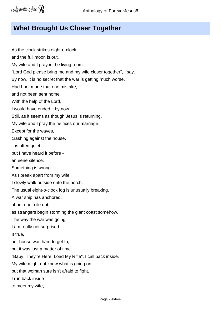### **What Brought Us Closer Together**

As the clock strikes eight-o-clock, and the full moon is out, My wife and I pray in the living room. "Lord God please bring me and my wife closer together", I say. By now, it is no secret that the war is getting much worse. Had I not made that one mistake, and not been sent home, With the help of the Lord, I would have ended it by now. Still, as it seems as though Jesus is returning, My wife and I pray the he fixes our marriage. Except for the waves, crashing against the house, it is often quiet, but I have heard it before an eerie silence. Something is wrong. As I break apart from my wife, I slowly walk outside onto the porch. The usual eight-o-clock fog is unusually breaking. A war ship has anchored, about one mile out, as strangers begin storming the giant coast somehow. The way the war was going, I am really not surprised. It true, our house was hard to get to, but it was just a matter of time. "Baby, They're Here! Load My Rifle", I call back inside. My wife might not know what is going on, but that woman sure isn't afraid to fight. I run back inside to meet my wife,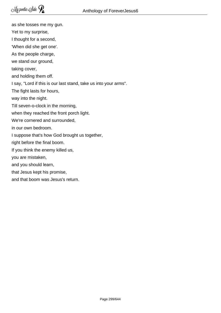as she tosses me my gun. Yet to my surprise, I thought for a second, 'When did she get one'. As the people charge, we stand our ground, taking cover, and holding them off. I say, "Lord if this is our last stand, take us into your arms". The fight lasts for hours, way into the night. Till seven-o-clock in the morning, when they reached the front porch light. We're cornered and surrounded, in our own bedroom. I suppose that's how God brought us together, right before the final boom. If you think the enemy killed us, you are mistaken, and you should learn, that Jesus kept his promise, and that boom was Jesus's return.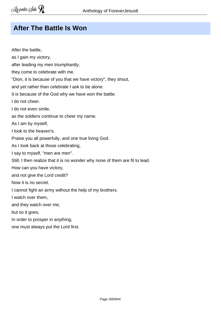### **After The Battle Is Won**

After the battle, as I gain my victory, after leading my men triumphantly, they come to celebrate with me. "Dion, it is because of you that we have victory", they shout, and yet rather than celebrate I ask to be alone. It is because of the God why we have won the battle. I do not cheer. I do not even smile, as the soldiers continue to cheer my name. As I am by myself, I look to the heaven's. Praise you all powerfully, and one true living God. As I look back at those celebrating, I say to myself, "men are men". Still, I then realize that it is no wonder why none of them are fit to lead. How can you have victory, and not give the Lord credit? Now it is no secret. I cannot fight an army without the help of my brothers. I watch over them, and they watch over me, but so it goes, In order to prosper in anything, one must always put the Lord first.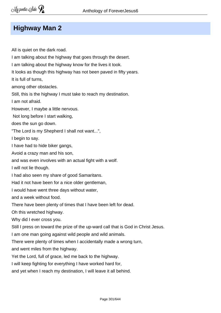#### **Highway Man 2**

All is quiet on the dark road. I am talking about the highway that goes through the desert. I am talking about the highway know for the lives it took. It looks as though this highway has not been paved in fifty years. It is full of turns, among other obstacles. Still, this is the highway I must take to reach my destination. I am not afraid. However, I maybe a little nervous. Not long before I start walking, does the sun go down. "The Lord is my Shepherd I shall not want...", I begin to say. I have had to hide biker gangs, Avoid a crazy man and his son, and was even involves with an actual fight with a wolf. I will not lie though. I had also seen my share of good Samaritans. Had it not have been for a nice older gentleman, I would have went three days without water, and a week without food. There have been plenty of times that I have been left for dead. Oh this wretched highway. Why did I ever cross you. Still I press on toward the prize of the up-ward call that is God in Christ Jesus. I am one man going against wild people and wild animals. There were plenty of times when I accidentally made a wrong turn, and went miles from the highway. Yet the Lord, full of grace, led me back to the highway. I will keep fighting for everything I have worked hard for, and yet when I reach my destination, I will leave it all behind.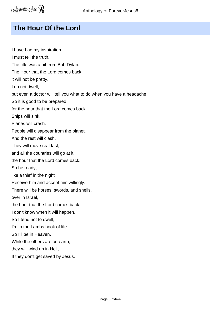### **The Hour Of the Lord**

I have had my inspiration. I must tell the truth. The title was a bit from Bob Dylan. The Hour that the Lord comes back, it will not be pretty. I do not dwell, but even a doctor will tell you what to do when you have a headache. So it is good to be prepared, for the hour that the Lord comes back. Ships will sink. Planes will crash. People will disappear from the planet, And the rest will clash. They will move real fast, and all the countries will go at it. the hour that the Lord comes back. So be ready, like a thief in the night Receive him and accept him willingly. There will be horses, swords, and shells, over in Israel, the hour that the Lord comes back. I don't know when it will happen. So I tend not to dwell, I'm in the Lambs book of life. So I'll be in Heaven. While the others are on earth, they will wind up in Hell, If they don't get saved by Jesus.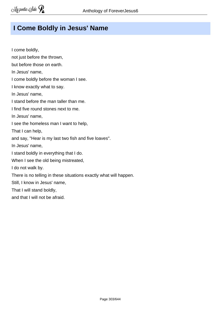# **I Come Boldly in Jesus' Name**

I come boldly, not just before the thrown, but before those on earth. In Jesus' name, I come boldly before the woman I see. I know exactly what to say. In Jesus' name, I stand before the man taller than me. I find five round stones next to me. In Jesus' name, I see the homeless man I want to help, That I can help, and say, "Hear is my last two fish and five loaves". In Jesus' name, I stand boldly in everything that I do. When I see the old being mistreated, I do not walk by. There is no telling in these situations exactly what will happen. Still, I know in Jesus' name, That I will stand boldly, and that I will not be afraid.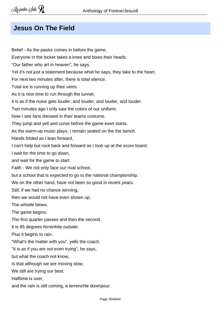# **Jesus On The Field**

Belief - As the pastor comes in before the game, Everyone in the locker takes a knee and bows their heads. "Our father who art in heaven", he says. Yet it's not just a statement because what he says, they take to the heart. For next two minutes after, there is total silence. Total ice is running up their veins. As it is now time to run through the tunnel, it is as if the noise gets louder, and louder, and louder, and louder. Two minutes ago I only saw the colors of our uniform. Now I see fans dressed in their teams costume. They jump and yell and curse before the game even starts. As the warm-up music plays, I remain seated on the the bench. Hands folded as I lean forward, I can't help but rock back and forward as I look up at the score board. I wait for the time to go down, and wait for the game to start. Faith - We not only face our rival school, but a school that is expected to go to the national championship. We on the other hand, have not been so good in recent years. Still, if we had no chance winning, then we would not have even shown up. The whistle blows. The game begins. The first quarter passes and then the second. It is 85 degrees ferrenhite outside. Plus it begins to rain. "What's the matter with you", yells the coach. "It is as if you are not even trying", he says, but what the coach not know, Is that although we are moving slow, We still are trying our best. Halftime is over,

and the rain is still coming, a terrenchle downpour.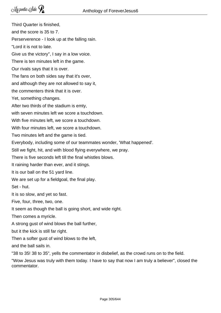Third Quarter is finished, and the score is 35 to 7. Perserverence - I look up at the falling rain. "Lord it is not to late. Give us the victory", I say in a low voice. There is ten minutes left in the game. Our rivals says that it is over. The fans on both sides say that it's over, and although they are not allowed to say it, the commenters think that it is over. Yet, something changes. After two thirds of the stadium is emty, with seven minutes left we score a touchdown. With five minutes left, we score a touchdown. With four minutes left, we score a touchdown. Two minutes left and the game is tied. Everybody, including some of our teammates wonder, 'What happened'. Still we fight, hit, and with blood flying everywhere, we pray. There is five seconds left till the final whistles blows. It raining harder than ever, and it stings. It is our ball on the 51 yard line. We are set up for a fieldgoal, the final play. Set - hut. It is so slow, and yet so fast. Five, four, three, two, one. It seem as though the ball is going short, and wide right. Then comes a myricle. A strong gust of wind blows the ball further, but it the kick is still far right. Then a softer gust of wind blows to the left, and the ball sails in. "38 to 35! 38 to 35", yells the commentator in disbelief, as the crowd runs on to the field.

"Wow Jesus was truly with them today. I have to say that now I am truly a believer", closed the commentator.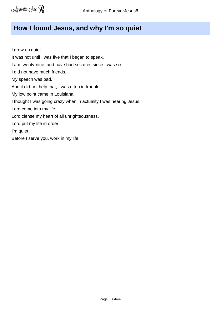### **How I found Jesus, and why I'm so quiet**

I grew up quiet. It was not until I was five that I began to speak. I am twenty-nine, and have had seizures since I was six. I did not have much friends. My speech was bad. And it did not help that, I was often in trouble. My low point came in Louisiana. I thought I was going crazy when in actuality I was hearing Jesus. Lord come into my life. Lord clense my heart of all unrighteousness. Lord put my life in order. I'm quiet. Before I serve you, work in my life.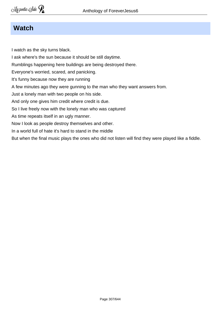#### **Watch**

I watch as the sky turns black. I ask where's the sun because it should be still daytime. Rumblings happening here buildings are being destroyed there. Everyone's worried, scared, and panicking. It's funny because now they are running A few minutes ago they were gunning to the man who they want answers from. Just a lonely man with two people on his side. And only one gives him credit where credit is due. So I live freely now with the lonely man who was captured As time repeats itself in an ugly manner. Now I look as people destroy themselves and other. In a world full of hate it's hard to stand in the middle But when the final music plays the ones who did not listen will find they were played like a fiddle.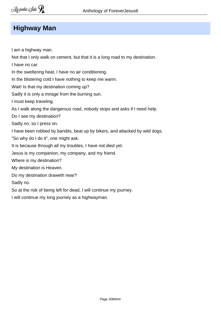#### **Highway Man**

I am a highway man.

Not that I only walk on cement, but that it is a long road to my destination.

I have no car.

In the sweltering heat, I have no air conditioning.

In the blistering cold I have nothing to keep me warm.

Wait! Is that my destination coming up?

Sadly it is only a mirage from the burning sun.

I must keep traveling.

As I walk along the dangerous road, nobody stops and asks if I need help.

Do I see my destination?

Sadly no, so I press on.

I have been robbed by bandits, beat up by bikers, and attacked by wild dogs.

"So why do I do it", one might ask.

It is because through all my troubles, I have not died yet.

Jesus is my companion, my company, and my friend.

Where is my destination?

My destination is Heaven.

Do my destination draweth near?

Sadly no.

So at the risk of being left for dead, I will continue my journey.

I will continue my long journey as a highwayman.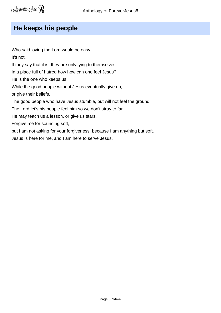### **He keeps his people**

Who said loving the Lord would be easy. It's not. It they say that it is, they are only lying to themselves. In a place full of hatred how how can one feel Jesus? He is the one who keeps us. While the good people without Jesus eventually give up, or give their beliefs. The good people who have Jesus stumble, but will not feel the ground. The Lord let's his people feel him so we don't stray to far. He may teach us a lesson, or give us stars. Forgive me for sounding soft, but I am not asking for your forgiveness, because I am anything but soft. Jesus is here for me, and I am here to serve Jesus.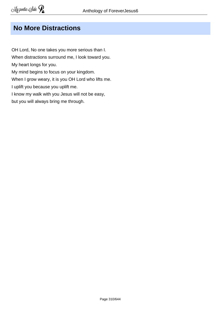## **No More Distractions**

OH Lord, No one takes you more serious than I. When distractions surround me, I look toward you. My heart longs for you. My mind begins to focus on your kingdom. When I grow weary, it is you OH Lord who lifts me. I uplift you because you uplift me. I know my walk with you Jesus will not be easy, but you will always bring me through.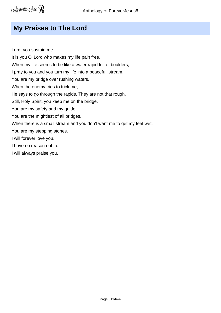#### **My Praises to The Lord**

Lord, you sustain me.

It is you O' Lord who makes my life pain free. When my life seems to be like a water rapid full of boulders, I pray to you and you turn my life into a peacefull stream. You are my bridge over rushing waters. When the enemy tries to trick me, He says to go through the rapids. They are not that rough. Still, Holy Spirit, you keep me on the bridge. You are my safety and my guide. You are the mightiest of all bridges. When there is a small stream and you don't want me to get my feet wet, You are my stepping stones. I will forever love you. I have no reason not to. I will always praise you.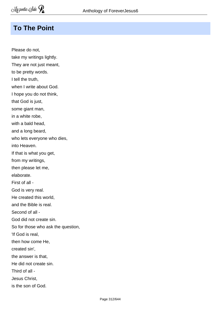### **To The Point**

Please do not, take my writings lightly. They are not just meant, to be pretty words. I tell the truth, when I write about God. I hope you do not think, that God is just, some giant man, in a white robe, with a bald head, and a long beard, who lets everyone who dies, into Heaven. If that is what you get, from my writings, then please let me, elaborate. First of all - God is very real. He created this world, and the Bible is real. Second of all - God did not create sin. So for those who ask the question, 'If God is real, then how come He, created sin', the answer is that, He did not create sin. Third of all - Jesus Christ, is the son of God.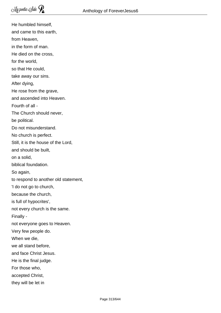He humbled himself, and came to this earth, from Heaven, in the form of man. He died on the cross, for the world, so that He could, take away our sins. After dying, He rose from the grave, and ascended into Heaven. Fourth of all - The Church should never, be political. Do not misunderstand. No church is perfect. Still, it is the house of the Lord, and should be built, on a solid, biblical foundation. So again, to respond to another old statement, 'I do not go to church, because the church, is full of hypocrites', not every church is the same. Finally not everyone goes to Heaven. Very few people do. When we die, we all stand before, and face Christ Jesus. He is the final judge. For those who, accepted Christ, they will be let in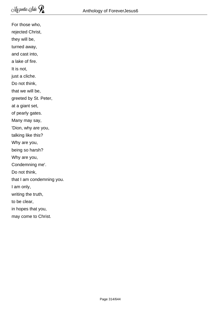| For those who,            |
|---------------------------|
| rejected Christ,          |
| they will be,             |
| turned away,              |
| and cast into,            |
| a lake of fire.           |
| It is not,                |
| just a cliche.            |
| Do not think,             |
| that we will be,          |
| greeted by St. Peter,     |
| at a giant set,           |
| of pearly gates.          |
| Many may say,             |
| 'Dion, why are you,       |
| talking like this?        |
| Why are you,              |
| being so harsh?           |
| Why are you,              |
| Condemning me'.           |
| Do not think,             |
| that I am condemning you. |
| I am only,                |
| writing the truth,        |
| to be clear,              |
| in hopes that you,        |
| may come to Christ.       |
|                           |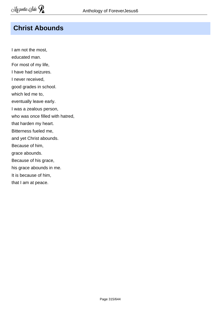# **Christ Abounds**

I am not the most, educated man. For most of my life, I have had seizures. I never received, good grades in school. which led me to, eventually leave early. I was a zealous person, who was once filled with hatred, that harden my heart. Bitterness fueled me, and yet Christ abounds. Because of him, grace abounds. Because of his grace, his grace abounds in me. It is because of him, that I am at peace.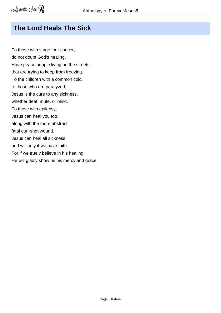#### **The Lord Heals The Sick**

To those with stage four cancer, do not doubt God's healing. Have peace people living on the streets, that are trying to keep from freezing. To the children with a common cold, to those who are paralyzed, Jesus is the cure to any sickness, whether deaf, mute, or blind. To those with epilepsy, Jesus can heal you too, along with the more abstract, fatal gun-shot wound. Jesus can heal all sickness, and will only if we have faith. For if we truely believe in his healing, He will gladly show us his mercy and grace.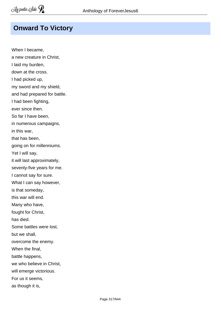### **Onward To Victory**

When I became, a new creature in Christ, I laid my burden, down at the cross. I had picked up, my sword and my shield, and had prepared for battle. I had been fighting, ever since then. So far I have been, in numerous campaigns, in this war, that has been, going on for millenniums. Yet I will say, it will last approximately, seventy-five years for me. I cannot say for sure. What I can say however, is that someday, this war will end. Many who have, fought for Christ, has died. Some battles were lost, but we shall, overcome the enemy. When the final, battle happens, we who believe in Christ, will emerge victorious. For us it seems, as though it is,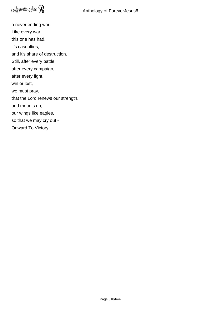a never ending war. Like every war, this one has had, it's casualties, and it's share of destruction. Still, after every battle, after every campaign, after every fight, win or lost, we must pray, that the Lord renews our strength, and mounts up, our wings like eagles, so that we may cry out - Onward To Victory!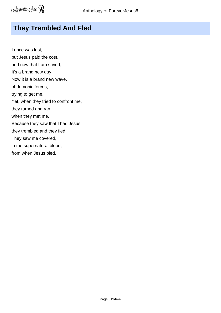### **They Trembled And Fled**

I once was lost, but Jesus paid the cost, and now that I am saved, It's a brand new day. Now it is a brand new wave, of demonic forces, trying to get me. Yet, when they tried to confront me, they turned and ran, when they met me. Because they saw that I had Jesus, they trembled and they fled. They saw me covered, in the supernatural blood, from when Jesus bled.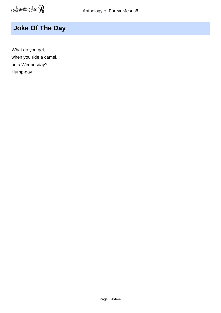# **Joke Of The Day**

What do you get, when you ride a camel, on a Wednesday? Hump-day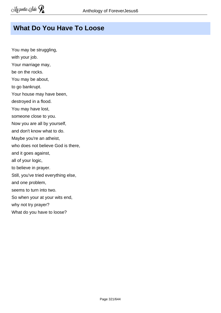### **What Do You Have To Loose**

You may be struggling, with your job. Your marriage may, be on the rocks. You may be about, to go bankrupt. Your house may have been, destroyed in a flood. You may have lost, someone close to you. Now you are all by yourself, and don't know what to do. Maybe you're an atheist, who does not believe God is there, and it goes against, all of your logic, to believe in prayer. Still, you've tried everything else, and one problem, seems to turn into two. So when your at your wits end, why not try prayer? What do you have to loose?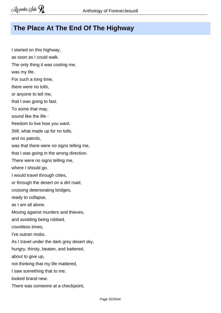## **The Place At The End Of The Highway**

I started on this highway, as soon as I could walk. The only thing it was costing me, was my life. For such a long time, there were no tolls, or anyone to tell me, that I was going to fast. To some that may, sound like the life freedom to live how you want. Still, what made up for no tolls, and no patrols, was that there were no signs telling me, that I was going in the wrong direction. There were no signs telling me, where I should go. I would travel through cities, or through the desert on a dirt road, crossing deteriorating bridges, ready to collapse, as I am all alone. Moving against murders and thieves, and avoiding being robbed, countless times, I've outran mobs. As I travel under the dark grey desert sky, hungry, thirsty, beaten, and battered, about to give up, not thinking that my life mattered, I saw something that to me, looked brand new. There was someone at a checkpoint,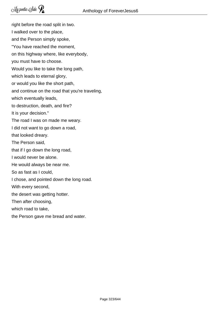right before the road split in two. I walked over to the place, and the Person simply spoke, "You have reached the moment, on this highway where, like everybody, you must have to choose. Would you like to take the long path, which leads to eternal glory, or would you like the short path, and continue on the road that you're traveling, which eventually leads, to destruction, death, and fire? It is your decision." The road I was on made me weary. I did not want to go down a road, that looked dreary. The Person said, that if I go down the long road, I would never be alone. He would always be near me. So as fast as I could, I chose, and pointed down the long road. With every second, the desert was getting hotter. Then after choosing, which road to take, the Person gave me bread and water.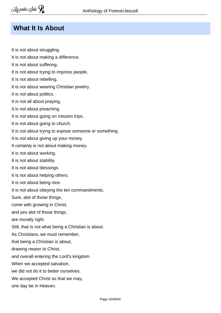# **What It Is About**

| It is not about struggling.                            |
|--------------------------------------------------------|
| It is not about making a difference.                   |
| It is not about suffering.                             |
| It is not about trying to impress people.              |
| It is not about rebelling.                             |
| It is not about wearing Christian jewelry.             |
| It is not about politics.                              |
| It is not all about praying.                           |
| It is not about preaching.                             |
| It is not about going on mission trips.                |
| It is not about going to church.                       |
| It is not about trying to expose someone or something. |
| It is not about giving up your money.                  |
| It certainly is not about making money.                |
| It is not about working.                               |
| It is not about stability.                             |
| It is not about blessings.                             |
| It is not about helping others.                        |
| It is not about being nice.                            |
| It is not about obeying the ten commandments.          |
| Sure, alot of those things,                            |
| come with growing in Christ,                           |
| and yes alot of those things,                          |
| are morally right.                                     |
| Still, that is not what being a Christian is about.    |
| As Christians, we must remember,                       |
| that being a Christian is about,                       |
| drawing nearer to Christ,                              |
| and overall entering the Lord's kingdom.               |
| When we accepted salvation,                            |
| we did not do it to better ourselves.                  |
| We accepted Christ so that we may,                     |
| one day be in Heaven.                                  |
|                                                        |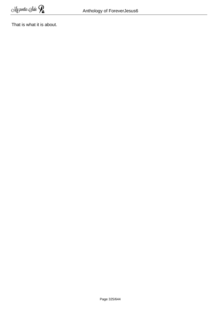That is what it is about.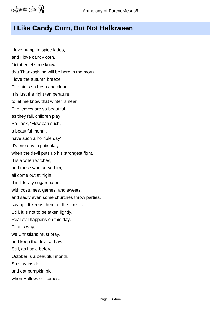### **I Like Candy Corn, But Not Halloween**

I love pumpkin spice lattes, and I love candy corn. October let's me know, that Thanksgiving will be here in the morn'. I love the autumn breeze. The air is so fresh and clear. It is just the right temperature, to let me know that winter is near. The leaves are so beautiful, as they fall, children play. So I ask, "How can such, a beautiful month, have such a horrible day". It's one day in paticular, when the devil puts up his strongest fight. It is a when witches, and those who serve him, all come out at night. It is litteraly sugarcoated, with costumes, games, and sweets, and sadly even some churches throw parties, saying, 'It keeps them off the streets'. Still, it is not to be taken lightly. Real evil happens on this day. That is why, we Christians must pray, and keep the devil at bay. Still, as I said before, October is a beautiful month. So stay inside, and eat pumpkin pie, when Halloween comes.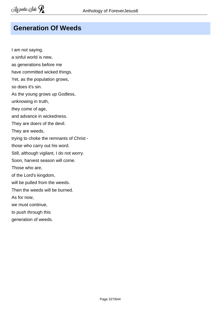#### **Generation Of Weeds**

I am not saying, a sinful world is new, as generations before me have committed wicked things. Yet, as the population grows, so does it's sin. As the young grows up Godless, unknowing in truth, they come of age, and advance in wickedness. They are doers of the devil. They are weeds, trying to choke the remnants of Christ those who carry out his word. Still, although vigilant, I do not worry. Soon, harvest season will come. Those who are, of the Lord's kingdom, will be pulled from the weeds. Then the weeds will be burned. As for now, we must continue, to push through this generation of weeds.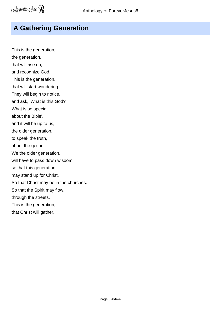### **A Gathering Generation**

This is the generation, the generation, that will rise up, and recognize God. This is the generation, that will start wondering. They will begin to notice, and ask, 'What is this God? What is so special, about the Bible', and it will be up to us, the older generation, to speak the truth, about the gospel. We the older generation, will have to pass down wisdom, so that this generation, may stand up for Christ. So that Christ may be in the churches. So that the Spirit may flow, through the streets. This is the generation, that Christ will gather.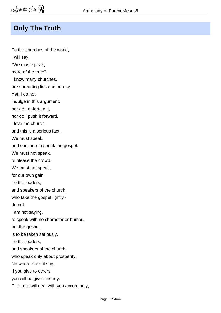### **Only The Truth**

To the churches of the world, I will say, "We must speak, more of the truth". I know many churches, are spreading lies and heresy. Yet, I do not, indulge in this argument, nor do I entertain it, nor do I push it forward. I love the church, and this is a serious fact. We must speak, and continue to speak the gospel. We must not speak, to please the crowd. We must not speak, for our own gain. To the leaders, and speakers of the church, who take the gospel lightly do not. I am not saying, to speak with no character or humor, but the gospel, is to be taken seriously. To the leaders, and speakers of the church, who speak only about prosperity, No where does it say, If you give to others, you will be given money. The Lord will deal with you accordingly,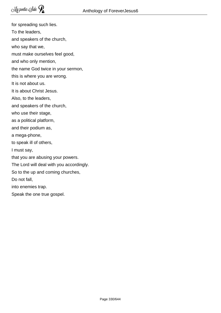for spreading such lies. To the leaders, and speakers of the church, who say that we, must make ourselves feel good, and who only mention, the name God twice in your sermon, this is where you are wrong. It is not about us. It is about Christ Jesus. Also, to the leaders, and speakers of the church, who use their stage, as a political platform, and their podium as, a mega-phone, to speak ill of others, I must say, that you are abusing your powers. The Lord will deal with you accordingly. So to the up and coming churches, Do not fall, into enemies trap. Speak the one true gospel.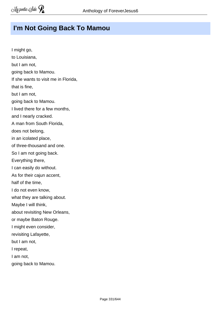### **I'm Not Going Back To Mamou**

I might go, to Louisiana, but I am not, going back to Mamou. If she wants to visit me in Florida, that is fine, but I am not, going back to Mamou. I lived there for a few months, and I nearly cracked. A man from South Florida, does not belong, in an icolated place, of three-thousand and one. So I am not going back. Everything there, I can easily do without. As for their cajun accent, half of the time, I do not even know, what they are talking about. Maybe I will think, about revisiting New Orleans, or maybe Baton Rouge. I might even consider, revisiting Lafayette, but I am not, I repeat, I am not, going back to Mamou.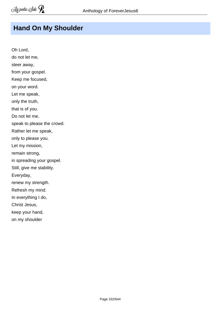### **Hand On My Shoulder**

Oh Lord, do not let me, steer away, from your gospel. Keep me focused, on your word. Let me speak, only the truth, that is of you. Do not let me, speak to please the crowd. Rather let me speak, only to please you. Let my mission, remain strong, in spreading your gospel. Still, give me stability. Everyday, renew my strength. Refresh my mind. In everything I do, Christ Jesus, keep your hand, on my shoulder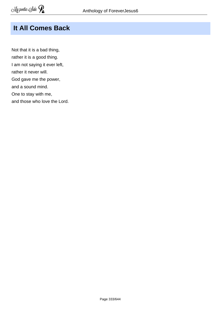## **It All Comes Back**

Not that it is a bad thing, rather it is a good thing. I am not saying it ever left, rather it never will. God gave me the power, and a sound mind. One to stay with me,

and those who love the Lord.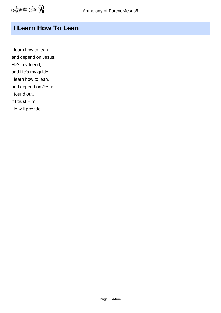## **I Learn How To Lean**

I learn how to lean, and depend on Jesus. He's my friend, and He's my guide. I learn how to lean, and depend on Jesus. I found out, if I trust Him, He will provide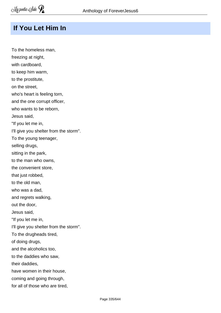### **If You Let Him In**

To the homeless man, freezing at night, with cardboard, to keep him warm, to the prostitute, on the street, who's heart is feeling torn, and the one corrupt officer, who wants to be reborn, Jesus said, "If you let me in, I'll give you shelter from the storm". To the young teenager, selling drugs, sitting in the park, to the man who owns, the convenient store, that just robbed, to the old man, who was a dad, and regrets walking, out the door, Jesus said, "If you let me in, I'll give you shelter from the storm". To the drugheads tired, of doing drugs, and the alcoholics too, to the daddies who saw, their daddies, have women in their house, coming and going through, for all of those who are tired,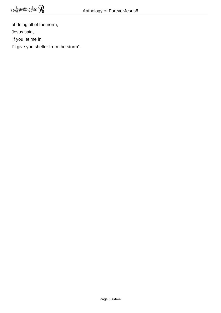of doing all of the norm, Jesus said, 'If you let me in, I'll give you shelter from the storm".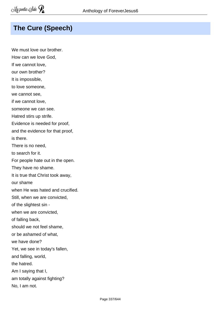### **The Cure (Speech)**

We must love our brother. How can we love God, If we cannot love, our own brother? It is impossible, to love someone, we cannot see, if we cannot love, someone we can see. Hatred stirs up strife. Evidence is needed for proof, and the evidence for that proof, is there. There is no need, to search for it. For people hate out in the open. They have no shame. It is true that Christ took away, our shame when He was hated and crucified. Still, when we are convicted, of the slightest sin when we are convicted, of falling back, should we not feel shame, or be ashamed of what, we have done? Yet, we see in today's fallen, and falling, world, the hatred. Am I saying that I, am totally against fighting? No, I am not.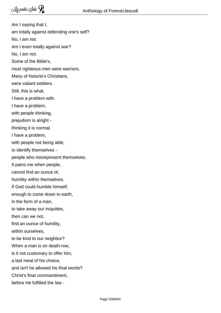Am I saying that I, am totally against defending one's self? No, I am not. Am I even totally against war? No, I am not. Some of the Bible's, most righteous men were warriors. Many of historie's Christians, were valiant soldiers. Still, this is what, I have a problem with. I have a problem, with people thinking, prejudism is alright thinking it is normal. I have a problem, with people not being able, to identify themselves people who misrepresent themselves. It pains me when people, cannot find an ounce of, humility within themselves. If God could humble himself, enough to come down to earth, in the form of a man, to take away our iniquities, then can we not, find an ounce of humility, within ourselves, to be kind to our neighbor? When a man is on death-row, is it not customary to offer him, a last meal of his choice, and isn't he allowed his final words? Christ's final commandment, before He fulfilled the law -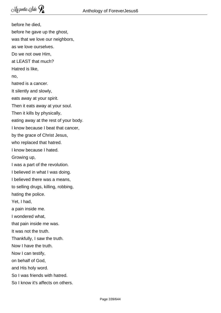before he died, before he gave up the ghost, was that we love our neighbors, as we love ourselves. Do we not owe Him, at LEAST that much? Hatred is like, no, hatred is a cancer. It silently and slowly, eats away at your spirit. Then it eats away at your soul. Then it kills by physically, eating away at the rest of your body. I know because I beat that cancer, by the grace of Christ Jesus, who replaced that hatred. I know because I hated. Growing up, I was a part of the revolution. I believed in what I was doing. I believed there was a means, to selling drugs, killing, robbing, hating the police. Yet, I had, a pain inside me. I wondered what, that pain inside me was. It was not the truth. Thankfully, I saw the truth. Now I have the truth. Now I can testify, on behalf of God, and His holy word. So I was friends with hatred. So I know it's affects on others.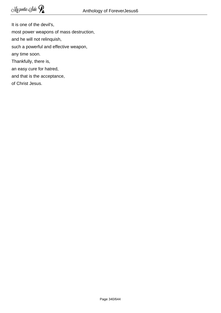It is one of the devil's, most power weapons of mass destruction, and he will not relinquish, such a powerful and effective weapon, any time soon. Thankfully, there is, an easy cure for hatred, and that is the acceptance, of Christ Jesus.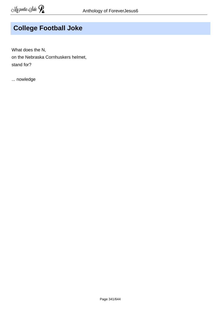# **College Football Joke**

What does the N, on the Nebraska Cornhuskers helmet, stand for?

... nowledge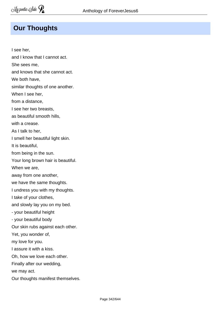#### **Our Thoughts**

I see her, and I know that I cannot act. She sees me, and knows that she cannot act. We both have, similar thoughts of one another. When I see her, from a distance, I see her two breasts, as beautiful smooth hills, with a crease. As I talk to her, I smell her beautiful light skin. It is beautiful, from being in the sun. Your long brown hair is beautiful. When we are, away from one another, we have the same thoughts. I undress you with my thoughts. I take of your clothes, and slowly lay you on my bed. - your beautiful height - your beautiful body Our skin rubs against each other. Yet, you wonder of, my love for you. I assure it with a kiss. Oh, how we love each other. Finally after our wedding, we may act. Our thoughts manifest themselves.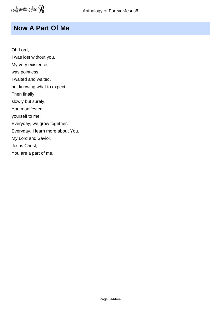### **Now A Part Of Me**

Oh Lord, I was lost without you. My very existence, was pointless. I waited and waited, not knowing what to expect. Then finally, slowly but surely, You manifested, yourself to me. Everyday, we grow together. Everyday, I learn more about You. My Lord and Savior, Jesus Christ, You are a part of me.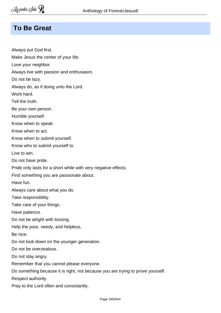### **To Be Great**

| Always put God first.                                                           |
|---------------------------------------------------------------------------------|
| Make Jesus the center of your life.                                             |
| Love your neighbor.                                                             |
| Always live with passion and enthusiasm.                                        |
| Do not be lazy.                                                                 |
| Always do, as if doing unto the Lord.                                           |
| Work hard.                                                                      |
| Tell the truth.                                                                 |
| Be your own person.                                                             |
| Humble yourself.                                                                |
| Know when to speak.                                                             |
| Know when to act.                                                               |
| Know when to submit yourself.                                                   |
| Know who to submit yourself to.                                                 |
| Live to win.                                                                    |
| Do not have pride.                                                              |
| Pride only lasts for a short while with very negative effects.                  |
| Find something you are passionate about.                                        |
| Have fun.                                                                       |
| Always care about what you do.                                                  |
| Take responsibility.                                                            |
| Take care of your things.                                                       |
| Have patience.                                                                  |
| Do not be alright with loosing.                                                 |
| Help the poor, needy, and helpless.                                             |
| Be nice.                                                                        |
| Do not look down on the younger generation.                                     |
| Do not be overzealous.                                                          |
| Do not stay angry.                                                              |
| Remember that you cannot please everyone.                                       |
| Do something because it is right, not because you are trying to prove yourself. |
| Respect authority.                                                              |
| Pray to the Lord often and consistantly.                                        |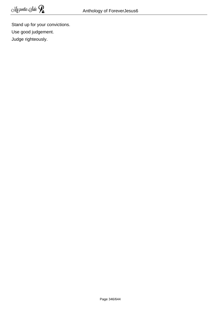Stand up for your convictions. Use good judgement. Judge righteously.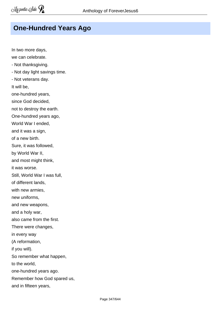### **One-Hundred Years Ago**

In two more days, we can celebrate. - Not thanksgiving. - Not day light savings time. - Not veterans day. It will be, one-hundred years, since God decided, not to destroy the earth. One-hundred years ago, World War I ended, and it was a sign, of a new birth. Sure, it was followed, by World War II, and most might think, it was worse. Still, World War I was full, of different lands, with new armies, new uniforms, and new weapons, and a holy war, also came from the first. There were changes, in every way (A reformation, if you will). So remember what happen, to the world, one-hundred years ago. Remember how God spared us, and in fifteen years,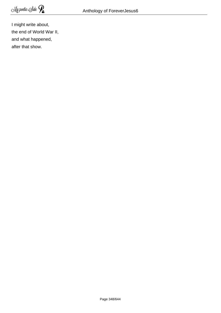I might write about, the end of World War II, and what happened, after that show.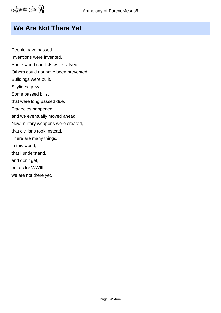## **We Are Not There Yet**

People have passed. Inventions were invented. Some world conflicts were solved. Others could not have been prevented. Buildings were built. Skylines grew. Some passed bills, that were long passed due. Tragedies happened, and we eventually moved ahead. New military weapons were created, that civilians took instead. There are many things, in this world, that I understand, and don't get, but as for WWIII we are not there yet.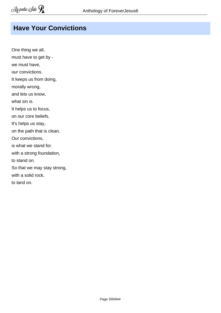### **Have Your Convictions**

One thing we all, must have to get by we must have, our convictions. It keeps us from doing, morally wrong, and lets us know, what sin is. It helps us to focus, on our core beliefs. It's helps us stay, on the path that is clean. Our convictions, is what we stand for. with a strong foundation, to stand on. So that we may stay strong, with a solid rock, to land on.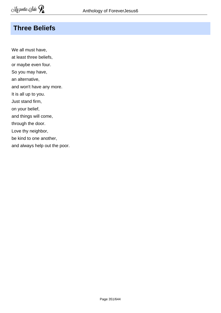### **Three Beliefs**

We all must have, at least three beliefs, or maybe even four. So you may have, an alternative, and won't have any more. It is all up to you. Just stand firm, on your belief, and things will come, through the door. Love thy neighbor, be kind to one another, and always help out the poor.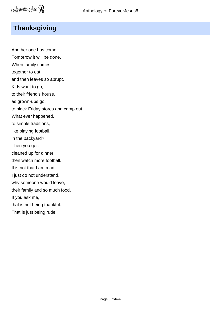### **Thanksgiving**

Another one has come. Tomorrow it will be done. When family comes, together to eat, and then leaves so abrupt. Kids want to go, to their friend's house, as grown-ups go, to black Friday stores and camp out. What ever happened, to simple traditions, like playing football, in the backyard? Then you get, cleaned up for dinner, then watch more football. It is not that I am mad. I just do not understand, why someone would leave, their family and so much food. If you ask me, that is not being thankful. That is just being rude.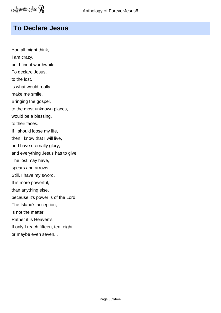#### **To Declare Jesus**

You all might think, I am crazy, but I find it worthwhile. To declare Jesus, to the lost, is what would really, make me smile. Bringing the gospel, to the most unknown places, would be a blessing, to their faces. If I should loose my life, then I know that I will live, and have eternally glory, and everything Jesus has to give. The lost may have, spears and arrows. Still, I have my sword. It is more powerful, than anything else, because it's power is of the Lord. The Island's acception, is not the matter. Rather it is Heaven's. If only I reach fifteen, ten, eight, or maybe even seven...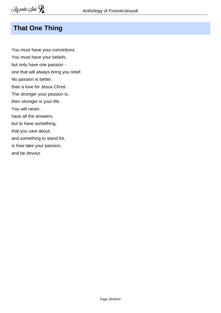### **That One Thing**

You must have your convictions. You must have your beliefs, but only have one passion one that will always bring you relief. No passion is better, than a love for Jesus Christ. The stronger your passion is, then stronger is your life. You will never, have all the answers, but to have something, that you care about, and something to stand for, is how take your passion,

and be devout.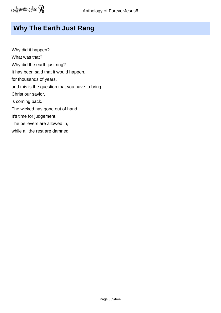## **Why The Earth Just Rang**

Why did it happen? What was that? Why did the earth just ring? It has been said that it would happen, for thousands of years, and this is the question that you have to bring. Christ our savior, is coming back. The wicked has gone out of hand. It's time for judgement. The believers are allowed in, while all the rest are damned.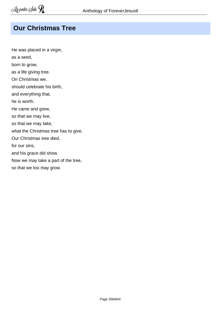### **Our Christmas Tree**

He was placed in a virgin, as a seed, born to grow, as a life giving tree. On Christmas we, should celebrate his birth, and everything that, he is worth. He came and grew, so that we may live, so that we may take, what the Christmas tree has to give. Our Christmas tree died, for our sins, and his grace did show. Now we may take a part of the tree, so that we too may grow.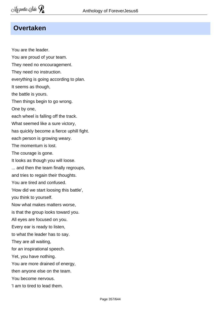#### **Overtaken**

You are the leader. You are proud of your team. They need no encouragement. They need no instruction. everything is going according to plan. It seems as though, the battle is yours. Then things begin to go wrong. One by one, each wheel is falling off the track. What seemed like a sure victory, has quickly become a fierce uphill fight. each person is growing weary. The momentum is lost. The courage is gone. It looks as though you will loose. ... and then the team finally regroups, and tries to regain their thoughts. You are tired and confused. 'How did we start loosing this battle', you think to yourself. Now what makes matters worse, is that the group looks toward you. All eyes are focused on you. Every ear is ready to listen, to what the leader has to say. They are all waiting, for an inspirational speech. Yet, you have nothing. You are more drained of energy, then anyone else on the team. You become nervous. 'I am to tired to lead them.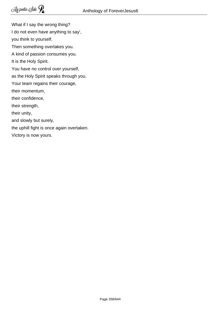What if I say the wrong thing? I do not even have anything to say', you think to yourself. Then something overtakes you. A kind of passion consumes you. It is the Holy Spirit. You have no control over yourself, as the Holy Spirit speaks through you. Your team regains their courage, their momentum, their confidence, their strength, their unity, and slowly but surely, the uphill fight is once again overtaken. Victory is now yours.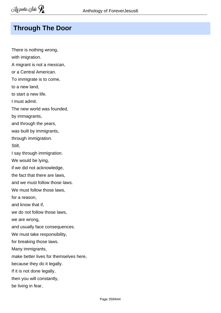### **Through The Door**

There is nothing wrong, with imigration. A migrant is not a mexican, or a Central American. To immigrate is to come, to a new land, to start a new life. I must admit. The new world was founded, by immagrants, and through the years, was built by immigrants, through immigration. Still, I say through immigration. We would be lying, if we did not acknowledge, the fact that there are laws, and we must follow those laws. We must follow those laws. for a reason, and know that if, we do not follow those laws, we are wrong, and usually face consequences. We must take responsibility, for breaking those laws. Many immigrants, make better lives for themselves here, because they do it legally. If it is not done legally, then you will constantly, be living in fear,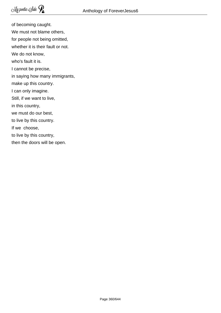of becoming caught. We must not blame others, for people not being omitted, whether it is their fault or not. We do not know. who's fault it is. I cannot be precise, in saying how many immigrants, make up this country. I can only imagine. Still, if we want to live, in this country, we must do our best, to live by this country. If we choose, to live by this country, then the doors will be open.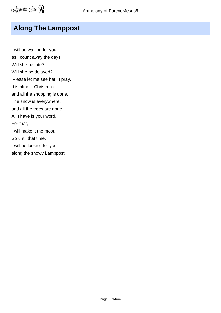# **Along The Lamppost**

I will be waiting for you, as I count away the days. Will she be late? Will she be delayed? 'Please let me see her', I pray. It is almost Christmas, and all the shopping is done. The snow is everywhere, and all the trees are gone. All I have is your word. For that, I will make it the most. So until that time, I will be looking for you, along the snowy Lamppost.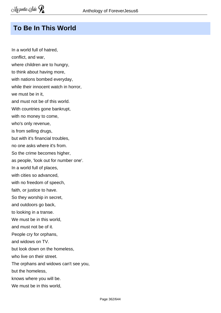# **To Be In This World**

In a world full of hatred, conflict, and war, where children are to hungry, to think about having more, with nations bombed everyday, while their innocent watch in horror, we must be in it, and must not be of this world. With countries gone bankrupt, with no money to come, who's only revenue, is from selling drugs, but with it's financial troubles, no one asks where it's from. So the crime becomes higher, as people, 'look out for number one'. In a world full of places, with cities so advanced. with no freedom of speech, faith, or justice to have. So they worship in secret, and outdoors go back, to looking in a transe. We must be in this world, and must not be of it. People cry for orphans, and widows on TV. but look down on the homeless, who live on their street. The orphans and widows can't see you, but the homeless, knows where you will be. We must be in this world.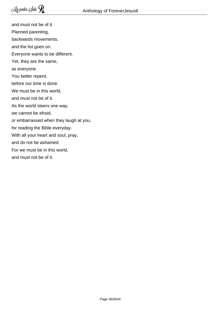and must not be of it. Planned parenting, backwards movements, and the list goes on. Everyone wants to be different. Yet, they are the same, as everyone. You better repent, before our time is done. We must be in this world, and must not be of it. As the world steers one way, we cannot be afraid, or embarrassed when they laugh at you, for reading the Bible everyday. With all your heart and soul, pray, and do not be ashamed. For we must be in this world, and must not be of it.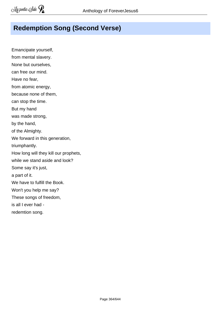### **Redemption Song (Second Verse)**

Emancipate yourself, from mental slavery. None but ourselves, can free our mind. Have no fear, from atomic energy, because none of them, can stop the time. But my hand was made strong, by the hand, of the Almighty. We forward in this generation, triumphantly. How long will they kill our prophets, while we stand aside and look? Some say it's just, a part of it. We have to fulfill the Book. Won't you help me say? These songs of freedom, is all I ever had redemtion song.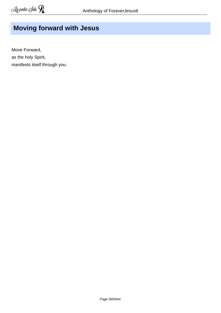# **Moving forward with Jesus**

Move Forward, as the holy Spirit, manifests itself through you.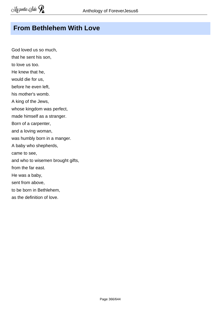# **From Bethlehem With Love**

God loved us so much, that he sent his son, to love us too. He knew that he, would die for us, before he even left, his mother's womb. A king of the Jews, whose kingdom was perfect, made himself as a stranger. Born of a carpenter, and a loving woman, was humbly born in a manger. A baby who shepherds, came to see, and who to wisemen brought gifts, from the far east. He was a baby, sent from above, to be born in Bethlehem, as the definition of love.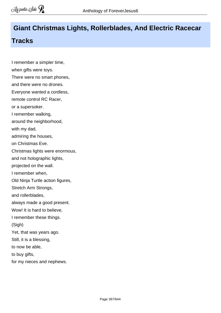# **Giant Christmas Lights, Rollerblades, And Electric Racecar Tracks**

I remember a simpler time, when gifts were toys. There were no smart phones, and there were no drones. Everyone wanted a cordless, remote control RC Racer, or a supersoker. I remember walking, around the neighborhood, with my dad, admiring the houses, on Christmas Eve. Christmas lights were enormous, and not holographic lights, projected on the wall. I remember when, Old Ninja Turtle action figures, Stretch Arm Strongs, and rollerblades, always made a good present. Wow! It is hard to believe, I remember these things. (Sigh) Yet, that was years ago. Still, it is a blessing, to now be able, to buy gifts, for my nieces and nephews.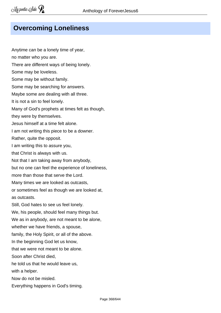# **Overcoming Loneliness**

| Anytime can be a lonely time of year,             |
|---------------------------------------------------|
| no matter who you are.                            |
| There are different ways of being lonely.         |
| Some may be loveless.                             |
| Some may be without family.                       |
| Some may be searching for answers.                |
| Maybe some are dealing with all three.            |
| It is not a sin to feel lonely.                   |
| Many of God's prophets at times felt as though,   |
| they were by themselves.                          |
| Jesus himself at a time felt alone.               |
| I am not writing this piece to be a downer.       |
| Rather, quite the opposit.                        |
| I am writing this to assure you,                  |
| that Christ is always with us.                    |
| Not that I am taking away from anybody,           |
| but no one can feel the experience of loneliness, |
| more than those that serve the Lord.              |
| Many times we are looked as outcasts,             |
| or sometimes feel as though we are looked at,     |
| as outcasts.                                      |
| Still, God hates to see us feel lonely.           |
| We, his people, should feel many things but.      |
| We as in anybody, are not meant to be alone,      |
| whether we have friends, a spouse,                |
| family, the Holy Spirit, or all of the above.     |
| In the beginning God let us know,                 |
| that we were not meant to be alone.               |
| Soon after Christ died,                           |
| he told us that he would leave us,                |
| with a helper.                                    |
| Now do not be misled.                             |
| Everything happens in God's timing.               |
|                                                   |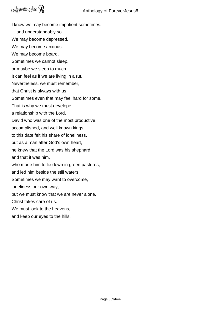I know we may become impatient sometimes.

... and understandably so.

We may become depressed.

We may become anxious.

We may become board.

Sometimes we cannot sleep,

or maybe we sleep to much.

It can feel as if we are living in a rut.

Nevertheless, we must remember,

that Christ is always with us.

Sometimes even that may feel hard for some.

That is why we must develope,

a relationship with the Lord.

David who was one of the most productive,

accomplished, and well known kings,

to this date felt his share of loneliness,

but as a man after God's own heart,

he knew that the Lord was his shephard.

and that it was him,

who made him to lie down in green pastures,

and led him beside the still waters.

Sometimes we may want to overcome,

loneliness our own way,

but we must know that we are never alone.

Christ takes care of us.

We must look to the heavens,

and keep our eyes to the hills.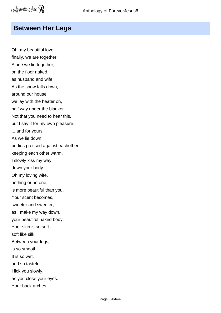#### **Between Her Legs**

Oh, my beautiful love, finally, we are together. Alone we lie together, on the floor naked, as husband and wife. As the snow falls down, around our house, we lay with the heater on, half way under the blanket. Not that you need to hear this, but I say it for my own pleasure. ... and for yours As we lie down, bodies pressed against eachother, keeping each other warm, I slowly kiss my way, down your body. Oh my loving wife, nothing or no one, is more beautiful than you. Your scent becomes, sweeter and sweeter, as I make my way down, your beautiful naked body. Your skin is so soft soft like silk. Between your legs, is so smooth. It is so wet, and so tasteful. I lick you slowly, as you close your eyes. Your back arches,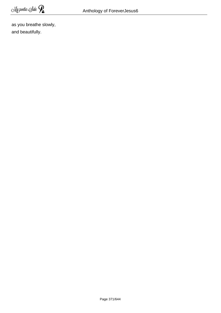as you breathe slowly, and beautifully.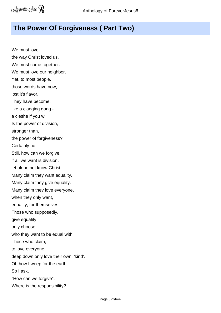### **The Power Of Forgiveness ( Part Two)**

We must love. the way Christ loved us. We must come together. We must love our neighbor. Yet, to most people, those words have now, lost it's flavor. They have become, like a clanging gong a cleshe if you will. Is the power of division, stronger than, the power of forgiveness? Certainly not Still, how can we forgive, if all we want is division, let alone not know Christ. Many claim they want equality. Many claim they give equality. Many claim they love everyone, when they only want, equality, for themselves. Those who supposedly, give equality, only choose, who they want to be equal with. Those who claim, to love everyone, deep down only love their own, 'kind'. Oh how I weep for the earth. So I ask, "How can we forgive". Where is the responsibility?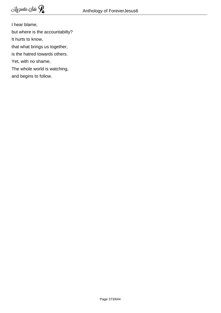I hear blame,

- but where is the accountabilty?
- It hurts to know,
- that what brings us together,
- is the hatred towards others.
- Yet, with no shame,
- The whole world is watching,
- and begins to follow.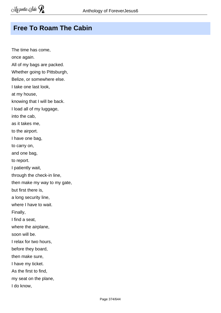# **Free To Roam The Cabin**

The time has come, once again. All of my bags are packed. Whether going to Pittsburgh, Belize, or somewhere else. I take one last look, at my house, knowing that I will be back. I load all of my luggage, into the cab, as it takes me, to the airport. I have one bag, to carry on, and one bag, to report. I patiently wait, through the check-in line, then make my way to my gate, but first there is, a long security line, where I have to wait. Finally, I find a seat, where the airplane, soon will be. I relax for two hours, before they board, then make sure, I have my ticket. As the first to find, my seat on the plane, I do know,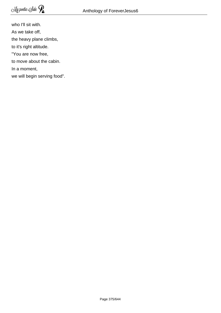who I'll sit with. As we take off, the heavy plane climbs, to it's right altitude. "You are now free, to move about the cabin. In a moment,

we will begin serving food".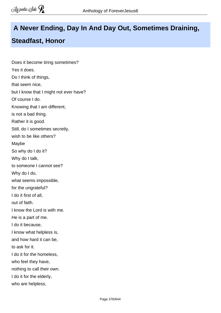### **A Never Ending, Day In And Day Out, Sometimes Draining,**

#### **Steadfast, Honor**

Does it become tiring sometimes? Yes it does. Do I think of things, that seem nice, but I know that I might not ever have? Of course I do. Knowing that I am different, is not a bad thing. Rather it is good. Still, do I sometimes secretly, wish to be like others? Maybe So why do I do it? Why do I talk, to someone I cannot see? Why do I do, what seems impossible, for the ungrateful? I do it first of all. out of faith. I know the Lord is with me. He is a part of me. I do it because, I know what helpless is, and how hard it can be, to ask for it. I do it for the homeless. who feel they have, nothing to call their own. I do it for the elderly, who are helpless,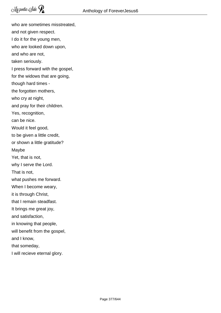who are sometimes misstreated, and not given respect. I do it for the young men, who are looked down upon, and who are not, taken seriously. I press forward with the gospel, for the widows that are going, though hard times the forgotten mothers, who cry at night, and pray for their children. Yes, recognition, can be nice. Would it feel good, to be given a little credit, or shown a little gratitude? Maybe Yet, that is not, why I serve the Lord. That is not, what pushes me forward. When I become weary, it is through Christ, that I remain steadfast. It brings me great joy, and satisfaction, in knowing that people, will benefit from the gospel, and I know, that someday, I will recieve eternal glory.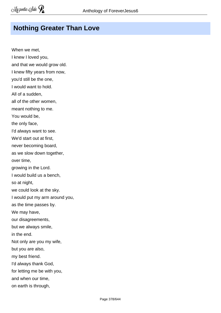### **Nothing Greater Than Love**

When we met, I knew I loved you, and that we would grow old. I knew fifty years from now, you'd still be the one, I would want to hold. All of a sudden, all of the other women, meant nothing to me. You would be, the only face, I'd always want to see. We'd start out at first, never becoming board, as we slow down together, over time, growing in the Lord. I would build us a bench, so at night, we could look at the sky. I would put my arm around you, as the time passes by. We may have, our disagreements, but we always smile, in the end. Not only are you my wife, but you are also, my best friend. I'd always thank God, for letting me be with you, and when our time, on earth is through,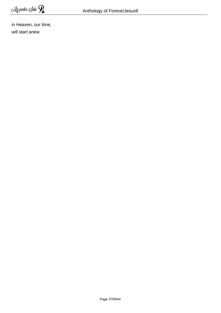in Heaven, our time, will start anew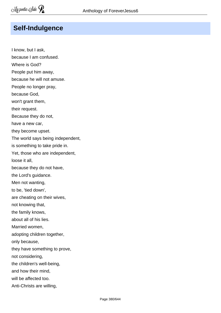#### **Self-Indulgence**

I know, but I ask, because I am confused. Where is God? People put him away, because he will not amuse. People no longer pray, because God, won't grant them, their request. Because they do not, have a new car, they become upset. The world says being independent, is something to take pride in. Yet, those who are independent, loose it all, because they do not have, the Lord's guidance. Men not wanting, to be, 'tied down', are cheating on their wives, not knowing that, the family knows, about all of his lies. Married women, adopting children together, only because, they have something to prove, not considering, the children's well-being, and how their mind, will be affected too. Anti-Christs are willing,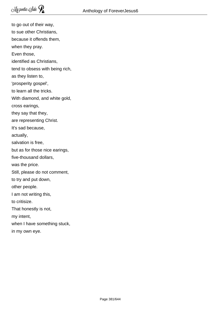to go out of their way, to sue other Christians, because it offends them, when they pray. Even those, identified as Christians, tend to obsess with being rich, as they listen to, 'prosperity gospel', to learn all the tricks. With diamond, and white gold, cross earings, they say that they, are representing Christ. It's sad because, actually, salvation is free, but as for those nice earings, five-thousand dollars, was the price. Still, please do not comment, to try and put down, other people. I am not writing this, to critisize. That honestly is not, my intent, when I have something stuck, in my own eye.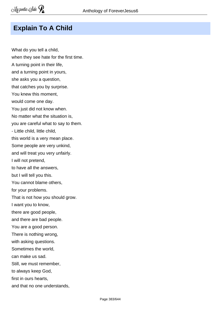### **Explain To A Child**

What do you tell a child, when they see hate for the first time. A turning point in their life, and a turning point in yours, she asks you a question, that catches you by surprise. You knew this moment, would come one day. You just did not know when. No matter what the situation is, you are careful what to say to them. - Little child, little child, this world is a very mean place. Some people are very unkind, and will treat you very unfairly. I will not pretend, to have all the answers, but I will tell you this. You cannot blame others, for your problems. That is not how you should grow. I want you to know, there are good people, and there are bad people. You are a good person. There is nothing wrong, with asking questions. Sometimes the world, can make us sad. Still, we must remember, to always keep God, first in ours hearts, and that no one understands,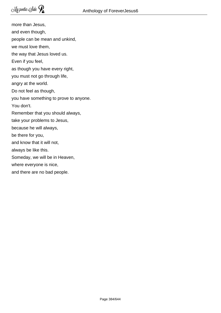more than Jesus, and even though, people can be mean and unkind, we must love them, the way that Jesus loved us. Even if you feel, as though you have every right, you must not go through life, angry at the world. Do not feel as though, you have something to prove to anyone. You don't. Remember that you should always, take your problems to Jesus, because he will always, be there for you, and know that it will not, always be like this. Someday, we will be in Heaven, where everyone is nice, and there are no bad people.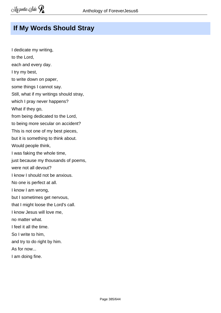### **If My Words Should Stray**

I dedicate my writing, to the Lord, each and every day. I try my best, to write down on paper, some things I cannot say. Still, what if my writings should stray, which I pray never happens? What if they go, from being dedicated to the Lord, to being more secular on accident? This is not one of my best pieces, but it is something to think about. Would people think, I was faking the whole time, just because my thousands of poems, were not all devout? I know I should not be anxious. No one is perfect at all. I know I am wrong, but I sometimes get nervous, that I might loose the Lord's call. I know Jesus will love me, no matter what. I feel it all the time. So I write to him, and try to do right by him. As for now... I am doing fine.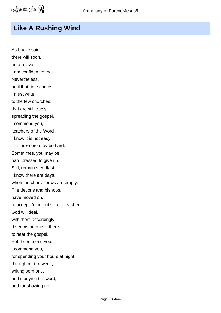### **Like A Rushing Wind**

As I have said, there will soon, be a revival. I am confident in that. Nevertheless, until that time comes, I must write, to the few churches, that are still truely, spreading the gospel. I commend you, 'teachers of the Word'. I know it is not easy. The pressure may be hard. Sometimes, you may be, hard pressed to give up. Still, remain steadfast. I know there are days, when the church pews are empty. The decons and bishops, have moved on, to accept, 'other jobs', as preachers. God will deal, with them accordingly. It seems no one is there, to hear the gospel. Yet, I commend you. I commend you, for spending your hours at night, throughout the week, writing sermons, and studying the word, and for showing up,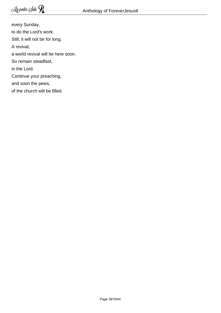every Sunday, to do the Lord's work. Still, it will not be for long. A revival, a world revival will be here soon. So remain steadfast, in the Lord. Continue your preaching, and soon the pews, of the church will be filled.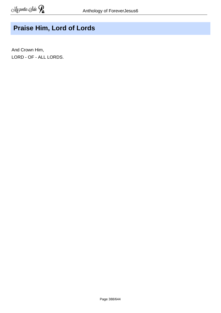# **Praise Him, Lord of Lords**

And Crown Him, LORD - OF - ALL LORDS.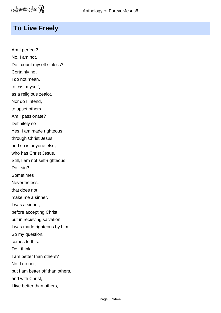#### **To Live Freely**

Am I perfect? No, I am not. Do I count myself sinless? Certainly not I do not mean, to cast myself, as a religious zealot. Nor do I intend, to upset others. Am I passionate? Definitely so Yes, I am made righteous, through Christ Jesus, and so is anyone else, who has Christ Jesus. Still, I am not self-righteous. Do I sin? Sometimes Nevertheless, that does not, make me a sinner. I was a sinner, before accepting Christ, but in recieving salvation, I was made righteous by him. So my question, comes to this. Do I think, I am better than others? No, I do not, but I am better off than others, and with Christ, I live better than others,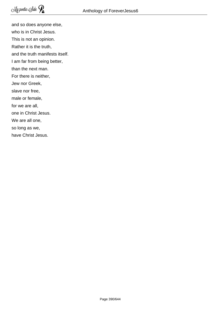and so does anyone else, who is in Christ Jesus. This is not an opinion. Rather it is the truth, and the truth manifests itself. I am far from being better, than the next man. For there is neither, Jew nor Greek, slave nor free, male or female, for we are all, one in Christ Jesus. We are all one, so long as we, have Christ Jesus.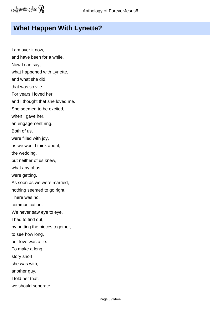## **What Happen With Lynette?**

I am over it now, and have been for a while. Now I can say, what happened with Lynette, and what she did, that was so vile. For years I loved her, and I thought that she loved me. She seemed to be excited, when I gave her, an engagement ring. Both of us, were filled with joy, as we would think about, the wedding, but neither of us knew, what any of us, were getting. As soon as we were married, nothing seemed to go right. There was no, communication. We never saw eye to eye. I had to find out, by putting the pieces together, to see how long, our love was a lie. To make a long, story short, she was with, another guy. I told her that, we should seperate,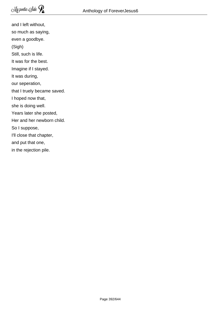and I left without, so much as saying, even a goodbye. (Sigh) Still, such is life. It was for the best. Imagine if I stayed. It was during, our seperation, that I truely became saved. I hoped now that, she is doing well. Years later she posted, Her and her newborn child. So I suppose, I'll close that chapter, and put that one, in the rejection pile.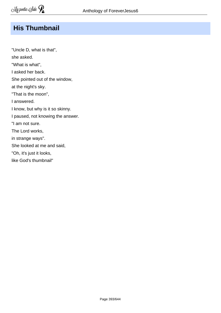# **His Thumbnail**

"Uncle D, what is that", she asked. "What is what", I asked her back. She pointed out of the window, at the night's sky. "That is the moon", I answered. I know, but why is it so skinny. I paused, not knowing the answer. "I am not sure. The Lord works, in strange ways". She looked at me and said, "Oh, it's just it looks, like God's thumbnail"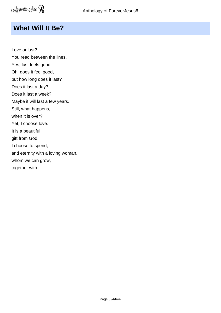## **What Will It Be?**

Love or lust? You read between the lines. Yes, lust feels good. Oh, does it feel good, but how long does it last? Does it last a day? Does it last a week? Maybe it will last a few years. Still, what happens, when it is over? Yet, I choose love. It is a beautiful, gift from God. I choose to spend, and eternity with a loving woman, whom we can grow, together with.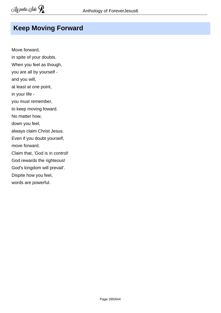### **Keep Moving Forward**

Move forward, in spite of your doubts. When you feel as though, you are all by yourself and you will, at least at one point, in your life you must remember, to keep moving foward. No matter how, down you feel, always claim Christ Jesus. Even if you doubt yourself, move forward. Claim that, 'God is in control! God rewards the righteous! God's kingdom will prevail'. Dispite how you feel, words are powerful.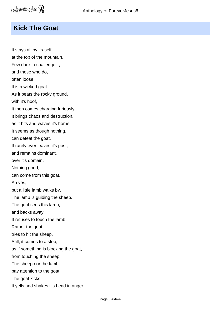#### **Kick The Goat**

It stays all by its-self, at the top of the mountain. Few dare to challenge it, and those who do, often loose. It is a wicked goat. As it beats the rocky ground, with it's hoof, It then comes charging furiously. It brings chaos and destruction, as it hits and waves it's horns. It seems as though nothing, can defeat the goat. It rarely ever leaves it's post, and remains dominant, over it's domain. Nothing good, can come from this goat. Ah yes, but a little lamb walks by. The lamb is guiding the sheep. The goat sees this lamb, and backs away. It refuses to touch the lamb. Rather the goat, tries to hit the sheep. Still, it comes to a stop, as if something is blocking the goat, from touching the sheep. The sheep nor the lamb, pay attention to the goat. The goat kicks. It yells and shakes it's head in anger,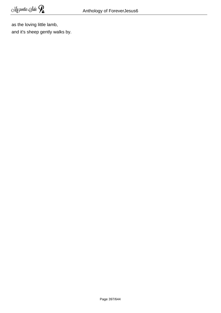as the loving little lamb,

and it's sheep gently walks by.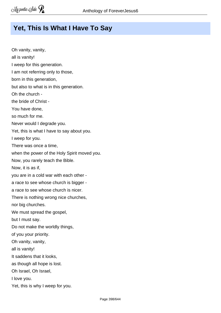## **Yet, This Is What I Have To Say**

Oh vanity, vanity, all is vanity! I weep for this generation. I am not referring only to those, born in this generation, but also to what is in this generation. Oh the church the bride of Christ - You have done, so much for me. Never would I degrade you. Yet, this is what I have to say about you. I weep for you. There was once a time, when the power of the Holy Spirit moved you. Now, you rarely teach the Bible. Now, it is as if, you are in a cold war with each other a race to see whose church is bigger a race to see whose church is nicer. There is nothing wrong nice churches, nor big churches. We must spread the gospel, but I must say. Do not make the worldly things, of you your priority. Oh vanity, vanity, all is vanity! It saddens that it looks, as though all hope is lost. Oh Israel, Oh Israel, I love you. Yet, this is why I weep for you.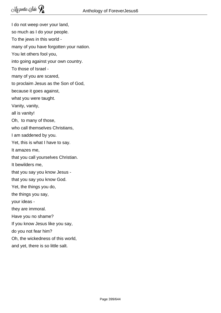I do not weep over your land, so much as I do your people. To the jews in this world many of you have forgotten your nation. You let others fool you, into going against your own country. To those of Israel many of you are scared, to proclaim Jesus as the Son of God, because it goes against, what you were taught. Vanity, vanity, all is vanity! Oh, to many of those, who call themselves Christians, I am saddened by you. Yet, this is what I have to say. It amazes me, that you call yourselves Christian. It bewilders me, that you say you know Jesus that you say you know God. Yet, the things you do, the things you say, your ideas they are immoral. Have you no shame? If you know Jesus like you say, do you not fear him? Oh, the wickedness of this world, and yet, there is so little salt.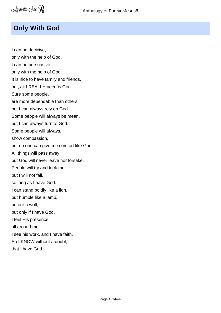### **Only With God**

I can be decicive, only with the help of God. I can be persuasive, only with the help of God. It is nice to have family and friends, but, all I REALLY need is God. Sure some people, are more dependable than others, but I can always rely on God. Some people will always be mean, but I can always turn to God. Some people will always, show compassion, but no one can give me comfort like God. All things will pass away, but God will never leave nor forsake. People will try and trick me, but I will not fall. so long as I have God. I can stand boldly like a lion, but humble like a lamb, before a wolf, but only if I have God. I feel His presence, all around me. I see his work, and I have faith. So I KNOW without a doubt, that I have God.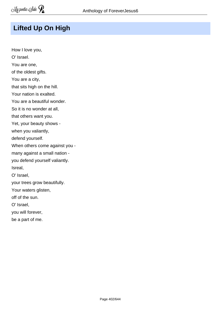# **Lifted Up On High**

How I love you, O' Israel. You are one, of the oldest gifts. You are a city, that sits high on the hill. Your nation is exalted. You are a beautiful wonder. So it is no wonder at all, that others want you. Yet, your beauty shows when you valiantly, defend yourself. When others come against you many against a small nation you defend yourself valiantly. Isreal, O' Israel, your trees grow beautifully. Your waters glisten, off of the sun. O' Israel, you will forever, be a part of me.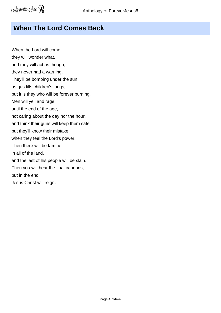# **When The Lord Comes Back**

When the Lord will come, they will wonder what, and they will act as though, they never had a warning. They'll be bombing under the sun, as gas fills children's lungs, but it is they who will be forever burning. Men will yell and rage, until the end of the age, not caring about the day nor the hour, and think their guns will keep them safe, but they'll know their mistake, when they feel the Lord's power. Then there will be famine, in all of the land, and the last of his people will be slain. Then you will hear the final cannons, but in the end, Jesus Christ will reign.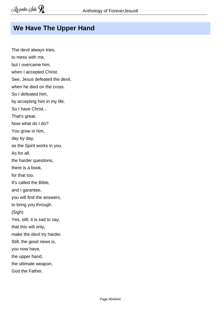### **We Have The Upper Hand**

The devil always tries, to mess with me, but I overcame him, when I accepted Christ. See, Jesus defeated the devil, when he died on the cross. So I defeated him, by accepting him in my life. So I have Christ... That's great. Now what do I do? You grow in him, day by day, as the Spirit works in you. As for all, the harder questions, there is a book, for that too. It's called the Bible, and I garantee, you will find the answers, to bring you through. (Sigh) Yes, still, it is sad to say, that this will only, make the devil try harder. Still, the good news is, you now have, the upper hand, the ultimate weapon, God the Father.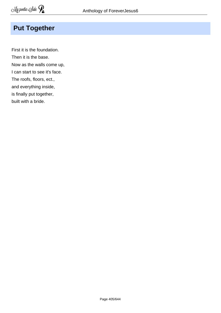# **Put Together**

First it is the foundation. Then it is the base. Now as the walls come up, I can start to see it's face. The roofs, floors, ect., and everything inside, is finally put together, built with a bride.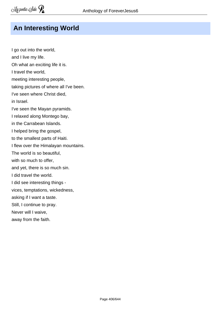# **An Interesting World**

I go out into the world, and I live my life. Oh what an exciting life it is. I travel the world, meeting interesting people, taking pictures of where all I've been. I've seen where Christ died, in Israel. I've seen the Mayan pyramids. I relaxed along Montego bay, in the Carrabean Islands. I helped bring the gospel, to the smallest parts of Haiti. I flew over the Himalayan mountains. The world is so beautiful, with so much to offer. and yet, there is so much sin. I did travel the world. I did see interesting things vices, temptations, wickedness, asking if I want a taste. Still, I continue to pray. Never will I waive, away from the faith.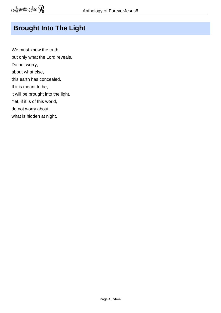# **Brought Into The Light**

We must know the truth, but only what the Lord reveals. Do not worry, about what else, this earth has concealed. If it is meant to be, it will be brought into the light. Yet, if it is of this world, do not worry about, what is hidden at night.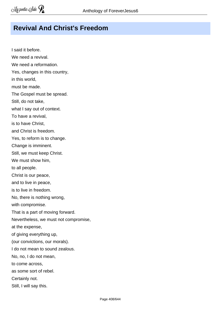# **Revival And Christ's Freedom**

I said it before. We need a revival. We need a reformation. Yes, changes in this country, in this world, must be made. The Gospel must be spread. Still, do not take, what I say out of context. To have a revival, is to have Christ, and Christ is freedom. Yes, to reform is to change. Change is imminent. Still, we must keep Christ. We must show him, to all people. Christ is our peace, and to live in peace, is to live in freedom. No, there is nothing wrong, with compromise. That is a part of moving forward. Nevertheless, we must not compromise, at the expense, of giving everything up, (our convictions, our morals). I do not mean to sound zealous. No, no, I do not mean, to come across, as some sort of rebel. Certainly not. Still, I will say this.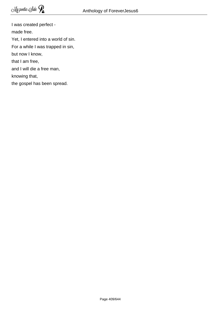I was created perfect made free. Yet, I entered into a world of sin. For a while I was trapped in sin, but now I know, that I am free, and I will die a free man, knowing that, the gospel has been spread.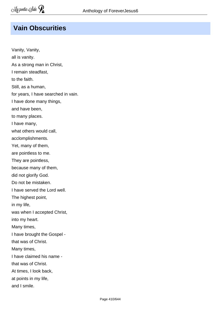### **Vain Obscurities**

Vanity, Vanity, all is vanity. As a strong man in Christ, I remain steadfast, to the faith. Still, as a human, for years, I have searched in vain. I have done many things, and have been, to many places. I have many, what others would call, acclomplishments. Yet, many of them, are pointless to me. They are pointless, because many of them, did not glorify God. Do not be mistaken. I have served the Lord well. The highest point, in my life, was when I accepted Christ, into my heart. Many times, I have brought the Gospel that was of Christ. Many times, I have claimed his name that was of Christ. At times, I look back, at points in my life, and I smile.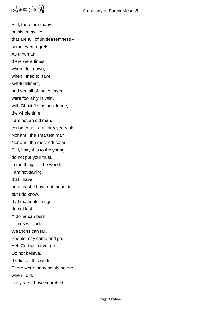Still, there are many, points in my life, that are full of unpleasentness some even regrets. As a human, there were times, when I felt down, when I tried to have, self-fulfillment, and yet, all of those times, were foolishly in vain, with Christ Jesus beside me, the whole time. I am not an old man, considering I am thirty years old. Nor am I the smartest man. Nor am I the most educated. Still, I say this to the young, do not put your trust, in the things of the world. I am not saying, that I have, or at least, I have not meant to, but I do know, that materials things, do not last. A dollar can burn. Things will fade. Weapons can fail. People may come and go. Yet, God will never go. Do not believe, the lies of this world. There were many points before, when I did. For years I have searched,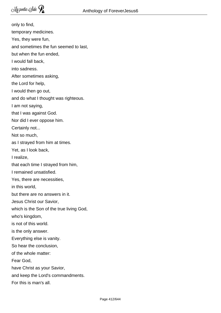only to find, temporary medicines. Yes, they were fun, and sometimes the fun seemed to last, but when the fun ended, I would fall back, into sadness. After sometimes asking, the Lord for help, I would then go out, and do what I thought was righteous. I am not saying, that I was against God. Nor did I ever oppose him. Certainly not... Not so much, as I strayed from him at times. Yet, as I look back, I realize, that each time I strayed from him, I remained unsatisfied. Yes, there are necessities, in this world, but there are no answers in it. Jesus Christ our Savior, which is the Son of the true living God, who's kingdom, is not of this world. is the only answer. Everything else is vanity. So hear the conclusion, of the whole matter: Fear God, have Christ as your Savior, and keep the Lord's commandments. For this is man's all.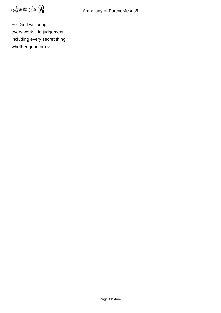For God will bring, every work into judgement, including every secret thing, whether good or evil.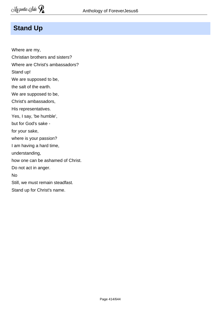### **Stand Up**

Where are my, Christian brothers and sisters? Where are Christ's ambassadors? Stand up! We are supposed to be, the salt of the earth. We are supposed to be, Christ's ambassadors, His representatives. Yes, I say, 'be humble', but for God's sake for your sake, where is your passion? I am having a hard time, understanding, how one can be ashamed of Christ. Do not act in anger. No Still, we must remain steadfast. Stand up for Christ's name.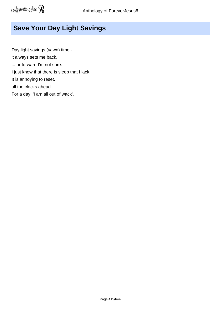# **Save Your Day Light Savings**

Day light savings (yawn) time it always sets me back. ... or forward I'm not sure. I just know that there is sleep that I lack. It is annoying to reset, all the clocks ahead. For a day, 'I am all out of wack'.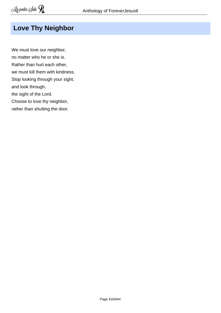# **Love Thy Neighbor**

We must love our neighbor, no matter who he or she is. Rather than hurt each other, we must kill them with kindness. Stop looking through your sight, and look through, the sight of the Lord. Choose to love thy neighbor, rather than shutting the door.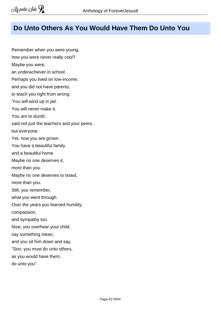### **Do Unto Others As You Would Have Them Do Unto You**

Remember when you were young, how you were never really cool? Maybe you were, an underachiever in school. Perhaps you lived on low-income, and you did not have parents, to teach you right from wrong. 'You will wind up in jail. You will never make it. You are to dumb', said not just the teachers and your peers, but everyone. Yet, now you are grown. You have a beautiful family, and a beautiful home. Maybe no one deserves it, more than you. Maybe no one deserves to boast, more than you. Still, you remember, what you went through. Over the years you learned humility, compassion, and sympathy too. Now, you overhear your child, say something mean, and you sit him down and say, "Son, you must do unto others, as you would have them, do unto you".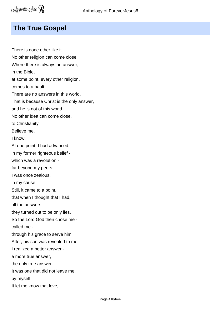#### **The True Gospel**

There is none other like it. No other religion can come close. Where there is always an answer, in the Bible, at some point, every other religion, comes to a hault. There are no answers in this world. That is because Christ is the only answer, and he is not of this world. No other idea can come close, to Christianity. Believe me. I know. At one point, I had advanced, in my former righteous belief which was a revolution far beyond my peers. I was once zealous, in my cause. Still, it came to a point, that when I thought that I had, all the answers, they turned out to be only lies. So the Lord God then chose me called me through his grace to serve him. After, his son was revealed to me, I realized a better answer a more true answer, the only true answer. It was one that did not leave me, by myself. It let me know that love,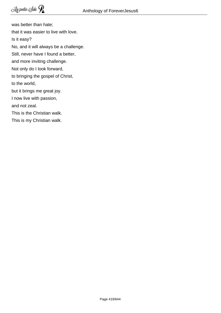was better than hate; that it was easier to live with love. Is it easy? No, and it will always be a challenge. Still, never have I found a better, and more inviting challenge. Not only do I look forward, to bringing the gospel of Christ, to the world, but it brings me great joy. I now live with passion, and not zeal. This is the Christian walk. This is my Christian walk.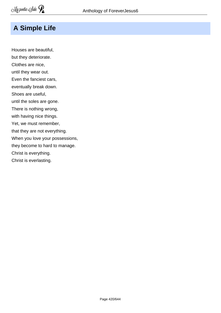## **A Simple Life**

Houses are beautiful, but they deteriorate. Clothes are nice, until they wear out. Even the fanciest cars, eventually break down. Shoes are useful, until the soles are gone. There is nothing wrong, with having nice things. Yet, we must remember, that they are not everything. When you love your possessions, they become to hard to manage. Christ is everything. Christ is everlasting.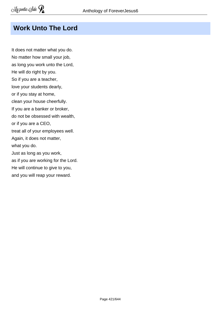# **Work Unto The Lord**

It does not matter what you do. No matter how small your job, as long you work unto the Lord, He will do right by you. So if you are a teacher, love your students dearly, or if you stay at home, clean your house cheerfully. If you are a banker or broker, do not be obsessed with wealth, or if you are a CEO, treat all of your employees well. Again, it does not matter, what you do. Just as long as you work, as if you are working for the Lord. He will continue to give to you, and you will reap your reward.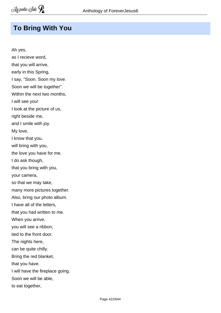## **To Bring With You**

Ah yes, as I recieve word, that you will arrive, early in this Spring, I say, "Soon. Soon my love. Soon we will be together". Within the next two months, I will see you! I look at the picture of us, right beside me, and I smile with joy. My love, I know that you, will bring with you, the love you have for me. I do ask though, that you bring with you, your camera, so that we may take, many more pictures together. Also, bring our photo album. I have all of the letters, that you had written to me. When you arrive, you will see a ribbon, tied to the front door. The nights here, can be quite chilly. Bring the red blanket, that you have. I will have the fireplace going. Soon we will be able, to eat together,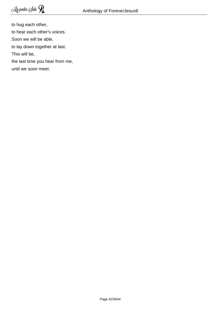to hug each other, to hear each other's voices. Soon we will be able, to lay down together at last. This will be, the last time you hear from me, until we soon meet.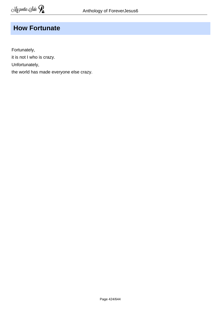## **How Fortunate**

Fortunately, it is not I who is crazy. Unfortunately, the world has made everyone else crazy.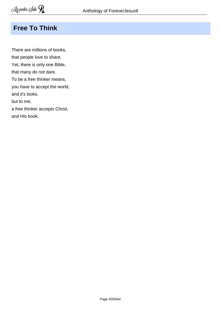## **Free To Think**

There are millions of books, that people love to share. Yet, there is only one Bible, that many do not dare. To be a free thinker means, you have to accept the world, and it's looks. but to me, a free thinker accepts Christ, and His book.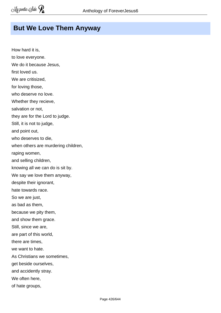#### **But We Love Them Anyway**

How hard it is, to love everyone. We do it because Jesus, first loved us. We are critisized. for loving those, who deserve no love. Whether they recieve, salvation or not, they are for the Lord to judge. Still, it is not to judge, and point out, who deserves to die, when others are murdering children, raping women, and selling children, knowing all we can do is sit by. We say we love them anyway, despite their ignorant, hate towards race. So we are just, as bad as them, because we pity them, and show them grace. Still, since we are, are part of this world, there are times, we want to hate. As Christians we sometimes, get beside ourselves, and accidently stray. We often here, of hate groups,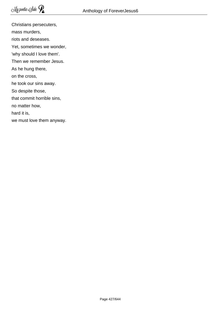Christians persecuters, mass murders, riots and deseases. Yet, sometimes we wonder, 'why should I love them'. Then we remember Jesus. As he hung there, on the cross, he took our sins away. So despite those, that commit horrible sins, no matter how, hard it is, we must love them anyway.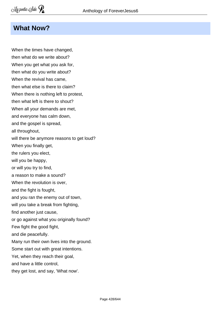#### **What Now?**

When the times have changed, then what do we write about? When you get what you ask for, then what do you write about? When the revival has came, then what else is there to claim? When there is nothing left to protest, then what left is there to shout? When all your demands are met, and everyone has calm down, and the gospel is spread, all throughout, will there be anymore reasons to get loud? When you finally get, the rulers you elect, will you be happy, or will you try to find, a reason to make a sound? When the revolution is over, and the fight is fought, and you ran the enemy out of town, will you take a break from fighting, find another just cause, or go against what you originally found? Few fight the good fight, and die peacefully. Many run their own lives into the ground. Some start out with great intentions. Yet, when they reach their goal, and have a little control, they get lost, and say, 'What now'.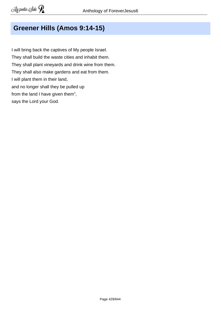## **Greener Hills (Amos 9:14-15)**

I will bring back the captives of My people Israel. They shall build the waste cities and inhabit them. They shall plant vineyards and drink wine from them. They shall also make gardens and eat from them. I will plant them in their land, and no longer shall they be pulled up from the land I have given them", says the Lord your God.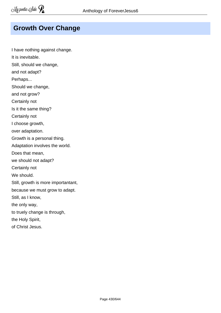### **Growth Over Change**

I have nothing against change. It is inevitable. Still, should we change, and not adapt? Perhaps... Should we change, and not grow? Certainly not Is it the same thing? Certainly not I choose growth, over adaptation. Growth is a personal thing. Adaptation involves the world. Does that mean, we should not adapt? Certainly not We should. Still, growth is more importantant, because we must grow to adapt. Still, as I know, the only way, to truely change is through, the Holy Spirit, of Christ Jesus.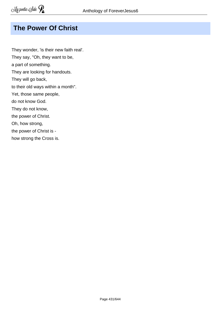# **The Power Of Christ**

They wonder, 'is their new faith real'. They say, "Oh, they want to be, a part of something. They are looking for handouts. They will go back, to their old ways within a month". Yet, those same people, do not know God. They do not know, the power of Christ. Oh, how strong, the power of Christ is -

how strong the Cross is.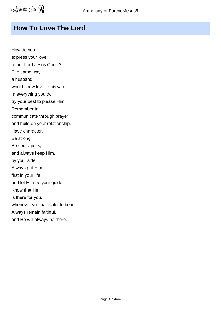### **How To Love The Lord**

How do you, express your love, to our Lord Jesus Christ? The same way, a husband, would show love to his wife. In everything you do, try your best to please Him. Remember to, communicate through prayer, and build on your relationship. Have character. Be strong. Be couragious, and always keep Him, by your side. Always put Him, first in your life, and let Him be your guide. Know that He, is there for you, whenever you have alot to bear. Always remain faithful, and He will always be there.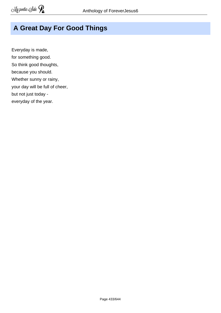# **A Great Day For Good Things**

Everyday is made, for something good. So think good thoughts, because you should. Whether sunny or rainy, your day will be full of cheer, but not just today -

everyday of the year.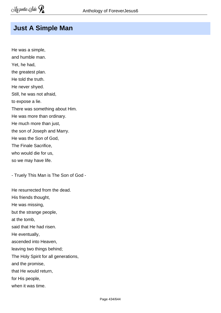## **Just A Simple Man**

He was a simple, and humble man. Yet, he had, the greatest plan. He told the truth. He never shyed. Still, he was not afraid, to expose a lie. There was something about Him. He was more than ordinary. He much more than just, the son of Joseph and Marry. He was the Son of God, The Finale Sacrifice, who would die for us, so we may have life.

- Truely This Man is The Son of God -

He resurrected from the dead. His friends thought, He was missing, but the strange people, at the tomb, said that He had risen. He eventually, ascended into Heaven, leaving two things behind; The Holy Spirit for all generations, and the promise, that He would return, for His people, when it was time.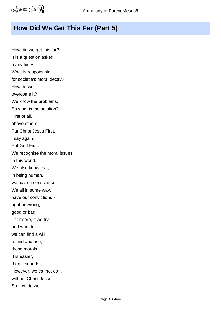# **How Did We Get This Far (Part 5)**

How did we get this far? It is a question asked, many times. What is responsible, for societie's moral decay? How do we, overcome it? We know the problems. So what is the solution? First of all, above others; Put Christ Jesus First. I say again. Put God First. We recognise the moral issues, in this world. We also know that, in being human, we have a conscience. We all in some way, have our convictions right or wrong, good or bad. Therefore, if we try and want to we can find a will, to find and use, those morals. It is easier, then it sounds. However, we cannot do it, without Christ Jesus. So how do we,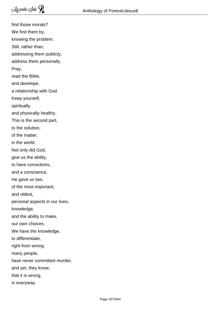find those morals? We find them by, knowing the problem. Still, rather than, addressing them publicly, address them personally. Pray, read the Bible, and develope, a relationship with God. Keep yourself, spiritually, and physically healthy. This is the second part, to the solution, of the matter, in the world. Not only did God, give us the ability, to have convictions, and a conscience, He gave us two, of the most important, and oldest, personal aspects in our lives; knowledge, and the ability to make, our own choices. We have the knowledge, to differentiate, right from wrong. many people, have never committed murder, and yet, they know, that it is wrong, in everyway.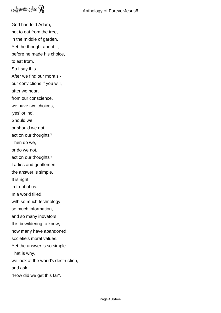God had told Adam, not to eat from the tree, in the middle of garden. Yet, he thought about it, before he made his choice, to eat from. So I say this. After we find our morals our convictions if you will, after we hear, from our conscience, we have two choices; 'yes' or 'no'. Should we, or should we not, act on our thoughts? Then do we, or do we not, act on our thoughts? Ladies and gentlemen, the answer is simple. It is right, in front of us. In a world filled, with so much technology, so much information, and so many inovators. It is bewildering to know, how many have abandoned, societie's moral values. Yet the answer is so simple. That is why, we look at the world's destruction, and ask, "How did we get this far".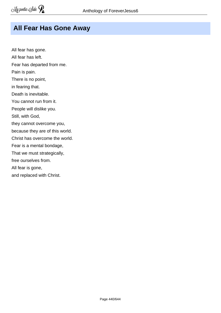## **All Fear Has Gone Away**

All fear has gone. All fear has left. Fear has departed from me. Pain is pain. There is no point, in fearing that. Death is inevitable. You cannot run from it. People will dislike you. Still, with God, they cannot overcome you, because they are of this world. Christ has overcome the world. Fear is a mental bondage, That we must strategically, free ourselves from. All fear is gone, and replaced with Christ.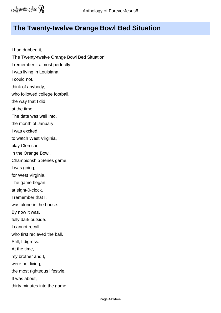## **The Twenty-twelve Orange Bowl Bed Situation**

I had dubbed it, 'The Twenty-twelve Orange Bowl Bed Situation'. I remember it almost perfectly. I was living in Louisiana. I could not, think of anybody, who followed college football, the way that I did, at the time. The date was well into, the month of January. I was excited, to watch West Virginia, play Clemson, in the Orange Bowl, Championship Series game. I was going, for West Virginia. The game began, at eight-0-clock. I remember that I, was alone in the house. By now it was, fully dark outside. I cannot recall, who first recieved the ball. Still, I digress. At the time, my brother and I, were not living, the most righteous lifestyle. It was about, thirty minutes into the game,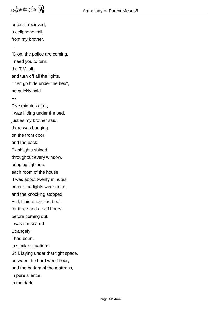before I recieved, a cellphone call, from my brother. --- "Dion, the police are coming. I need you to turn, the T.V. off, and turn off all the lights. Then go hide under the bed", he quickly said. --- Five minutes after, I was hiding under the bed, just as my brother said, there was banging, on the front door, and the back. Flashlights shined, throughout every window, bringing light into, each room of the house. It was about twenty minutes, before the lights were gone, and the knocking stopped. Still, I laid under the bed, for three and a half hours, before coming out. I was not scared. Strangely, I had been, in similar situations. Still, laying under that tight space, between the hard wood floor, and the bottom of the mattress, in pure silence, in the dark,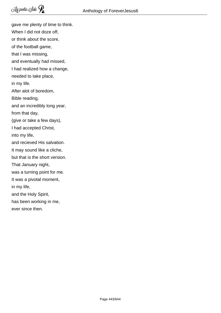gave me plenty of time to think. When I did not doze off, or think about the score, of the football game, that I was missing, and eventually had missed, I had realized how a change, needed to take place, in my life. After alot of boredom, Bible reading, and an incredibly long year, from that day, (give or take a few days), I had accepted Christ, into my life, and recieved His salvation. It may sound like a cliche, but that is the short version. That January night, was a turning point for me. It was a pivotal moment, in my life, and the Holy Spirit, has been working in me, ever since then.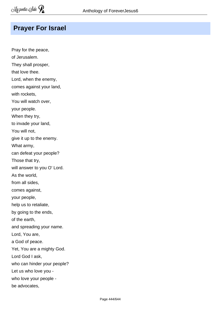### **Prayer For Israel**

Pray for the peace, of Jerusalem. They shall prosper, that love thee. Lord, when the enemy, comes against your land, with rockets, You will watch over, your people. When they try, to invade your land, You will not, give it up to the enemy. What army, can defeat your people? Those that try, will answer to you O' Lord. As the world, from all sides, comes against, your people, help us to retaliate, by going to the ends, of the earth, and spreading your name. Lord, You are, a God of peace. Yet, You are a mighty God. Lord God I ask, who can hinder your people? Let us who love you who love your people be advocates,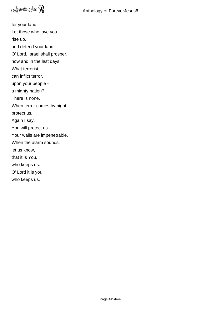for your land. Let those who love you, rise up, and defend your land. O' Lord, Israel shall prosper, now and in the last days. What terrorist, can inflict terror, upon your people a mighty nation? There is none. When terror comes by night, protect us. Again I say, You will protect us. Your walls are impenetrable. When the alarm sounds, let us know, that it is You, who keeps us. O' Lord it is you, who keeps us.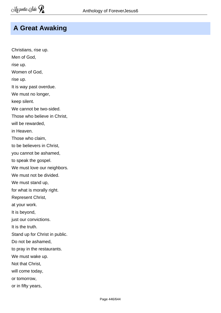# **A Great Awaking**

Christians, rise up. Men of God, rise up. Women of God, rise up. It is way past overdue. We must no longer, keep silent. We cannot be two-sided. Those who believe in Christ, will be rewarded, in Heaven. Those who claim, to be believers in Christ, you cannot be ashamed, to speak the gospel. We must love our neighbors. We must not be divided. We must stand up, for what is morally right. Represent Christ, at your work. It is beyond, just our convictions. It is the truth. Stand up for Christ in public. Do not be ashamed, to pray in the restaurants. We must wake up. Not that Christ, will come today, or tomorrow, or in fifty years,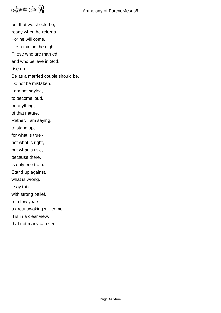but that we should be, ready when he returns. For he will come, like a thief in the night. Those who are married, and who believe in God, rise up. Be as a married couple should be. Do not be mistaken. I am not saying, to become loud, or anything, of that nature. Rather, I am saying, to stand up, for what is true not what is right, but what is true, because there, is only one truth. Stand up against, what is wrong. I say this, with strong belief. In a few years, a great awaking will come. It is in a clear view, that not many can see.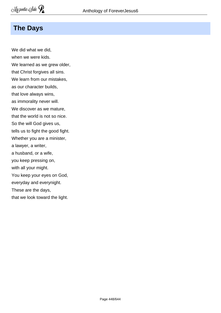#### **The Days**

We did what we did, when we were kids. We learned as we grew older, that Christ forgives all sins. We learn from our mistakes, as our character builds, that love always wins, as immorality never will. We discover as we mature, that the world is not so nice. So the will God gives us, tells us to fight the good fight. Whether you are a minister, a lawyer, a writer, a husband, or a wife, you keep pressing on, with all your might. You keep your eyes on God, everyday and everynight. These are the days, that we look toward the light.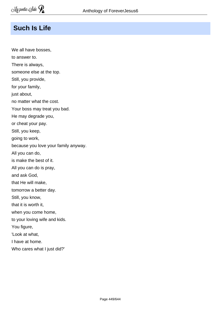# **Such Is Life**

We all have bosses, to answer to. There is always, someone else at the top. Still, you provide, for your family, just about, no matter what the cost. Your boss may treat you bad. He may degrade you, or cheat your pay. Still, you keep, going to work, because you love your family anyway. All you can do, is make the best of it. All you can do is pray, and ask God, that He will make, tomorrow a better day. Still, you know, that it is worth it, when you come home, to your loving wife and kids. You figure, 'Look at what, I have at home. Who cares what I just did?'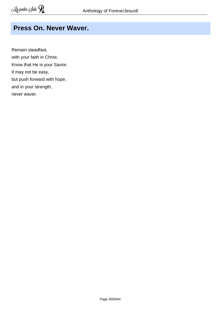# **Press On. Never Waver.**

Remain steadfast, with your faith in Christ. Know that He is your Savior. It may not be easy, but push forward with hope, and in your strength, never waver.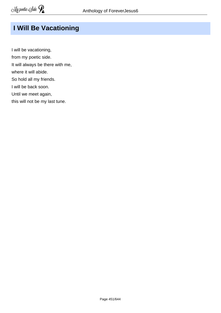# **I Will Be Vacationing**

I will be vacationing, from my poetic side. It will always be there with me, where it will abide. So hold all my friends.

I will be back soon.

Until we meet again,

this will not be my last tune.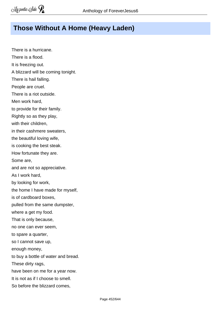## **Those Without A Home (Heavy Laden)**

There is a hurricane. There is a flood. It is freezing out. A blizzard will be coming tonight. There is hail falling. People are cruel. There is a riot outside. Men work hard, to provide for their family. Rightly so as they play, with their children, in their cashmere sweaters, the beautiful loving wife, is cooking the best steak. How fortunate they are. Some are, and are not so appreciative. As I work hard, by looking for work, the home I have made for myself, is of cardboard boxes, pulled from the same dumpster, where a get my food. That is only because, no one can ever seem, to spare a quarter, so I cannot save up, enough money, to buy a bottle of water and bread. These dirty rags, have been on me for a year now. It is not as if I choose to smell. So before the blizzard comes,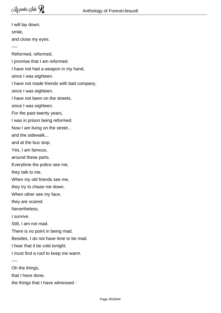I will lay down, smile, and close my eyes. ---- Reformed, reformed, I promise that I am reformed. I have not had a weapon in my hand, since I was eighteen. I have not made friends with bad company, since I was eighteen. I have not been on the streets, since I was eighteen. For the past twenty years, I was in prison being reformed. Now I am living on the street... and the sidewalk... and at the bus stop. Yes, I am famous, around these parts. Everytime the police see me, they talk to me. When my old friends see me, they try to chase me down. When other see my face, they are scared. Nevertheless, I survive. Still, I am not mad. There is no point in being mad. Besides, I do not have time to be mad. I hear that it be cold tonight. I must find a roof to keep me warm. ---- Oh the things, that I have done,

the things that I have witnessed -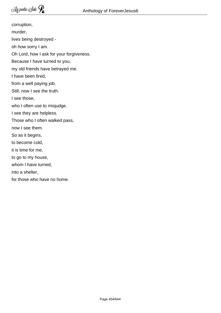corruption, murder, lives being destroyed oh how sorry I am. Oh Lord, how I ask for your forgiveness. Because I have turned to you, my old friends have betrayed me. I have been fired, from a well paying job. Still, now I see the truth. I see those, who I often use to misjudge. I see they are helpless. Those who I often walked pass, now I see them. So as it begins, to become cold, it is time for me, to go to my house, whom I have turned, into a shelter, for those who have no home.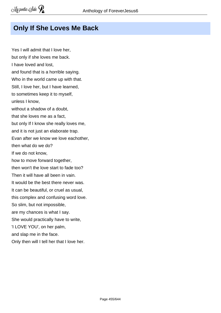### **Only If She Loves Me Back**

Yes I will admit that I love her, but only if she loves me back. I have loved and lost, and found that is a horrible saying. Who in the world came up with that. Still, I love her, but I have learned, to sometimes keep it to myself, unless I know, without a shadow of a doubt, that she loves me as a fact, but only If I know she really loves me, and it is not just an elaborate trap. Evan after we know we love eachother, then what do we do? If we do not know, how to move forward together, then won't the love start to fade too? Then it will have all been in vain. It would be the best there never was. It can be beautiful, or cruel as usual, this complex and confusing word love. So slim, but not impossible, are my chances is what I say. She would practically have to write, 'I LOVE YOU', on her palm, and slap me in the face. Only then will I tell her that I love her.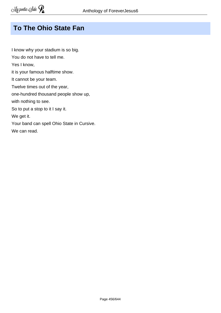# **To The Ohio State Fan**

I know why your stadium is so big. You do not have to tell me. Yes I know, it is your famous halftime show. It cannot be your team. Twelve times out of the year, one-hundred thousand people show up, with nothing to see. So to put a stop to it I say it. We get it. Your band can spell Ohio State in Cursive. We can read.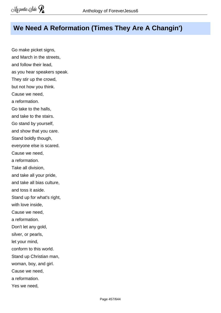## **We Need A Reformation (Times They Are A Changin')**

Go make picket signs, and March in the streets, and follow their lead, as you hear speakers speak. They stir up the crowd, but not how you think. Cause we need, a reformation. Go take to the halls, and take to the stairs. Go stand by yourself, and show that you care. Stand boldly though, everyone else is scared. Cause we need, a reformation. Take all division, and take all your pride, and take all bias culture, and toss it aside. Stand up for what's right, with love inside, Cause we need, a reformation. Don't let any gold, silver, or pearls, let your mind, conform to this world. Stand up Christian man, woman, boy, and girl. Cause we need, a reformation. Yes we need,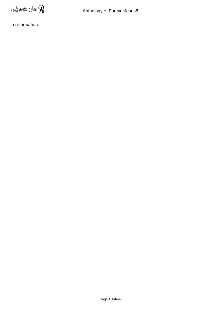a reformation.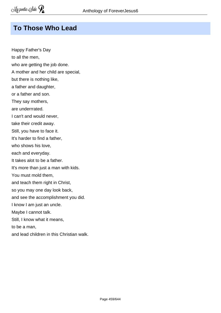#### **To Those Who Lead**

Happy Father's Day to all the men, who are getting the job done. A mother and her child are special, but there is nothing like, a father and daughter, or a father and son. They say mothers, are underrrated. I can't and would never, take their credit away. Still, you have to face it. It's harder to find a father, who shows his love, each and everyday. It takes alot to be a father. It's more than just a man with kids. You must mold them, and teach them right in Christ, so you may one day look back, and see the accomplishment you did. I know I am just an uncle. Maybe I cannot talk. Still, I know what it means, to be a man, and lead children in this Christian walk.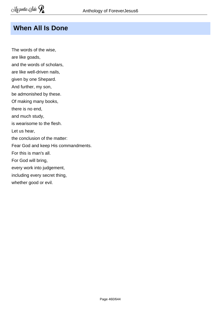## **When All Is Done**

The words of the wise, are like goads, and the words of scholars, are like well-driven nails, given by one Shepard. And further, my son, be admonished by these. Of making many books, there is no end, and much study, is wearisome to the flesh. Let us hear, the conclusion of the matter: Fear God and keep His commandments. For this is man's all. For God will bring, every work into judgement, including every secret thing, whether good or evil.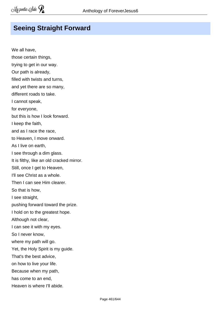### **Seeing Straight Forward**

We all have. those certain things, trying to get in our way. Our path is already, filled with twists and turns, and yet there are so many, different roads to take. I cannot speak, for everyone, but this is how I look forward. I keep the faith, and as I race the race, to Heaven, I move onward. As I live on earth, I see through a dim glass. It is filthy, like an old cracked mirror. Still, once I get to Heaven, I'll see Christ as a whole. Then I can see Him clearer. So that is how, I see straight, pushing forward toward the prize. I hold on to the greatest hope. Although not clear, I can see it with my eyes. So I never know, where my path will go. Yet, the Holy Spirit is my guide. That's the best advice, on how to live your life. Because when my path, has come to an end, Heaven is where I'll abide.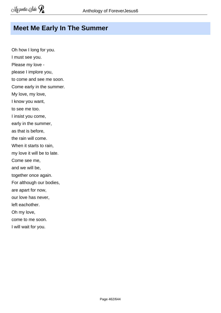### **Meet Me Early In The Summer**

Oh how I long for you. I must see you. Please my love please I implore you, to come and see me soon. Come early in the summer. My love, my love, I know you want, to see me too. I insist you come, early in the summer, as that is before, the rain will come. When it starts to rain, my love it will be to late. Come see me, and we will be, together once again. For although our bodies, are apart for now, our love has never, left eachother. Oh my love, come to me soon. I will wait for you.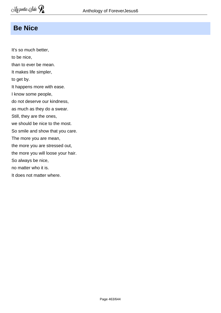### **Be Nice**

It's so much better, to be nice, than to ever be mean. It makes life simpler, to get by. It happens more with ease. I know some people, do not deserve our kindness, as much as they do a swear. Still, they are the ones, we should be nice to the most. So smile and show that you care. The more you are mean, the more you are stressed out, the more you will loose your hair. So always be nice, no matter who it is. It does not matter where.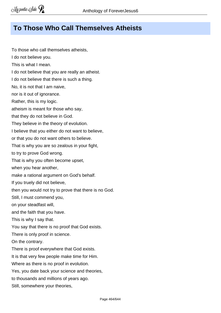### **To Those Who Call Themselves Atheists**

To those who call themselves atheists, I do not believe you. This is what I mean. I do not believe that you are really an atheist. I do not believe that there is such a thing. No, it is not that I am naive, nor is it out of ignorance. Rather, this is my logic. atheism is meant for those who say, that they do not believe in God. They believe in the theory of evolution. I believe that you either do not want to believe, or that you do not want others to believe. That is why you are so zealous in your fight, to try to prove God wrong. That is why you often become upset, when you hear another, make a rational argument on God's behalf. If you truely did not believe, then you would not try to prove that there is no God. Still, I must commend you, on your steadfast will, and the faith that you have. This is why I say that. You say that there is no proof that God exists. There is only proof in science. On the contrary. There is proof everywhere that God exists. It is that very few people make time for Him. Where as there is no proof in evolution. Yes, you date back your science and theories, to thousands and millions of years ago. Still, somewhere your theories,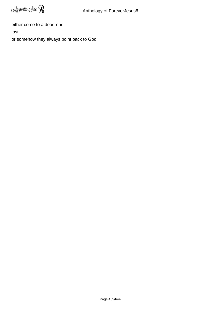either come to a dead-end,

lost,

or somehow they always point back to God.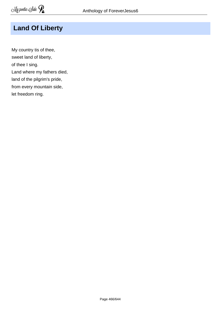# **Land Of Liberty**

My country tis of thee, sweet land of liberty, of thee I sing. Land where my fathers died, land of the pilgrim's pride, from every mountain side, let freedom ring.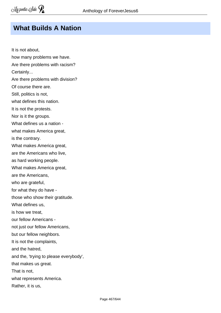# **What Builds A Nation**

It is not about, how many problems we have. Are there problems with racism? Certainly... Are there problems with division? Of course there are. Still, politics is not, what defines this nation. It is not the protests. Nor is it the groups. What defines us a nation what makes America great, is the contrary. What makes America great, are the Americans who live, as hard working people. What makes America great, are the Americans, who are grateful, for what they do have those who show their gratitude. What defines us, is how we treat, our fellow Americans not just our fellow Americans, but our fellow neighbors. It is not the complaints, and the hatred, and the, 'trying to please everybody', that makes us great. That is not, what represents America. Rather, it is us,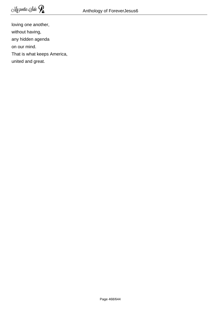loving one another, without having, any hidden agenda on our mind. That is what keeps America, united and great.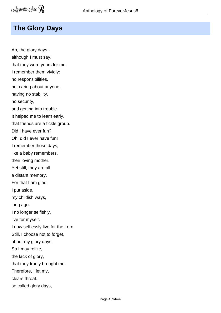#### **The Glory Days**

Ah, the glory days although I must say, that they were years for me. I remember them vividly: no responsibilities, not caring about anyone, having no stability, no security, and getting into trouble. It helped me to learn early, that friends are a fickle group. Did I have ever fun? Oh, did I ever have fun! I remember those days, like a baby remembers, their loving mother. Yet still, they are all, a distant memory. For that I am glad. I put aside, my childish ways, long ago. I no longer selfishly, live for myself. I now selflessly live for the Lord. Still, I choose not to forget, about my glory days. So I may relize, the lack of glory, that they truely brought me. Therefore, I let my, clears throat... so called glory days,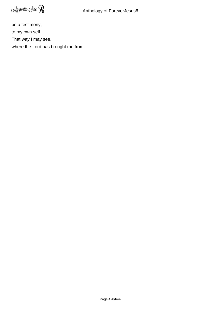be a testimony, to my own self. That way I may see, where the Lord has brought me from.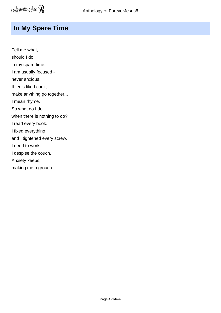## **In My Spare Time**

Tell me what, should I do, in my spare time. I am usually focused never anxious. It feels like I can't, make anything go together... I mean rhyme. So what do I do, when there is nothing to do? I read every book. I fixed everything, and I tightened every screw. I need to work. I despise the couch. Anxiety keeps, making me a grouch.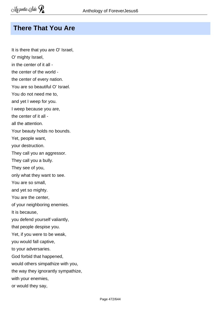#### **There That You Are**

It is there that you are O' Israel, O' mighty Israel, in the center of it all the center of the world the center of every nation. You are so beautiful O' Israel. You do not need me to, and yet I weep for you. I weep because you are, the center of it all all the attention. Your beauty holds no bounds. Yet, people want, your destruction. They call you an aggressor. They call you a bully. They see of you, only what they want to see. You are so small, and yet so mighty. You are the center, of your neighboring enemies. It is because, you defend yourself valiantly, that people despise you. Yet, if you were to be weak, you would fall captive, to your adversaries. God forbid that happened, would others simpathize with you, the way they ignorantly sympathize, with your enemies, or would they say,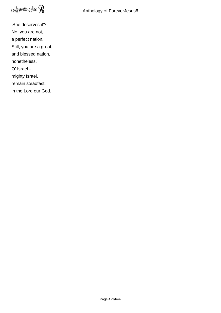'She deserves it'? No, you are not, a perfect nation. Still, you are a great, and blessed nation, nonetheless. O' Israel mighty Israel, remain steadfast, in the Lord our God.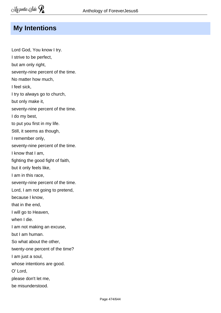#### **My Intentions**

Lord God, You know I try. I strive to be perfect, but am only right, seventy-nine percent of the time. No matter how much, I feel sick, I try to always go to church, but only make it, seventy-nine percent of the time. I do my best, to put you first in my life. Still, it seems as though, I remember only, seventy-nine percent of the time. I know that I am, fighting the good fight of faith, but it only feels like, I am in this race, seventy-nine percent of the time. Lord, I am not going to pretend, because I know, that in the end, I will go to Heaven, when I die. I am not making an excuse, but I am human. So what about the other, twenty-one percent of the time? I am just a soul, whose intentions are good. O' Lord, please don't let me, be misunderstood.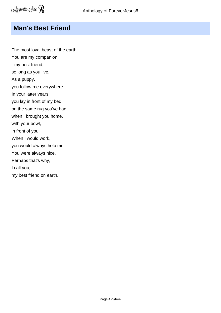## **Man's Best Friend**

The most loyal beast of the earth. You are my companion. - my best friend, so long as you live. As a puppy, you follow me everywhere. In your latter years, you lay in front of my bed, on the same rug you've had, when I brought you home, with your bowl, in front of you. When I would work, you would always help me. You were always nice. Perhaps that's why, I call you, my best friend on earth.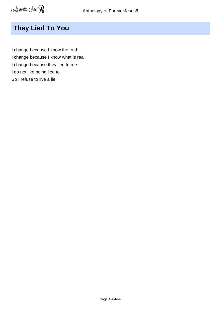# **They Lied To You**

I change because I know the truth. I change because I know what is real. I change because they lied to me. I do not like being lied to. So I refuse to live a lie.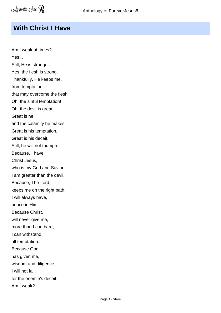## **With Christ I Have**

Am I weak at times? Yes... Still, He is stronger. Yes, the flesh is strong. Thankfully, He keeps me, from temptation, that may overcome the flesh. Oh, the sinful temptation! Oh, the devil is great. Great is he, and the calamity he makes. Great is his temptation. Great is his deceit. Still, he will not triumph. Because, I have, Christ Jesus, who is my God and Savior, I am greater than the devil. Because, The Lord, keeps me on the right path, I will always have, peace in Him. Because Christ, will never give me, more than I can bare, I can withstand, all temptation. Because God, has given me, wisdom and diligence, I will not fall, for the enemie's deceit. Am I weak?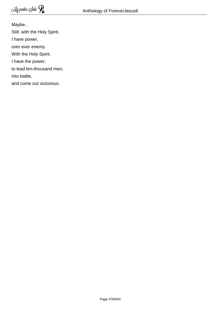Maybe... Still, with the Holy Spirit, I have power, over ever enemy. With the Holy Spirit, I have the power, to lead ten-thousand men, into battle,

and come out victorious.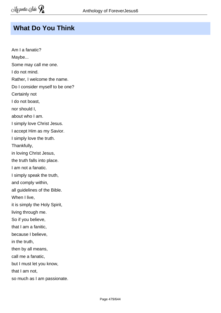### **What Do You Think**

Am I a fanatic? Maybe... Some may call me one. I do not mind. Rather, I welcome the name. Do I consider myself to be one? Certainly not I do not boast, nor should I, about who I am. I simply love Christ Jesus. I accept Him as my Savior. I simply love the truth. Thankfully, in loving Christ Jesus, the truth falls into place. I am not a fanatic. I simply speak the truth, and comply within, all guidelines of the Bible. When I live, it is simply the Holy Spirit, living through me. So if you believe, that I am a fanitic, because I believe, in the truth, then by all means, call me a fanatic, but I must let you know, that I am not, so much as I am passionate.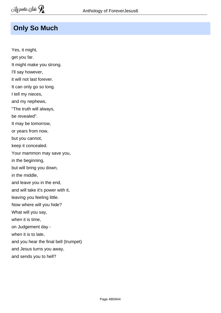#### **Only So Much**

Yes, it might, get you far. It might make you strong. I'll say however, it will not last forever. It can only go so long. I tell my nieces, and my nephews, "The truth will always, be revealed". It may be tomorrow, or years from now, but you cannot, keep it concealed. Your mammon may save you, in the beginning, but will bring you down, in the middle, and leave you in the end, and will take it's power with it, leaving you feeling little. Now where will you hide? What will you say, when it is time, on Judgement day when it is to late, and you hear the final bell (trumpet) and Jesus turns you away, and sends you to hell?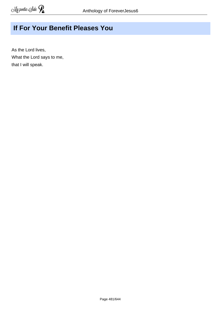# **If For Your Benefit Pleases You**

As the Lord lives, What the Lord says to me, that I will speak.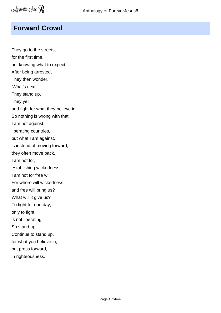#### **Forward Crowd**

They go to the streets, for the first time, not knowing what to expect. After being arrested, They then wonder, 'What's next'. They stand up. They yell, and fight for what they believe in. So nothing is wrong with that. I am not against, liberating countries, but what I am against, is instead of moving forward, they often move back. I am not for, establishing wickedness. I am not for free will. For where will wickedness, and free will bring us? What will it give us? To fight for one day, only to fight, is not liberating. So stand up! Continue to stand up, for what you believe in, but press forward, in righteousness.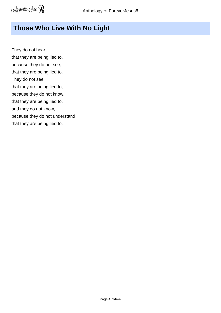# **Those Who Live With No Light**

They do not hear, that they are being lied to, because they do not see, that they are being lied to. They do not see, that they are being lied to, because they do not know, that they are being lied to, and they do not know, because they do not understand, that they are being lied to.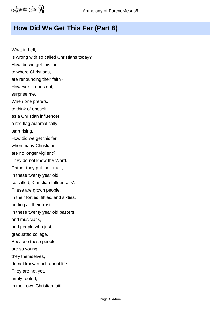## **How Did We Get This Far (Part 6)**

What in hell. is wrong with so called Christians today? How did we get this far, to where Christians, are renouncing their faith? However, it does not, surprise me. When one prefers, to think of oneself, as a Christian influencer, a red flag automatically, start rising. How did we get this far, when many Christians, are no longer vigilent? They do not know the Word. Rather they put their trust, in these twenty year old, so called, 'Christian Influencers'. These are grown people, in their forties, fifties, and sixties, putting all their trust, in these twenty year old pasters, and musicians, and people who just, graduated college. Because these people, are so young, they themselves, do not know much about life. They are not yet, firmly rooted, in their own Christian faith.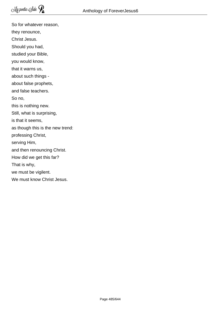So for whatever reason, they renounce, Christ Jesus. Should you had, studied your Bible, you would know, that it warns us, about such things about false prophets, and false teachers. So no, this is nothing new. Still, what is surprising, is that it seems, as though this is the new trend: professing Christ, serving Him, and then renouncing Christ. How did we get this far? That is why, we must be vigilent. We must know Christ Jesus.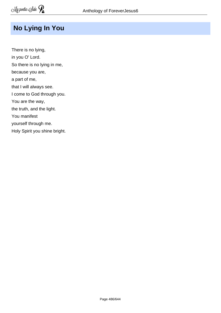# **No Lying In You**

There is no lying, in you O' Lord. So there is no lying in me, because you are, a part of me, that I will always see. I come to God through you. You are the way, the truth, and the light. You manifest yourself through me. Holy Spirit you shine bright.

Page 486/644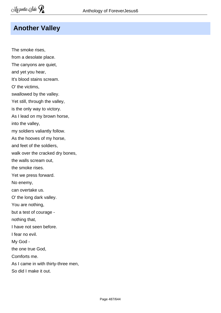### **Another Valley**

The smoke rises, from a desolate place. The canyons are quiet, and yet you hear, It's blood stains scream. O' the victims, swallowed by the valley. Yet still, through the valley, is the only way to victory. As I lead on my brown horse, into the valley, my soldiers valiantly follow. As the hooves of my horse, and feet of the soldiers, walk over the cracked dry bones, the walls scream out, the smoke rises. Yet we press forward. No enemy, can overtake us. O' the long dark valley. You are nothing, but a test of courage nothing that, I have not seen before. I fear no evil. My God the one true God, Comforts me. As I came in with thirty-three men, So did I make it out.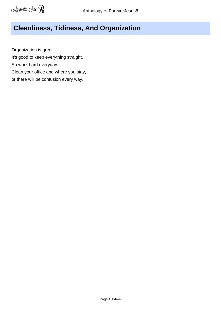# **Cleanliness, Tidiness, And Organization**

Organization is great. It's good to keep everything straight. So work hard everyday. Clean your office and where you stay, or there will be confusion every way.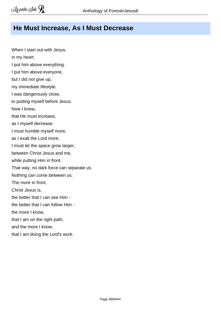### **He Must Increase, As I Must Decrease**

When I start out with Jesus, in my heart. I put him above everything. I put him above everyone, but I did not give up, my immediate lifestyle. I was dangerously close, to putting myself before Jesus. Now I know, that He must increase, as I myself decrease. I must humble myself more, as I exalt the Lord more. I must let the space grow larger, between Christ Jesus and me, while putting Him in front. That way, no dark force can separate us. Nothing can come between us. The more in front, Christ Jesus is, the better that I can see Him the better that I can follow Him the more I know, that I am on the right path, and the more I know, that I am doing the Lord's work.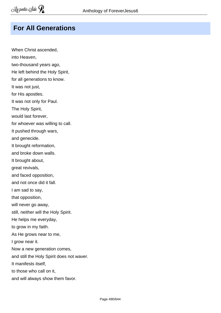### **For All Generations**

When Christ ascended, into Heaven, two-thousand years ago, He left behind the Holy Spirit, for all generations to know. It was not just, for His apostles. It was not only for Paul. The Holy Spirit, would last forever, for whoever was willing to call. It pushed through wars, and genecide. It brought reformation, and broke down walls. It brought about, great revivals, and faced opposition, and not once did it fall. I am sad to say, that opposition, will never go away, still, neither will the Holy Spirit. He helps me everyday, to grow in my faith. As He grows near to me, I grow near it. Now a new generation comes, and still the Holy Spirit does not waver. It manifests itself, to those who call on it, and will always show them favor.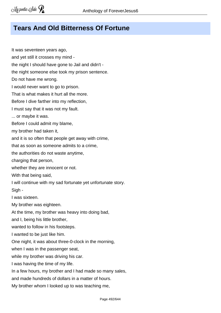## **Tears And Old Bitterness Of Fortune**

It was seventeen years ago, and yet still it crosses my mind the night I should have gone to Jail and didn't the night someone else took my prison sentence. Do not have me wrong. I would never want to go to prison. That is what makes it hurt all the more. Before I dive farther into my reflection, I must say that it was not my fault. ... or maybe it was. Before I could admit my blame, my brother had taken it, and it is so often that people get away with crime, that as soon as someone admits to a crime, the authorities do not waste anytime, charging that person, whether they are innocent or not. With that being said, I will continue with my sad fortunate yet unfortunate story. Sigh - I was sixteen. My brother was eighteen. At the time, my brother was heavy into doing bad, and I, being his little brother, wanted to follow in his footsteps. I wanted to be just like him. One night, it was about three-0-clock in the morning, when I was in the passenger seat, while my brother was driving his car. I was having the time of my life. In a few hours, my brother and I had made so many sales, and made hundreds of dollars in a matter of hours. My brother whom I looked up to was teaching me,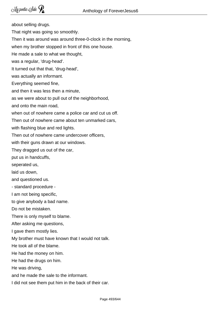about selling drugs. That night was going so smoothly. Then it was around was around three-0-clock in the morning, when my brother stopped in front of this one house. He made a sale to what we thought, was a regular, 'drug-head'. It turned out that that, 'drug-head', was actually an informant. Everything seemed fine, and then it was less then a minute, as we were about to pull out of the neighborhood, and onto the main road, when out of nowhere came a police car and cut us off. Then out of nowhere came about ten unmarked cars, with flashing blue and red lights. Then out of nowhere came undercover officers, with their guns drawn at our windows. They dragged us out of the car, put us in handcuffs, seperated us, laid us down, and questioned us. - standard procedure - I am not being specific, to give anybody a bad name. Do not be mistaken. There is only myself to blame. After asking me questions, I gave them mostly lies. My brother must have known that I would not talk. He took all of the blame. He had the money on him. He had the drugs on him. He was driving, and he made the sale to the informant. I did not see them put him in the back of their car.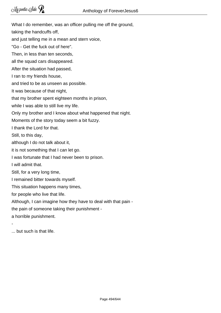What I do remember, was an officer pulling me off the ground,

taking the handcuffs off,

and just telling me in a mean and stern voice,

"Go - Get the fuck out of here".

Then, in less than ten seconds,

all the squad cars disappeared.

After the situation had passed,

I ran to my friends house,

and tried to be as unseen as possible.

It was because of that night,

that my brother spent eighteen months in prison,

while I was able to still live my life.

Only my brother and I know about what happened that night.

Moments of the story today seem a bit fuzzy.

I thank the Lord for that.

Still, to this day,

although I do not talk about it,

it is not something that I can let go.

I was fortunate that I had never been to prison.

I will admit that.

Still, for a very long time,

I remained bitter towards myself.

This situation happens many times,

for people who live that life.

Although, I can imagine how they have to deal with that pain -

the pain of someone taking their punishment -

a horrible punishment.

-

... but such is that life.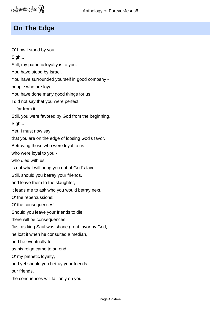### **On The Edge**

O' how I stood by you. Sigh... Still, my pathetic loyalty is to you. You have stood by Israel. You have surrounded yourself in good company people who are loyal. You have done many good things for us. I did not say that you were perfect. ... far from it. Still, you were favored by God from the beginning. Sigh... Yet, I must now say, that you are on the edge of loosing God's favor. Betraying those who were loyal to us who were loyal to you who died with us, is not what will bring you out of God's favor. Still, should you betray your friends, and leave them to the slaughter, it leads me to ask who you would betray next. O' the repercussions! O' the consequences! Should you leave your friends to die, there will be consequences. Just as king Saul was shone great favor by God, he lost it when he consulted a median, and he eventually fell, as his reign came to an end. O' my pathetic loyalty, and yet should you betray your friends our friends, the conquences will fall only on you.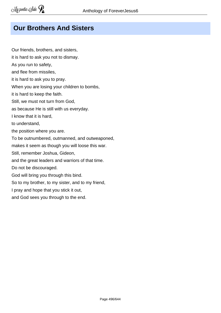#### **Our Brothers And Sisters**

Our friends, brothers, and sisters, it is hard to ask you not to dismay. As you run to safety, and flee from missiles, it is hard to ask you to pray. When you are losing your children to bombs, it is hard to keep the faith. Still, we must not turn from God, as because He is still with us everyday. I know that it is hard, to understand, the position where you are. To be outnumbered, outmanned, and outweaponed, makes it seem as though you will loose this war. Still, remember Joshua, Gideon, and the great leaders and warriors of that time. Do not be discouraged. God will bring you through this bind. So to my brother, to my sister, and to my friend, I pray and hope that you stick it out, and God sees you through to the end.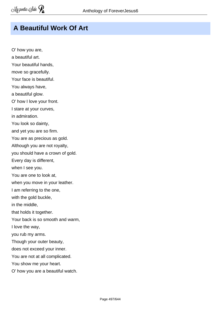#### **A Beautiful Work Of Art**

O' how you are, a beautiful art. Your beautiful hands, move so gracefully. Your face is beautiful. You always have, a beautiful glow. O' how I love your front. I stare at your curves, in admiration. You look so dainty, and yet you are so firm. You are as precious as gold. Although you are not royalty, you should have a crown of gold. Every day is different, when I see you. You are one to look at, when you move in your leather. I am referring to the one, with the gold buckle, in the middle, that holds it together. Your back is so smooth and warm, I love the way, you rub my arms. Though your outer beauty, does not exceed your inner. You are not at all complicated. You show me your heart. O' how you are a beautiful watch.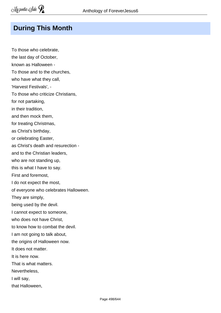## **During This Month**

To those who celebrate, the last day of October, known as Halloween - To those and to the churches, who have what they call, 'Harvest Festivals', - To those who criticize Christians, for not partaking, in their tradition, and then mock them, for treating Christmas, as Christ's birthday, or celebrating Easter, as Christ's death and resurection and to the Christian leaders, who are not standing up, this is what I have to say. First and foremost, I do not expect the most, of everyone who celebrates Halloween. They are simply, being used by the devil. I cannot expect to someone, who does not have Christ, to know how to combat the devil. I am not going to talk about, the origins of Halloween now. It does not matter. It is here now. That is what matters. Nevertheless, I will say, that Halloween,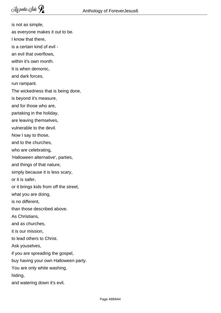is not as simple, as everyone makes it out to be. I know that there, is a certain kind of evil an evil that overflows, within it's own month. It is when demonic, and dark forces, run rampant. The wickedness that is being done, is beyond it's measure, and for those who are, partaking in the holiday, are leaving themselves, vulnerable to the devil. Now I say to those, and to the churches, who are celebrating, 'Halloween alternative', parties, and things of that nature, simply because it is less scary, or it is safer, or it brings kids from off the street, what you are doing, is no different, than those described above. As Christians, and as churches, it is our mission, to lead others to Christ. Ask youselves, if you are spreading the gospel, buy having your own Halloween party. You are only white washing, hiding,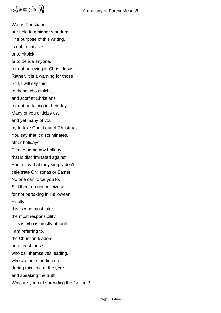We as Christians, are held to a higher standard. The purpose of this writing, is not to criticize, or to nitpick, or to deride anyone, for not believing in Christ Jesus. Rather, it is a warning for those. Still, I will say this, to those who criticize, and scoff at Christians, for not partaking in their day. Many of you criticize us, and yet many of you, try to take Christ out of Christmas. You say that it discriminates, other holidays. Please name any holiday, that is discriminated against. Some say that they simply don't, celebrate Christmas or Easter. No one can force you to. Still then, do not criticize us, for not partaking in Halloween. Finally, this is who must take, the most responsibility. This is who is mostly at fault. I am referring to, the Christian leaders, or at least those, who call themselves leading, who are not standing up, during this time of the year, and speaking the truth. Why are you not spreading the Gospel?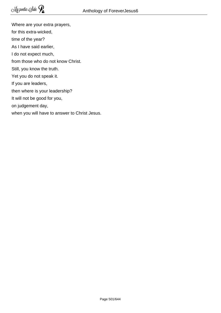Where are your extra prayers,

- for this extra-wicked,
- time of the year?
- As I have said earlier,
- I do not expect much,
- from those who do not know Christ.
- Still, you know the truth.
- Yet you do not speak it.
- If you are leaders,
- then where is your leadership?
- It will not be good for you,
- on judgement day,
- when you will have to answer to Christ Jesus.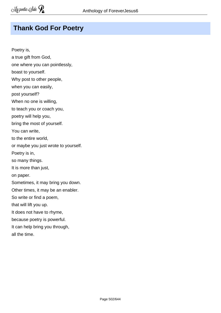## **Thank God For Poetry**

Poetry is, a true gift from God, one where you can pointlessly, boast to yourself. Why post to other people, when you can easily, post yourself? When no one is willing, to teach you or coach you, poetry will help you, bring the most of yourself. You can write, to the entire world, or maybe you just wrote to yourself. Poetry is in, so many things. It is more than just, on paper. Sometimes, it may bring you down. Other times, it may be an enabler. So write or find a poem, that will lift you up. It does not have to rhyme, because poetry is powerful. It can help bring you through, all the time.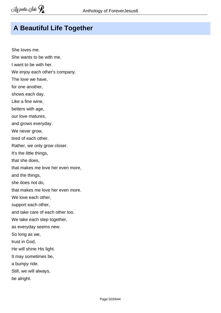### **A Beautiful Life Together**

She loves me. She wants to be with me. I want to be with her. We enjoy each other's company. The love we have, for one another, shows each day. Like a fine wine, betters with age, our love matures, and grows everyday. We never grow, tired of each other. Rather, we only grow closer. It's the little things, that she does, that makes me love her even more, and the things, she does not do, that makes me love her even more. We love each other. support each other, and take care of each other too. We take each step together, as everyday seems new. So long as we, trust in God, He will shine His light. It may sometimes be, a bumpy ride. Still, we will always, be alright.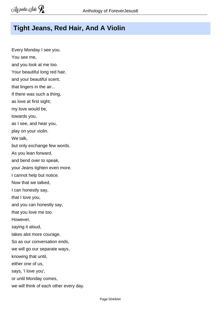### **Tight Jeans, Red Hair, And A Violin**

Every Monday I see you. You see me, and you look at me too. Your beautiful long red hair, and your beautiful scent, that lingers in the air... If there was such a thing, as love at first sight; my love would be, towards you, as I see, and hear you, play on your violin. We talk, but only exchange few words. As you lean forward, and bend over to speak, your Jeans tighten even more. I cannot help but notice. Now that we talked, I can honestly say, that I love you, and you can honestly say, that you love me too. However, saying it aloud, takes alot more courage. So as our conversation ends, we will go our separate ways, knowing that until, either one of us, says, 'I love you', or until Monday comes, we will think of each other every day.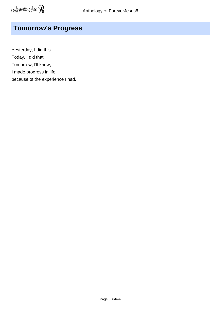# **Tomorrow's Progress**

Yesterday, I did this. Today, I did that. Tomorrow, I'll know, I made progress in life, because of the experience I had.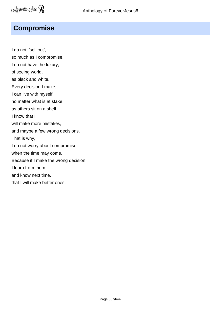### **Compromise**

I do not, 'sell out', so much as I compromise. I do not have the luxury, of seeing world, as black and white. Every decision I make, I can live with myself, no matter what is at stake, as others sit on a shelf. I know that I will make more mistakes, and maybe a few wrong decisions. That is why, I do not worry about compromise, when the time may come. Because if I make the wrong decision, I learn from them, and know next time, that I will make better ones.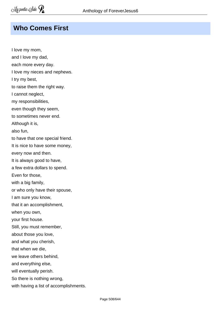#### **Who Comes First**

I love my mom, and I love my dad, each more every day. I love my nieces and nephews. I try my best, to raise them the right way. I cannot neglect, my responsibilities, even though they seem, to sometimes never end. Although it is, also fun, to have that one special friend. It is nice to have some money, every now and then. It is always good to have, a few extra dollars to spend. Even for those, with a big family, or who only have their spouse, I am sure you know, that it an accomplishment, when you own, your first house. Still, you must remember, about those you love, and what you cherish, that when we die, we leave others behind, and everything else, will eventually perish. So there is nothing wrong, with having a list of accomplishments.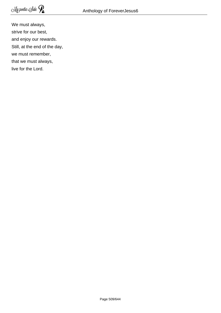We must always, strive for our best, and enjoy our rewards. Still, at the end of the day, we must remember, that we must always,

live for the Lord.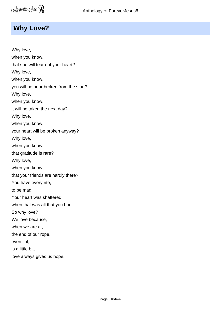### **Why Love?**

Why love, when you know, that she will tear out your heart? Why love, when you know, you will be heartbroken from the start? Why love, when you know, it will be taken the next day? Why love, when you know, your heart will be broken anyway? Why love, when you know, that gratitude is rare? Why love, when you know, that your friends are hardly there? You have every rite, to be mad. Your heart was shattered, when that was all that you had. So why love? We love because, when we are at, the end of our rope, even if it, is a little bit, love always gives us hope.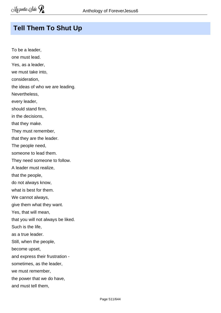### **Tell Them To Shut Up**

To be a leader, one must lead. Yes, as a leader, we must take into, consideration, the ideas of who we are leading. Nevertheless, every leader, should stand firm, in the decisions, that they make. They must remember, that they are the leader. The people need, someone to lead them. They need someone to follow. A leader must realize, that the people, do not always know, what is best for them. We cannot always, give them what they want. Yes, that will mean, that you will not always be liked. Such is the life, as a true leader. Still, when the people, become upset, and express their frustration sometimes, as the leader, we must remember, the power that we do have, and must tell them,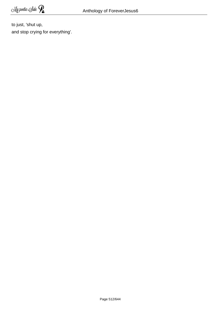to just, 'shut up,

and stop crying for everything'.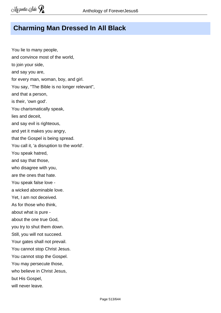# **Charming Man Dressed In All Black**

You lie to many people, and convince most of the world, to join your side, and say you are, for every man, woman, boy, and girl. You say, "The Bible is no longer relevant", and that a person, is their, 'own god'. You charismatically speak, lies and deceit, and say evil is righteous, and yet it makes you angry, that the Gospel is being spread. You call it, 'a disruption to the world'. You speak hatred, and say that those, who disagree with you, are the ones that hate. You speak false love a wicked abominable love. Yet, I am not deceived. As for those who think, about what is pure about the one true God, you try to shut them down. Still, you will not succeed. Your gates shall not prevail. You cannot stop Christ Jesus. You cannot stop the Gospel. You may persecute those, who believe in Christ Jesus, but His Gospel, will never leave.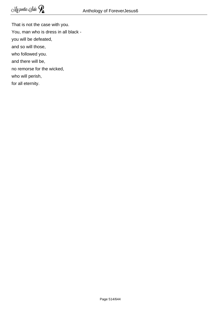That is not the case with you. You, man who is dress in all black you will be defeated, and so will those, who followed you. and there will be, no remorse for the wicked, who will perish,

for all eternity.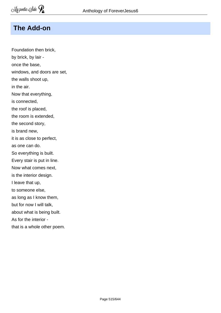#### **The Add-on**

Foundation then brick, by brick, by lair once the base, windows, and doors are set, the walls shoot up, in the air. Now that everything, is connected, the roof is placed, the room is extended, the second story, is brand new, it is as close to perfect, as one can do. So everything is built. Every stair is put in line. Now what comes next, is the interior design. I leave that up, to someone else, as long as I know them, but for now I will talk, about what is being built. As for the interior that is a whole other poem.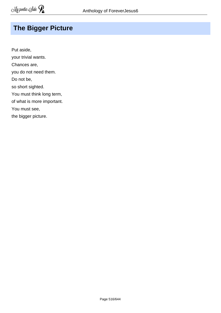# **The Bigger Picture**

Put aside, your trivial wants. Chances are, you do not need them. Do not be, so short sighted. You must think long term, of what is more important. You must see, the bigger picture.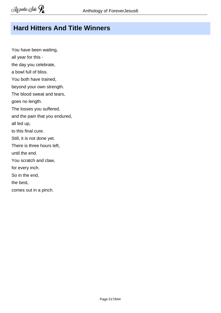# **Hard Hitters And Title Winners**

You have been waiting, all year for this the day you celebrate, a bowl full of bliss. You both have trained, beyond your own strength. The blood sweat and tears, goes no length. The losses you suffered, and the pain that you endured, all led up, to this final cure. Still, it is not done yet. There is three hours left, until the end. You scratch and claw, for every inch. So in the end, the best, comes out in a pinch.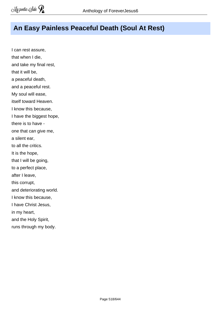# **An Easy Painless Peaceful Death (Soul At Rest)**

I can rest assure, that when I die, and take my final rest, that it will be, a peaceful death, and a peaceful rest. My soul will ease, itself toward Heaven. I know this because, I have the biggest hope, there is to have one that can give me, a silent ear, to all the critics. It is the hope, that I will be going, to a perfect place, after I leave, this corrupt, and deteriorating world. I know this because, I have Christ Jesus, in my heart, and the Holy Spirit, runs through my body.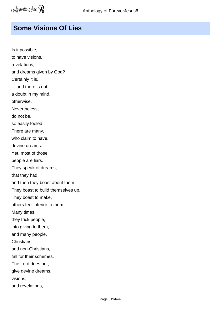#### **Some Visions Of Lies**

Is it possible, to have visions, revelations, and dreams given by God? Certainly it is. ... and there is not, a doubt in my mind, otherwise. Nevertheless, do not be, so easily fooled. There are many, who claim to have, devine dreams. Yet, most of those, people are liars. They speak of dreams, that they had, and then they boast about them. They boast to build themselves up. They boast to make, others feel inferior to them. Many times, they trick people, into giving to them, and many people, Christians, and non-Christians, fall for their schemes. The Lord does not, give devine dreams, visions, and revelations,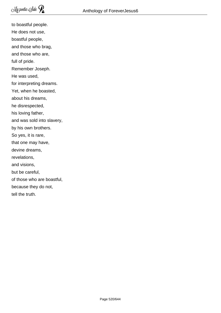to boastful people. He does not use, boastful people, and those who brag, and those who are, full of pride. Remember Joseph. He was used, for interpreting dreams. Yet, when he boasted, about his dreams, he disrespected, his loving father, and was sold into slavery, by his own brothers. So yes, it is rare, that one may have, devine dreams, revelations, and visions, but be careful, of those who are boastful, because they do not, tell the truth.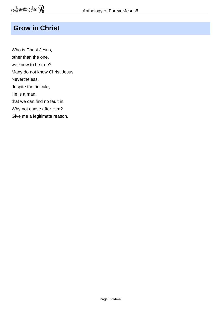# **Grow in Christ**

Who is Christ Jesus, other than the one, we know to be true? Many do not know Christ Jesus. Nevertheless, despite the ridicule, He is a man, that we can find no fault in. Why not chase after Him? Give me a legitimate reason.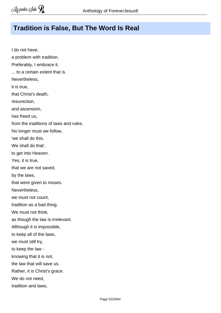### **Tradition is False, But The Word Is Real**

I do not have, a problem with tradition. Preferably, I embrace it. ... to a certain extent that is. Nevertheless, it is true, that Christ's death, resurection, and ascension, has freed us, from the traditions of laws and rules. No longer must we follow, 'we shall do this. We shall do that'. to get into Heaven. Yes, it is true, that we are not saved, by the laws, that were given to moses. Nevertheless, we must not count, tradition as a bad thing. We must not think, as though the law is irrelevant. Although it is impossible, to keep all of the laws, we must still try, to keep the law knowing that it is not, the law that will save us. Rather, it is Christ's grace. We do not need, tradition and laws,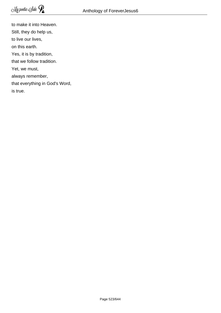to make it into Heaven. Still, they do help us, to live our lives, on this earth. Yes, it is by tradition, that we follow tradition. Yet, we must, always remember, that everything in God's Word, is true.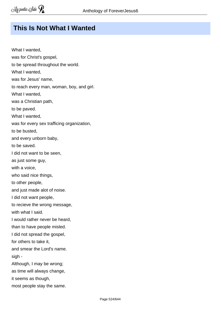### **This Is Not What I Wanted**

What I wanted, was for Christ's gospel, to be spread throughout the world. What I wanted, was for Jesus' name, to reach every man, woman, boy, and girl. What I wanted, was a Christian path, to be paved. What I wanted, was for every sex trafficing organization, to be busted, and every unborn baby, to be saved. I did not want to be seen, as just some guy, with a voice, who said nice things, to other people, and just made alot of noise. I did not want people, to recieve the wrong message, with what I said. I would rather never be heard, than to have people misled. I did not spread the gospel, for others to take it, and smear the Lord's name. sigh - Although, I may be wrong; as time will always change, it seems as though, most people stay the same.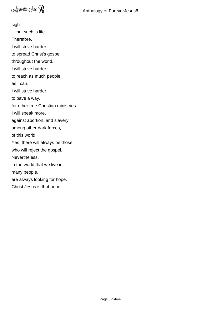sigh - ... but such is life. Therefore, I will strive harder, to spread Christ's gospel, throughout the world. I will strive harder, to reach as much people, as I can. I will strive harder, to pave a way, for other true Christian ministries. I will speak more, against abortion, and slavery, among other dark forces, of this world. Yes, there will always be those, who will reject the gospel. Nevertheless, in the world that we live in, many people, are always looking for hope. Christ Jesus is that hope.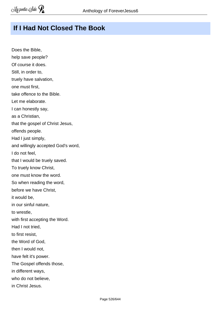### **If I Had Not Closed The Book**

Does the Bible, help save people? Of course it does. Still, in order to, truely have salvation, one must first, take offence to the Bible. Let me elaborate. I can honestly say, as a Christian, that the gospel of Christ Jesus, offends people. Had I just simply, and willingly accepted God's word, I do not feel, that I would be truely saved. To truely know Christ, one must know the word. So when reading the word, before we have Christ, it would be, in our sinful nature, to wrestle, with first accepting the Word. Had I not tried, to first resist, the Word of God, then I would not, have felt it's power. The Gospel offends those, in different ways, who do not believe. in Christ Jesus.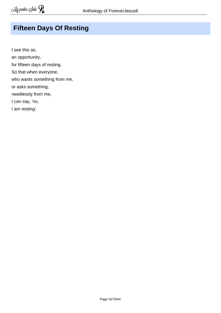# **Fifteen Days Of Resting**

I see this as,

an opportunity,

for fifteen days of resting.

So that when everyone,

who wants something from me,

or asks something,

needlessly from me,

I can say, 'no,

I am resting'.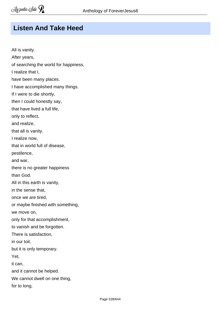### **Listen And Take Heed**

All is vanity. After years, of searching the world for happiness, I realize that I, have been many places. I have accomplished many things. If I were to die shortly, then I could honestly say, that have lived a full life, only to reflect, and realize, that all is vanity. I realize now, that in world full of disease, pestilence, and war, there is no greater happiness than God. All in this earth is vanity, in the sense that, once we are tired, or maybe finished with something, we move on, only for that accomplishment, to vanish and be forgotten. There is satisfaction, in our toil, but it is only temporary. Yet, it can, and it cannot be helped. We cannot dwell on one thing, for to long.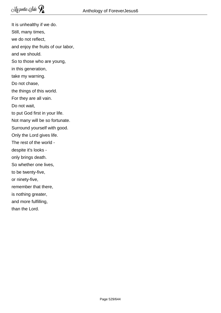It is unhealthy if we do. Still, many times, we do not reflect, and enjoy the fruits of our labor, and we should. So to those who are young, in this generation, take my warning. Do not chase, the things of this world. For they are all vain. Do not wait, to put God first in your life. Not many will be so fortunate. Surround yourself with good. Only the Lord gives life. The rest of the world despite it's looks only brings death. So whether one lives, to be twenty-five, or ninety-five, remember that there, is nothing greater, and more fulfilling, than the Lord.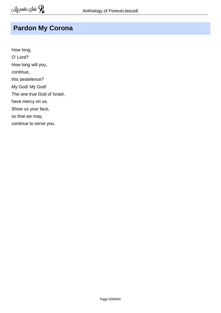# **Pardon My Corona**

How long, O' Lord? How long will you, continue, this pestelence? My God! My God! The one true God of Israel, have mercy on us. Show us your face, so that we may, continue to serve you.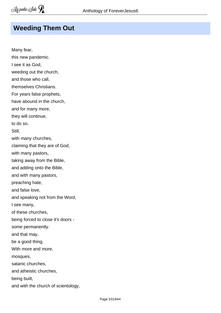### **Weeding Them Out**

Many fear, this new pandemic. I see it as God, weeding out the church, and those who call, themselves Christians. For years false prophets, have abound in the church, and for many more, they will continue, to do so. Still, with many churches, claiming that they are of God, with many pastors, taking away from the Bible, and adding onto the Bible, and with many pastors, preaching hate, and false love, and speaking not from the Word, I see many, of these churches, being forced to close it's doors some permanently. and that may, be a good thing. With more and more, mosques, satanic churches, and atheistic churches, being built, and with the church of scientology,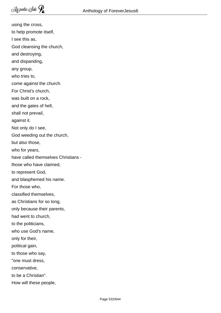using the cross, to help promote itself, I see this as, God cleansing the church, and destroying, and dispanding, any group, who tries to, come against the church. For Christ's church, was built on a rock, and the gates of hell, shall not prevail, against it. Not only do I see, God weeding out the church, but also those, who for years, have called themselves Christians those who have claimed, to represent God, and blasphemed his name. For those who, classified themselves, as Christians for so long, only because their parents, had went to church, to the politicians, who use God's name, only for their, political gain, to those who say, "one must dress, conservative, to be a Christian". How will these people,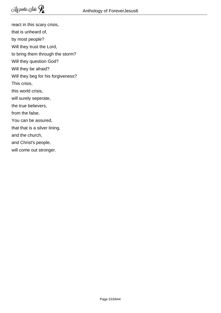react in this scary crisis, that is unheard of, by most people? Will they trust the Lord, to bring them through the storm? Will they question God? Will they be afraid? Will they beg for his forgiveness? This crisis, this world crisis, will surely seperate, the true believers, from the false. You can be assured, that that is a silver lining, and the church, and Christ's people, will come out stronger.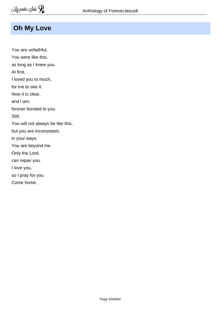### **Oh My Love**

You are unfaithful. You were like this, as long as I knew you. At first, I loved you to much, for me to see it. Now it is clear, and I am, forever bonded to you. Still, You will not always be like this, but you are inconsistant, in your ways. You are beyond me. Only the Lord, can repair you. I love you, so I pray for you. Come home.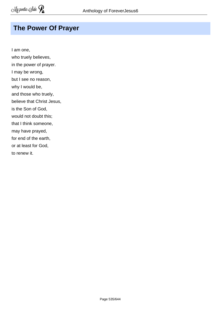#### **The Power Of Prayer**

I am one, who truely believes, in the power of prayer. I may be wrong, but I see no reason, why I would be, and those who truely, believe that Christ Jesus, is the Son of God, would not doubt this; that I think someone, may have prayed, for end of the earth, or at least for God,

to renew it.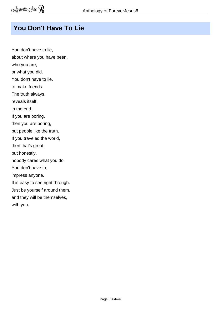### **You Don't Have To Lie**

You don't have to lie, about where you have been, who you are, or what you did. You don't have to lie, to make friends. The truth always, reveals itself, in the end. If you are boring, then you are boring, but people like the truth. If you traveled the world, then that's great, but honestly, nobody cares what you do. You don't have to, impress anyone. It is easy to see right through. Just be yourself around them, and they will be themselves, with you.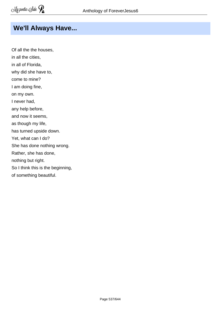#### **We'll Always Have...**

Of all the the houses, in all the cities, in all of Florida, why did she have to, come to mine? I am doing fine, on my own. I never had, any help before, and now it seems, as though my life, has turned upside down. Yet, what can I do? She has done nothing wrong. Rather, she has done, nothing but right. So I think this is the beginning, of something beautiful.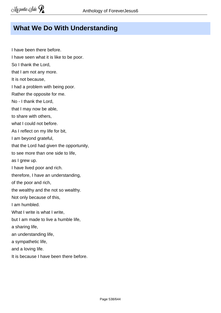### **What We Do With Understanding**

I have been there before. I have seen what it is like to be poor. So I thank the Lord, that I am not any more. It is not because, I had a problem with being poor. Rather the opposite for me. No - I thank the Lord, that I may now be able, to share with others, what I could not before. As I reflect on my life for bit, I am beyond grateful, that the Lord had given the opportunity, to see more than one side to life, as I grew up. I have lived poor and rich. therefore, I have an understanding, of the poor and rich, the wealthy and the not so wealthy. Not only because of this, I am humbled. What I write is what I write, but I am made to live a humble life, a sharing life, an understanding life, a sympathetic life, and a loving life. It is because I have been there before.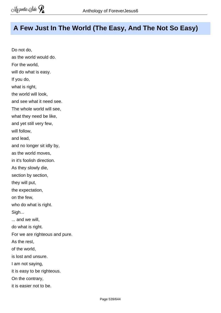# **A Few Just In The World (The Easy, And The Not So Easy)**

Do not do, as the world would do. For the world, will do what is easy. If you do, what is right, the world will look, and see what it need see. The whole world will see, what they need be like, and yet still very few, will follow, and lead, and no longer sit idly by, as the world moves, in it's foolish direction. As they slowly die, section by section, they will put, the expectation, on the few, who do what is right. Sigh... ... and we will, do what is right. For we are righteous and pure. As the rest, of the world, is lost and unsure. I am not saying, it is easy to be righteous. On the contrary, it is easier not to be.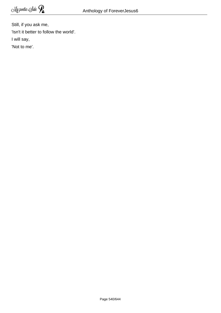Still, if you ask me,

'Isn't it better to follow the world'.

I will say,

'Not to me'.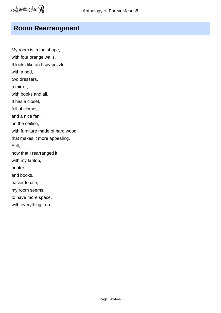## **Room Rearrangment**

My room is in the shape, with four orange walls. It looks like an I spy puzzle, with a bed, two dressers, a mirror, with books and all. It has a closet, full of clothes, and a nice fan, on the ceiling, with furniture made of hard wood, that makes it more appealing. Still, now that I rearranged it, with my laptop, printer, and books, easier to use, my room seems, to have more space, with everything I do.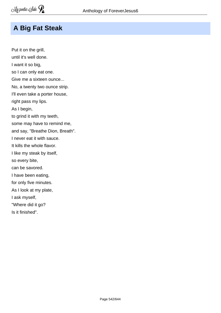## **A Big Fat Steak**

Put it on the grill, until it's well done. I want it so big, so I can only eat one. Give me a sixteen ounce... No, a twenty two ounce strip. I'll even take a porter house, right pass my lips. As I begin, to grind it with my teeth, some may have to remind me, and say, "Breathe Dion, Breath". I never eat it with sauce. It kills the whole flavor. I like my steak by itself, so every bite, can be savored. I have been eating, for only five minutes. As I look at my plate, I ask myself, "Where did it go? Is it finished".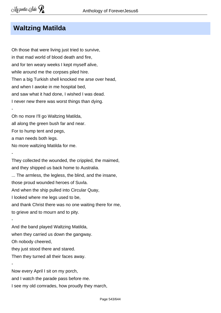#### **Waltzing Matilda**

Oh those that were living just tried to survive, in that mad world of blood death and fire, and for ten weary weeks I kept myself alive, while around me the corpses piled hire. Then a big Turkish shell knocked me arse over head, and when I awoke in me hospital bed, and saw what it had done, I wished I was dead. I never new there was worst things than dying. - Oh no more I'll go Waltzing Matilda, all along the green bush far and near.

For to hump tent and pegs, a man needs both legs.

-

-

No more waltzing Matilda for me.

They collected the wounded, the crippled, the maimed, and they shipped us back home to Australia. ... The armless, the legless, the blind, and the insane, those proud wounded heroes of Suvla. And when the ship pulled into Circular Quay, I looked where me legs used to be, and thank Christ there was no one waiting there for me, to grieve and to mourn and to pity.

And the band played Waltzing Matilda, when they carried us down the gangway. Oh nobody cheered, they just stood there and stared. Then they turned all their faces away. -

Now every April I sit on my porch, and I watch the parade pass before me. I see my old comrades, how proudly they march,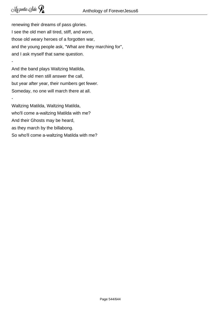## $\alpha$  My poetic Side  $\mathcal{P}_{\bar{x}}$

-

-

renewing their dreams of pass glories. I see the old men all tired, stiff, and worn, those old weary heroes of a forgotten war, and the young people ask, "What are they marching for", and I ask myself that same question.

And the band plays Waltzing Matilda, and the old men still answer the call, but year after year, their numbers get fewer. Someday, no one will march there at all.

Waltzing Matilda, Waltzing Matilda, who'll come a-waltzing Matilda with me? And their Ghosts may be heard, as they march by the billabong. So who'll come a-waltzing Matilda with me?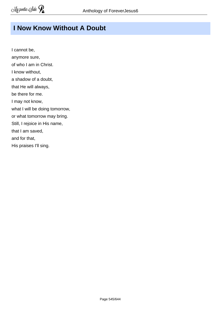# **I Now Know Without A Doubt**

I cannot be, anymore sure, of who I am in Christ. I know without, a shadow of a doubt, that He will always, be there for me. I may not know, what I will be doing tomorrow, or what tomorrow may bring. Still, I rejoice in His name, that I am saved, and for that, His praises I'll sing.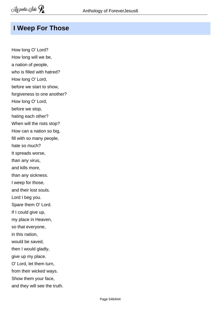#### **I Weep For Those**

How long O' Lord? How long will we be, a nation of people, who is filled with hatred? How long O' Lord, before we start to show, forgiveness to one another? How long O' Lord, before we stop, hating each other? When will the riots stop? How can a nation so big, fill with so many people, hate so much? It spreads worse, than any virus, and kills more, than any sickness. I weep for those, and their lost souls. Lord I beg you. Spare them O' Lord. If I could give up, my place in Heaven, so that everyone, in this nation, would be saved, then I would gladly, give up my place. O' Lord, let them turn, from their wicked ways. Show them your face, and they will see the truth.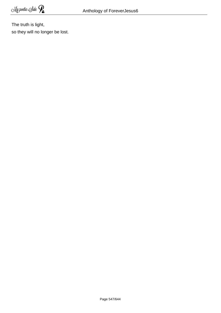The truth is light, so they will no longer be lost.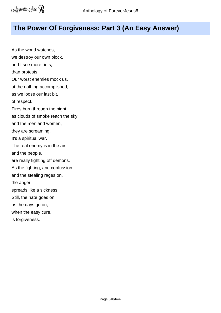## **The Power Of Forgiveness: Part 3 (An Easy Answer)**

As the world watches, we destroy our own block, and I see more riots, than protests. Our worst enemies mock us, at the nothing accomplished, as we loose our last bit, of respect. Fires burn through the night, as clouds of smoke reach the sky, and the men and women, they are screaming. It's a spiritual war. The real enemy is in the air. and the people, are really fighting off demons. As the fighting, and confussion, and the stealing rages on, the anger, spreads like a sickness. Still, the hate goes on, as the days go on, when the easy cure, is forgiveness.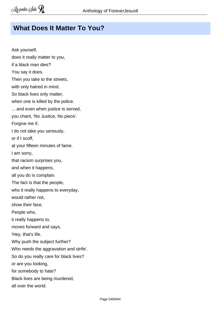## **What Does It Matter To You?**

Ask yourself, does it really matter to you, if a black man dies? You say it does. Then you take to the streets, with only hatred in mind. So black lives only matter, when one is killed by the police. ... and even when justice is served, you chant, 'No Justice, No piece'. Forgive me if, I do not take you seriously, or if I scoff, at your fifteen minutes of fame. I am sorry, that racism surprises you, and when it happens, all you do is complain. The fact is that the people, who it really happens to everyday, would rather not, show their face. People who, it really happens to, moves forward and says, 'Hey, that's life. Why push the subject further? Who needs the aggravation and strife'. So do you really care for black lives? or are you looking, for somebody to hate? Black lives are being murdered, all over the world.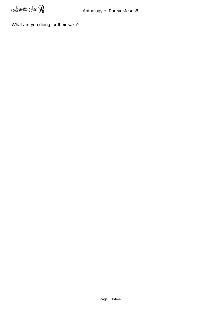What are you doing for their sake?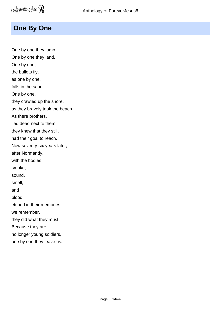#### **One By One**

One by one they jump. One by one they land. One by one, the bullets fly, as one by one, falls in the sand. One by one, they crawled up the shore, as they bravely took the beach. As there brothers, lied dead next to them, they knew that they still, had their goal to reach. Now seventy-six years later, after Normandy, with the bodies, smoke, sound, smell, and blood, etched in their memories, we remember, they did what they must. Because they are, no longer young soldiers, one by one they leave us.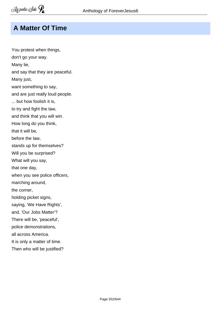### **A Matter Of Time**

You protest when things, don't go your way. Many lie, and say that they are peaceful. Many just, want something to say, and are just really loud people. ... but how foolish it is, to try and fight the law, and think that you will win. How long do you think, that it will be, before the law, stands up for themselves? Will you be surprised? What will you say, that one day, when you see police officers, marching around, the corner, holding picket signs, saying, 'We Have Rights', and, 'Our Jobs Matter'? There will be, 'peaceful', police demonstrations, all across America. It is only a matter of time. Then who will be justified?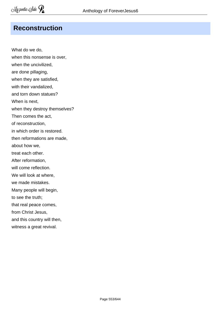#### **Reconstruction**

What do we do, when this nonsense is over, when the uncivilized, are done pillaging, when they are satisfied, with their vandalized, and torn down statues? When is next, when they destroy themselves? Then comes the act, of reconstruction, in which order is restored. then reformations are made, about how we, treat each other. After reformation, will come reflection. We will look at where, we made mistakes. Many people will begin, to see the truth; that real peace comes, from Christ Jesus, and this country will then, witness a great revival.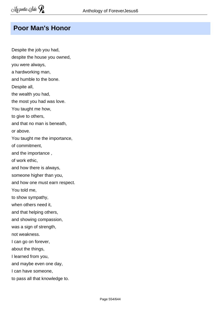### **Poor Man's Honor**

Despite the job you had, despite the house you owned, you were always, a hardworking man, and humble to the bone. Despite all, the wealth you had, the most you had was love. You taught me how, to give to others, and that no man is beneath, or above. You taught me the importance, of commitment, and the importance , of work ethic, and how there is always, someone higher than you, and how one must earn respect. You told me, to show sympathy, when others need it, and that helping others, and showing compassion, was a sign of strength, not weakness. I can go on forever, about the things, I learned from you, and maybe even one day, I can have someone, to pass all that knowledge to.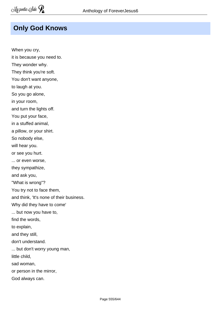## **Only God Knows**

When you cry, it is because you need to. They wonder why. They think you're soft. You don't want anyone, to laugh at you. So you go alone, in your room, and turn the lights off. You put your face, in a stuffed animal, a pillow, or your shirt. So nobody else, will hear you. or see you hurt. ... or even worse, they sympathize, and ask you, "What is wrong"? You try not to face them, and think, 'It's none of their business. Why did they have to come' ... but now you have to, find the words, to explain, and they still, don't understand. ... but don't worry young man, little child, sad woman, or person in the mirror, God always can.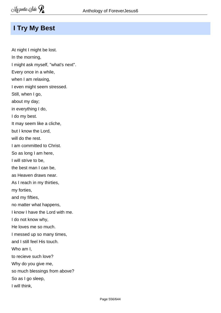## **I Try My Best**

At night I might be lost. In the morning, I might ask myself, "what's next". Every once in a while, when I am relaxing. I even might seem stressed. Still, when I go, about my day; in everything I do, I do my best. It may seem like a cliche, but I know the Lord, will do the rest. I am committed to Christ. So as long I am here, I will strive to be, the best man I can be, as Heaven draws near. As I reach in my thirties, my forties, and my fifties, no matter what happens, I know I have the Lord with me. I do not know why, He loves me so much. I messed up so many times, and I still feel His touch. Who am I, to recieve such love? Why do you give me, so much blessings from above? So as I go sleep, I will think,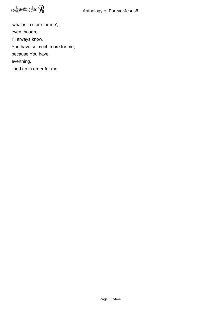'what is in store for me', even though, I'll always know, You have so much more for me, because You have, everthing, lined up in order for me.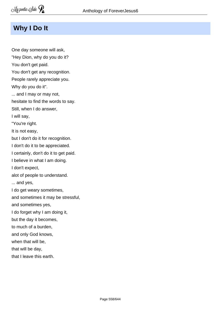### **Why I Do It**

One day someone will ask, "Hey Dion, why do you do it? You don't get paid. You don't get any recognition. People rarely appreciate you. Why do you do it". ... and I may or may not, hesitate to find the words to say. Still, when I do answer, I will say, "You're right. It is not easy, but I don't do it for recognition. I don't do it to be appreciated. I certainly, don't do it to get paid. I believe in what I am doing. I don't expect, alot of people to understand. ... and yes, I do get weary sometimes, and sometimes it may be stressful, and sometimes yes, I do forget why I am doing it, but the day it becomes, to much of a burden, and only God knows, when that will be, that will be day, that I leave this earth.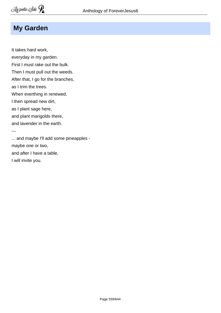#### **My Garden**

It takes hard work, everyday in my garden. First I must rake out the bulk. Then I must pull out the weeds. After that, I go for the branches, as I trim the trees. When everthing in renewed, I then spread new dirt, as I plant sage here, and plant marigolds there, and lavender in the earth. --- ... and maybe I'll add some pineapples maybe one or two, and after I have a table,

I will invite you.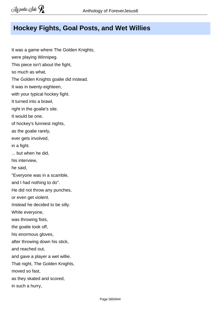#### **Hockey Fights, Goal Posts, and Wet Willies**

It was a game where The Golden Knights, were playing Winnipeg. This piece isn't about the fight, so much as what, The Golden Knights goalie did instead. It was in twenty-eighteen, with your typical hockey fight. It turned into a brawl, right in the goalie's site. It would be one, of hockey's funniest nights, as the goalie rarely, ever gets involved, in a fight. ... but when he did, his interview, he said, "Everyone was in a scamble, and I had nothing to do". He did not throw any punches, or even get violent. Instead he decided to be silly. While everyone, was throwing fists, the goalie took off, his enormous gloves, after throwing down his stick, and reached out, and gave a player a wet willie. That night, The Golden Knights, moved so fast, as they skated and scored, in such a hurry,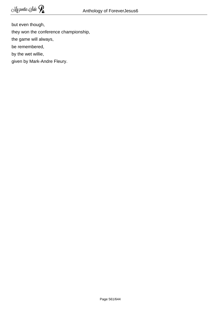but even though, they won the conference championship, the game will always, be remembered, by the wet willie, given by Mark-Andre Fleury.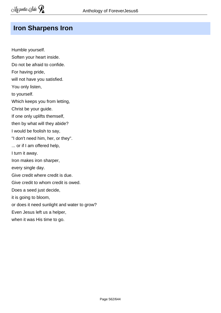### **Iron Sharpens Iron**

Humble yourself. Soften your heart inside. Do not be afraid to confide. For having pride, will not have you satisfied. You only listen, to yourself. Which keeps you from letting, Christ be your guide. If one only uplifts themself, then by what will they abide? I would be foolish to say, "I don't need him, her, or they". ... or if I am offered help, I turn it away. Iron makes iron sharper, every single day. Give credit where credit is due. Give credit to whom credit is owed. Does a seed just decide, it is going to bloom, or does it need sunlight and water to grow? Even Jesus left us a helper, when it was His time to go.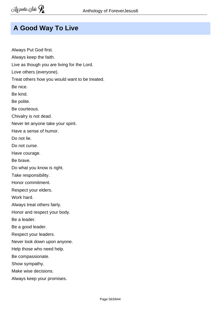## **A Good Way To Live**

Always Put God first. Always keep the faith. Live as though you are living for the Lord. Love others (everyone). Treat others how you would want to be treated. Be nice. Be kind. Be polite. Be courteous. Chivalry is not dead. Never let anyone take your spirit. Have a sense of humor. Do not lie. Do not curse. Have courage. Be brave. Do what you know is right. Take responsibility. Honor commitment. Respect your elders. Work hard. Always treat others fairly. Honor and respect your body. Be a leader. Be a good leader. Respect your leaders. Never look down upon anyone. Help those who need help. Be compassionate. Show sympathy. Make wise decisions. Always keep your promises.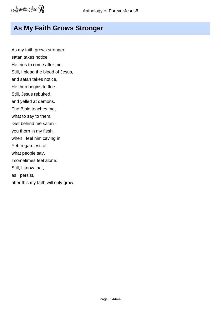### **As My Faith Grows Stronger**

As my faith grows stronger, satan takes notice. He tries to come after me. Still, I plead the blood of Jesus, and satan takes notice. He then begins to flee. Still, Jesus rebuked, and yelled at demons. The Bible teaches me, what to say to them. 'Get behind me satan you thorn in my flesh', when I feel him caving in. Yet, regardless of, what people say, I sometimes feel alone. Still, I know that, as I persist, after this my faith will only grow.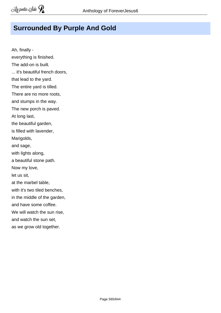## **Surrounded By Purple And Gold**

Ah, finally everything is finished. The add-on is built. ... it's beautiful french doors, that lead to the yard. The entire yard is tilled. There are no more roots, and stumps in the way. The new porch is paved. At long last, the beautiful garden, is filled with lavender, Marigolds, and sage, with lights along, a beautiful stone path. Now my love, let us sit, at the marbel table, with it's two tiled benches, in the middle of the garden, and have some coffee. We will watch the sun rise, and watch the sun set, as we grow old together.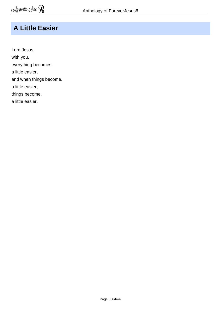## **A Little Easier**

Lord Jesus, with you, everything becomes, a little easier, and when things become, a little easier; things become,

a little easier.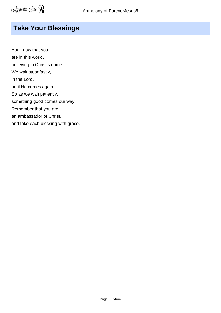## **Take Your Blessings**

You know that you, are in this world, believing in Christ's name. We wait steadfastly, in the Lord, until He comes again. So as we wait patiently, something good comes our way. Remember that you are, an ambassador of Christ, and take each blessing with grace.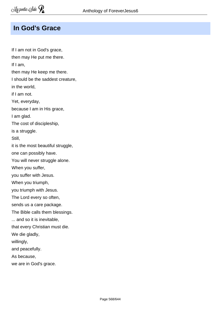#### **In God's Grace**

If I am not in God's grace, then may He put me there. If I am, then may He keep me there. I should be the saddest creature, in the world, if I am not. Yet, everyday, because I am in His grace, I am glad. The cost of discipleship, is a struggle. Still, it is the most beautiful struggle, one can possibly have. You will never struggle alone. When you suffer, you suffer with Jesus. When you triumph, you triumph with Jesus. The Lord every so often, sends us a care package. The Bible calls them blessings. ... and so it is inevitable, that every Christian must die. We die gladly, willingly, and peacefully. As because, we are in God's grace.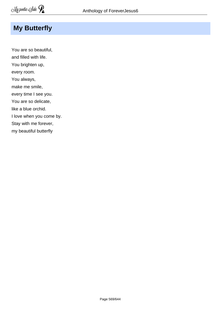## **My Butterfly**

You are so beautiful, and filled with life. You brighten up, every room. You always, make me smile, every time I see you. You are so delicate, like a blue orchid. I love when you come by. Stay with me forever, my beautiful butterfly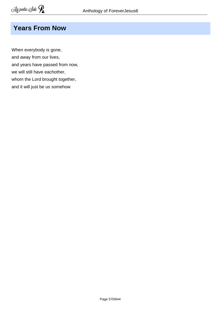## **Years From Now**

When everybody is gone, and away from our lives, and years have passed from now, we will still have eachother, whom the Lord brought together, and it will just be us somehow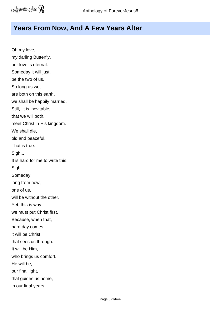## **Years From Now, And A Few Years After**

Oh my love, my darling Butterfly, our love is eternal. Someday it will just, be the two of us. So long as we, are both on this earth, we shall be happily married. Still, it is inevitable, that we will both, meet Christ in His kingdom. We shall die, old and peaceful. That is true. Sigh... It is hard for me to write this. Sigh... Someday, long from now, one of us, will be without the other. Yet, this is why, we must put Christ first. Because, when that, hard day comes, it will be Christ, that sees us through. It will be Him, who brings us comfort. He will be, our final light, that guides us home, in our final years.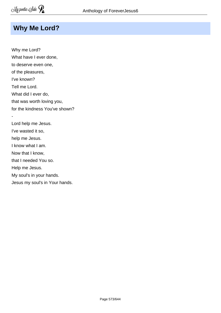## **Why Me Lord?**

Why me Lord? What have I ever done, to deserve even one, of the pleasures, I've known? Tell me Lord. What did I ever do, that was worth loving you, for the kindness You've shown? - Lord help me Jesus. I've wasted it so, help me Jesus. I know what I am. Now that I know, that I needed You so. Help me Jesus. My soul's in your hands. Jesus my soul's in Your hands.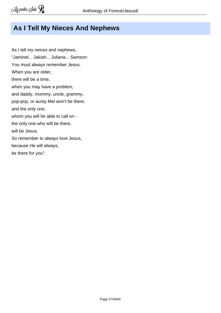## **As I Tell My Nieces And Nephews**

As I tell my neices and nephews, "Jaminel... Jakiah... Juliana... Samson: You must always remember Jesus. When you are older, there will be a time, when you may have a problem, and daddy, mommy, uncle, grammy, pop-pop, or aunty Mel won't be there, and the only one, whom you will be able to call on the only one who will be there, will be Jesus. So remember to always love Jesus, because He will always, be there for you".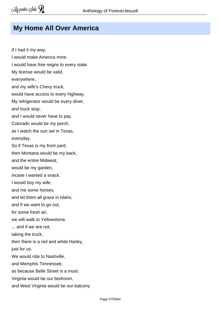#### **My Home All Over America**

If I had it my way, I would make America mine. I would have free reigns to every state. My license would be valid, everywhere, and my wife's Chevy truck, would have access to every highway. My refrigerator would be every diner, and truck stop, and I would never have to pay. Colorado would be my porch, as I watch the sun set in Texas, everyday. So if Texas is my front yard, then Montana would be my back, and the entire Midwest, would be my garden, incase I wanted a snack. I would buy my wife, and me some horses, and let them all graze in Idaho, and if we want to go out, for some fresh air, we will walk to Yellowstone. ... and if we are not, taking the truck, then there is a red and white Harley, just for us. We would ride to Nashville, and Memphis Tennessee, as because Belle Street is a must. Virginia would be our bedroom, and West Virginia would be our balcony.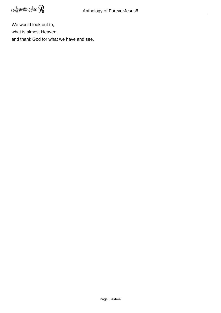We would look out to,

what is almost Heaven,

and thank God for what we have and see.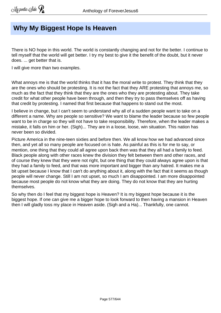## **Why My Biggest Hope Is Heaven**

There is NO hope in this world. The world is constantly changing and not for the better. I continue to tell myself that the world will get better. I try my best to give it the benefit of the doubt, but it never does. ... get better that is.

I will give more than two examples.

What annoys me is that the world thinks that it has the moral write to protest. They think that they are the ones who should be protesting. It is not the fact that they ARE protesting that annoys me, so much as the fact that they think that they are the ones who they are protesting about. They take credit for what other people have been through, and then they try to pass themselves off as having that credit by protesting. I named that first because that happens to stand out the most.

I believe in change, but I can't seem to understand why all of a sudden people want to take on a different a name. Why are people so sensitive? We want to blame the leader because so few people want to be in charge so they will not have to take responsibility. Therefore, when the leader makes a mistake, it falls on him or her. (Sigh)... They are in a loose, loose, win situation. This nation has never been so divided.

Picture America in the nine-teen sixties and before then. We all know how we had advanced since then, and yet all so many people are focused on is hate. As painful as this is for me to say, or mention, one thing that they could all agree upon back then was that they all had a family to feed. Black people along with other races knew the division they felt between them and other races, and of course they knew that they were not right, but one thing that they could always agree upon is that they had a family to feed, and that was more important and bigger than any hatred. It makes me a bit upset because I know that I can't do anything about it, along with the fact that it seems as though people will never change. Still I am not upset, so much I am disappointed. I am more disappointed because most people do not know what they are doing. They do not know that they are hurting themselves.

So why then do I feel that my biggest hope is Heaven? It is my biggest hope because it is the biggest hope. If one can give me a bigger hope to look forward to then having a mansion in Heaven then I will gladly toss my place in Heaven aside. (Sigh and a Ha)... Thankfully, one cannot.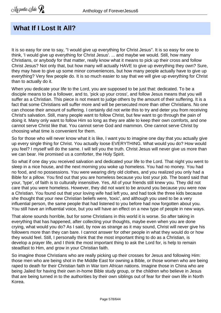## **What If I Lost It All?**

It is so easy for one to say, "I would give up everything for Christ Jesus". It is so easy for one to think, 'I would give up everything for Christ Jesus'. ... and maybe we would. Still, how many Christians, or anybody for that matter, really know what it means to pick up their cross and follow Christ Jesus? Not only that, but how many will actually HAVE to give up everything they own? Sure, they may have to give up some minor conveniences, but how many people actually have to give up everything? Very few people do. It is so much easier to say that we will give up everything for Christ than to actually do it.

When you dedicate your life to the Lord, you are supposed to be just that: dedicated. To be a disciple means to be a follower, and to, 'pick up your cross', and follow Jesus means that you will suffer as a Christian. This piece is not meant to judge others by the amount of their suffering. It is a fact that some Christians will suffer more and will be persecuted more than other Christians. No one can choose their amount of suffering. I certainly did not write this to try and deter you from receiving Christ's salvation. Still, many people want to follow Christ, but few want to go through the pain of doing it. Many only want to follow Him so long as they are able to keep their own comforts, and one cannot serve Christ like that. You cannot serve God and mammon. One cannot serve Christ by choosing what time is convenient for them.

So for those who will never know what it is like, I want you to imagine one day that you actually give up every single thing for Christ. You actually loose EVERYTHING. What would you do? How would you feel? I myself will do the same. I will tell you the truth. Christ Jesus will never give us more than we can bear. He promised us a comforter, the Holy Spirit.

So what if one day you received salvation and dedicated your life to the Lord. That night you went to sleep in a nice house, and the next morning you woke up homeless. You had no money. You had no food, and no possessions. You were wearing dirty old clothes, and you realized you only had a Bible for a pillow. You find out that you are homeless because you lost your job. The board said that your, 'type', of faith is to culturally insensitive. Yes, All of your friends still knew you. They did not care that you were homeless. However, they did not want to be around you because you were now a Christian. You found out that your loving wife had left you, and had took the three kids because she thought that your new Christian beliefs were, 'toxic', and although you used to be a very influential person, the same people that had listened to you before had now forgotten about you. You still have an influential voice, but you will have an effect on a new type of people in new ways.

That alone sounds horrible, but for some Christians in this world it is worse. So after taking in everything that has happened, after collecting your thoughts, maybe even when you are done crying, what would you do? As I said, by now as strange as it may sound, Christ will never give his followers more than they can bare. I cannot answer for other people in what they would do or how they would feel. Still, I personally think that the most important thing to do as a Christian, is develop a prayer life, and I think the most important thing to ask the Lord for, is help to remain steadfast to Him, and grow in your Christian faith.

So imagine those Christians who are really picking up their crosses for Jesus and following Him: those men who are being shot in the Middle East for owning a Bible, or those women who are being raped to death for their Christian faith in War torn African nations. Imagine those in China who are being Jailed for having their own in-home Bible study group, or the children who believe in Jesus that are being turned in to the authorities by their own siblings out of fear for their own life in North Korea.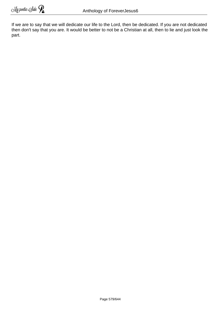If we are to say that we will dedicate our life to the Lord, then be dedicated. If you are not dedicated then don't say that you are. It would be better to not be a Christian at all, then to lie and just look the part.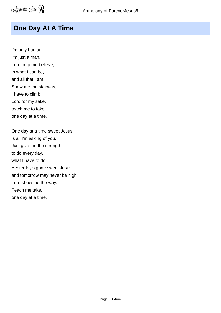## **One Day At A Time**

I'm only human. I'm just a man. Lord help me believe, in what I can be, and all that I am. Show me the stairway, I have to climb. Lord for my sake, teach me to take, one day at a time. - One day at a time sweet Jesus, is all I'm asking of you. Just give me the strength, to do every day, what I have to do. Yesterday's gone sweet Jesus, and tomorrow may never be nigh. Lord show me the way. Teach me take, one day at a time.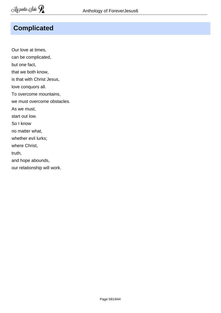## **Complicated**

Our love at times, can be complicated, but one fact, that we both know, is that with Christ Jesus, love conquors all. To overcome mountains, we must overcome obstacles. As we must, start out low. So I know no matter what, whether evil lurks; where Christ, truth, and hope abounds, our relationship will work.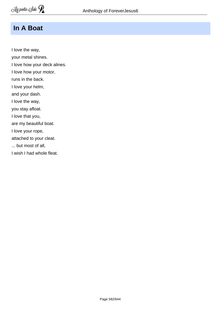## **In A Boat**

I love the way, your metal shines. I love how your deck alines. I love how your motor, runs in the back. I love your helm, and your dash. I love the way, you stay afloat. I love that you, are my beautiful boat. I love your rope, attached to your cleat. ... but most of all, I wish I had whole fleat.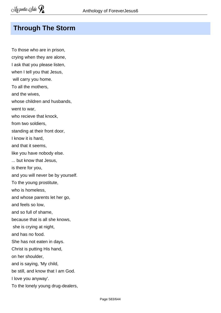#### **Through The Storm**

To those who are in prison, crying when they are alone, I ask that you please listen, when I tell you that Jesus, will carry you home. To all the mothers, and the wives, whose children and husbands, went to war, who recieve that knock, from two soldiers, standing at their front door, I know it is hard, and that it seems, like you have nobody else. ... but know that Jesus, is there for you, and you will never be by yourself. To the young prostitute, who is homeless, and whose parents let her go, and feels so low, and so full of shame, because that is all she knows, she is crying at night, and has no food. She has not eaten in days. Christ is putting His hand, on her shoulder, and is saying, 'My child, be still, and know that I am God. I love you anyway'. To the lonely young drug-dealers,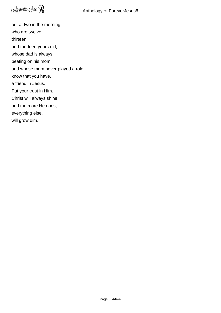out at two in the morning, who are twelve, thirteen, and fourteen years old, whose dad is always, beating on his mom, and whose mom never played a role, know that you have, a friend in Jesus. Put your trust in Him. Christ will always shine, and the more He does, everything else, will grow dim.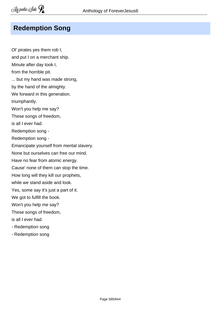## **Redemption Song**

Ol' pirates yes them rob I, and put I on a merchant ship. Minute after day took I, from the horrible pit. ... but my hand was made strong, by the hand of the almighty. We forward in this generation. triumphantly. Won't you help me say? These songs of freedom, is all I ever had. Redemption song - Redemption song - Emancipate yourself from mental slavery. None but ourselves can free our mind. Have no fear from atomic energy. Cause' none of them can stop the time. How long will they kill our prophets, while we stand aside and look. Yes, some say it's just a part of it. We got to fulfill the book. Won't you help me say? These songs of freedom, is all I ever had. - Redemption song

- Redemption song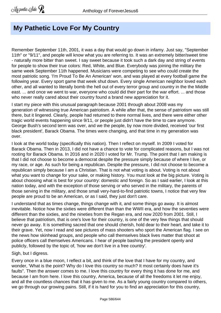## **My Pathetic Love For My Country**

Remember September 11th, 2001, it was a day that would go down in infamy. Just say, "September 11th" or "9/11", and people will know what you are referring to. It was an extremely bitter/sweet time - naturally more bitter than sweet. I say sweet because it took such a dark day and string of events for people to show their true colors: Red, White, and Blue. Everybody was joining the military the same week September 11th happened. Musicians were competing to see who could create the most patriotic song. 'I'm Proud To Be An American' won, and was played at every football game the following year. Every sport game that week shut down. Every single American neighbor loved each other, and all wanted to literally bomb the hell out of every terror group and country in the the Middle east. ... and once we went to war, everyone who could did their part for the war effort. ... and those who never really cared about their country found a brand new appreciation for it.

I start my piece with this unusual paragraph because 2001 through about 2008 was my generation of witnessing true American patriotism. A while after that, the sense of patriotism was still there, but it lingered. Clearly, people had returned to there normal lives, and there were either other tragic world events happening since 9/11, or people just didn't have the time to care anymore. George Bush's second term was over, and we the people, by now more divided, received 'our first black president', Barack Obama. The times were changing, and that time in my generation was over.

I look at the world today (specifically this nation). Then I reflect on myself. In 2009 I voted for Barack Obama. Then in 2013, I did not have a chance to vote for complicated reasons, but I was not rooting for Barack Obama. In 2016 and in 2020 I voted for Mr. Trump. The point that I am making is that I did not choose to become a democrat despite the pressure simply because of where I live, or my race, or age. As such for being a republican. Despite the pressure, I did not choose to become a republican simply because I am a Christian. That is not what voting is about. Voting is not about what you want to change for your sake, or making history. You must look at the big picture. Voting is about choosing what is best for your country: domestic and foreign. So as I said earlier, I look at this nation today, and with the exception of those serving or who served in the military, the parents of those serving in the military, and those small very-hard-to-find patriotic towns, I notice that very few people are proud to be an American, or as I said, they just don't care.

I understand that as times change, things change with it, and some things go away. It is almost inevitable. Notice how the sixties were different than than the WWII era, and how the seventies were different than the sixties, and the nineties from the Regan era, and now 2020 from 2001. Still, I believe that patriotism, that is one's love for their country, is one of the very few things that should never go away. It is something sacred that one should cherish, hold dear to their heart, and take it to their grave. Yet, now I read and see pictures of mass shooters who sport the American flag. I see on the news how skinhead groups, and people who call themselves black lives matter that shoot at police officers call themselves Americans. I hear of people bashing the president openly and publicly, followed by the topic of, 'how we don't live in a free country'.

#### Sigh, but I digress.

Every once in a blue moon, I reflect a bit, and think of the love that I have for my country, and wonder, 'What is the point? Why do I love this country so much? It most certainly does have it's faults". Then the answer comes to me. I love this country for every thing it has done for me, and because I am from here. I love this country, America, because of all the freedoms it let me enjoy, and all the countless chances that it has given to me. As a fairly young country compared to others, we go through our growing pains. Still, if it is hard for you to find an appreciation for this country,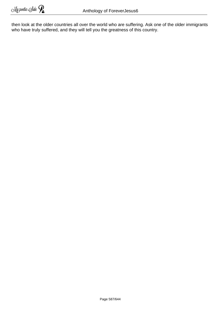then look at the older countries all over the world who are suffering. Ask one of the older immigrants who have truly suffered, and they will tell you the greatness of this country.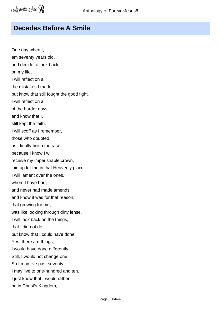## **Decades Before A Smile**

One day when I, am seventy years old, and decide to look back, on my life, I will reflect on all, the mistakes I made, but know that still fought the good fight. I will reflect on all, of the harder days, and know that I, still kept the faith. I will scoff as I remember, those who doubted, as I finally finish the race, because I know I will, recieve my imperishable crown, laid up for me in that Heavenly place. I will lament over the ones, whom I have hurt, and never had made amends, and know it was for that reason, that growing for me, was like looking through dirty lense. I will look back on the things, that I did not do, but know that I could have done. Yes, there are things, I would have done differently. Still, I would not change one. So I may live past seventy. I may live to one-hundred and ten. I just know that I would rather, be in Christ's Kingdom,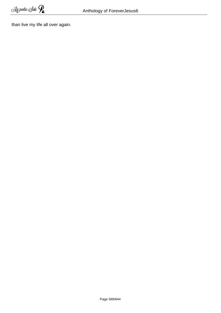than live my life all over again.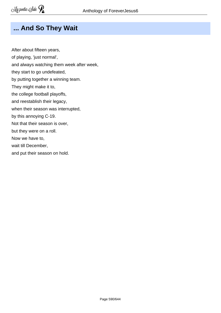# **... And So They Wait**

After about fifteen years, of playing, 'just normal', and always watching them week after week, they start to go undefeated, by putting together a winning team. They might make it to, the college football playoffs, and reestablish their legacy, when their season was interrupted, by this annoying C-19. Not that their season is over, but they were on a roll. Now we have to, wait till December, and put their season on hold.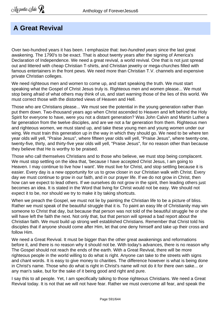## **A Great Revival**

Over two-hundred years it has been. I emphasize that: two-hundred years since the last great awakening. The 1790's to be exact. That is about twenty years after the signing of America's Declaration of Independence. We need a great revival, a world revival. One that is not just spread out and littered with cheap Christian T-shirts, and Christian jewelry or mega-churches filled with famous entertainers in the front pews. We need more than Christian T.V. channels and expensive private Christian colleges.

We need righteous men and women to come up, and start speaking the truth. We must start speaking what the Gospel of Christ Jesus truly is. Righteous men and women please... We must stop being afraid of what others may think of us, and start warning those of the lies of this world. We must correct those with the distorted views of Heaven and Hell.

Those who are Christians please... We must see the potential in the young generation rather than put them down. Two-thousand years ago when Christ ascended to Heaven and left behind the Holy Spirit for everyone to have, were you not a distant generation? Was John Calvin and Martin Luther a far generation from the twelve disciples, and are we not a far generation from them. Righteous men and righteous women, we must stand up, and take these young men and young women under our wing. We must train this generation up in the way in which they should go. We need to be where ten year olds will yell, "Praise Jesus", where fifteen year olds will yell, "Praise Jesus", where twenty-one, twenty-five, thirty, and thirty-five year olds will yell, "Praise Jesus", for no reason other than because they believe that He is worthy to be praised.

Those who call themselves Christians and to those who believe, we must stop being complacent. We must stop settling on the idea that, 'because I have accepted Christ Jesus, I am going to Heaven. I may continue to live how I want'. We must live for Christ, and stop settling because it is easier. Every day is a new opportunity for us to grow closer in our Christian walk with Christ. Every day we must continue to grow in our faith, and in our prayer life. If we do not grow in Christ, then how can we expect to lead others. If we ourselves do not grow in the spirit, then leading others just becomes an idea. It is stated in the Word that living for Christ would not be easy. We should not expect it to be, nor should we try to make it by taking shortcuts.

When we preach the Gospel, we must not lie by painting the Christian life to be a picture of bliss. Rather we must speak of the beautiful struggle that it is. To paint an easy life of Christianity may win someone to Christ that day, but because that person was not told of the beautiful struggle he or she will have left the faith the next. Not only that, but that person will spread a bad report about the Christian faith. We must build up strong well established Christians. Remember that Christ told his disciples that if anyone should come after Him, let that one deny himself and take up their cross and follow Him.

We need a Great Revival. It must be bigger than the other great awakenings and reformations before it, and there is no reason why it should not be. With today's advances, there is no reason why The Gospel should not reach the ends of the earth. With a Great Revival, there will be more righteous people in the world willing to do what is right. Anyone can take to the streets with signs and chant words. It is easy to give money to charities. The difference however is what is being done in Christ's name. Those who do what is right in Christ's name will not do it for there own sake... or any man's sake, but for the sake of it being good and right and pure.

I say this to all people. Yet, I am specifically talking to those righteous Christians. We need a Great Revival today. It is not that we will not have fear. Rather we must overcome all fear, and speak the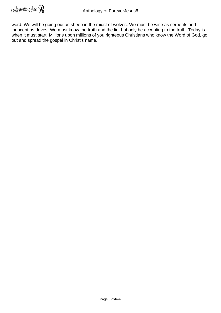word. We will be going out as sheep in the midst of wolves. We must be wise as serpents and innocent as doves. We must know the truth and the lie, but only be accepting to the truth. Today is when it must start. Millions upon millions of you righteous Christians who know the Word of God, go out and spread the gospel in Christ's name.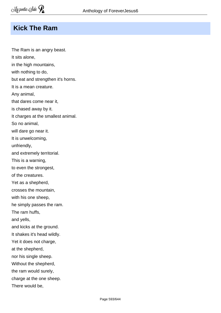#### **Kick The Ram**

The Ram is an angry beast. It sits alone, in the high mountains, with nothing to do, but eat and strengthen it's horns. It is a mean creature. Any animal, that dares come near it, is chased away by it. It charges at the smallest animal. So no animal, will dare go near it. It is unwelcoming, unfriendly, and extremely territorial. This is a warning, to even the strongest, of the creatures. Yet as a shepherd, crosses the mountain, with his one sheep, he simply passes the ram. The ram huffs, and yells, and kicks at the ground. It shakes it's head wildly. Yet it does not charge, at the shepherd, nor his single sheep. Without the shepherd, the ram would surely, charge at the one sheep. There would be,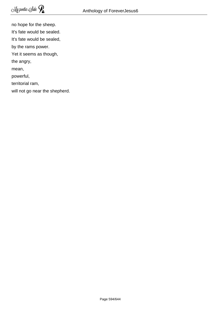no hope for the sheep. It's fate would be sealed. It's fate would be sealed, by the rams power. Yet it seems as though, the angry, mean, powerful, territorial ram, will not go near the shepherd.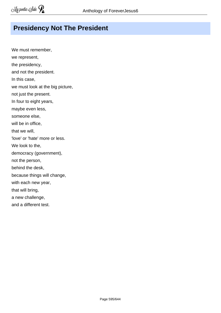## **Presidency Not The President**

We must remember, we represent, the presidency, and not the president. In this case, we must look at the big picture, not just the present. In four to eight years, maybe even less, someone else, will be in office, that we will, 'love' or 'hate' more or less. We look to the, democracy (government), not the person, behind the desk, because things will change, with each new year, that will bring, a new challenge, and a different test.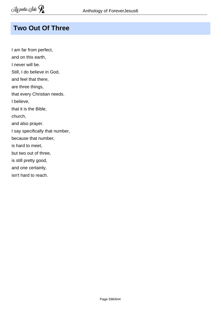## **Two Out Of Three**

I am far from perfect, and on this earth, I never will be. Still, I do believe in God, and feel that there, are three things, that every Christian needs. I believe, that it is the Bible, church, and also prayer. I say specifically that number, because that number, is hard to meet, but two out of three, is still pretty good, and one certainly, isn't hard to reach.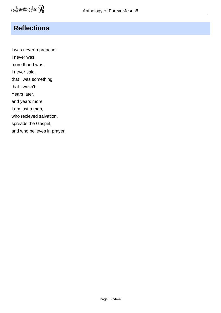## **Reflections**

I was never a preacher. I never was, more than I was. I never said, that I was something, that I wasn't. Years later, and years more, I am just a man, who recieved salvation, spreads the Gospel, and who believes in prayer.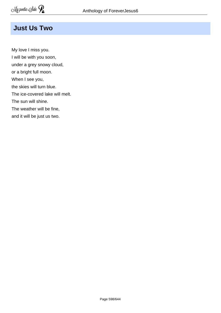## **Just Us Two**

My love I miss you. I will be with you soon, under a grey snowy cloud, or a bright full moon. When I see you, the skies will turn blue. The ice-covered lake will melt. The sun will shine. The weather will be fine, and it will be just us two.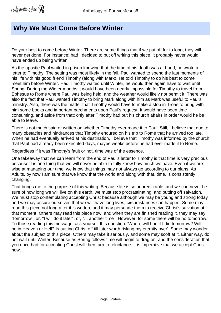## **Why We Must Come Before Winter**

Do your best to come before Winter. There are some things that if we put off for to long, they will never get done. For instance: had I decided to put off writing this piece, it probably never would have ended up being written.

As the apostle Paul waited in prison knowing that the time of his death was at hand, he wrote a letter to Timothy. The setting was most likely in the fall. Paul wanted to spend the last moments of his life with his good friend Timothy (along with Mark). He told Timothy to do his best to come meet him before Winter. Had Timothy waited until Winter, he would then again have to wait until Spring. During the Winter months it would have been nearly impossible for Timothy to travel from Ephesus to Rome where Paul was being held, and the weather would likely not permit it. There was also the fact that Paul wanted Timothy to bring Mark along with him as Mark was useful to Paul's ministry. Also, there was the matter that Timothy would have to make a stop in Troas to bring with him some books and important parchments upon Paul's request. It would have been time consuming, and aside from that; only after Timothy had put his church affairs in order would he be able to leave.

There is not much said or written on whether Timothy ever made it to Paul. Still, I believe that due to many obstacles and hindrances that Timothy endured on his trip to Rome that he arrived too late. When he had eventually arrived at his destination, I believe that Timothy was informed by the church that Paul had already been executed days, maybe weeks before he had ever made it to Rome.

Regardless if it was Timothy's fault or not, time was of the essence.

One takeaway that we can learn from the end of Paul's letter to Timothy is that time is very precious because it is one thing that we will never be able to fully know how much we have. Even if we are wise at managing our time, we know that things may not always go according to our plans. As Adults, by now I am sure that we know that the world and along with that, time, is consistently changing.

That brings me to the purpose of this writing. Because life is so unpredictable, and we can never be sure of how long we will live on this earth, we must stop procrastinating, and putting off salvation. We must stop contemplating accepting Christ because although we may be young and strong today and we may assure ourselves that we will have long lives, circumstances can happen. Some may read this piece not long after it is written, and it may persuade them to receive Christ's salvation at that moment. Others may read this piece now, and when they are finished reading it, they may say, "tomorrow", or, "I will do it later", or, "... another time". However, for some there will be no tomorrow. To those reading this message, ask yourself this question. 'Where will I be if I die tomorrow? Will I be in Heaven or Hell? Is putting Christ off till later worth risking my eternity over'. Some may wonder about the subject of this piece. Others may take it seriously, and some may scoff at it. Either way, do not wait until Winter. Because as Spring follows time will begin to drag on, and the consideration that you once had for accepting Christ will then turn to reluctance. It is imperative that we accept Christ now.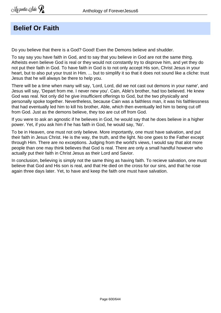## **Belief Or Faith**

Do you believe that there is a God? Good! Even the Demons believe and shudder.

To say say you have faith in God, and to say that you believe in God are not the same thing. Atheists even believe God is real or they would not constantly try to disprove him, and yet they do not put their faith in God. To have faith in God is to not only accept His son, Christ Jesus in your heart, but to also put your trust in Him. ... but to simplify it so that it does not sound like a cliche: trust Jesus that he will always be there to help you.

There will be a time when many will say, 'Lord, Lord, did we not cast out demons in your name', and Jesus will say, 'Depart from me. I never new you'. Cain, Able's brother, had too believed. He knew God was real. Not only did he give insufficient offerings to God, but the two physically and personally spoke together. Nevertheless, because Cain was a faithless man, it was his faithlessness that had eventually led him to kill his brother, Able, which then eventually led him to being cut off from God. Just as the demons believe, they too are cut off from God.

If you were to ask an agnostic if he believes in God, he would say that he does believe in a higher power. Yet, if you ask him if he has faith in God, he would say, 'No'.

To be in Heaven, one must not only believe. More importantly, one must have salvation, and put their faith in Jesus Christ. He is the way, the truth, and the light. No one goes to the Father except through Him. There are no exceptions. Judging from the world's views, I would say that alot more people than one may think believes that God is real. There are only a small handful however who actually put their faith in Christ Jesus as their Lord and Savior.

In conclusion, believing is simply not the same thing as having faith. To recieve salvation, one must believe that God and His son is real, and that He died on the cross for our sins, and that he rose again three days later. Yet, to have and keep the faith one must have salvation.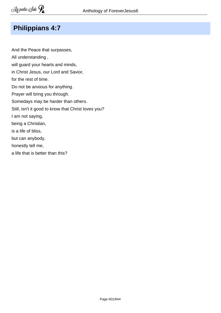# **Philippians 4:7**

And the Peace that surpasses, All understanding , will guard your hearts and minds, in Christ Jesus, our Lord and Savior, for the rest of time. Do not be anxious for anything. Prayer will bring you through. Somedays may be harder than others. Still, isn't it good to know that Christ loves you? I am not saying, being a Christian, is a life of bliss, but can anybody, honestly tell me, a life that is better than this?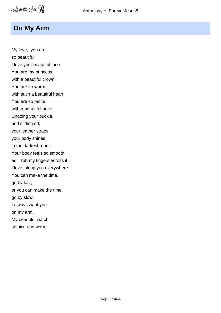## **On My Arm**

My love, you are, so beautiful. I love your beautiful face. You are my princess, with a beautiful crown. You are so warm, with such a beautiful heart. You are so petite, with a beautiful back. Undoing your buckle, and sliding off, your leather straps, your body shines, in the darkest room. Your body feels so smooth, as I rub my fingers across it. I love taking you everywhere. You can make the time, go by fast, or you can make the time, go by slow. I always want you on my arm, My beautiful watch,

so nice and warm.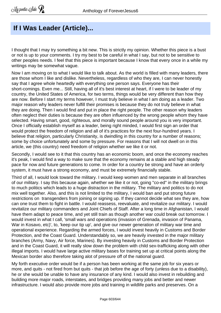## **If I Was Leader (Article)...**

I thought that I may try something a bit new. This is strictly my opinion. Whether this piece is a bust or not is up to your comments. I try my best to be careful in what I say, but not to be sensitive to other peoples needs. I feel that this piece is important because I know that every once in a while my writings may be somewhat vague.

Now I am moving on to what I would like to talk about. As the world is filled with many leaders, there are those whom I like and dislike. Nevertheless, regardless of who they are, I can never honestly say that I agree whole heartedly with everything one person says. Everyone has their short-comings. Even me... Still, having all of it's best interest at heart, if I were to be leader of my country, the United States of America, for two terms, things would be very different than how they are now. Before I start my terms however, I must truly believe in what I am doing as a leader. Two major reason why leaders never fulfill their promises is because they do not truly believe in what they are doing. Then I would find and put in place the right people. The other reason why leaders often neglect their duties is because they are often influenced by the wrong people whom they have selected. Having smart, good, righteous, and morally sound people around you is very important. Once I officially establish myself as a leader, being right minded, I would first sign an order that would protect the freedom of religion and all of it's practices for the next four-hundred years. I believe that religion, particularly Christianity, is dwindling in this country for a number of reasons: some by choice unfortunately and some by pressure. For reasons that I will not dwell on in this article, we (this country) need freedom of religion whether we like it or not.

Secondly, I would see to it that this country has an economic boom, and once the economy reaches it's peak, I would find a way to make sure that the economy remains at a stable and high steady pace for now and future generations to come. In order for a country be strong and have an orderly system, it must have a strong economy, and must be extremely financially stable.

Third of all, I would look toward the military. I would keep women and men separate in all branches of our military. I say this because again, whether we like it or not, going "co-ed" in the military brings to much politics which leads to a huge distraction in the military. The military and politics to do not mix well together. Also, and this is not limited to the military, I would ban and put strong future restrictions on transgenders from joining or signing up. If they cannot decide what sex they are, how can one trust them to fight in battle. I would reassess, reevaluate, and revitalize our military. I would revitalize our military commanders and Joint Chiefs of Staff. After a long time in Afghanistan, I would have them adapt to peace time, and yet still train as though another war could break out tomorrow. I would invest in what I call, 'small wars and operations (invasion of Grenada, invasion of Panama, War in Kosavo, etc)', to, 'keep our tip up', and give our newer generation of military war time and operational experience. Regarding the armed forces, I would invest heavily in Customs and Border Protection, and the Coast Guard. Understandably so, we are heavily invested in the major military branches (Army, Navy, Air force, Marines). By investing heavily in Customs and Border Protection and in the Coast Guard, it will really slow down the problem with child sex-trafficking along with other illegal imports. I would have large active military bases for training set up at critical points along the Mexican border also therefore taking alot of pressure off of the national guard.

My forth executive order would be if a person has been working at the same job for six years or more, and quits - not fired from but quits - that job before the age of forty (unless due to a disability), he or she would be unable to have any insurance of any kind. I would also invest in rebuilding and building more major roads, interstates, and bridges providing many jobs and better and newer infrastructure. I would also provide more jobs and training in wildlife parks and preserves. On a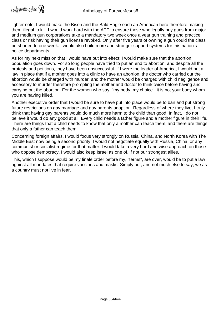lighter note, I would make the Bison and the Bald Eagle each an American hero therefore making them illegal to kill. I would work hard with the ATF to ensure those who legally buy guns from major and medium gun corporations take a mandatory two week once a year gun training and practice class or risk having their gun license revoked. Only after five years of owning a gun could the class be shorten to one week. I would also build more and stronger support systems for this nation's police departments.

As for my next mission that I would have put into effect; I would make sure that the abortion population goes down. For so long people have tried to put an end to abortion, and despite all the protests and petitions, they have been unsuccessful. If I were the leader of America, I would put a law in place that if a mother goes into a clinic to have an abortion, the doctor who carried out the abortion would be charged with murder, and the mother would be charged with child negligence and accessory to murder therefore prompting the mother and doctor to think twice before having and carrying out the abortion. For the women who say, "my body, my choice", it is not your body whom you are having killed.

Another executive order that I would be sure to have put into place would be to ban and put strong future restrictions on gay marriage and gay parents adoption. Regardless of where they live, I truly think that having gay parents would do much more harm to the child than good. In fact, I do not believe it would do any good at all. Every child needs a father figure and a mother figure in their life. There are things that a child needs to know that only a mother can teach them, and there are things that only a father can teach them.

Concerning foreign affairs, I would focus very strongly on Russia, China, and North Korea with The Middle East now being a second priority. I would not negotiate equally with Russia, China, or any communist or socialist regime for that matter. I would take a very hard and wise approach on those who oppose democracy. I would also keep Israel as one of, if not our strongest allies.

This, which I suppose would be my finale order before my, "terms", are over, would be to put a law against all mandates that require vaccines and masks. Simply put, and not much else to say, we as a country must not live in fear.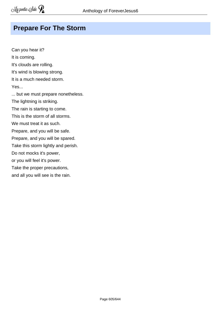## **Prepare For The Storm**

Can you hear it? It is coming. It's clouds are rolling. It's wind is blowing strong. It is a much needed storm. Yes... ... but we must prepare nonetheless. The lightning is striking. The rain is starting to come. This is the storm of all storms. We must treat it as such. Prepare, and you will be safe. Prepare, and you will be spared. Take this storm lightly and perish. Do not mocks it's power, or you will feel it's power. Take the proper precautions, and all you will see is the rain.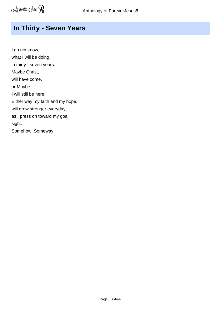## **In Thirty - Seven Years**

I do not know, what I will be doing, in thirty - seven years. Maybe Christ, will have come, or Maybe, I will still be here. Either way my faith and my hope, will grow stronger everyday, as I press on toward my goal. sigh...

Somehow, Someway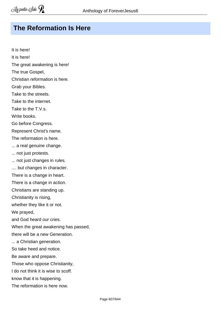## **The Reformation Is Here**

It is here! It is here! The great awakening is here! The true Gospel, Christian reformation is here. Grab your Bibles. Take to the streets. Take to the internet. Take to the T.V.s. Write books. Go before Congress. Represent Christ's name. The reformation is here. ... a real genuine change. ... not just protests. ... not just changes in rules. .... but changes in character. There is a change in heart. There is a change in action. Christians are standing up. Christianity is rising, whether they like it or not. We prayed, and God heard our cries. When the great awakening has passed, there will be a new Generation. ... a Christian generation. So take heed and notice. Be aware and prepare. Those who oppose Christianity, I do not think it is wise to scoff. know that it is happening. The reformation is here now.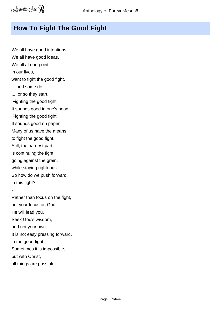## **How To Fight The Good Fight**

We all have good intentions. We all have good ideas. We all at one point, in our lives, want to fight the good fight. ... and some do. .... or so they start. 'Fighting the good fight' It sounds good in one's head. 'Fighting the good fight' It sounds good on paper. Many of us have the means, to fight the good fight. Still, the hardest part, is continuing the fight; going against the grain, while staying righteous. So how do we push forward, in this fight? - Rather than focus on the fight, put your focus on God. He will lead you. Seek God's wisdom, and not your own. It is not easy pressing forward,

in the good fight.

Sometimes it is impossible,

but with Christ,

all things are possible.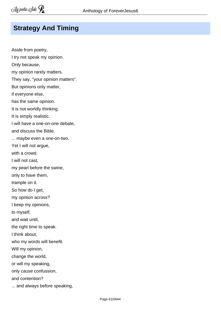## **Strategy And Timing**

Aside from poetry, I try not speak my opinion. Only because, my opinion rarely matters. They say, "your opinion matters". But opinions only matter, if everyone else, has the same opinion. It is not worldly thinking. It is simply realistic. I will have a one-on-one debate, and discuss the Bible. ... maybe even a one-on-two. Yet I will not argue, with a crowd. I will not cast, my pearl before the swine, only to have them, trample on it. So how do I get, my opinion across? I keep my opinions, to myself, and wait until, the right time to speak. I think about, who my words will benefit. Will my opinion, change the world, or will my speaking, only cause confussion, and contention? ... and always before speaking,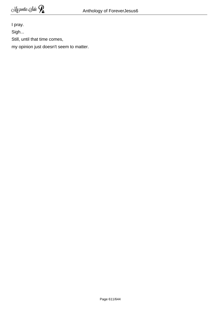I pray.

Sigh...

Still, until that time comes,

my opinion just doesn't seem to matter.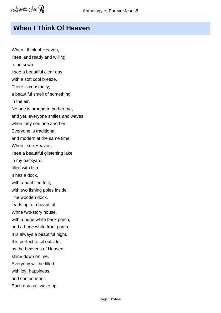# **When I Think Of Heaven**

When I think of Heaven, I see land ready and willing, to be sewn. I see a beautiful clear day, with a soft cool breeze. There is constantly, a beautiful smell of something, in the air. No one is around to bother me, and yet, everyone smiles and waves, when they see one another. Everyone is traditional, and modern at the same time. When I see Heaven. I see a beautiful glistening lake, in my backyard, filled with fish. It has a dock, with a boat tied to it, with two fishing poles inside. The wooden dock, leads up to a beautiful, White two-story house, with a huge white back porch, and a huge white front porch. It is always a beautiful night. It is perfect to sit outside, as the heavens of Heaven, shine down on me. Everyday will be filled, with joy, happiness, and contentment. Each day as I wake up,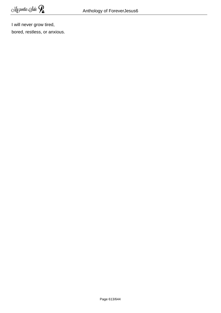I will never grow tired,

bored, restless, or anxious.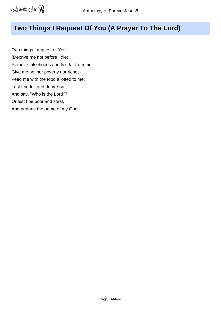# **Two Things I Request Of You (A Prayer To The Lord)**

Two things I request of You (Deprive me not before I die): Remove falsehoods and lies far from me; Give me neither poverty nor riches-Feed me with the food allotted to me; Lest I be full and deny You, And say, "Who is the Lord?" Or lest I be poor and steal, And profane the name of my God.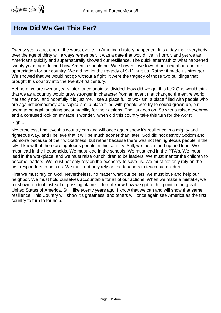### **How Did We Get This Far?**

Twenty years ago, one of the worst events in American history happened. It is a day that everybody over the age of thirty will always remember. It was a date that would live in horror, and yet we as Americans quickly and supernaturally showed our resilience. The quick aftermath of what happened twenty years ago defined how America should be. We showed love toward our neighbor, and our appreciation for our country. We did not let the tragedy of 9-11 hurt us. Rather it made us stronger. We showed that we would not go without a fight. It were the tragedy of those two buildings that brought this country into the twenty-first century.

Yet here we are twenty years later; once again so divided. How did we get this far? One would think that we as a country would grow stronger in character from an event that changed the entire world. Yet sadly now, and hopefully it is just me, I see a place full of wokism, a place filled with people who are against democracy and capitalism, a place filled with people who try to sound grown up, but seem to be against taking accountability for their actions. The list goes on. So with a raised eyebrow and a confused look on my face, I wonder, 'when did this country take this turn for the worst'. Sigh...

Nevertheless, I believe this country can and will once again show it's resilience in a mighty and righteous way, and I believe that it will be much sooner than later. God did not destroy Sodom and Gomorra because of their wickedness, but rather because there was not ten righteous people in the city. I know that there are righteous people in this country. Still, we must stand up and lead. We must lead in the households. We must lead in the schools. We must lead in the PTA's. We must lead in the workplace, and we must raise our children to be leaders. We must mentor the children to become leaders. We must not only rely on the economy to save us. We must not only rely on the first responders to help us. We must not only rely on the teachers to teach our children.

First we must rely on God. Nevertheless, no matter what our beliefs, we must love and help our neighbor. We must hold ourselves accountable for all of our actions. When we make a mistake, we must own up to it instead of passing blame. I do not know how we got to this point in the great United States of America. Still, like twenty years ago, I know that we can and will show that same resilience. This Country will show it's greatness, and others will once again see America as the first country to turn to for help.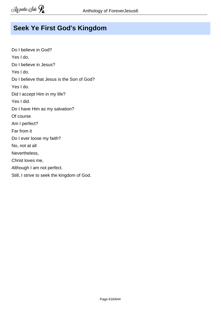# **Seek Ye First God's Kingdom**

Do I believe in God? Yes I do. Do I believe in Jesus? Yes I do. Do I believe that Jesus is the Son of God? Yes I do. Did I accept Him in my life? Yes I did. Do I have Him as my salvation? Of course Am I perfect? Far from it Do I ever loose my faith? No, not at all Nevertheless, Christ loves me, Although I am not perfect. Still, I strive to seek the kingdom of God.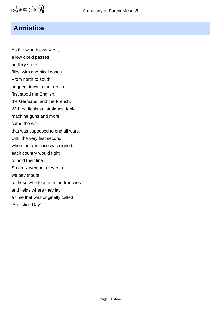# **Armistice**

As the wind blows west, a low cloud passes; artillery shells, filled with chemical gases. From north to south, bogged down in the trench, first stood the English, the Germans, and the French. With battleships, airplanes, tanks, machine guns and more, came the war, that was supposed to end all wars. Until the very last second, when the armistice was signed, each country would fight, to hold their line. So on November eleventh, we pay tribute, to those who fought in the trenches and fields where they lay; a time that was originally called, 'Armistice Day'.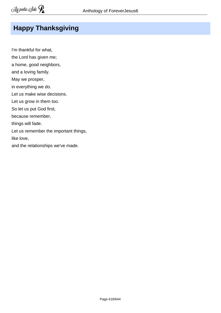# **Happy Thanksgiving**

I'm thankful for what, the Lord has given me; a home, good neighbors, and a loving family. May we prosper, in everything we do. Let us make wise decisions. Let us grow in them too. So let us put God first, because remember, things will fade. Let us remember the important things, like love, and the relationships we've made.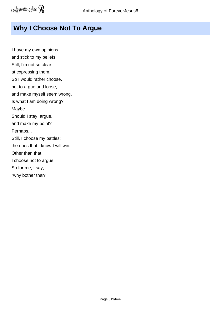# **Why I Choose Not To Argue**

I have my own opinions. and stick to my beliefs. Still, I'm not so clear, at expressing them. So I would rather choose, not to argue and loose, and make myself seem wrong. Is what I am doing wrong? Maybe... Should I stay, argue, and make my point? Perhaps... Still, I choose my battles; the ones that I know I will win. Other than that, I choose not to argue. So for me, I say, "why bother than".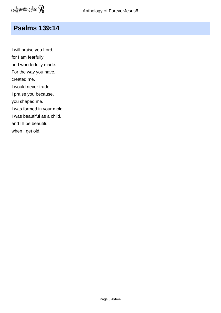## **Psalms 139:14**

I will praise you Lord, for I am fearfully, and wonderfully made. For the way you have, created me, I would never trade. I praise you because, you shaped me. I was formed in your mold. I was beautiful as a child, and I'll be beautiful, when I get old.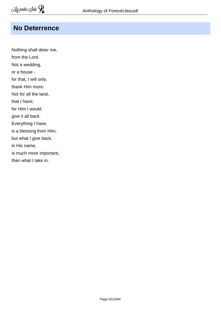#### **No Deterrence**

Nothing shall deter me, from the Lord. Not a wedding, or a house for that, I will only, thank Him more. Not for all the land, that I have; for Him I would, give it all back. Everything I have, is a blessing from Him, but what I give back, in His name, is much more important, than what I take in.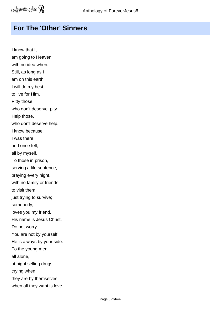# **For The 'Other' Sinners**

I know that I, am going to Heaven, with no idea when. Still, as long as I am on this earth, I will do my best, to live for Him. Pitty those, who don't deserve pity. Help those, who don't deserve help. I know because, I was there, and once felt, all by myself. To those in prison, serving a life sentence, praying every night, with no family or friends, to visit them, just trying to survive; somebody, loves you my friend. His name is Jesus Christ. Do not worry. You are not by yourself. He is always by your side. To the young men, all alone, at night selling drugs, crying when, they are by themselves, when all they want is love.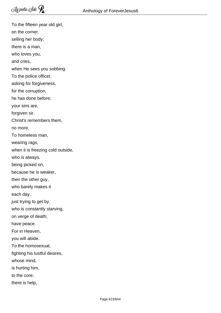To the fifteen year old girl, on the corner, selling her body; there is a man, who loves you, and cries, when He sees you sobbing. To the police officer, asking for forgiveness, for the corruption, he has done before; your sins are, forgiven sir. Christ's remembers them, no more. To homeless man, wearing rags, when it is freezing cold outside, who is always, being picked on, because he is weaker, then the other guy, who barely makes it each day, just trying to get by, who is constantly starving, on verge of death; have peace. For in Heaven, you will abide. To the homosexual, fighting his lustful desires, whose mind, is hurting him, to the core; there is help,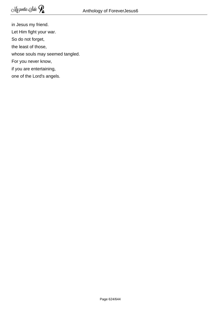in Jesus my friend. Let Him fight your war. So do not forget, the least of those, whose souls may seemed tangled. For you never know, if you are entertaining,

one of the Lord's angels.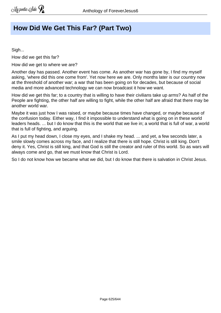### **How Did We Get This Far? (Part Two)**

Sigh...

How did we get this far?

How did we get to where we are?

Another day has passed. Another event has come. As another war has gone by, I find my myself asking, 'where did this one come from'. Yet now here we are. Only months later is our country now at the threshold of another war; a war that has been going on for decades, but because of social media and more advanced technology we can now broadcast it how we want.

How did we get this far; to a country that is willing to have their civilians take up arms? As half of the People are fighting, the other half are willing to fight, while the other half are afraid that there may be another world war.

Maybe it was just how I was raised, or maybe because times have changed, or maybe because of the confusion today. Either way, I find it impossible to understand what is going on in these world leaders heads. ... but I do know that this is the world that we live in; a world that is full of war, a world that is full of fighting, and arguing.

As I put my head down, I close my eyes, and I shake my head. ... and yet, a few seconds later, a smile slowly comes across my face, and I realize that there is still hope. Christ is still king. Don't deny it. Yes, Christ is still king, and that God is still the creator and ruler of this world. So as wars will always come and go, that we must know that Christ is Lord.

So I do not know how we became what we did, but I do know that there is salvation in Christ Jesus.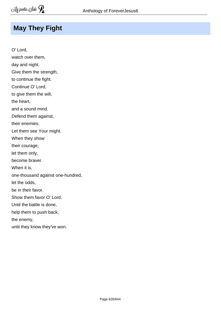## **May They Fight**

O' Lord, watch over them, day and night. Give them the strength, to continue the fight. Continue O' Lord, to give them the will, the heart, and a sound mind. Defend them against, their enemies. Let them see Your might. When they show their courage, let them only, become braver. When it is, one-thousand against one-hundred, let the odds, be in their favor. Show them favor O' Lord. Until the battle is done, help them to push back, the enemy, until they know they've won.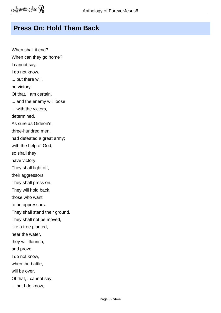### **Press On; Hold Them Back**

When shall it end? When can they go home? I cannot say. I do not know. ... but there will, be victory. Of that, I am certain. ... and the enemy will loose. ... with the victors, determined. As sure as Gideon's, three-hundred men, had defeated a great army; with the help of God, so shall they, have victory. They shall fight off, their aggressors. They shall press on. They will hold back, those who want, to be oppressors. They shall stand their ground. They shall not be moved, like a tree planted, near the water, they will flourish, and prove. I do not know, when the battle, will be over. Of that, I cannot say. ... but I do know,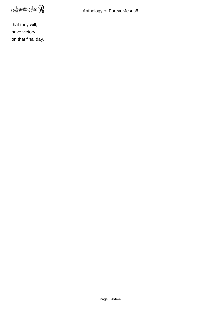that they will, have victory, on that final day.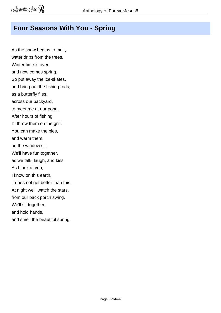## **Four Seasons With You - Spring**

As the snow begins to melt, water drips from the trees. Winter time is over, and now comes spring. So put away the ice-skates, and bring out the fishing rods, as a butterfly flies, across our backyard, to meet me at our pond. After hours of fishing, I'll throw them on the grill. You can make the pies, and warm them, on the window sill. We'll have fun together, as we talk, laugh, and kiss. As I look at you, I know on this earth, it does not get better than this. At night we'll watch the stars, from our back porch swing. We'll sit together, and hold hands, and smell the beautiful spring.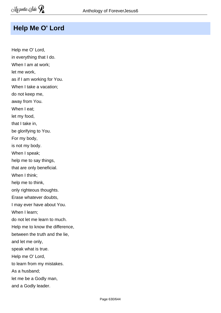### **Help Me O' Lord**

Help me O' Lord, in everything that I do. When I am at work; let me work, as if I am working for You. When I take a vacation; do not keep me, away from You. When I eat; let my food, that I take in, be glorifying to You. For my body, is not my body. When I speak; help me to say things, that are only beneficial. When I think: help me to think, only righteous thoughts. Erase whatever doubts, I may ever have about You. When I learn; do not let me learn to much. Help me to know the difference, between the truth and the lie, and let me only, speak what is true. Help me O' Lord, to learn from my mistakes. As a husband; let me be a Godly man, and a Godly leader.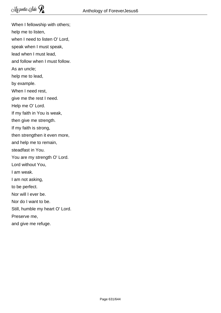When I fellowship with others; help me to listen, when I need to listen O' Lord, speak when I must speak, lead when I must lead, and follow when I must follow. As an uncle; help me to lead, by example. When I need rest, give me the rest I need. Help me O' Lord. If my faith in You is weak, then give me strength. If my faith is strong, then strengthen it even more, and help me to remain, steadfast in You. You are my strength O' Lord. Lord without You, I am weak. I am not asking, to be perfect. Nor will I ever be. Nor do I want to be. Still, humble my heart O' Lord. Preserve me, and give me refuge.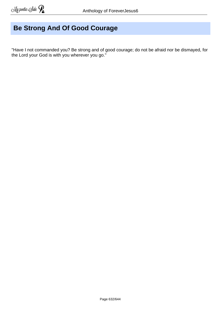# **Be Strong And Of Good Courage**

"Have I not commanded you? Be strong and of good courage; do not be afraid nor be dismayed, for the Lord your God is with you wherever you go."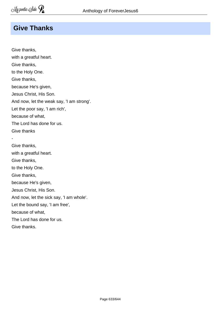## **Give Thanks**

Give thanks, with a greatful heart. Give thanks, to the Holy One. Give thanks, because He's given, Jesus Christ, His Son. And now, let the weak say, 'I am strong'. Let the poor say, 'I am rich', because of what, The Lord has done for us. Give thanks - Give thanks, with a greatful heart. Give thanks, to the Holy One. Give thanks, because He's given, Jesus Christ, His Son. And now, let the sick say, 'I am whole'. Let the bound say, 'I am free', because of what, The Lord has done for us. Give thanks.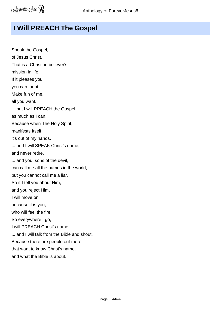### **I Will PREACH The Gospel**

Speak the Gospel, of Jesus Christ. That is a Christian believer's mission in life. If it pleases you, you can taunt. Make fun of me, all you want. ... but I will PREACH the Gospel, as much as I can. Because when The Holy Spirit, manifests Itself, it's out of my hands. ... and I will SPEAK Christ's name, and never retire. ... and you, sons of the devil, can call me all the names in the world, but you cannot call me a liar. So if I tell you about Him, and you reject Him, I will move on, because it is you, who will feel the fire. So everywhere I go, I will PREACH Christ's name. ... and I will talk from the Bible and shout. Because there are people out there, that want to know Christ's name, and what the Bible is about.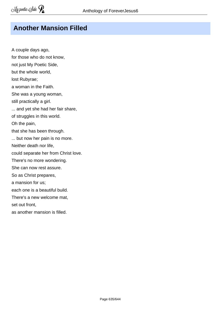# **Another Mansion Filled**

A couple days ago, for those who do not know, not just My Poetic Side, but the whole world, lost Rubyrae; a woman in the Faith. She was a young woman, still practically a girl. ... and yet she had her fair share, of struggles in this world. Oh the pain, that she has been through. ... but now her pain is no more. Neither death nor life, could separate her from Christ love. There's no more wondering. She can now rest assure. So as Christ prepares, a mansion for us; each one is a beautiful build. There's a new welcome mat, set out front, as another mansion is filled.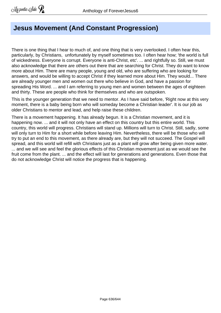## **Jesus Movement (And Constant Progression)**

There is one thing that I hear to much of, and one thing that is very overlooked. I often hear this, particularly, by Christians, unfortunately by myself sometimes too. I often hear how; 'the world is full of wickedness. Everyone is corrupt. Everyone is anti-Christ, etc'. ... and rightfully so. Still, we must also acknowledge that there are others out there that are searching for Christ. They do want to know more about Him. There are many people, young and old, who are suffering who are looking for answers, and would be willing to accept Christ if they learned more about Him. They would... There are already younger men and women out there who believe in God, and have a passion for spreading His Word. ... and I am referring to young men and women between the ages of eighteen and thirty. These are people who think for themselves and who are outspoken.

This is the younger generation that we need to mentor. As I have said before, 'Right now at this very moment, there is a baby being born who will someday become a Christian leader'. It is our job as older Christians to mentor and lead, and help raise these children.

There is a movement happening. It has already begun. It is a Christian movement, and it is happening now. ... and it will not only have an effect on this country but this entire world. This country, this world will progress. Christians will stand up. Millions will turn to Christ. Still, sadly, some will only turn to Him for a short while before leaving Him. Nevertheless, there will be those who will try to put an end to this movement, as there already are, but they will not succeed. The Gospel will spread, and this world will refill with Christians just as a plant will grow after being given more water.

... and we will see and feel the glorious effects of this Christian movement just as we would see the fruit come from the plant. ... and the effect will last for generations and generations. Even those that do not acknowledge Christ will notice the progress that is happening.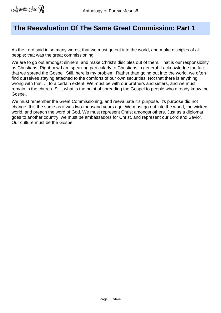### **The Reevaluation Of The Same Great Commission: Part 1**

As the Lord said in so many words; that we must go out into the world, and make disciples of all people; that was the great commissioning.

We are to go out amongst sinners, and make Christ's disciples out of them. That is our responsibility as Christians. Right now I am speaking particularly to Christians in general. I acknowledge the fact that we spread the Gospel. Still, here is my problem. Rather than going out into the world, we often find ourselves staying attached to the comforts of our own securities. Not that there is anything wrong with that. ... to a certain extent. We must be with our brothers and sisters, and we must remain in the church. Still, what is the point of spreading the Gospel to people who already know the Gospel.

We must remember the Great Commissioning, and reevaluate it's purpose. It's purpose did not change. It is the same as it was two-thousand years ago. We must go out into the world, the wicked world, and preach the word of God. We must represent Christ amongst others. Just as a diplomat goes to another country, we must be ambassadors for Christ, and represent our Lord and Savior. Our culture must be the Gospel.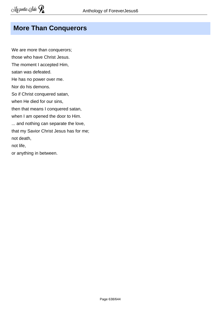### **More Than Conquerors**

We are more than conquerors; those who have Christ Jesus. The moment I accepted Him, satan was defeated. He has no power over me. Nor do his demons. So if Christ conquered satan, when He died for our sins, then that means I conquered satan, when I am opened the door to Him. ... and nothing can separate the love, that my Savior Christ Jesus has for me; not death, not life, or anything in between.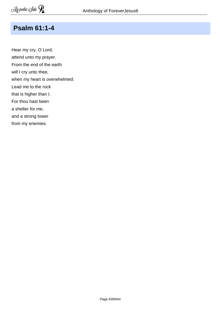## **Psalm 61:1-4**

Hear my cry, O Lord; attend unto my prayer. From the end of the earth will I cry unto thee, when my heart is overwhelmed: Lead me to the rock that is higher than I. For thou hast been a shelter for me, and a strong tower from my enemies.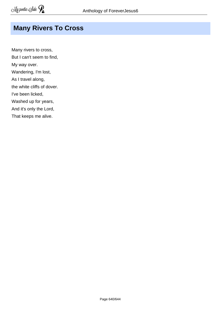# **Many Rivers To Cross**

Many rivers to cross, But I can't seem to find, My way over. Wandering, I'm lost, As I travel along, the white cliffs of dover. I've been licked, Washed up for years, And it's only the Lord, That keeps me alive.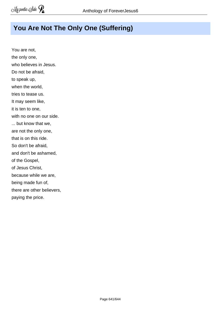# **You Are Not The Only One (Suffering)**

You are not, the only one, who believes in Jesus. Do not be afraid, to speak up, when the world, tries to tease us. It may seem like, it is ten to one, with no one on our side. ... but know that we, are not the only one, that is on this ride. So don't be afraid, and don't be ashamed, of the Gospel, of Jesus Christ, because while we are, being made fun of, there are other believers, paying the price.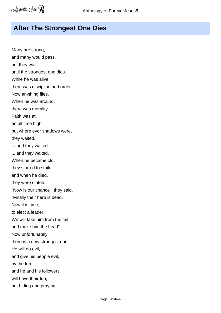## **After The Strongest One Dies**

Many are strong, and many would pass, but they wait, until the strongest one dies. While he was alive, there was discipline and order. Now anything flies. When he was around, there was morality. Faith was at, an all time high, but where ever shadows were, they waited. ... and they waited. ... and they waited. When he became old, they started to smile, and when he died, they were elated. "Now is our chance", they said. "Finally their hero is dead. Now it is time, to elect a leader. We will take him from the tail, and make him the head". Now unfortunately, there is a new strongest one. He will do evil, and give his people evil, by the ton, and he and his followers, will have their fun, but hiding and praying,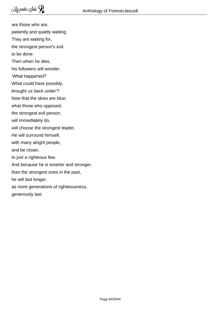- are those who are,
- patiently and quietly waiting.
- They are waiting for,
- the strongest person's evil,
- to be done.
- Then when he dies,
- his followers will wonder,
- 'What happened?
- What could have possibly,
- brought us back under'?
- Now that the skies are blue;
- what those who opposed,
- the strongest evil person,
- will immediately do,
- will choose the strongest leader.
- He will surround himself,
- with many alright people,
- and be closer,
- to just a righteous few.
- And because he is smarter and stronger,
- than the strongest ones in the past,
- he will last longer,
- as more generations of righteousness,
- generously last.